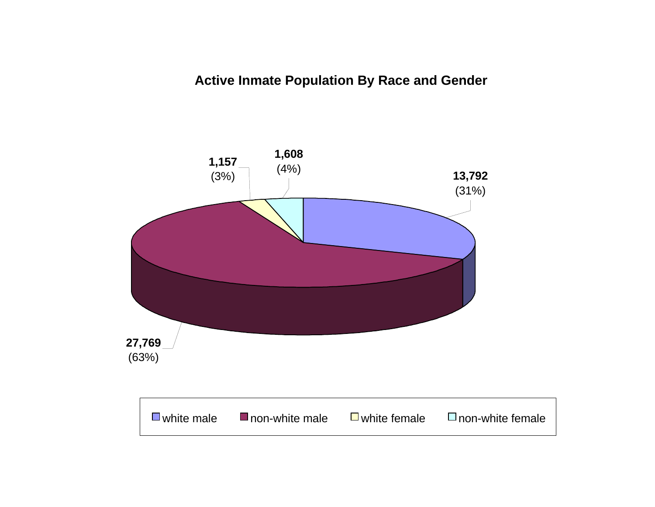# **Active Inmate Population By Race and Gender**

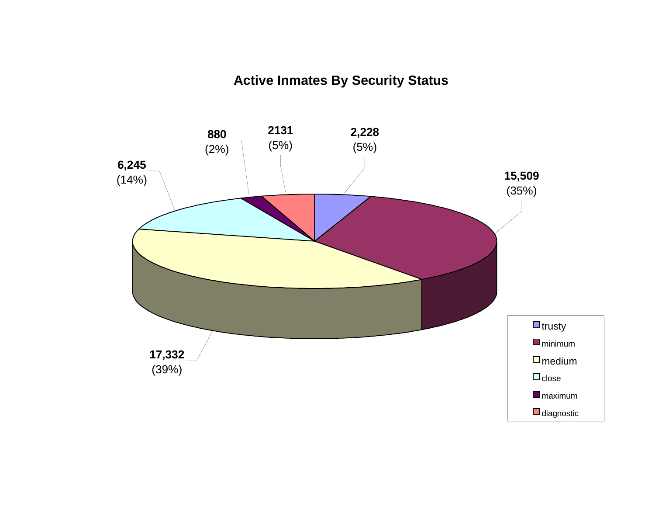# **Active Inmates By Security Status**

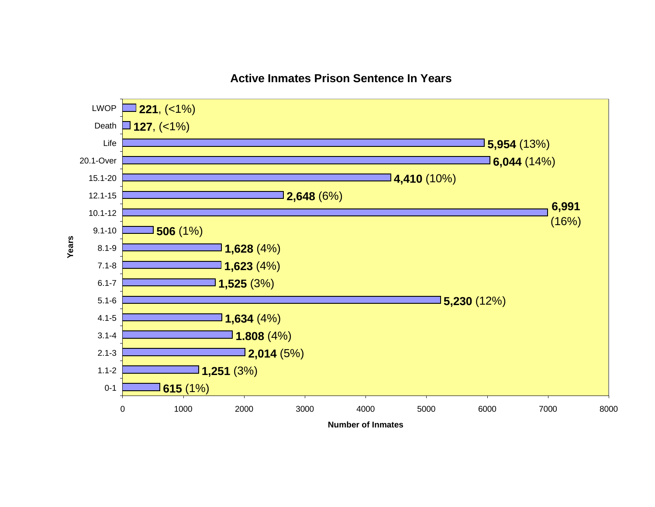

# **Active Inmates Prison Sentence In Years**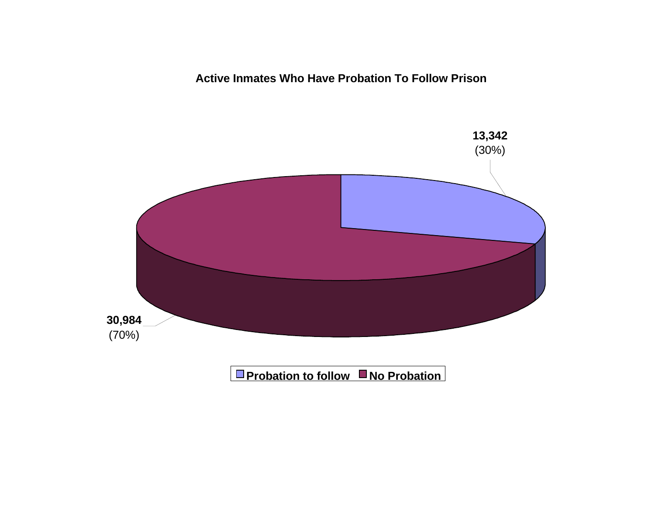**Active Inmates Who Have Probation To Follow Prison**

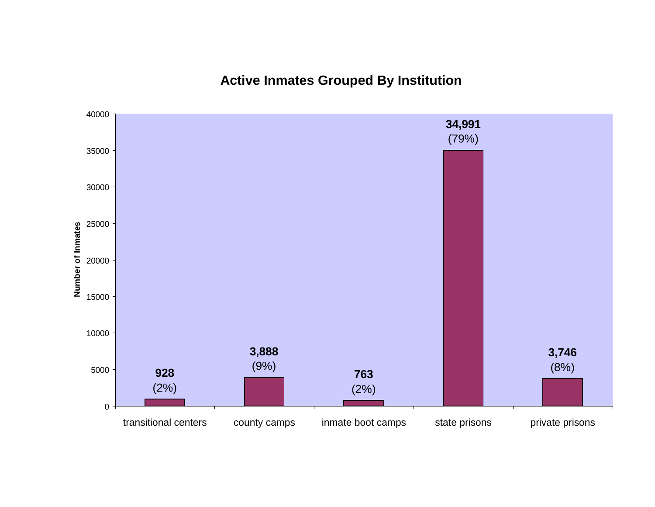**Active Inmates Grouped By Institution**

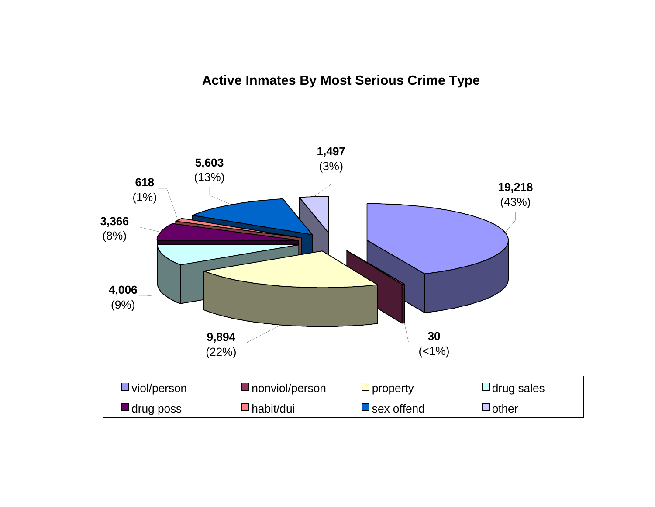# **Active Inmates By Most Serious Crime Type**

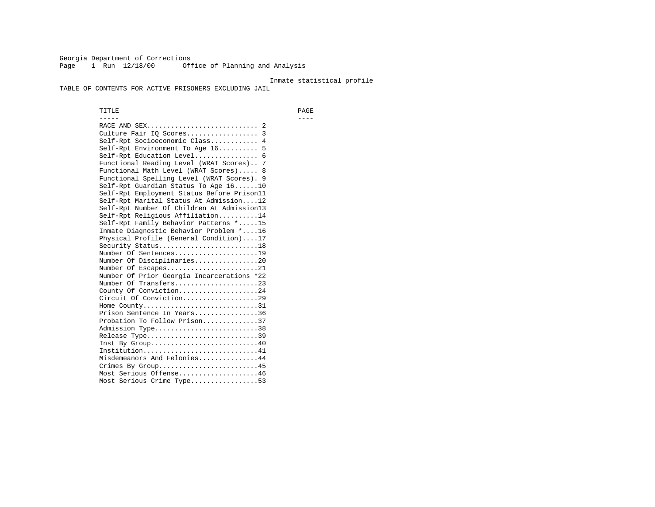Georgia Department of Corrections Page 1 Run 12/18/00 Office of Planning and Analysis

#### Inmate statistical profile

TABLE OF CONTENTS FOR ACTIVE PRISONERS EXCLUDING JAIL

 TITLE PAGE ----- ---- RACE AND SEX............................ 2 Culture Fair IQ Scores.................. 3 Self-Rpt Socioeconomic Class............ 4 Self-Rpt Environment To Age 16.......... 5 Self-Rpt Education Level................ 6 Functional Reading Level (WRAT Scores).. 7 Functional Math Level (WRAT Scores)..... 8 Functional Spelling Level (WRAT Scores). 9 Self-Rpt Guardian Status To Age 16......10 Self-Rpt Employment Status Before Prison11 Self-Rpt Marital Status At Admission....12 Self-Rpt Number Of Children At Admission13 Self-Rpt Religious Affiliation..........14 Self-Rpt Family Behavior Patterns \*.....15 Inmate Diagnostic Behavior Problem \*....16 Physical Profile (General Condition)....17 Security Status...........................18 Number Of Sentences.....................19 Number Of Disciplinaries................20 Number Of Escapes........................21 Number Of Prior Georgia Incarcerations \*22 Number Of Transfers.....................23 County Of Conviction....................24 Circuit Of Conviction...................29 Home County.............................31 Prison Sentence In Years................36 Probation To Follow Prison..............37Admission Type.............................38 Release Type...............................39 Inst By Group.............................40 Institution.............................41 Misdemeanors And Felonies...............44 Crimes By Group.........................45 Most Serious Offense....................46 Most Serious Crime Type.................53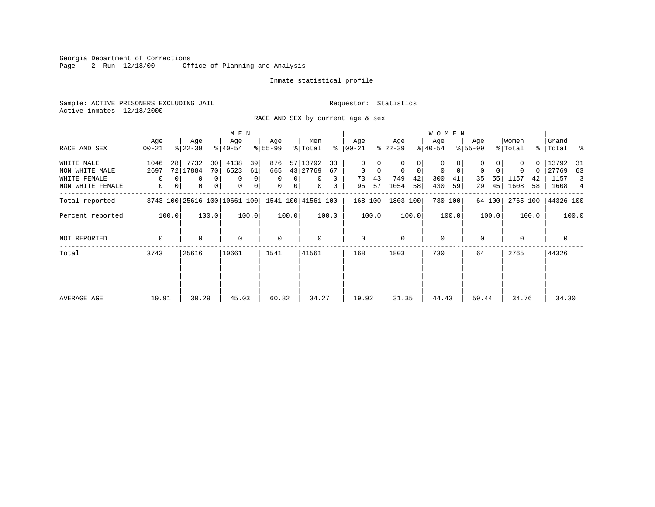Georgia Department of Corrections<br>Page 2 Run 12/18/00 Off Office of Planning and Analysis

# Inmate statistical profile

Sample: ACTIVE PRISONERS EXCLUDING JAIL **Requestor:** Statistics Active inmates 12/18/2000

RACE AND SEX by current age & sex

|                  |                                                 |    |                  | M E N          |                  |       |                  |                |                |              |                |         |                  | <b>WOMEN</b>   |                  |         |                  |        |                  |       |                    |       |
|------------------|-------------------------------------------------|----|------------------|----------------|------------------|-------|------------------|----------------|----------------|--------------|----------------|---------|------------------|----------------|------------------|---------|------------------|--------|------------------|-------|--------------------|-------|
| RACE AND SEX     | Age<br>$00 - 21$                                |    | Age<br>$ 22-39 $ |                | Age<br>$ 40-54 $ |       | Age<br>$8 55-99$ |                | Men<br>% Total | ွေ           | Age<br>  00-21 |         | Age<br>$ 22-39 $ |                | Age<br>$ 40-54 $ |         | Age<br>$8 55-99$ |        | Women<br>% Total |       | Grand<br>% Total % |       |
| WHITE MALE       | 1046                                            | 28 | 7732             | 30             | 4138             | 39    | 876              | 57             | 13792          | 33           | $\Omega$       | 0       |                  | 01             | 0                |         |                  |        |                  |       | 13792 31           |       |
| NON WHITE MALE   | 2697                                            |    | 72 17884         | 70             | 6523             | 61    | 665              |                | 43 27769       | 67           | $\mathbf 0$    | 0       | $\mathbf 0$      | 0 <sup>1</sup> | 0                | 0       | 0                | 0      | 0                | 0     | 27769              | 63    |
| WHITE FEMALE     | $\Omega$                                        |    | $\Omega$         | $\Omega$       | $\Omega$         | 0     | $\Omega$         |                | $\Omega$       | $\Omega$     | 73             | 43      | 749              | 42             | 300              | 41      | 35               | 55     | 1157             | 42    | 1157               | 3     |
| NON WHITE FEMALE | 0                                               | 0  | 0                | $\overline{0}$ | $\mathbf 0$      | 0     | 0                | 0 <sup>1</sup> | 0              | $\mathbf{0}$ | 95             | 57      | 1054             | 58             | 430              | 59      | 29               | 45     | 1608             | 58    | 1608               | 4     |
| Total reported   | 3743 100 25616 100 10661 100 1541 100 41561 100 |    |                  |                |                  |       |                  |                |                |              |                | 168 100 | 1803 100         |                |                  | 730 100 |                  | 64 100 | 2765 100         |       | 44326 100          |       |
| Percent reported | 100.0                                           |    |                  | 100.0          |                  | 100.0 |                  | 100.0          |                | 100.0        |                | 100.0   |                  | 100.0          |                  | 100.0   |                  | 100.0  |                  | 100.0 |                    | 100.0 |
| NOT REPORTED     | $\mathbf 0$                                     |    | $\Omega$         |                | 0                |       | 0                |                | 0              |              | 0              |         | $\Omega$         |                | $\mathbf 0$      |         | $\mathbf 0$      |        | $\Omega$         |       | 0                  |       |
| Total            | 3743                                            |    | 25616            |                | 10661            |       | 1541             |                | 41561          |              | 168            |         | 1803             |                | 730              |         | 64               |        | 2765             |       | 44326              |       |
|                  |                                                 |    |                  |                |                  |       |                  |                |                |              |                |         |                  |                |                  |         |                  |        |                  |       |                    |       |
| AVERAGE AGE      | 19.91                                           |    | 30.29            |                | 45.03            |       | 60.82            |                | 34.27          |              | 19.92          |         | 31.35            |                | 44.43            |         | 59.44            |        | 34.76            |       | 34.30              |       |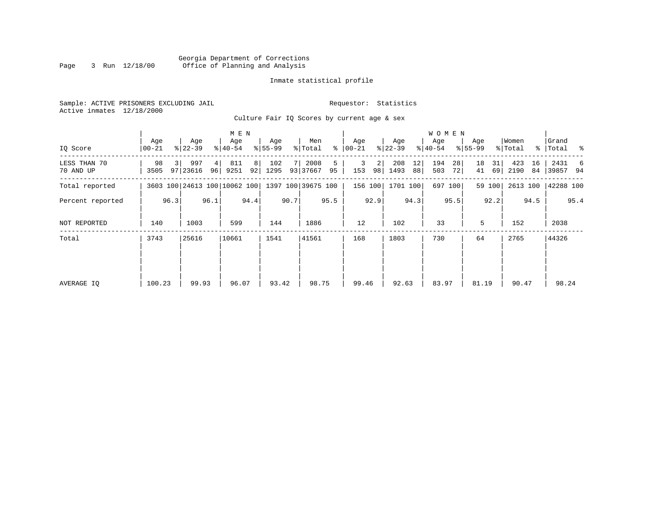#### Georgia Department of Corrections Page 3 Run 12/18/00 Office of Planning and Analysis

# Inmate statistical profile

|  |                           | Sample: ACTIVE PRISONERS EXCLUDING JAIL |  |
|--|---------------------------|-----------------------------------------|--|
|  | Active inmates 12/18/2000 |                                         |  |

Culture Fair IQ Scores by current age & sex

Requestor: Statistics

| IQ Score                  | Age<br>$00 - 21$ |      | Age<br>$ 22-39 $             |          | M E N<br>Age<br>$ 40-54 $ |         | Age<br>$8 55-99$ |      | Men<br>% Total     |         | Age<br>$8   00 - 21$ |      | Age<br>$ 22-39 $ |          | W O M E N<br>Age<br>$ 40-54 $ |          | Age<br>$8 55-99$ |          | Women<br>% Total |          | Grand<br>%   Total % |      |
|---------------------------|------------------|------|------------------------------|----------|---------------------------|---------|------------------|------|--------------------|---------|----------------------|------|------------------|----------|-------------------------------|----------|------------------|----------|------------------|----------|----------------------|------|
| LESS THAN 70<br>70 AND UP | 98<br>3505       |      | 997<br>97 23616              | 4 <br>96 | 811<br>9251               | 8<br>92 | 102<br>1295      |      | 2008<br>93 37667   | 5<br>95 | 3<br>153             | 2    | 208<br>98 1493   | 12<br>88 | 194<br>503                    | 28<br>72 | 18<br>41         | 31<br>69 | 423<br>2190      | 16<br>84 | 2431<br>39857 94     | -6   |
| Total reported            |                  |      | 3603 100 24613 100 10062 100 |          |                           |         |                  |      | 1397 100 39675 100 |         | 156 100              |      | 1701 100         |          |                               | 697 100  |                  | 59 100   | 2613 100         |          | 42288 100            |      |
| Percent reported          |                  | 96.3 |                              | 96.1     |                           | 94.4    |                  | 90.7 |                    | 95.5    |                      | 92.9 |                  | 94.3     |                               | 95.5     |                  | 92.2     |                  | 94.5     |                      | 95.4 |
| NOT REPORTED              | 140              |      | 1003                         |          | 599                       |         | 144              |      | 1886               |         | 12                   |      | 102              |          | 33                            |          | 5                |          | 152              |          | 2038                 |      |
| Total                     | 3743             |      | 25616                        |          | 10661                     |         | 1541             |      | 41561              |         | 168                  |      | 1803             |          | 730                           |          | 64               |          | 2765             |          | 44326                |      |
|                           |                  |      |                              |          |                           |         |                  |      |                    |         |                      |      |                  |          |                               |          |                  |          |                  |          |                      |      |
|                           |                  |      |                              |          |                           |         |                  |      |                    |         |                      |      |                  |          |                               |          |                  |          |                  |          |                      |      |
| AVERAGE IQ                | 100.23           |      | 99.93                        |          | 96.07                     |         | 93.42            |      | 98.75              |         | 99.46                |      | 92.63            |          | 83.97                         |          | 81.19            |          | 90.47            |          | 98.24                |      |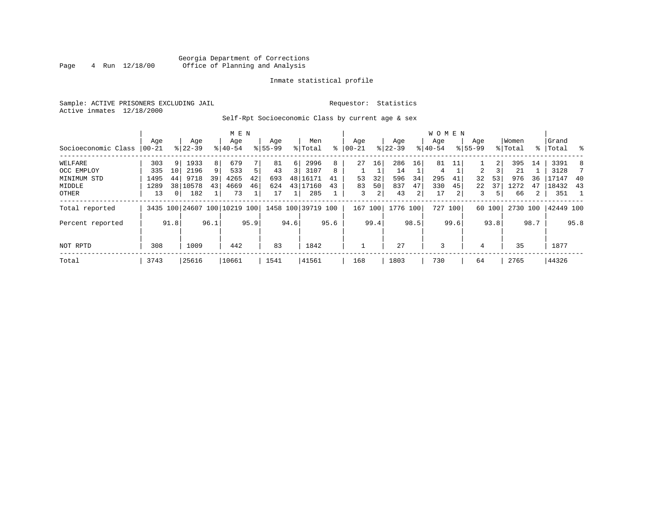# Georgia Department of Corrections<br>4 Run 12/18/00 Office of Planning and Analysis Page 4 Run 12/18/00 Office of Planning and Analysis

# Inmate statistical profile

Sample: ACTIVE PRISONERS EXCLUDING JAIL **Requestor:** Statistics Active inmates 12/18/2000

Self-Rpt Socioeconomic Class by current age & sex

|                     |          |                 | M E N     |      |                              |      |             |      |                    |      |           |      | <b>WOMEN</b> |      |           |         |                |                |          |      |           |                          |
|---------------------|----------|-----------------|-----------|------|------------------------------|------|-------------|------|--------------------|------|-----------|------|--------------|------|-----------|---------|----------------|----------------|----------|------|-----------|--------------------------|
|                     | Age      |                 | Age       |      | Age                          |      | Age         |      | Men                |      | Age       |      | Age          |      | Aqe       |         | Age            |                | Women    |      | Grand     |                          |
| Socioeconomic Class | $ 00-21$ |                 | $8 22-39$ |      | $8 40-54$                    |      | $8155 - 99$ |      | % Total            | နွ   | $00 - 21$ |      | $ 22-39 $    |      | $8 40-54$ |         | $8 55-99$      |                | % Total  |      | %   Total | $\sim$ $\approx$         |
| WELFARE             | 303      | 9 <sup>1</sup>  | 1933      | 8    | 679                          |      | 81          | 6    | 2996               | 8    | 27        | 16   | 286          | 16   | 81        |         |                | 2 <sub>1</sub> | 395      | 14   | 3391      | 8                        |
| OCC EMPLOY          | 335      | 10              | 2196      |      | 533                          | 5    | 43          | 3    | 3107               | 8    |           |      | 14           |      | 4         |         | $\overline{a}$ |                | 21       |      | 3128      |                          |
| MINIMUM STD         | 1495     | 44              | 9718      | 39   | 4265                         | 42   | 693         |      | 48 16171           | 41   | 53        | 32   | 596          | 34   | 295       | 41      | 32             | 53             | 976      | 36   | 17147     | -40                      |
| MIDDLE              | 1289     | 38 <sup>1</sup> | 10578     | 43   | 4669                         | 46   | 624         |      | 43 17160           | 43   | 83        | 50   | 837          | 47   | 330       | 45      | 22             | 37             | 1272     | 47   | 18432     | 43                       |
| OTHER               | 13       | 0 <sup>1</sup>  | 182       |      | 73                           |      | 17          |      | 285                |      | 3         | 2    | 43           | 2    | 17        | 2       | 3              | 5              | 66       | 2    | 351       | $\overline{\phantom{1}}$ |
| Total reported      |          |                 |           |      | 3435 100 24607 100 10219 100 |      |             |      | 1458 100 39719 100 |      | 167       | 100  | 1776 100     |      |           | 727 100 |                | 60 100         | 2730 100 |      | 42449 100 |                          |
| Percent reported    |          | 91.8            |           | 96.1 |                              | 95.9 |             | 94.6 |                    | 95.6 |           | 99.4 |              | 98.5 |           | 99.6    |                | 93.8           |          | 98.7 |           | 95.8                     |
| NOT RPTD            | 308      |                 | 1009      |      | 442                          |      | 83          |      | 1842               |      |           |      | 27           |      | 3         |         | 4              |                | 35       |      | 1877      |                          |
| Total               | 3743     |                 | 25616     |      | 10661                        |      | 1541        |      | 41561              |      | 168       |      | 1803         |      | 730       |         | 64             |                | 2765     |      | 44326     |                          |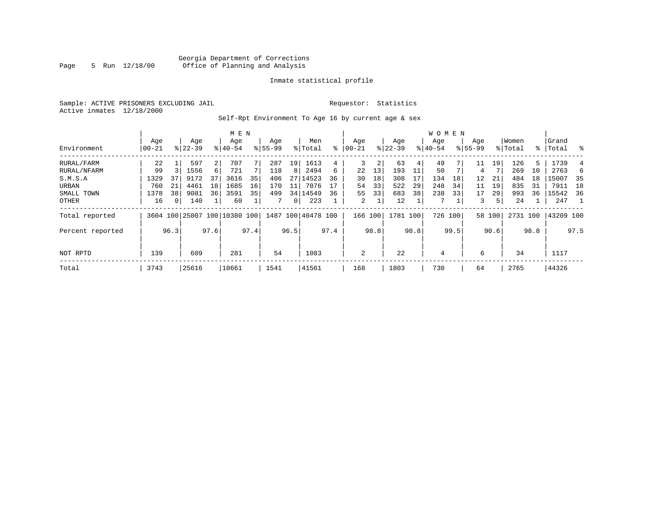# Georgia Department of Corrections Page 5 Run 12/18/00 Office of Planning and Analysis

# Inmate statistical profile

Sample: ACTIVE PRISONERS EXCLUDING JAIL **Requestor:** Statistics Active inmates 12/18/2000

Self-Rpt Environment To Age 16 by current age & sex

|                  |                  |          |                    |      | M E N                        |      |                    |                |                    |      |                 |      |                  |      | <b>WOMEN</b>     |      |                    |        |                  |      |                    |      |
|------------------|------------------|----------|--------------------|------|------------------------------|------|--------------------|----------------|--------------------|------|-----------------|------|------------------|------|------------------|------|--------------------|--------|------------------|------|--------------------|------|
| Environment      | Age<br>$00 - 21$ |          | Age<br>$8122 - 39$ |      | Age<br>$8140 - 54$           |      | Age<br>$8155 - 99$ |                | Men<br>% Total     | ⊱    | Age<br>$ 00-21$ |      | Age<br>$ 22-39 $ |      | Aqe<br>$8 40-54$ |      | Age<br>$8155 - 99$ |        | Women<br>% Total |      | Grand<br>%   Total | ႜ    |
|                  |                  |          |                    |      |                              |      |                    |                |                    |      |                 |      |                  |      |                  |      |                    |        |                  |      |                    |      |
| RURAL/FARM       | 22               |          | 597                | 2    | 707                          |      | 287                | 19             | 1613               | 4    | 3               | 2    | 63               | 4    | 49               |      | 11                 | 19     | 126              | 5.   | 1739               |      |
| RURAL/NFARM      | 99               |          | 1556               | 6    | 721                          |      | 118                | 8              | 2494               | 6    | 22              | 13   | 193              | 11   | 50               |      | 4                  |        | 269              | 10   | 2763               | 6    |
| S.M.S.A          | 1329             | 37       | 9172               | 37   | 3616                         | 35   | 406                | 27             | 14523              | 36   | 30              | 18   | 308              |      | 134              | 18   | 12                 | 21     | 484              | 18   | 15007              | 35   |
| URBAN            | 760              | 21       | 4461               | 18   | 1685                         | 16   | 170                | 11             | 7076               | 17   | 54              | 33   | 522              | 29   | 248              | 34   | 11                 | 19     | 835              | 31   | 7911               | 18   |
| SMALL TOWN       | 1378             | 38       | 9081               | 36   | 3591                         | 35   | 499                |                | 34 14549           | 36   | 55              | 33   | 683              | 38   | 238              | 33   | 17                 | 29     | 993              | 36   | 15542              | - 36 |
| OTHER            | 16               | $\Omega$ | 140                |      | 60                           |      |                    | $\overline{0}$ | 223                |      | 2               |      | 12               |      |                  |      | 3                  | 5      | 24               |      | 247                | -1   |
| Total reported   |                  |          |                    |      | 3604 100 25007 100 10380 100 |      |                    |                | 1487 100 40478 100 |      | 166 100         |      | 1781 100         |      | 726 100          |      |                    | 58 100 | 2731 100         |      | 43209 100          |      |
| Percent reported |                  | 96.3     |                    | 97.6 |                              | 97.4 |                    | 96.5           |                    | 97.4 |                 | 98.8 |                  | 98.8 |                  | 99.5 |                    | 90.6   |                  | 98.8 |                    | 97.5 |
|                  |                  |          |                    |      |                              |      |                    |                |                    |      |                 |      |                  |      |                  |      |                    |        |                  |      |                    |      |
| NOT RPTD         | 139              |          | 609                |      | 281                          |      | 54                 |                | 1083               |      | 2               |      | 22               |      | 4                |      | 6                  |        | 34               |      | 1117               |      |
| Total            | 3743             |          | 25616              |      | 10661                        |      | 1541               |                | 41561              |      | 168             |      | 1803             |      | 730              |      | 64                 |        | 2765             |      | 44326              |      |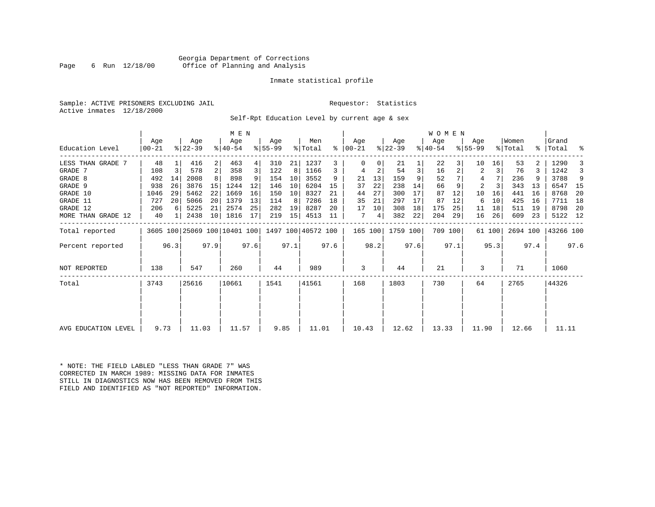# Georgia Department of Corrections Page 6 Run 12/18/00 Office of Planning and Analysis

# Inmate statistical profile

Sample: ACTIVE PRISONERS EXCLUDING JAIL **Requestor:** Statistics Active inmates 12/18/2000

Self-Rpt Education Level by current age & sex

| Education Level<br>  00-21<br>48<br>LESS THAN GRADE 7<br>GRADE 7<br>108<br>GRADE 8<br>492 | $\overline{3}$<br>14 | $ 22-39 $<br>416<br>2                           | $8140 - 54$<br>463 | $8 55-99$ |           | % Total | ွေ   |          |      |           |      |           |      |                |        |          |      |           |      |
|-------------------------------------------------------------------------------------------|----------------------|-------------------------------------------------|--------------------|-----------|-----------|---------|------|----------|------|-----------|------|-----------|------|----------------|--------|----------|------|-----------|------|
|                                                                                           |                      |                                                 |                    |           |           |         |      | 00-21    |      | $ 22-39 $ |      | $ 40-54 $ |      | $8 55-99$      |        | % Total  |      | %   Total | ႜ    |
|                                                                                           |                      |                                                 |                    | 4         | 310<br>21 | 1237    | 3    | $\Omega$ |      | 21        |      | 22        |      | 10             | 16     | 53       |      | 1290      |      |
|                                                                                           |                      | 578                                             | 2<br>358           | 3         | 122<br>8  | 1166    | 3    | 4        | 2    | 54        | 3    | 16        |      | 2              | 3      | 76       | 3    | 1242      |      |
|                                                                                           |                      | 2008                                            | 898                |           | 10<br>154 | 3552    | 9    | 21       | 13   | 159       | 9    | 52        |      | 4              |        | 236      |      | 3788      | 9    |
| GRADE 9<br>938                                                                            | 26                   | 3876<br>15                                      | 1244               | 12        | 10<br>146 | 6204    | 15   | 37       | 22   | 238       | 14   | 66        |      | $\overline{2}$ |        | 343      | 13   | 6547      | 15   |
| 1046<br>GRADE 10                                                                          | 29                   | 5462<br>22                                      | 1669               | 16        | 150<br>10 | 8327    | 21   | 44       | 27   | 300       | 17   | 87        | 12   | 10             | 16     | 441      | 16   | 8768      | 20   |
| GRADE 11<br>727                                                                           | 20                   | 5066<br>20                                      | 1379               | 13        | 114<br>8  | 7286    | 18   | 35       | 21   | 297       | 17   | 87        | 12   | 6              | 10     | 425      | 16   | 7711      | 18   |
| GRADE 12<br>206                                                                           |                      | 5225<br>21                                      | 2574               | 25        | 282<br>19 | 8287    | 20   | 17       | 10   | 308       | 18   | 175       | 25   | 11             | 18     | 511      | 19   | 8798      | -20  |
| MORE THAN GRADE 12<br>40                                                                  |                      | 2438<br>10                                      | 1816               | 17        | 15<br>219 | 4513    | 11   | 7        | 4    | 382       | 22   | 204       | 29   | 16             | 26     | 609      | 23   | 5122 12   |      |
| Total reported                                                                            |                      | 3605 100 25069 100 10401 100 1497 100 40572 100 |                    |           |           |         |      | 165 100  |      | 1759 100  |      | 709 100   |      |                | 61 100 | 2694 100 |      | 43266 100 |      |
| Percent reported                                                                          | 96.3                 | 97.9                                            |                    | 97.6      | 97.1      |         | 97.6 |          | 98.2 |           | 97.6 |           | 97.1 |                | 95.3   |          | 97.4 |           | 97.6 |
| 138<br>NOT REPORTED                                                                       |                      | 547                                             | 260                |           | 44        | 989     |      | 3        |      | 44        |      | 21        |      | 3              |        | 71       |      | 1060      |      |
| Total<br>3743                                                                             |                      | 25616                                           | 10661              | 1541      |           | 41561   |      | 168      |      | 1803      |      | 730       |      | 64             |        | 2765     |      | 44326     |      |
|                                                                                           |                      |                                                 |                    |           |           |         |      |          |      |           |      |           |      |                |        |          |      |           |      |
| AVG EDUCATION LEVEL                                                                       | 9.73                 | 11.03                                           | 11.57              |           | 9.85      | 11.01   |      | 10.43    |      | 12.62     |      | 13.33     |      | 11.90          |        | 12.66    |      | 11.11     |      |

\* NOTE: THE FIELD LABLED "LESS THAN GRADE 7" WAS CORRECTED IN MARCH 1989: MISSING DATA FOR INMATES STILL IN DIAGNOSTICS NOW HAS BEEN REMOVED FROM THIS FIELD AND IDENTIFIED AS "NOT REPORTED" INFORMATION.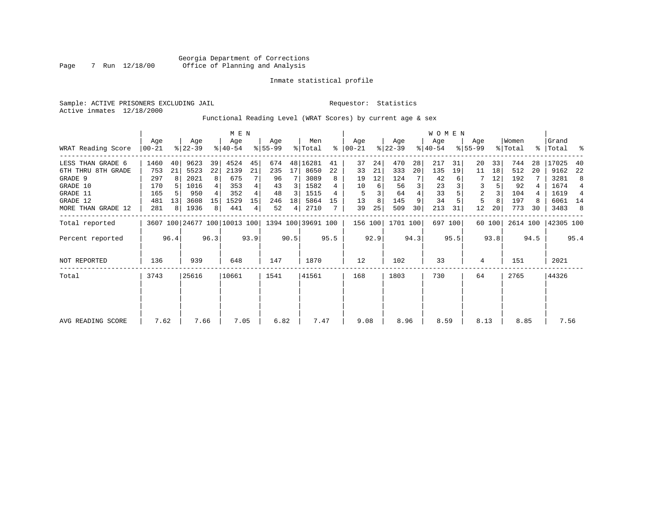# Inmate statistical profile

Sample: ACTIVE PRISONERS EXCLUDING JAIL **Requestor:** Statistics Active inmates 12/18/2000

Functional Reading Level (WRAT Scores) by current age & sex

|                    |                  |                |                  | M E N          |                                                 |      |                  |                |                |      |                |      |                  | <b>WOMEN</b> |                  |         |                    |        |                  |      |                    |       |
|--------------------|------------------|----------------|------------------|----------------|-------------------------------------------------|------|------------------|----------------|----------------|------|----------------|------|------------------|--------------|------------------|---------|--------------------|--------|------------------|------|--------------------|-------|
| WRAT Reading Score | Age<br>$ 00-21 $ |                | Age<br>$ 22-39 $ |                | Age<br>$ 40-54 $                                |      | Aqe<br>$8 55-99$ |                | Men<br>% Total | ႜ    | Age<br>  00-21 |      | Age<br>$ 22-39 $ |              | Age<br>$ 40-54 $ |         | Age<br>$8155 - 99$ |        | Women<br>% Total |      | Grand<br>%   Total | း - န |
| LESS THAN GRADE 6  | 1460             | 40             | 9623             | 39             | 4524                                            | 45   | 674              |                | 48 16281       | 41   | 37             | 24   | 470              | 28           | 217              | 31      | 20                 | 33     | 744              | 28   | 17025              | 40    |
| 6TH THRU 8TH GRADE | 753              | 21             | 5523             | 22             | 2139                                            | 21   | 235              | 17             | 8650           | 22   | 33             | 21   | 333              | 20           | 135              | 19      | 11                 | 18     | 512              | 20   | 9162               | 22    |
| GRADE 9            | 297              | 8              | 2021             | 8 <sup>1</sup> | 675                                             |      | 96               |                | 3089           | 8    | 19             | 12   | 124              |              | 42               |         |                    | 12     | 192              |      | 3281               | 8     |
| GRADE 10           | 170              |                | 1016             |                | 353                                             |      | 43               | 3              | 1582           |      | 10             | 6    | 56               | 3            | 23               |         | 3                  |        | 92               |      | 1674               | 4     |
| GRADE 11           | 165              |                | 950              |                | 352                                             |      | 48               | 3              | 1515           | 4    | 5              |      | 64               |              | 33               |         | $\overline{2}$     |        | 104              |      | 1619               | 4     |
| GRADE 12           | 481              | 13             | 3608             | 15             | 1529                                            | 15   | 246              | 18             | 5864           | 15   | 13             | 8    | 145              | 9            | 34               |         | 5                  | 8      | 197              |      | 6061 14            |       |
| MORE THAN GRADE 12 | 281              | 8 <sup>1</sup> | 1936             | 8              | 441                                             | 4    | 52               | 4 <sup>1</sup> | 2710           |      | 39             | 25   | 509              | 30           | 213              | 31      | 12                 | 20     | 773              | 30   | 3483               | 8     |
| Total reported     |                  |                |                  |                | 3607 100 24677 100 10013 100 1394 100 39691 100 |      |                  |                |                |      | 156 100        |      | 1701 100         |              |                  | 697 100 |                    | 60 100 | 2614 100         |      | 42305 100          |       |
| Percent reported   |                  | 96.4           |                  | 96.3           |                                                 | 93.9 |                  | 90.5           |                | 95.5 |                | 92.9 |                  | 94.3         |                  | 95.5    |                    | 93.8   |                  | 94.5 |                    | 95.4  |
| NOT REPORTED       | 136              |                | 939              |                | 648                                             |      | 147              |                | 1870           |      | 12             |      | 102              |              | 33               |         | 4                  |        | 151              |      | 2021               |       |
| Total              | 3743             |                | 25616            |                | 10661                                           |      | 1541             |                | 41561          |      | 168            |      | 1803             |              | 730              |         | 64                 |        | 2765             |      | 44326              |       |
|                    |                  |                |                  |                |                                                 |      |                  |                |                |      |                |      |                  |              |                  |         |                    |        |                  |      |                    |       |
| AVG READING SCORE  | 7.62             |                | 7.66             |                | 7.05                                            |      | 6.82             |                | 7.47           |      | 9.08           |      | 8.96             |              | 8.59             |         | 8.13               |        | 8.85             |      | 7.56               |       |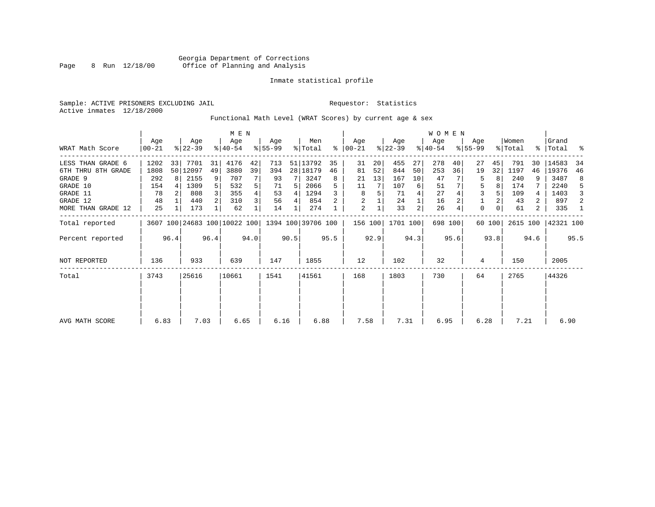# Inmate statistical profile

Sample: ACTIVE PRISONERS EXCLUDING JAIL **Requestor:** Statistics Active inmates 12/18/2000

Functional Math Level (WRAT Scores) by current age & sex

| WRAT Math Score                                                                                              | Age<br>  00-21                               |           | Age<br>$ 22-39 $                                      |               | M E N<br>Age<br>$ 40-54 $                       |               | Age<br>$ 55-99$                          |             | Men<br>% Total                                             | ႜ                   | Age<br>$100 - 21$                   |                | Age<br>$ 22-39 $                           |                          | W O M E N<br>Age<br>$ 40-54 $            |          | Age<br>$8155 - 99$                     |                | Women<br>% Total                             |                              | Grand<br>%   Total                                   | ್ಠಿ                          |
|--------------------------------------------------------------------------------------------------------------|----------------------------------------------|-----------|-------------------------------------------------------|---------------|-------------------------------------------------|---------------|------------------------------------------|-------------|------------------------------------------------------------|---------------------|-------------------------------------|----------------|--------------------------------------------|--------------------------|------------------------------------------|----------|----------------------------------------|----------------|----------------------------------------------|------------------------------|------------------------------------------------------|------------------------------|
| LESS THAN GRADE 6<br>6TH THRU 8TH GRADE<br>GRADE 9<br>GRADE 10<br>GRADE 11<br>GRADE 12<br>MORE THAN GRADE 12 | 1202<br>1808<br>292<br>154<br>78<br>48<br>25 | 33<br>8 I | 7701<br>50 12097<br>2155<br>1309<br>808<br>440<br>173 | 31<br>49<br>9 | 4176<br>3880<br>707<br>532<br>355<br>310<br>62  | 42<br>39<br>5 | 713<br>394<br>93<br>71<br>53<br>56<br>14 | 5<br>4<br>4 | 51 13792<br>28 18179<br>3247<br>2066<br>1294<br>854<br>274 | 35<br>46<br>8<br>5. | 31<br>81<br>21<br>11<br>8<br>2<br>2 | 20<br>52<br>13 | 455<br>844<br>167<br>107<br>71<br>24<br>33 | 27<br>50<br>10<br>6<br>2 | 278<br>253<br>47<br>51<br>27<br>16<br>26 | 40<br>36 | 27<br>19<br>5<br>5<br>3<br>$\mathbf 0$ | 45<br>32<br>0  | 791<br>1197<br>240<br>174<br>109<br>43<br>61 | 30<br>46<br>9<br>4<br>2<br>2 | 14583<br>19376<br>3487<br>2240<br>1403<br>897<br>335 | 34<br>46<br>8<br>5<br>3<br>2 |
| Total reported<br>Percent reported                                                                           |                                              | 96.4      |                                                       | 96.4          | 3607 100 24683 100 10022 100 1394 100 39706 100 | 94.0          |                                          | 90.5        |                                                            | 95.5                | 156 100                             | 92.9           | 1701 100                                   | 94.3                     | 698 100                                  | 95.6     |                                        | 60 100<br>93.8 | 2615 100                                     | 94.6                         | 42321 100                                            | 95.5                         |
| NOT REPORTED                                                                                                 | 136                                          |           | 933                                                   |               | 639                                             |               | 147                                      |             | 1855                                                       |                     | 12                                  |                | 102                                        |                          | 32                                       |          | 4                                      |                | 150                                          |                              | 2005                                                 |                              |
| Total                                                                                                        | 3743<br>25616                                |           | 10661                                                 |               | 1541                                            |               | 41561                                    |             | 168                                                        |                     | 1803                                |                | 730                                        |                          | 64                                       |          | 2765                                   |                | 44326                                        |                              |                                                      |                              |
| AVG MATH SCORE                                                                                               | 6.83                                         |           | 7.03                                                  |               | 6.65                                            |               | 6.16                                     |             | 6.88                                                       |                     | 7.58                                |                | 7.31                                       |                          | 6.95                                     |          | 6.28                                   |                | 7.21                                         |                              | 6.90                                                 |                              |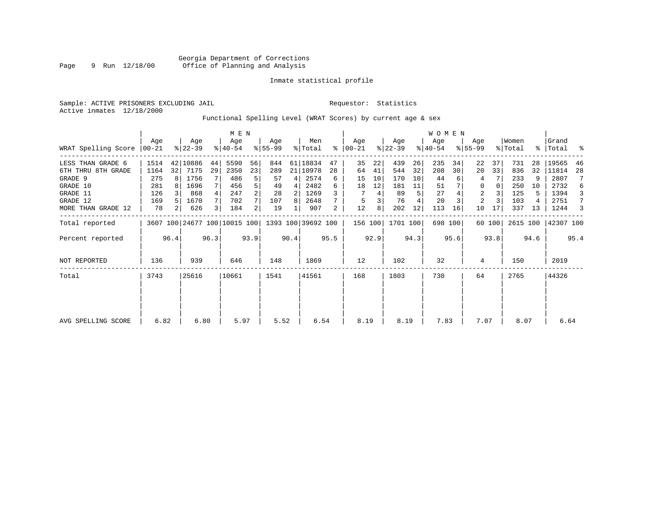# Inmate statistical profile

Sample: ACTIVE PRISONERS EXCLUDING JAIL **Requestor:** Statistics Active inmates 12/18/2000

Functional Spelling Level (WRAT Scores) by current age & sex

|                     |                 |                |                  | M E N |                              |      |                    |      |                |      |                  |      |                  | <b>WOMEN</b> |                  |         |                    |          |                  |      |                    |      |
|---------------------|-----------------|----------------|------------------|-------|------------------------------|------|--------------------|------|----------------|------|------------------|------|------------------|--------------|------------------|---------|--------------------|----------|------------------|------|--------------------|------|
| WRAT Spelling Score | Aqe<br>$ 00-21$ |                | Age<br>$ 22-39 $ |       | Age<br>$ 40-54 $             |      | Aqe<br>$ 55-99 $   |      | Men<br>% Total | ⊱    | Age<br>$00 - 21$ |      | Age<br>$ 22-39 $ |              | Age<br>$ 40-54 $ |         | Age<br>$8155 - 99$ |          | Women<br>% Total |      | Grand<br>%   Total | ႜ    |
| LESS THAN GRADE 6   | 1514            |                | 42 10886         | 44    | 5590                         | 56   | 844                |      | 61 18834       | 47   | 35               | 22   | 439              | 26           | 235              | 34      | 22                 | 37       | 731              | 28   | 19565              | 46   |
| 6TH THRU 8TH GRADE  | 1164            | 32             | 7175             | 29    | 2350                         | 23   | 289                |      | 21 10978       | 28   | 64               | 41   | 544              | 32           | 208              | 30      | 20                 | 33       | 836              | 32   | 11814              | 28   |
| GRADE 9             | 275             | R I            | 1756             |       | 486                          | 5    | 57                 | 4    | 2574           | 6    | 15               | 10   | 170              | 10           | 44               |         | 4                  |          | 233              | 9    | 2807               |      |
| GRADE 10            | 281             |                | 1696             |       | 456                          | 5    | 49                 | 4    | 2482           | 6    | 18               | 12   | 181              | 11           | 51               |         | 0                  | $\Omega$ | 250              | 10   | 2732               | 6    |
| GRADE 11            | 126             |                | 868              |       | 247                          | 2    | 28                 | 2    | 1269           |      |                  | 4    | 89               | 5            | 27               |         | $\overline{2}$     |          | 125              | 5    | 1394               | 3    |
| GRADE 12            | 169             |                | 1670             |       | 702                          |      | 107                | 8    | 2648           |      | 5                | 3    | 76               |              | 20               |         | 2                  |          | 103              |      | 2751               | 7    |
| MORE THAN GRADE 12  | 78              | 2 <sub>1</sub> | 626              |       | 184                          | 2    | 19                 |      | 907            | 2    | 12               | 8    | 202              | 12           | 113              | 16      | 10                 | 17       | 337              | 13   | 1244               | 3    |
| Total reported      |                 |                |                  |       | 3607 100 24677 100 10015 100 |      | 1393 100 39692 100 |      |                |      | 156 100          |      | 1701 100         |              |                  | 698 100 |                    | 60 100   | 2615 100         |      | 42307 100          |      |
| Percent reported    |                 | 96.4           |                  | 96.3  |                              | 93.9 |                    | 90.4 |                | 95.5 |                  | 92.9 |                  | 94.3         |                  | 95.6    |                    | 93.8     |                  | 94.6 |                    | 95.4 |
| <b>NOT REPORTED</b> | 136             |                | 939              |       | 646                          |      | 148                |      | 1869           |      | 12               |      | 102              |              | 32               |         | 4                  |          | 150              |      | 2019               |      |
| Total               | 3743            |                | 25616            |       | 10661                        |      | 1541               |      | 41561          |      | 168              |      | 1803             |              | 730              |         | 64                 |          | 2765             |      | 44326              |      |
|                     |                 |                |                  |       |                              |      |                    |      |                |      |                  |      |                  |              |                  |         |                    |          |                  |      |                    |      |
| AVG SPELLING SCORE  | 6.82            |                | 6.80             |       | 5.97                         |      | 5.52               |      | 6.54           |      | 8.19             |      | 8.19             |              | 7.83             |         | 7.07               |          | 8.07             |      | 6.64               |      |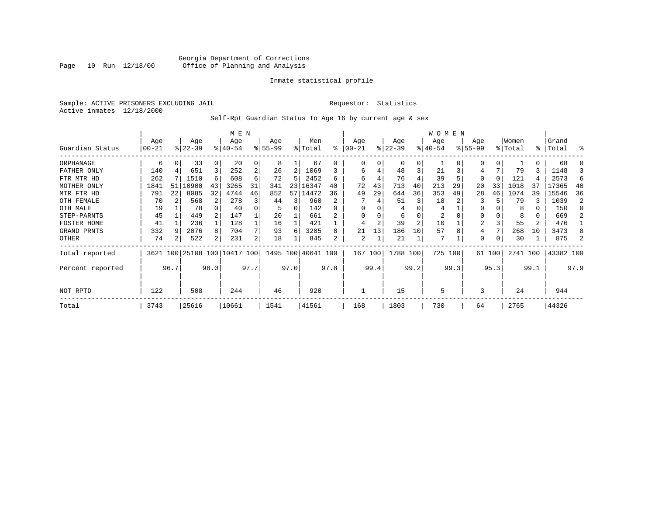# Georgia Department of Corrections Page 10 Run 12/18/00 Office of Planning and Analysis

# Inmate statistical profile

Sample: ACTIVE PRISONERS EXCLUDING JAIL **Requestor:** Statistics Active inmates 12/18/2000

Self-Rpt Guardian Status To Age 16 by current age & sex

|                  |            |      |           |              | M E N                   |      |          |      |                    |              |           |      |           |                | W O M E N |      |                |          |          |      |           |      |
|------------------|------------|------|-----------|--------------|-------------------------|------|----------|------|--------------------|--------------|-----------|------|-----------|----------------|-----------|------|----------------|----------|----------|------|-----------|------|
|                  | Age        |      | Age       |              | Age                     |      | Age      |      | Men                |              | Age       |      | Age       |                | Age       |      | Age            |          | Women    |      | Grand     |      |
| Guardian Status  | $ 00 - 21$ |      | $ 22-39 $ |              | $8 40-54$               |      | $ 55-99$ |      | % Total            | ⊱            | $00 - 21$ |      | $ 22-39 $ |                | $ 40-54 $ |      | $ 55-99$       |          | % Total  |      | %   Total | ႜ    |
| ORPHANAGE        | 6          |      | 33        | 0            | 20                      | 0    | 8        |      | 67                 | <sup>0</sup> | 0         |      | $\Omega$  | 0              |           |      | <sup>0</sup>   | $\Omega$ |          | U    | 68        |      |
| FATHER ONLY      | 140        |      | 651       | 3            | 252                     | 2    | 26       | 2    | 1069               |              | 6         | 4    | 48        | 3              | 21        |      | 4              |          | 79       | 3    | 1148      |      |
| FTR MTR HD       | 262        |      | 1510      | 6            | 608                     | 6    | 72       | 5    | 2452               | 6            | 6         | 4    | 76        |                | 39        |      | 0              | $\Omega$ | 121      |      | 2573      | 6    |
| MOTHER ONLY      | 1841       | 51   | 10900     | 43           | 3265                    | 31   | 341      | 23   | 16347              | 40           | 72        | 43   | 713       | 40             | 213       | 29   | 20             | 33       | 1018     | 37   | 17365     | 40   |
| MTR FTR HD       | 791        | 22   | 8085      | 32           | 4744                    | 46   | 852      |      | 57 14472           | 36           | 49        | 29   | 644       | 36             | 353       | 49   | 28             | 46       | 1074     | 39   | 15546     | 36   |
| OTH FEMALE       | 70         |      | 568       |              | 278                     | 3    | 44       | 3    | 960                | 2            |           |      | 51        | 3              | 18        |      | 3              |          | 79       |      | 1039      | 2    |
| OTH MALE         | 19         |      | 78        |              | 40                      |      |          | 0    | 142                | 0            | $\Omega$  |      |           |                | 4         |      | $\Omega$       |          | 8        | 0    | 150       | n    |
| STEP-PARNTS      | 45         |      | 449       |              | 147                     |      | 20       |      | 661                |              | $\Omega$  |      | 6         |                | 2         |      | $\Omega$       |          |          | 0    | 669       |      |
| FOSTER HOME      | 41         |      | 236       | $\mathbf{1}$ | 128                     |      | 16       |      | 421                |              | 4         | 2    | 39        | $\overline{a}$ | 10        |      | $\overline{2}$ |          | 55       | 2    | 476       |      |
| GRAND PRNTS      | 332        |      | 2076      | 8            | 704                     | 7    | 93       | 6    | 3205               | 8            | 21        | 13   | 186       | 10             | 57        | 8    | 4              |          | 268      | 10   | 3473      |      |
| OTHER            | 74         |      | 522       | 2            | 231                     | 2    | 18       |      | 845                | 2            | 2         |      | 21        |                | 7         |      | 0              |          | 30       |      | 875       |      |
| Total reported   | 3621       |      |           |              | 100 25108 100 10417 100 |      |          |      | 1495 100 40641 100 |              | 167       | 100  | 1788 100  |                | 725 100   |      |                | 61 100   | 2741 100 |      | 43382 100 |      |
| Percent reported |            | 96.7 |           | 98.0         |                         | 97.7 |          | 97.0 |                    | 97.8         |           | 99.4 |           | 99.2           |           | 99.3 |                | 95.3     |          | 99.1 |           | 97.9 |
| NOT RPTD         | 122        |      | 508       |              | 244                     |      | 46       |      | 920                |              |           |      | 15        |                | 5         |      | 3              |          | 24       |      | 944       |      |
| Total            | 3743       |      | 25616     |              | 10661                   |      | 1541     |      | 41561              |              | 168       |      | 1803      |                | 730       |      | 64             |          | 2765     |      | 44326     |      |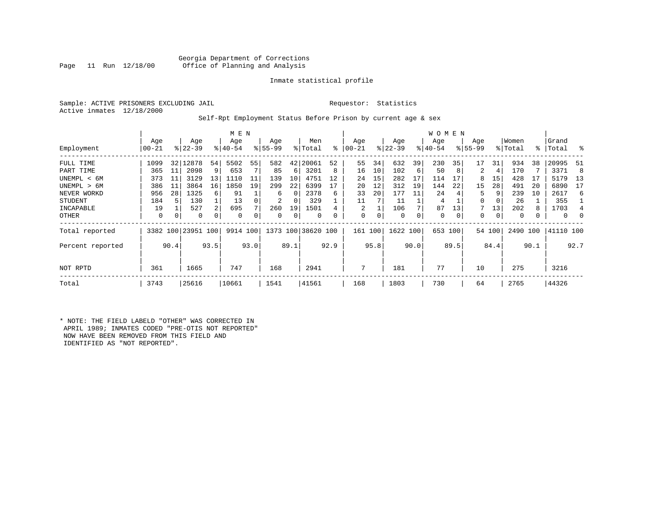# Georgia Department of Corrections<br>Page 11 Run 12/18/00 Office of Planning and Analysis Office of Planning and Analysis

# Inmate statistical profile

Sample: ACTIVE PRISONERS EXCLUDING JAIL **Requestor:** Statistics Active inmates 12/18/2000

# Self-Rpt Employment Status Before Prison by current age & sex

|                  |                  |      |                    |             | M E N            |      |                  |          |                    |           |                |      |                  |      | W O M E N        |      |                    |        |                  |      |                    |      |
|------------------|------------------|------|--------------------|-------------|------------------|------|------------------|----------|--------------------|-----------|----------------|------|------------------|------|------------------|------|--------------------|--------|------------------|------|--------------------|------|
| Employment       | Age<br>$00 - 21$ |      | Age<br>$ 22-39 $   |             | Age<br>$8 40-54$ |      | Age<br>$8 55-99$ |          | Men<br>% Total     | $\approx$ | Age<br>  00-21 |      | Age<br>$ 22-39 $ |      | Age<br>$ 40-54 $ |      | Age<br>$8155 - 99$ |        | Women<br>% Total |      | Grand<br>%   Total | - 옹  |
| FULL TIME        | 1099             |      | 32 12878           | 54          | 5502             | 55   | 582              | 42       | 20061              | 52        | 55             | 34   | 632              | 39   | 230              | 35   | 17                 | 31     | 934              | 38   | 20995              | 51   |
| PART TIME        | 365              | 11   | 2098               | 9           | 653              |      | 85               | 6        | 3201               | 8         | 16             | 10   | 102              | 6    | 50               | 8    | 2                  | 4      | 170              |      | 3371               | 8    |
| UNEMPL < 6M      | 373              | 11   | 3129               | 13          | 1110             | 11   | 139              | 10       | 4751               | 12        | 24             | 15   | 282              | 17   | 114              | 17   | 8                  | 15     | 428              |      | 5179               | 13   |
| UNEMPL > 6M      | 386              | 11   | 3864               | 16          | 1850             | 19   | 299              | 22       | 6399               |           | 20             | 12   | 312              | 19   | 144              | 22   | 15                 | 28     | 491              | 20   | 6890               | 17   |
| NEVER WORKD      | 956              | 28   | 1325               | 6           | 91               |      | 6                | $\Omega$ | 2378               | 6         | 33             | 20   | 177              | 11   | 24               |      | 5                  | 9      | 239              | 10   | 2617               | 6    |
| <b>STUDENT</b>   | 184              | 5    | 130                |             | 13               |      | 2                | 0        | 329                |           | 11             |      | 11               |      | 4                |      | 0                  | 0      | 26               |      | 355                |      |
| INCAPABLE        | 19               |      | 527                | 2           | 695              |      | 260              | 19       | 1501               |           | 2              |      | 106              |      | 87               | 13   |                    | 13     | 202              | 8    | 1703               |      |
| OTHER            | 0                | 0    | 0                  | $\mathbf 0$ | $\Omega$         |      | 0                | 0        | $\Omega$           |           | 0              | 0    | $\mathbf 0$      | 0    | 0                | 0    | 0                  | 0      | 0                |      | $\Omega$           |      |
| Total reported   |                  |      | 3382 100 23951 100 |             | 9914 100         |      |                  |          | 1373 100 38620 100 |           | 161            | 100  | 1622 100         |      | 653              | 100  |                    | 54 100 | 2490 100         |      | 41110 100          |      |
| Percent reported |                  | 90.4 |                    | 93.5        |                  | 93.0 |                  | 89.1     |                    | 92.9      |                | 95.8 |                  | 90.0 |                  | 89.5 |                    | 84.4   |                  | 90.1 |                    | 92.7 |
| NOT RPTD         | 361              |      | 1665               |             | 747              |      | 168              |          | 2941               |           | 7              |      | 181              |      | 77               |      | 10                 |        | 275              |      | 3216               |      |
| Total            | 3743             |      | 25616              |             | 10661            |      | 1541             |          | 41561              |           | 168            |      | 1803             |      | 730              |      | 64                 |        | 2765             |      | 44326              |      |

\* NOTE: THE FIELD LABELD "OTHER" WAS CORRECTED IN APRIL 1989; INMATES CODED "PRE-OTIS NOT REPORTED" NOW HAVE BEEN REMOVED FROM THIS FIELD AND IDENTIFIED AS "NOT REPORTED".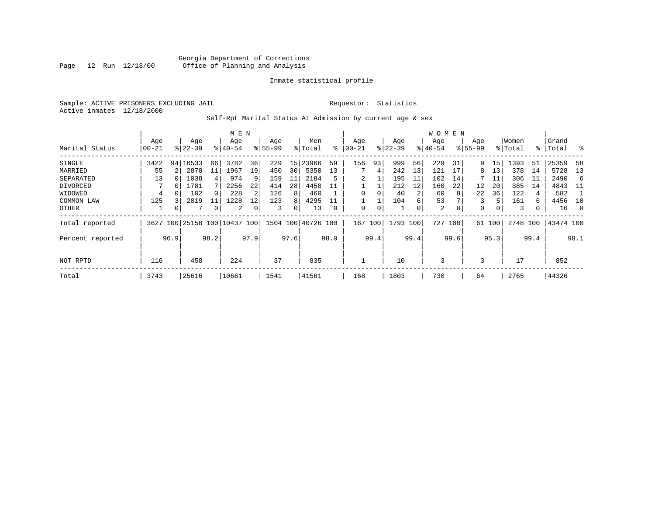# Georgia Department of Corrections<br>Page 12 Run 12/18/00 Office of Planning and Analysis Page 12 Run 12/18/00 Office of Planning and Analysis

# Inmate statistical profile

Sample: ACTIVE PRISONERS EXCLUDING JAIL **Requestor:** Statistics Active inmates 12/18/2000

# Self-Rpt Marital Status At Admission by current age & sex

|                  |           |      |                     |      | M E N     |      |                        |                 |         |           |          |          |           |      | <b>WOMEN</b> |                |             |        |          |      |           |      |
|------------------|-----------|------|---------------------|------|-----------|------|------------------------|-----------------|---------|-----------|----------|----------|-----------|------|--------------|----------------|-------------|--------|----------|------|-----------|------|
|                  | Age       |      | Age                 |      | Age       |      | Age                    |                 | Men     |           | Age      |          | Age       |      | Age          |                | Age         |        | Women    |      | Grand     |      |
| Marital Status   | $00 - 21$ |      | $ 22-39 $           |      | $8 40-54$ |      | $ 55-99$               |                 | % Total | $\approx$ | 00-21    |          | $ 22-39 $ |      | $ 40-54$     |                | $8155 - 99$ |        | % Total  |      | %   Total | - 옹  |
| SINGLE           | 3422      |      | 94 16533            | 66   | 3782      | 36   | 229                    | 15              | 23966   | 59        | 156      | 93       | 999       | 56   | 229          | 31             | 9.          | 15     | 1393     | 51   | 25359     | 58   |
| MARRIED          | 55        |      | 2878                | 11   | 1967      | 19   | 450                    | 30 <sup>1</sup> | 5350    | 13        |          | 4        | 242       | 13   | 121          | 17             | 8           | 13     | 378      | 14   | 5728      | 13   |
| SEPARATED        | 13        |      | 1038                | 4    | 974       | 9    | 159                    | 11              | 2184    | 5         |          |          | 195       | 11   | 102          | 14             |             | 11     | 306      | ᆚᆚ   | 2490      | -6   |
| DIVORCED         |           | 0    | 1781                |      | 2256      | 22   | 414                    | 28              | 4458    | 11        |          |          | 212       | 12   | 160          | 22             | 12          | 20     | 385      | 14   | 4843      | -11  |
| WIDOWED          | 4         |      | 102                 |      | 228       |      | 126                    | 8               | 460     |           | $\Omega$ |          | 40        | 2    | 60           | 8              | 22          | 36     | 122      | 4    | 582       |      |
| COMMON LAW       | 125       |      | 2819                |      | 1228      | 12   | 123                    | 8               | 4295    |           |          |          | 104       | 6    | 53           |                | 3           | 5      | 161      | 6.   | 4456      | -10  |
| OTHER            |           | 0    |                     | 0    | 2         |      | 3                      | 0               | 13      |           | $\Omega$ | $\Omega$ |           | 0    | 2            | $\overline{0}$ | 0           | 0      | 3        |      | 16        | - 0  |
| Total reported   | 3627      |      | 100 25158 100 10437 |      |           |      | 100 1504 100 40726 100 |                 |         |           | 167      | 100      | 1793 100  |      | 727          | 100            |             | 61 100 | 2748 100 |      | 43474 100 |      |
| Percent reported |           | 96.9 |                     | 98.2 |           | 97.9 |                        | 97.6            |         | 98.0      |          | 99.4     |           | 99.4 |              | 99.6           |             | 95.3   |          | 99.4 |           | 98.1 |
|                  |           |      |                     |      |           |      |                        |                 |         |           |          |          |           |      |              |                |             |        |          |      |           |      |
| NOT RPTD         | 116       |      | 458                 |      | 224       |      | 37                     |                 | 835     |           |          |          | 10        |      | 3            |                | 3           |        | 17       |      | 852       |      |
| Total            | 3743      |      | 25616               |      | 10661     |      | 1541                   |                 | 41561   |           | 168      |          | 1803      |      | 730          |                | 64          |        | 2765     |      | 44326     |      |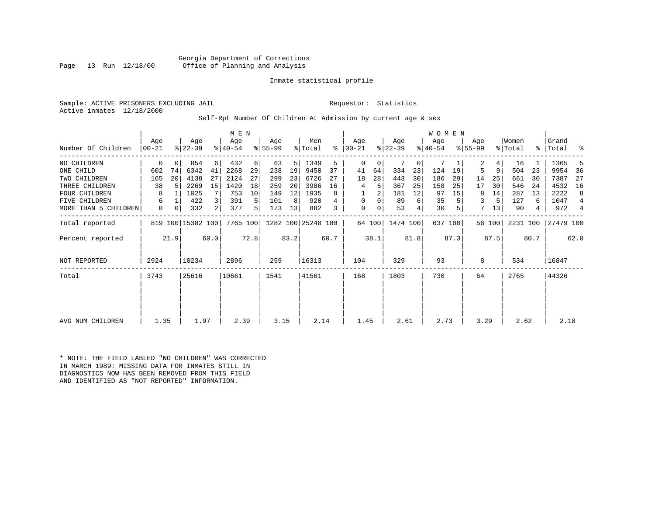Georgia Department of Corrections<br>Page 13 Run 12/18/00 Office of Planning and Analysis Office of Planning and Analysis

# Inmate statistical profile

Sample: ACTIVE PRISONERS EXCLUDING JAIL **Requestor:** Statistics Active inmates 12/18/2000

Self-Rpt Number Of Children At Admission by current age & sex

|                      |          |      |                   |      | M E N     |      |          |      |                    |      |               |        |           |      | W O M E N |         |             |                |          |      |           |                |
|----------------------|----------|------|-------------------|------|-----------|------|----------|------|--------------------|------|---------------|--------|-----------|------|-----------|---------|-------------|----------------|----------|------|-----------|----------------|
|                      | Aqe      |      | Age               |      | Age       |      | Age      |      | Men                |      | Age           |        | Age       |      | Aqe       |         | Age         |                | Women    |      | Grand     |                |
| Number Of Children   | $ 00-21$ |      | $ 22-39$          |      | $8 40-54$ |      | $ 55-99$ |      | % Total            |      | $8   00 - 21$ |        | $ 22-39 $ |      | $ 40-54 $ |         | $8155 - 99$ |                | % Total  |      | %   Total | ႜ              |
| NO CHILDREN          | 0        |      | 854               | 6    | 432       | 6    | 63       | 5    | 1349               | 5.   | $\Omega$      | 0      |           | 0    | 7         |         | 2           | 4 <sup>1</sup> | 16       |      | 1365      | 5              |
| ONE CHILD            | 602      | 74   | 6342              | 41   | 2268      | 29   | 238      | 19   | 9450               | 37   | 41            | 64     | 334       | 23   | 124       | 19      | 5           | 9              | 504      | 23   | 9954      | - 36           |
| TWO CHILDREN         | 165      | 20   | 4138              | 27   | 2124      | 27   | 299      | 23   | 6726               | 27   | 18            | 28     | 443       | 30   | 186       | 29      | 14          | 25             | 661      | 30   | 7387      | -27            |
| THREE CHILDREN       | 38       | .5   | 2269              | 15   | 1420      | 18   | 259      | 20   | 3986               | 16   | 4             | 6      | 367       | 25   | 158       | 25      | 17          | 30             | 546      | 24   | 4532      | 16             |
| <b>FOUR CHILDREN</b> | 8        |      | 1025              |      | 753       | 10   | 149      | 12   | 1935               | 8    |               | 2      | 181       | 12   | 97        | 15      | 8           | 14             | 287      | 13   | 2222      | 8              |
| <b>FIVE CHILDREN</b> | 6        |      | 422               | 3    | 391       | 5    | 101      | 8    | 920                |      | 0             | 0      | 89        | 6    | 35        |         | 3           | 5              | 127      | 6    | 1047      | $\overline{4}$ |
| MORE THAN 5 CHILDREN | 0        | 0    | 332               | 2    | 377       | 5    | 173      | 13   | 882                | 3    | $\Omega$      | 0      | 53        | 4    | 30        | 5       | 7           | 13             | 90       | 4    | 972       | $\overline{4}$ |
| Total reported       |          |      | 819 100 15382 100 |      | 7765 100  |      |          |      | 1282 100 25248 100 |      |               | 64 100 | 1474 100  |      |           | 637 100 |             | 56 100         | 2231 100 |      | 27479 100 |                |
| Percent reported     |          | 21.9 |                   | 60.0 |           | 72.8 |          | 83.2 |                    | 60.7 |               | 38.1   |           | 81.8 |           | 87.3    |             | 87.5           |          | 80.7 |           | 62.0           |
| <b>NOT REPORTED</b>  | 2924     |      | 10234             |      | 2896      |      | 259      |      | 16313              |      | 104           |        | 329       |      | 93        |         | 8           |                | 534      |      | 16847     |                |
| Total                | 3743     |      | 25616             |      | 10661     |      | 1541     |      | 41561              |      | 168           |        | 1803      |      | 730       |         | 64          |                | 2765     |      | 44326     |                |
|                      |          |      |                   |      |           |      |          |      |                    |      |               |        |           |      |           |         |             |                |          |      |           |                |
|                      |          |      |                   |      |           |      |          |      |                    |      |               |        |           |      |           |         |             |                |          |      |           |                |
| AVG NUM CHILDREN     | 1.35     |      | 1.97              |      | 2.39      |      | 3.15     |      | 2.14               |      | 1.45          |        | 2.61      |      | 2.73      |         | 3.29        |                | 2.62     |      | 2.18      |                |

\* NOTE: THE FIELD LABLED "NO CHILDREN" WAS CORRECTED IN MARCH 1989: MISSING DATA FOR INMATES STILL IN DIAGNOSTICS NOW HAS BEEN REMOVED FROM THIS FIELD AND IDENTIFIED AS "NOT REPORTED" INFORMATION.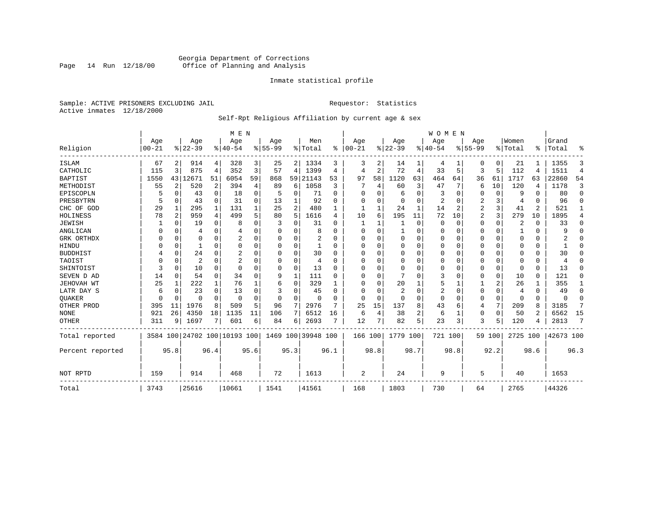# Georgia Department of Corrections<br>Page 14 Run 12/18/00 Office of Planning and Analysis Page 14 Run 12/18/00 Office of Planning and Analysis

# Inmate statistical profile

Sample: ACTIVE PRISONERS EXCLUDING JAIL **Requestor:** Statistics Active inmates 12/18/2000

# Self-Rpt Religious Affiliation by current age & sex

|                  |           |                |                              |             | M E N          |          |           |                |               |              |          |          |          |      | <b>WOMEN</b> |          |           |             |          |          |           |                |
|------------------|-----------|----------------|------------------------------|-------------|----------------|----------|-----------|----------------|---------------|--------------|----------|----------|----------|------|--------------|----------|-----------|-------------|----------|----------|-----------|----------------|
|                  | Age       |                | Age                          |             | Age            |          | Age       |                | Men           |              | Age      |          | Age      |      | Aqe          |          | Age       |             | Women    |          | Grand     |                |
| Religion         | $00 - 21$ |                | $ 22-39 $                    |             | $ 40-54$       |          | $8 55-99$ |                | % Total       | %            | $ 00-21$ |          | $ 22-39$ |      | $ 40-54$     |          | $8 55-99$ |             | % Total  | ፠        | Total     | ዱ              |
| ISLAM            | 67        | 2              | 914                          | 4           | 328            | 3        | 25        |                | 2   1334      | 3            | 3        | 2        | 14       |      | 4            |          | 0         | 0           | 21       |          | 1355      | 3              |
| CATHOLIC         | 115       | 3              | 875                          | 4           | 352            | 3        | 57        | 4              | 1399          | 4            | 4        | 2        | 72       | 4    | 33           | 5        | 3         | 5           | 112      | 4        | 1511      | $\overline{4}$ |
| <b>BAPTIST</b>   | 1550      | 43             | 12671                        | 51          | 6054           | 59       | 868       | 59             | 21143         | 53           | 97       | 58       | 1120     | 63   | 464          | 64       | 36        | 61          | 1717     | 63       | 22860     | 54             |
| METHODIST        | 55        | $\overline{2}$ | 520                          | 2           | 394            | 4        | 89        | 6              | 1058          | 3            |          | 4        | 60       | 3    | 47           | 7        | 6         | 10          | 120      | 4        | 1178      | 3              |
| EPISCOPLN        |           | 0              | 43                           | $\mathbf 0$ | 18             | 0        | 5         | 0              | 71            | $\Omega$     | U        | O        | 6        | 0    | 3            | 0        | 0         | 0           | 9        | $\Omega$ | 80        | $\mathbf 0$    |
| PRESBYTRN        | 5         | 0              | 43                           | $\mathbf 0$ | 31             | $\Omega$ | 13        | 1              | 92            | O            | 0        | U        | 0        | 0    | 2            | 0        | 2         | 3           | 4        | $\Omega$ | 96        | $\Omega$       |
| CHC OF GOD       | 29        | 1              | 295                          | 1           | 131            |          | 25        | 2              | 480           |              | 1        |          | 24       | 1    | 14           | 2        | 2         | 3           | 41       | 2        | 521       | 1              |
| HOLINESS         | 78        | $\overline{c}$ | 959                          | 4           | 499            | 5        | 80        | 5              | 1616          | 4            | 10       | 6        | 195      | 11   | 72           | 10       | 2         | 3           | 279      | 10       | 1895      | 4              |
| <b>JEWISH</b>    |           | $\Omega$       | 19                           | $\mathbf 0$ | 8              | $\Omega$ |           | U              | 31            |              |          |          |          | 0    | $\Omega$     | $\Omega$ | 0         | 0           | 2        | $\Omega$ | 33        | 0              |
| ANGLICAN         |           | 0              | 4                            | $\Omega$    |                |          |           | 0              | 8             |              | $\Omega$ | U        |          | 0    | 0            | $\Omega$ | 0         | $\Omega$    |          | $\Omega$ | 9         | $\Omega$       |
| GRK ORTHDX       |           | $\Omega$       | 0                            | 0           |                | O        | n         | 0              | 2             | U            | U        | U        | $\Omega$ | 0    | $\Omega$     | 0        | 0         | $\Omega$    | $\Omega$ | $\Omega$ |           | $\Omega$       |
| HINDU            |           | $\Omega$       |                              | $\Omega$    | $\Omega$       | $\Omega$ |           | 0              | 1             | <sup>0</sup> | U        |          | 0        | U    | $\Omega$     | $\Omega$ | 0         | $\Omega$    | $\Omega$ | $\Omega$ | ำ         | $\Omega$       |
| <b>BUDDHIST</b>  |           | 0              | 24                           | $\Omega$    | 2              | O        |           | $\Omega$       | 30            | U            | $\Omega$ |          | $\Omega$ | O    | $\Omega$     | $\Omega$ | Ω         | $\Omega$    | $\Omega$ | $\Omega$ | 30        | $\Omega$       |
| TAOIST           |           | $\Omega$       | 2                            | $\Omega$    | $\overline{2}$ |          |           | $\Omega$       | 4             | n            | U        | O        | $\Omega$ | 0    | $\Omega$     | $\Omega$ | 0         | $\Omega$    | $\Omega$ | $\Omega$ | 4         | $\Omega$       |
| SHINTOIST        | 3         | $\Omega$       | 10                           | $\Omega$    | $\Omega$       |          |           | $\Omega$       | 13            | O            | U        | $\cap$   | $\Omega$ | O    | O            | $\Omega$ | 0         | $\mathbf 0$ | $\Omega$ | $\Omega$ | 13        | $\Omega$       |
| SEVEN D AD       | 14        | $\Omega$       | 54                           | $\Omega$    | 34             | $\Omega$ | 9         | 1              | 111           | U            | U        | $\cap$   |          | O    | 3            | $\Omega$ | 0         | $\mathbf 0$ | 10       | $\Omega$ | 121       | O              |
| JEHOVAH WT       | 25        | 1              | 222                          | 1           | 76             |          | 6         | 0              | 329           |              | $\Omega$ | O        | 20       |      | 5            |          |           | 2           | 26       |          | 355       | 1              |
| LATR DAY S       | 6         | $\Omega$       | 23                           | $\Omega$    | 13             |          |           | 0              | 45            | n            | 0        |          | 2        | 0    | 2            | 0        | 0         | 0           | 4        | $\Omega$ | 49        | 0              |
| <b>OUAKER</b>    |           | $\Omega$       | O                            | 0           | $\Omega$       | 0        | O         | 0              | $\Omega$      |              | $\Omega$ | $\Omega$ | 0        | 0    | $\Omega$     | 0        | 0         | $\mathbf 0$ | $\Omega$ | 0        | $\Omega$  | 0              |
| OTHER PROD       | 395       | 11             | 1976                         | 8           | 509            | 5        | 96        | 7              | 2976          | 7            | 25       | 15       | 137      | 8    | 43           | 6        | 4         | 7           | 209      | 8        | 3185      | 7              |
| <b>NONE</b>      | 921       | 26             | 4350                         | 18          | 1135           | 11       | 106       | $7\phantom{.}$ | 6512          | 16           | 6        | 4        | 38       | 2    | 6            | 1        | 0         | 0           | 50       | 2        | 6562      | 15             |
| <b>OTHER</b>     | 311       | 9              | 1697                         | 7           | 601            | 6        | 84        | 6              | 2693          | 7            | 12       | 7        | 82       | 5    | 23           | 3        | 3         | 5           | 120      |          | 2813      | 7              |
| Total reported   |           |                | 3584 100 24702 100 10193 100 |             |                |          | 1469      |                | 100 39948 100 |              | 166 100  |          | 1779 100 |      | 721 100      |          |           | 59 100      | 2725 100 |          | 42673 100 |                |
| Percent reported |           | 95.8           |                              | 96.4        |                | 95.6     |           | 95.3           |               | 96.1         |          | 98.8     |          | 98.7 |              | 98.8     |           | 92.2        |          | 98.6     |           | 96.3           |
| NOT RPTD         | 159       |                | 914                          |             | 468            |          | 72        |                | 1613          |              | 2        |          | 24       |      | 9            |          | 5         |             | 40       |          | 1653      |                |
| Total            | 3743      |                | 25616                        |             | 10661          |          | 1541      |                | 41561         |              | 168      |          | 1803     |      | 730          |          | 64        |             | 2765     |          | 44326     |                |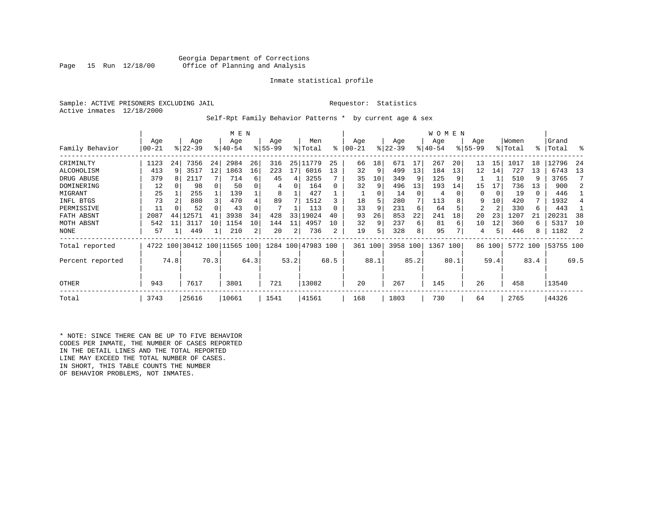# Georgia Department of Corrections<br>Page 15 Run 12/18/00 Office of Planning and Analysis Office of Planning and Analysis

# Inmate statistical profile

Sample: ACTIVE PRISONERS EXCLUDING JAIL **Requestor:** Statistics Active inmates 12/18/2000

Self-Rpt Family Behavior Patterns \* by current age & sex

|                  |       |      |                              |      | M E N       |      |           |      |                    |      |           |      |           |          | W O M E N |      |             |        |          |      |           |      |
|------------------|-------|------|------------------------------|------|-------------|------|-----------|------|--------------------|------|-----------|------|-----------|----------|-----------|------|-------------|--------|----------|------|-----------|------|
|                  | Age   |      | Age                          |      | Age         |      | Age       |      | Men                |      | Age       |      | Age       |          | Age       |      | Age         |        | Women    |      | Grand     |      |
| Family Behavior  | 00-21 |      | $ 22-39 $                    |      | $8140 - 54$ |      | $8 55-99$ |      | % Total            | ៖    | $00 - 21$ |      | $ 22-39 $ |          | $ 40-54 $ |      | $8155 - 99$ |        | % Total  | °≈   | Total     | ႜ    |
| CRIMINLTY        | 1123  | 24   | 7356                         | 24   | 2984        | 26   | 316       |      | 25 11779           | 25   | 66        | 18   | 671       | 17       | 267       | 20   | 13          | 15     | 1017     | 18   | 12796     | -24  |
| ALCOHOLISM       | 413   | 9    | 3517                         | 12   | 1863        | 16   | 223       | 17   | 6016               | 13   | 32        | 9    | 499       | 13       | 184       | 13   | 12          | 14     | 727      | 13   | 6743      | 13   |
| DRUG ABUSE       | 379   | 8    | 2117                         |      | 714         | б.   | 45        | 4    | 3255               |      | 35        | 10   | 349       |          | 125       |      |             |        | 510      | 9    | 3765      |      |
| DOMINERING       | 12    |      | 98                           |      | 50          |      | 4         | 0    | 164                |      | 32        | 9    | 496       | 13       | 193       | 14   | 15          | 17     | 736      | 13   | 900       |      |
| MIGRANT          | 25    |      | 255                          |      | 139         |      | 8         |      | 427                |      |           | 0    | 14        | $\Omega$ | 4         |      | $\Omega$    | 0      | 19       | 0    | 446       |      |
| INFL BTGS        | 73    |      | 880                          | 3    | 470         | 4    | 89        |      | 1512               |      | 18        | 5    | 280       |          | 113       |      | 9           | 10     | 420      | 7    | 1932      |      |
| PERMISSIVE       | 11    |      | 52                           |      | 43          |      |           |      | 113                |      | 33        | 9    | 231       | 6        | 64        |      | 2           | 2      | 330      | 6    | 443       |      |
| FATH ABSNT       | 2087  | 44   | 12571                        |      | 3938        | 34   | 428       | 33   | 19024              | 40   | 93        | 26   | 853       | 22       | 241       | 18   | 20          | 23     | 1207     |      | 20231     | 38   |
| MOTH ABSNT       | 542   | 11   | 3117                         | 10   | 1154        | 10   | 144       | 11   | 4957               | 10   | 32        | 9    | 237       | 6        | 81        | 6    | 10          | 12     | 360      | 6    | 5317      | 10   |
| NONE             | 57    |      | 449                          |      | 210         | 2    | 20        | 2    | 736                | 2    | 19        | 5    | 328       | 8        | 95        |      | 4           | 5      | 446      | 8    | 1182      |      |
| Total reported   |       |      | 4722 100 30412 100 11565 100 |      |             |      |           |      | 1284 100 47983 100 |      | 361 100   |      | 3958 100  |          | 1367 100  |      |             | 86 100 | 5772 100 |      | 53755 100 |      |
| Percent reported |       | 74.8 |                              | 70.3 |             | 64.3 |           | 53.2 |                    | 68.5 |           | 88.1 |           | 85.2     |           | 80.1 |             | 59.4   |          | 83.4 |           | 69.5 |
| <b>OTHER</b>     | 943   |      | 7617                         |      | 3801        |      | 721       |      | 13082              |      | 20        |      | 267       |          | 145       |      | 26          |        | 458      |      | 13540     |      |
| Total            | 3743  |      | 25616                        |      | 10661       |      | 1541      |      | 41561              |      | 168       |      | 1803      |          | 730       |      | 64          |        | 2765     |      | 44326     |      |

\* NOTE: SINCE THERE CAN BE UP TO FIVE BEHAVIOR CODES PER INMATE, THE NUMBER OF CASES REPORTED IN THE DETAIL LINES AND THE TOTAL REPORTED LINE MAY EXCEED THE TOTAL NUMBER OF CASES. IN SHORT, THIS TABLE COUNTS THE NUMBER OF BEHAVIOR PROBLEMS, NOT INMATES.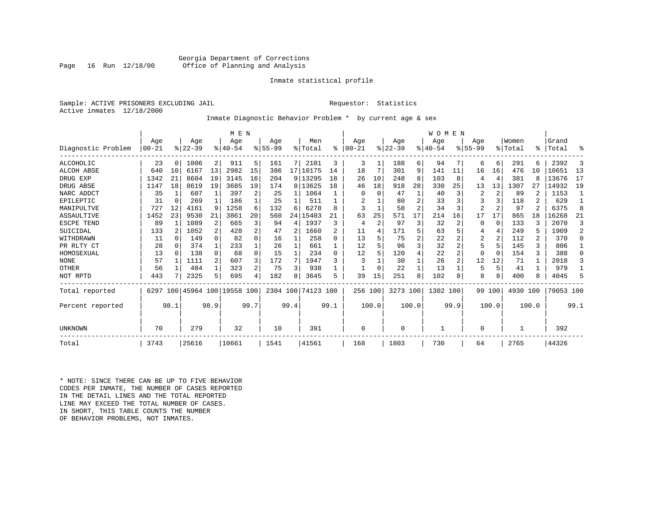# Georgia Department of Corrections<br>Page 16 Run 12/18/00 Office of Planning and Analysis Office of Planning and Analysis

# Inmate statistical profile

Sample: ACTIVE PRISONERS EXCLUDING JAIL **Requestor:** Statistics Active inmates 12/18/2000

# Inmate Diagnostic Behavior Problem \* by current age & sex

|                    |           |              |           |              | M E N                   |      |           |      |            |          |           |       |           |       | WOMEN    |                |                |                |          |       |           |                |
|--------------------|-----------|--------------|-----------|--------------|-------------------------|------|-----------|------|------------|----------|-----------|-------|-----------|-------|----------|----------------|----------------|----------------|----------|-------|-----------|----------------|
|                    | Age       |              | Age       |              | Age                     |      | Age       |      | Men        |          | Age       |       | Age       |       | Age      |                | Age            |                | Women    |       | Grand     |                |
| Diagnostic Problem | $00 - 21$ |              | $ 22-39 $ |              | $ 40-54$                |      | $8 55-99$ |      | % Total    | ి        | $00 - 21$ |       | $8 22-39$ |       | $ 40-54$ |                | $8 55-99$      |                | % Total  | ⊱     | Total     | ႜ              |
| <b>ALCOHOLIC</b>   | 23        | 0            | 1006      | 2            | 911                     | 5.   | 161       | 7    | 2101       | 3        | 3         | 1     | 188       | 6 I   | 94       | 7              | 6              | $6 \mid$       | 291      | 6     | 2392      | 3              |
| ALCOH ABSE         | 640       | 10           | 6167      | 13           | 2982                    | 15   | 386       |      | 17   10175 | 14       | 18        | 7     | 301       | 9     | 141      | 11             | 16             | 16             | 476      | 10    | 10651     | 13             |
| DRUG EXP           | 1342      | 21           | 8604      | 19           | 3145                    | 16   | 204       |      | 9 13295    | 18       | 26        | 10    | 248       | 8     | 103      | 8              |                | $\overline{4}$ | 381      |       | 13676     | 17             |
| DRUG ABSE          | 1147      | 18           | 8619      | 19           | 3685                    | 19   | 174       |      | 8 13625    | 18       | 46        | 18    | 918       | 28    | 330      | 25             | 13             | 13             | 1307     | 27    | 14932     | 19             |
| NARC ADDCT         | 35        | 1            | 607       |              | 397                     | 2    | 25        |      | 1064       |          | 0         | 0     | 47        |       | 40       | 3              | $\overline{2}$ | 2              | 89       |       | 1153      |                |
| EPILEPTIC          | 31        | 0            | 269       | $\mathbf{1}$ | 186                     |      | 25        |      | 511        |          |           |       | 80        |       | 33       | 3              |                |                | 118      | 2     | 629       |                |
| MANIPULTVE         | 727       | 12           | 4161      | 9            | 1258                    | 6    | 132       | 6    | 6278       | 8        | 3         |       | 58        | 2     | 34       | 3              | $\overline{2}$ | $\overline{2}$ | 97       | 2     | 6375      | 8              |
| ASSAULTIVE         | 1452      | 23           | 9530      | 21           | 3861                    | 20   | 560       | 24   | 15403      | 21       | 63        | 25    | 571       | 17    | 214      | 16             | 17             | 17             | 865      | 18    | 16268     | 21             |
| ESCPE TEND         | 89        |              | 1089      | 2            | 665                     | 3    | 94        | 4    | 1937       | 3        | 4         | 2     | 97        | 3     | 32       | 2              |                | 0              | 133      | 3     | 2070      | 3              |
| SUICIDAL           | 133       | 2            | 1052      | 2            | 428                     | 2    | 47        | 2    | 1660       | 2        | 11        | 4     | 171       |       | 63       | 5              |                | 4              | 249      | 5     | 1909      | $\overline{a}$ |
| WITHDRAWN          | 11        | <sup>0</sup> | 149       | $\Omega$     | 82                      | 0    | 16        |      | 258        | 0        | 13        |       | 75        |       | 22       |                | 2              | $\overline{2}$ | 112      | 2     | 370       | $\Omega$       |
| PR RLTY CT         | 28        | 0            | 374       | $\mathbf{1}$ | 233                     |      | 26        |      | 661        |          | 12        |       | 96        |       | 32       |                |                | 5              | 145      | ς     | 806       |                |
| HOMOSEXUAL         | 13        | $\Omega$     | 138       | $\Omega$     | 68                      | 0    | 15        |      | 234        | $\Omega$ | 12        | 5.    | 120       |       | 22       | 2              |                | $\Omega$       | 154      |       | 388       | U              |
| <b>NONE</b>        | 57        |              | 1111      | 2            | 607                     |      | 172       | 7    | 1947       |          | 3         |       | 30        |       | 26       | $\overline{a}$ | 12             | 12             | 71       |       | 2018      | 3              |
| OTHER              | 56        |              | 484       | $\mathbf{1}$ | 323                     |      | 75        | 3    | 938        |          |           |       | 22        |       | 13       |                | 5              | 5              | 41       |       | 979       |                |
| NOT RPTD           | 443       |              | 2325      | 5            | 695                     | 4    | 182       | 8    | 3645       | 5        | 39        | 15    | 251       | 8     | 102      | 8              | 8              | 8              | 400      |       | 4045      | 5              |
| Total reported     | 6297      |              |           |              | 100 45964 100 19558 100 |      | 2304 100  |      | 74123 100  |          | 256 100   |       | 3273 100  |       | 1302 100 |                | 99             | 100            | 4930 100 |       | 79053 100 |                |
| Percent reported   |           | 98.1         |           | 98.9         |                         | 99.7 |           | 99.4 |            | 99.1     |           | 100.0 |           | 100.0 |          | 99.9           |                | 100.0          |          | 100.0 |           | 99.1           |
|                    |           |              |           |              |                         |      |           |      |            |          |           |       |           |       |          |                |                |                |          |       |           |                |
| UNKNOWN            | 70        |              | 279       |              | 32                      |      | 10        |      | 391        |          | 0         |       | $\Omega$  |       |          |                |                |                |          |       | 392       |                |
| Total              | 3743      |              | 25616     |              | 10661                   |      | 1541      |      | 41561      |          | 168       |       | 1803      |       | 730      |                | 64             |                | 2765     |       | 44326     |                |

\* NOTE: SINCE THERE CAN BE UP TO FIVE BEHAVIOR CODES PER INMATE, THE NUMBER OF CASES REPORTED IN THE DETAIL LINES AND THE TOTAL REPORTED LINE MAY EXCEED THE TOTAL NUMBER OF CASES.IN SHORT, THIS TABLE COUNTS THE NUMBER OF BEHAVIOR PROBLEMS, NOT INMATES.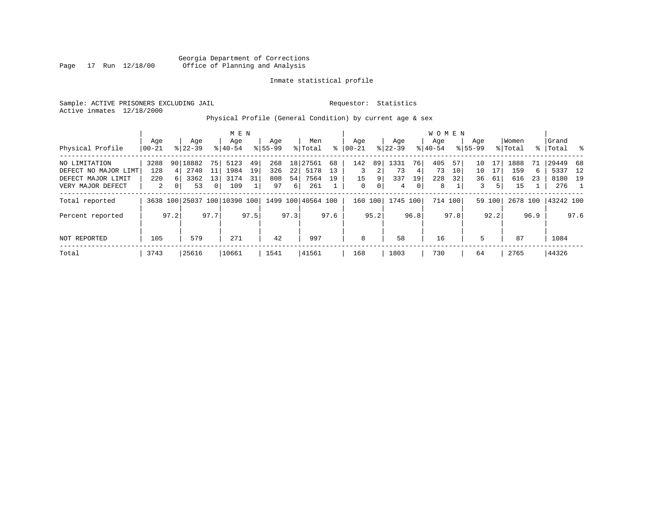Georgia Department of Corrections<br>Page 17 Run 12/18/00 Office of Planning and Analysis Page 17 Run 12/18/00 Office of Planning and Analysis

# Inmate statistical profile

Sample: ACTIVE PRISONERS EXCLUDING JAIL **Requestor:** Statistics Active inmates 12/18/2000

Physical Profile (General Condition) by current age & sex

|                      |       |                |           |              | M E N                        |      |             |      |                    |      |           |      |           |                | W O M E N   |                 |             |        |          |      |           |      |
|----------------------|-------|----------------|-----------|--------------|------------------------------|------|-------------|------|--------------------|------|-----------|------|-----------|----------------|-------------|-----------------|-------------|--------|----------|------|-----------|------|
|                      | Age   |                | Age       |              | Age                          |      | Age         |      | Men                |      | Age       |      | Age       |                | Aqe         |                 | Age         |        | Women    |      | Grand     |      |
| Physical Profile     | 00-21 |                | $8 22-39$ |              | $8 40-54$                    |      | $8155 - 99$ |      | % Total            | ႜ    | $ 00-21 $ |      | $ 22-39 $ |                | $8140 - 54$ |                 | $8155 - 99$ |        | % Total  |      | %   Total | း    |
| NO LIMITATION        | 3288  |                | 90 18882  | 75           | 5123                         | 49   | 268         |      | 18 27561           | 68   | 142       | 89   | 1331      | 76             | 405         | 57              | 10          |        | 1888     | 71   | 29449     | -68  |
| DEFECT NO MAJOR LIMT | 128   |                | 2740      | 11           | 1984                         | 19   | 326         | 22   | 5178               | 13   | 3         | 2    | 73        | 4              | 73          | 10 <sup>1</sup> | 10          | 17     | 159      | 6    | 5337      | 12   |
| DEFECT MAJOR LIMIT   | 220   |                | 3362      | 13           | 3174                         | 31   | 808         | 54   | 7564               | 19   | 15        | 9    | 337       | 19             | 228         | 32              | 36          | 61     | 616      | 23   | 8180 19   |      |
| VERY MAJOR DEFECT    | 2     | 0 <sup>1</sup> | 53        | $\mathbf{0}$ | 109                          |      | 97          | 6    | 261                |      | 0         | 0    | 4         | $\overline{0}$ | 8           |                 | 3           | 5      | 15       |      | 276       |      |
| Total reported       |       |                |           |              | 3638 100 25037 100 10390 100 |      |             |      | 1499 100 40564 100 |      | 160       | 100  | 1745 100  |                |             | 714 100         |             | 59 100 | 2678 100 |      | 43242 100 |      |
| Percent reported     |       | 97.2           |           | 97.7         |                              | 97.5 |             | 97.3 |                    | 97.6 |           | 95.2 |           | 96.8           |             | 97.8            |             | 92.2   |          | 96.9 |           | 97.6 |
| NOT REPORTED         | 105   |                | 579       |              | 271                          |      | 42          |      | 997                |      | 8         |      | 58        |                | 16          |                 | 5           |        | 87       |      | 1084      |      |
| Total                | 3743  |                | 25616     |              | 10661                        |      | 1541        |      | 41561              |      | 168       |      | 1803      |                | 730         |                 | 64          |        | 2765     |      | 44326     |      |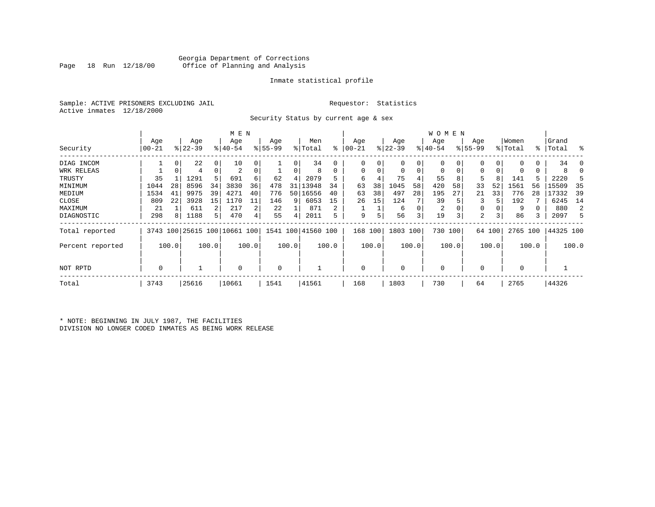# Georgia Department of Corrections<br>Page 18 Run 12/18/00 Office of Planning and Analysis Office of Planning and Analysis

# Inmate statistical profile

Sample: ACTIVE PRISONERS EXCLUDING JAIL **Requestor:** Statistics Active inmates 12/18/2000

Security Status by current age & sex

|                  |          |       |           |       | M E N                        |       |          |       |                    |       |           |       |             |       | W O M E N      |         |             |        |             |       |           |          |
|------------------|----------|-------|-----------|-------|------------------------------|-------|----------|-------|--------------------|-------|-----------|-------|-------------|-------|----------------|---------|-------------|--------|-------------|-------|-----------|----------|
|                  | Age      |       | Age       |       | Age                          |       | Age      |       | Men                |       | Age       |       | Age         |       | Age            |         | Age         |        | Women       |       | Grand     |          |
| Security         | $ 00-21$ |       | $ 22-39 $ |       | $ 40-54$                     |       | $ 55-99$ |       | % Total            | ႜ     | $00 - 21$ |       | $ 22-39 $   |       | $ 40-54$       |         | $8155 - 99$ |        | % Total     |       | %   Total | ႜ        |
| DIAG INCOM       |          | 0     | 22        | 0     | 10                           |       |          | 0     | 34                 |       | 0         | 0     | 0           | 0     |                |         |             | 0      | $\Omega$    | 0     | 34        | $\Omega$ |
| WRK RELEAS       |          |       | 4         | 0     | 2                            |       |          | 0     | 8                  | 0     | 0         |       | 0           | 0     | 0              | 0       | 0           | 0      | 0           | 0     |           |          |
| TRUSTY           | 35       |       | 1291      | 5     | 691                          | 6     | 62       | 4     | 2079               |       | 6         |       | 75          | 4     | 55             | 8       | 5           | 8      | 141         |       | 2220      |          |
| MINIMUM          | 1044     | 28    | 8596      | 34    | 3830                         | 36    | 478      | 31    | 13948              | 34    | 63        | 38    | 1045        | 58    | 420            | 58      | 33          | 52     | 1561        | 56    | 15509     | 35       |
| MEDIUM           | 1534     | 41    | 9975      | 39    | 4271                         | 40    | 776      |       | 50 16556           | 40    | 63        | 38    | 497         | 28    | 195            | 27      | 21          | 33     | 776         | 28    | 17332     | 39       |
| CLOSE            | 809      | 22    | 3928      | 15    | 1170                         | 11    | 146      | 9     | 6053               | 15    | 26        | 15    | 124         |       | 39             |         |             |        | 192         |       | 6245      | 14       |
| MAXIMUM          | 21       |       | 611       | 2     | 217                          | 2     | 22       |       | 871                | 2     |           |       | 6           | 0     | $\overline{2}$ |         | 0           |        | 9           |       | 880       | 2        |
| DIAGNOSTIC       | 298      | 8     | 1188      | 5.    | 470                          |       | 55       | 4     | 2011               | 5     | 9         |       | 56          | 3     | 19             | 3       | 2           | 3      | 86          | 3     | 2097      |          |
| Total reported   |          |       |           |       | 3743 100 25615 100 10661 100 |       |          |       | 1541 100 41560 100 |       | 168       | 100   | 1803 100    |       |                | 730 100 |             | 64 100 | 2765 100    |       | 44325 100 |          |
| Percent reported |          | 100.0 |           | 100.0 |                              | 100.0 |          | 100.0 |                    | 100.0 |           | 100.0 |             | 100.0 |                | 100.0   |             | 100.0  |             | 100.0 |           | 100.0    |
| NOT RPTD         | 0        |       |           |       | $\Omega$                     |       | 0        |       |                    |       | $\Omega$  |       | $\mathbf 0$ |       | $\mathbf 0$    |         | 0           |        | $\mathbf 0$ |       |           |          |
| Total            | 3743     |       | 25616     |       | 10661                        |       | 1541     |       | 41561              |       | 168       |       | 1803        |       | 730            |         | 64          |        | 2765        |       | 44326     |          |

\* NOTE: BEGINNING IN JULY 1987, THE FACILITIES DIVISION NO LONGER CODED INMATES AS BEING WORK RELEASE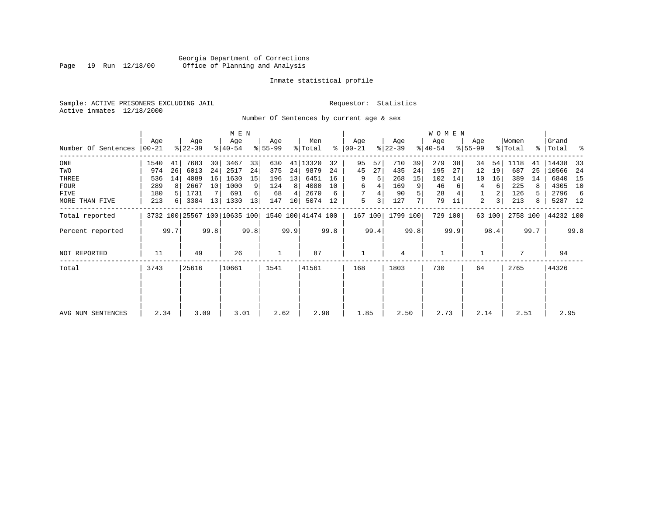# Georgia Department of Corrections<br>Page 19 Run 12/18/00 Office of Planning and Analysis Page 19 Run 12/18/00 Office of Planning and Analysis

# Inmate statistical profile

Sample: ACTIVE PRISONERS EXCLUDING JAIL **Requestor:** Statistics Active inmates 12/18/2000

Number Of Sentences by current age & sex

|                     |           |      |           |      | M E N                        |      |           |      |                    |      |               |      |           |      | <b>WOMEN</b> |         |             |        |          |      |           |      |
|---------------------|-----------|------|-----------|------|------------------------------|------|-----------|------|--------------------|------|---------------|------|-----------|------|--------------|---------|-------------|--------|----------|------|-----------|------|
|                     | Age       |      | Age       |      | Age                          |      | Age       |      | Men                |      | Age           |      | Age       |      | Age          |         | Age         |        | Women    |      | Grand     |      |
| Number Of Sentences | $00 - 21$ |      | $ 22-39 $ |      | $ 40-54 $                    |      | $8 55-99$ |      | % Total            |      | $8   00 - 21$ |      | $ 22-39 $ |      | $ 40-54 $    |         | $8155 - 99$ |        | % Total  |      | %   Total | ႜ    |
| $_{\rm ONE}$        | 1540      | 41   | 7683      | 30   | 3467                         | 33   | 630       | 41   | 13320              | 32   | 95            | 57   | 710       | 39   | 279          | 38      | 34          | 54     | 1118     | 41   | 14438     | 33   |
| TWO                 | 974       | 26   | 6013      | 24   | 2517                         | 24   | 375       | 24   | 9879               | 24   | 45            | 27   | 435       | 24   | 195          | 27      | 12          | 19     | 687      | 25   | 10566     | 24   |
| THREE               | 536       | 14   | 4089      | 16   | 1630                         | 15   | 196       | 13   | 6451               | 16   | 9             | 5    | 268       | 15   | 102          | 14      | 10          | 16     | 389      | 14   | 6840      | 15   |
| <b>FOUR</b>         | 289       | 8    | 2667      | 10   | 1000                         | 9    | 124       | 8    | 4080               | 10   | 6             |      | 169       | 9    | 46           | 6       | 4           | 6      | 225      | 8    | 4305      | 10   |
| FIVE                | 180       |      | 1731      |      | 691                          | 6    | 68        | 4    | 2670               | 6    |               |      | 90        | 5    | 28           |         |             | 2      | 126      | 5.   | 2796      | -6   |
| MORE THAN FIVE      | 213       | 6    | 3384      | 13   | 1330                         | 13   | 147       | 10   | 5074               | 12   | 5             | 3    | 127       | 7    | 79           | 11      | 2           | 3      | 213      | 8    | 5287 12   |      |
| Total reported      |           |      |           |      | 3732 100 25567 100 10635 100 |      |           |      | 1540 100 41474 100 |      | 167 100       |      | 1799 100  |      |              | 729 100 |             | 63 100 | 2758 100 |      | 44232 100 |      |
| Percent reported    |           | 99.7 |           | 99.8 |                              | 99.8 |           | 99.9 |                    | 99.8 |               | 99.4 |           | 99.8 |              | 99.9    |             | 98.4   |          | 99.7 |           | 99.8 |
| NOT REPORTED        | 11        |      | 49        |      | 26                           |      |           |      | 87                 |      |               |      | 4         |      | $\mathbf{1}$ |         |             |        |          |      | 94        |      |
| Total               | 3743      |      | 25616     |      | 10661                        |      | 1541      |      | 41561              |      | 168           |      | 1803      |      | 730          |         | 64          |        | 2765     |      | 44326     |      |
|                     |           |      |           |      |                              |      |           |      |                    |      |               |      |           |      |              |         |             |        |          |      |           |      |
| AVG NUM SENTENCES   | 2.34      |      | 3.09      |      | 3.01                         |      | 2.62      |      | 2.98               |      | 1.85          |      | 2.50      |      | 2.73         |         | 2.14        |        | 2.51     |      | 2.95      |      |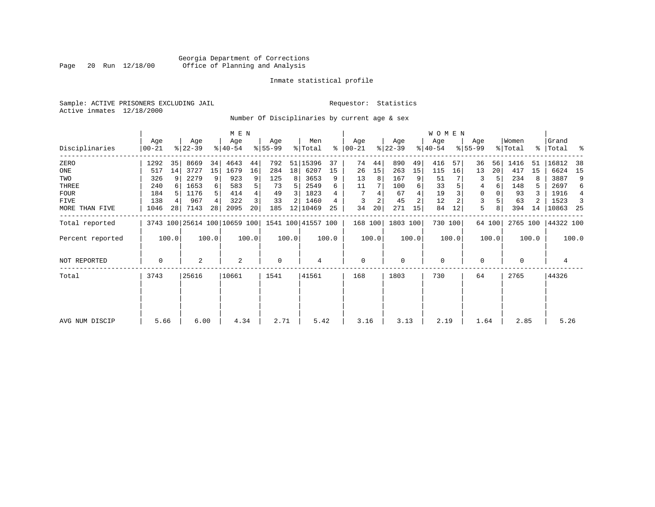# Georgia Department of Corrections<br>Page 20 Run 12/18/00 Office of Planning and Analysis Page 20 Run 12/18/00 Office of Planning and Analysis

# Inmate statistical profile

Sample: ACTIVE PRISONERS EXCLUDING JAIL **Requestor:** Statistics Active inmates 12/18/2000

Number Of Disciplinaries by current age & sex

|                  |                  |       |                              |                | M E N            |       |                  |       |                    |       |                 |       |                    |                | W O M E N        |         |                  |        |                  |       |                      |       |
|------------------|------------------|-------|------------------------------|----------------|------------------|-------|------------------|-------|--------------------|-------|-----------------|-------|--------------------|----------------|------------------|---------|------------------|--------|------------------|-------|----------------------|-------|
| Disciplinaries   | Age<br>$00 - 21$ |       | Age<br>$ 22-39 $             |                | Age<br>$ 40-54 $ |       | Age<br>$8 55-99$ |       | Men<br>% Total     | ႜ     | Age<br>$ 00-21$ |       | Age<br>$ 22 - 39 $ |                | Age<br>$ 40-54 $ |         | Age<br>$8 55-99$ |        | Women<br>% Total |       | Grand<br>%   Total % |       |
| ZERO             | 1292             | 35    | 8669                         | 34             | 4643             | 44    | 792              |       | 51 15396           | 37    | 74              | 44    | 890                | 49             | 416              | 57      | 36               | 56     | 1416             | -51   | 16812                | 38    |
| ONE              | 517              | 14    | 3727                         | 15             | 1679             | 16    | 284              | 18    | 6207               | 15    | 26              | 15    | 263                | 15             | 115              | 16      | 13               | 20     | 417              | 15    | 6624                 | 15    |
| TWO              | 326              | 9     | 2279                         | 9              | 923              | 9     | 125              | 8     | 3653               | 9     | 13              | 8     | 167                | 9              | 51               |         | 3                |        | 234              |       | 3887                 | 9     |
| THREE            | 240              |       | 1653                         | $6 \mid$       | 583              | 5     | 73               | 5     | 2549               | 6     | 11              |       | 100                | 6              | 33               |         | 4                | 6      | 148              | 5.    | 2697                 | 6     |
| <b>FOUR</b>      | 184              |       | 1176                         | 5 <sup>1</sup> | 414              | 4     | 49               | 3     | 1823               |       |                 |       | 67                 |                | 19               |         | $\Omega$         |        | 93               |       | 1916                 | 4     |
| FIVE             | 138              |       | 967                          | 4              | 322              | 3     | 33               | 2     | 1460               |       | 3               | 2     | 45                 | $\overline{c}$ | 12               |         | 3                |        | 63               |       | 1523                 | 3     |
| MORE THAN FIVE   | 1046             | 28    | 7143                         | 28             | 2095             | 20    | 185              |       | 12 10469           | 25    | 34              | 20    | 271                | 15             | 84               | 12      | 5                | 8      | 394              | 14    | 10863                | -25   |
| Total reported   |                  |       | 3743 100 25614 100 10659 100 |                |                  |       |                  |       | 1541 100 41557 100 |       | 168 100         |       | 1803 100           |                |                  | 730 100 |                  | 64 100 | 2765 100         |       | 44322 100            |       |
| Percent reported |                  | 100.0 |                              | 100.0          |                  | 100.0 |                  | 100.0 |                    | 100.0 |                 | 100.0 |                    | 100.0          |                  | 100.0   |                  | 100.0  |                  | 100.0 |                      | 100.0 |
| NOT REPORTED     | 0                |       | 2                            |                | 2                |       | $\mathbf 0$      |       | 4                  |       | $\mathbf 0$     |       | 0                  |                | 0                |         | 0                |        | 0                |       | 4                    |       |
| Total            | 3743             |       | 25616                        |                | 10661            |       | 1541             |       | 41561              |       | 168             |       | 1803               |                | 730              |         | 64               |        | 2765             |       | 44326                |       |
|                  |                  |       |                              |                |                  |       |                  |       |                    |       |                 |       |                    |                |                  |         |                  |        |                  |       |                      |       |
| AVG NUM DISCIP   | 5.66             |       | 6.00                         |                | 4.34             |       | 2.71             |       | 5.42               |       | 3.16            |       | 3.13               |                | 2.19             |         | 1.64             |        | 2.85             |       | 5.26                 |       |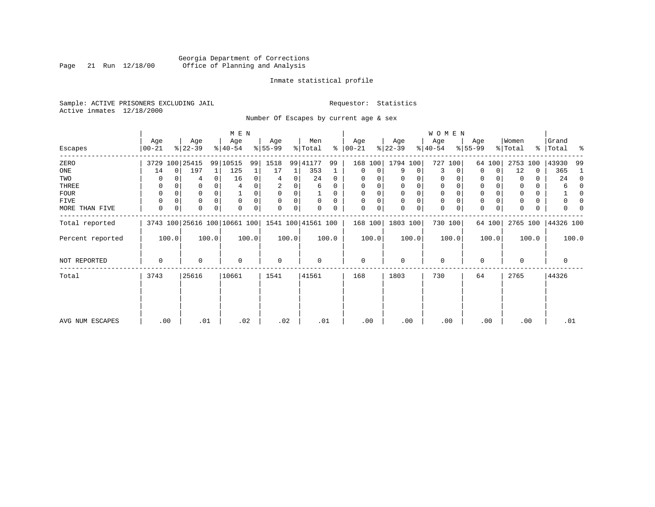# Georgia Department of Corrections<br>Page 21 Run 12/18/00 Office of Planning and Analysis Page 21 Run 12/18/00 Office of Planning and Analysis

# Inmate statistical profile

Sample: ACTIVE PRISONERS EXCLUDING JAIL **Requestor:** Statistics Active inmates 12/18/2000

Number Of Escapes by current age & sex

|                  |                  |          |                  |          | M E N                        |       |                 |          |                    |          |                 |       |                    |          | WOMEN            |          |                  |        |                  |       |                      |              |
|------------------|------------------|----------|------------------|----------|------------------------------|-------|-----------------|----------|--------------------|----------|-----------------|-------|--------------------|----------|------------------|----------|------------------|--------|------------------|-------|----------------------|--------------|
| Escapes          | Age<br>$00 - 21$ |          | Age<br>$ 22-39 $ |          | Age<br>$ 40-54 $             |       | Age<br>$ 55-99$ |          | Men<br>% Total     | ႜႂ       | Age<br>$ 00-21$ |       | Age<br>$ 22 - 39 $ |          | Age<br>$ 40-54 $ |          | Age<br>$8 55-99$ |        | Women<br>% Total |       | Grand<br>%   Total % |              |
| ZERO             |                  |          | 3729 100 25415   |          | 99 10515                     | 99    | 1518            |          | 99 41177           | 99       | 168             | 100   | 1794 100           |          | 727              | 100      |                  | 64 100 | 2753             | 100   | 43930                | -99          |
| ONE              | 14               | $\Omega$ | 197              |          | 125                          |       | 17              |          | 353                |          | 0               | 0     | 9                  | 0        | 3                | $\Omega$ | $\Omega$         | 0      | 12               | 0     | 365                  | -1           |
| TWO              | O                |          | 4                | 0        | 16                           |       | 4               | 0        | 24                 | 0        | 0               |       |                    |          | 0                | $\Omega$ | 0                |        | $\Omega$         | 0     | 24                   | $\Omega$     |
| THREE            | 0                |          |                  |          |                              |       |                 |          | 6                  | 0        | $\Omega$        |       | 0                  | 0        | 0                |          | 0                |        |                  |       | 6                    | 0            |
| <b>FOUR</b>      | $\Omega$         |          | 0                | $\Omega$ |                              |       | $\Omega$        | $\Omega$ |                    | $\Omega$ | $\Omega$        |       | $\Omega$           | $\Omega$ | $\Omega$         | $\Omega$ | $\Omega$         |        |                  | 0     |                      | <sup>0</sup> |
| FIVE             |                  |          | $\Omega$         |          | $\Omega$                     |       | $\Omega$        | 0        | 0                  | $\Omega$ |                 |       | $\mathbf 0$        | 0        | $\mathbf 0$      | $\Omega$ | 0                |        |                  | 0     |                      |              |
| MORE THAN FIVE   | 0                | 0        | 0                | 0        | $\Omega$                     | 0     | 0               | 0        |                    |          | $\Omega$        | 0     | 0                  | 0        | $\mathbf 0$      | 0        | 0                | 0      |                  | 0     | 0                    |              |
| Total reported   |                  |          |                  |          | 3743 100 25616 100 10661 100 |       |                 |          | 1541 100 41561 100 |          | 168 100         |       | 1803 100           |          |                  | 730 100  |                  | 64 100 | 2765 100         |       | 44326 100            |              |
| Percent reported |                  | 100.0    |                  | 100.0    |                              | 100.0 |                 | 100.0    |                    | 100.0    |                 | 100.0 |                    | 100.0    |                  | 100.0    |                  | 100.0  |                  | 100.0 |                      | 100.0        |
| NOT REPORTED     | 0                |          | 0                |          | $\Omega$                     |       | $\mathbf 0$     |          | 0                  |          | $\mathbf 0$     |       | 0                  |          | $\mathbf 0$      |          | 0                |        | $\Omega$         |       | 0                    |              |
| Total            | 3743             |          | 25616            |          | 10661                        |       | 1541            |          | 41561              |          | 168             |       | 1803               |          | 730              |          | 64               |        | 2765             |       | 44326                |              |
|                  |                  |          |                  |          |                              |       |                 |          |                    |          |                 |       |                    |          |                  |          |                  |        |                  |       |                      |              |
| AVG NUM ESCAPES  | .00              |          | .01              |          | .02                          |       | .02             |          |                    | .01      | .00             |       | .00                |          | .00              |          |                  | .00    | .00              |       | .01                  |              |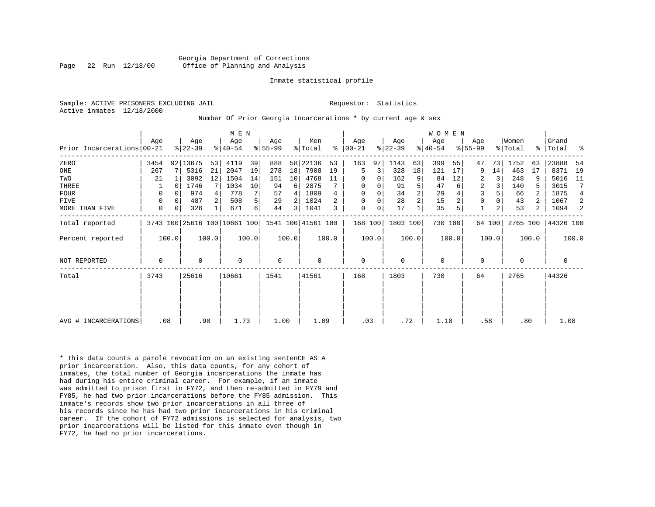Georgia Department of Corrections Page 22 Run 12/18/00 Office of Planning and Analysis

#### Inmate statistical profile

Active inmates 12/18/2000

# Sample: ACTIVE PRISONERS EXCLUDING JAIL **Requestor:** Statistics

#### Number Of Prior Georgia Incarcerations \* by current age & sex

|                            |             |          |           |       | M E N                        |       |             |       |                    |       |             |       |             |                | WOMEN       |       |             |        |             |       |             |       |
|----------------------------|-------------|----------|-----------|-------|------------------------------|-------|-------------|-------|--------------------|-------|-------------|-------|-------------|----------------|-------------|-------|-------------|--------|-------------|-------|-------------|-------|
|                            | Aqe         |          | Age       |       | Age                          |       | Age         |       | Men                | ႜ     | Age         |       | Age         |                | Age         |       | Age         |        | Women       |       | Grand       |       |
| Prior Incarcerations 00-21 |             |          | $ 22-39 $ |       | $ 40-54 $                    |       | $ 55-99 $   |       | % Total            |       | $ 00-21$    |       | $ 22-39 $   |                | $ 40-54 $   |       | $8 55-99$   |        | % Total     |       | %   Total   | ႜ     |
| ZERO                       | 3454        |          | 92 13675  | 53    | 4119                         | 39    | 888         | 58    | 22136              | 53    | 163         | 97    | 1143        | 63             | 399         | 55    | 47          | 73     | 1752        | 63    | 23888       | 54    |
| ONE                        | 267         |          | 5316      | 21    | 2047                         | 19    | 278         | 18    | 7908               | 19    | 5           | 3     | 328         | 18             | 121         | 17    | 9           | 14     | 463         | 17    | 8371        | 19    |
| TWO                        | 21          |          | 3092      | 12    | 1504                         | 14    | 151         | 10    | 4768               | 11    | 0           | 0     | 162         | 9              | 84          | 12    | 2           | 3      | 248         |       | 5016        | 11    |
| THREE                      |             |          | 1746      |       | 1034                         | 10    | 94          | 6     | 2875               |       | 0           | 0     | 91          | 5              | 47          | 6     | 2           | 3      | 140         | 5     | 3015        | 7     |
| <b>FOUR</b>                | 0           | $\Omega$ | 974       |       | 778                          |       | 57          | 4     | 1809               |       | $\mathbf 0$ | 0     | 34          | $\overline{2}$ | 29          |       | 3           |        | 66          |       | 1875        | 4     |
| <b>FIVE</b>                | $\mathbf 0$ | 0        | 487       |       | 508                          | 5     | 29          |       | 1024               |       | $\mathbf 0$ | 0     | 28          | $\overline{2}$ | 15          |       | $\mathbf 0$ |        | 43          | 2     | 1067        | -2    |
| MORE THAN FIVE             | $\mathbf 0$ | 0        | 326       |       | 671                          | б.    | 44          | 3     | 1041               |       | $\mathbf 0$ | 0     | 17          |                | 35          |       |             | 2      | 53          | 2     | 1094        | 2     |
| Total reported             |             |          |           |       | 3743 100 25616 100 10661 100 |       |             |       | 1541 100 41561 100 |       | 168 100     |       | 1803 100    |                | 730 100     |       |             | 64 100 | 2765 100    |       | 44326 100   |       |
| Percent reported           |             | 100.0    |           | 100.0 |                              | 100.0 |             | 100.0 |                    | 100.0 |             | 100.0 |             | 100.0          |             | 100.0 |             | 100.0  |             | 100.0 |             | 100.0 |
| <b>NOT REPORTED</b>        | $\mathbf 0$ |          | 0         |       | $\mathbf 0$                  |       | $\mathbf 0$ |       | 0                  |       | $\mathbf 0$ |       | $\mathbf 0$ |                | $\mathbf 0$ |       | 0           |        | $\mathbf 0$ |       | $\mathbf 0$ |       |
| Total                      | 3743        |          | 25616     |       | 10661                        |       | 1541        |       | 41561              |       | 168         |       | 1803        |                | 730         |       | 64          |        | 2765        |       | 44326       |       |
|                            |             |          |           |       |                              |       |             |       |                    |       |             |       |             |                |             |       |             |        |             |       |             |       |
|                            |             |          |           |       |                              |       |             |       |                    |       |             |       |             |                |             |       |             |        |             |       |             |       |
| AVG # INCARCERATIONS       | .08         |          | .98       |       | 1.73                         |       | 1.00        |       | 1.09               |       | .03         |       | .72         |                | 1.18        |       | .58         |        | .80         |       | 1.08        |       |

\* This data counts a parole revocation on an existing sentenCE AS A prior incarceration. Also, this data counts, for any cohort of inmates, the total number of Georgia incarcerations the inmate has had during his entire criminal career. For example, if an inmate was admitted to prison first in FY72, and then re-admitted in FY79 and FY85, he had two prior incarcerations before the FY85 admission. This inmate's records show two prior incarcerations in all three of his records since he has had two prior incarcerations in his criminal career. If the cohort of FY72 admissions is selected for analysis, two prior incarcerations will be listed for this inmate even though in FY72, he had no prior incarcerations.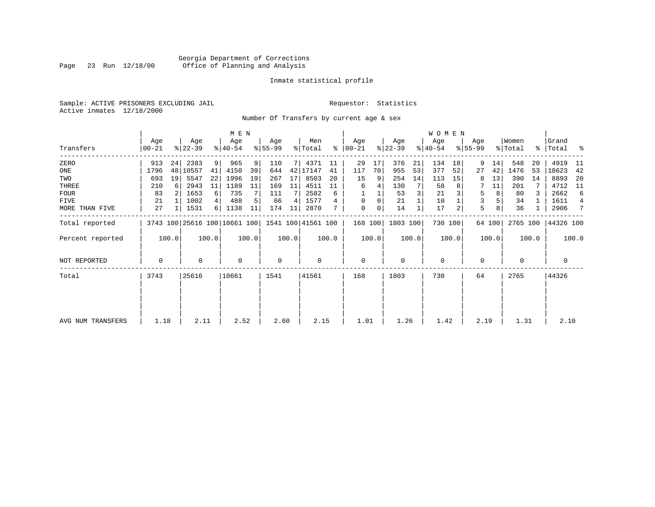# Georgia Department of Corrections<br>Page 23 Run 12/18/00 Office of Planning and Analysis Page 23 Run 12/18/00 Office of Planning and Analysis

# Inmate statistical profile

Sample: ACTIVE PRISONERS EXCLUDING JAIL **Requestor:** Statistics Active inmates 12/18/2000

Number Of Transfers by current age & sex

|                   |                |       |                  |       | M E N            |       |                  |       |                                                 |           |                  |              |                  |       | WOMEN            |         |                  |        |                  |       |                      |                |
|-------------------|----------------|-------|------------------|-------|------------------|-------|------------------|-------|-------------------------------------------------|-----------|------------------|--------------|------------------|-------|------------------|---------|------------------|--------|------------------|-------|----------------------|----------------|
| Transfers         | Age<br>  00-21 |       | Age<br>$ 22-39 $ |       | Age<br>$8 40-54$ |       | Age<br>$ 55-99 $ |       | Men<br>% Total                                  | $\approx$ | Age<br>$ 00-21 $ |              | Age<br>$ 22-39 $ |       | Age<br>$ 40-54 $ |         | Age<br>$ 55-99 $ |        | Women<br>% Total |       | Grand<br>%   Total % |                |
| ZERO              | 913            | 24    | 2383             | 9     | 965              | 9     | 110              | 7 I   | 4371                                            | 11        | 29               | 17           | 376              | 21    | 134              | 18      | 9                | 14     | 548              | 20    | 4919                 | - 11           |
| ONE               | 1796           |       | 48 10557         | 41    | 4150             | 39    | 644              | 42    | 17147                                           | 41        | 117              | 70           | 955              | 53    | 377              | 52      | 27               | 42     | 1476             | 53    | 18623                | 42             |
| TWO               | 693            | 19    | 5547             | 22    | 1996             | 19    | 267              | 17    | 8503                                            | 20        | 15               | 9            | 254              | 14    | 113              | 15      | 8                | 13     | 390              | 14    | 8893                 | 20             |
| THREE             | 210            | 6     | 2943             | 11    | 1189             | 11    | 169              | 11    | 4511                                            |           | 6                |              | 130              |       | 58               |         |                  | 11     | 201              |       | 4712                 | - 11           |
| <b>FOUR</b>       | 83             |       | 1653             | 6     | 735              |       | 111              |       | 2582                                            | 6         |                  |              | 53               |       | 21               |         | 5                | 8      | 80               |       | 2662                 | 6              |
| FIVE              | 21             |       | 1002             | 4     | 488              |       | 66               | 4     | 1577                                            | 4         | $\mathbf 0$      | $\mathbf{0}$ | 21               |       | 10               |         | 3                |        | 34               |       | 1611                 | $\overline{4}$ |
| MORE THAN FIVE    | 27             |       | 1531             | 6     | 1138             | 11    | 174              | 11    | 2870                                            |           | $\mathbf 0$      | 0            | 14               |       | 17               | 2       | 5                | 8      | 36               |       | 2906                 | 7              |
| Total reported    |                |       |                  |       |                  |       |                  |       | 3743 100 25616 100 10661 100 1541 100 41561 100 |           | 168 100          |              | 1803 100         |       |                  | 730 100 |                  | 64 100 | 2765 100         |       | 44326 100            |                |
| Percent reported  |                | 100.0 |                  | 100.0 |                  | 100.0 |                  | 100.0 |                                                 | 100.0     |                  | 100.0        |                  | 100.0 |                  | 100.0   |                  | 100.0  |                  | 100.0 |                      | 100.0          |
| NOT REPORTED      | 0              |       | $\Omega$         |       | $\Omega$         |       | 0                |       | 0                                               |           | $\mathbf 0$      |              | $\Omega$         |       | $\mathbf 0$      |         | 0                |        | $\Omega$         |       | 0                    |                |
| Total             | 3743           |       | 25616            |       | 10661            |       | 1541             |       | 41561                                           |           | 168              |              | 1803             |       | 730              |         | 64               |        | 2765             |       | 44326                |                |
|                   |                |       |                  |       |                  |       |                  |       |                                                 |           |                  |              |                  |       |                  |         |                  |        |                  |       |                      |                |
|                   |                |       |                  |       |                  |       |                  |       |                                                 |           |                  |              |                  |       |                  |         |                  |        |                  |       |                      |                |
| AVG NUM TRANSFERS | 1.18           |       | 2.11             |       | 2.52             |       | 2.60             |       | 2.15                                            |           | 1.01             |              | 1.26             |       | 1.42             |         | 2.19             |        | 1.31             |       | 2.10                 |                |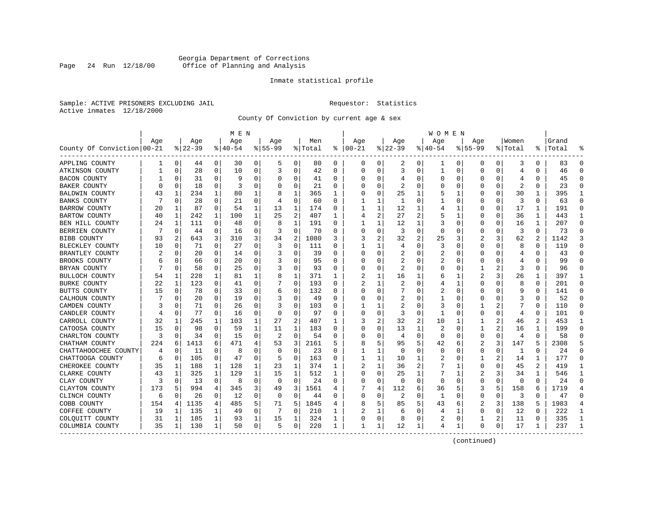# Georgia Department of Corrections<br>Page 24 Run 12/18/00 Office of Planning and Analysis Page 24 Run 12/18/00 Office of Planning and Analysis

# Inmate statistical profile

Sample: ACTIVE PRISONERS EXCLUDING JAIL **Requestor:** Statistics Active inmates 12/18/2000

County Of Conviction by current age & sex

|                            |     |              |          |             | M E N    |          |             |          |         |              |               |                |                |                | W O M E N   |             |                |          |                         |                |           |                |
|----------------------------|-----|--------------|----------|-------------|----------|----------|-------------|----------|---------|--------------|---------------|----------------|----------------|----------------|-------------|-------------|----------------|----------|-------------------------|----------------|-----------|----------------|
|                            | Age |              | Age      |             | Age      |          | Age         |          | Men     |              | Age           |                | Aqe            |                | Age         |             | Aqe            |          | Women                   |                | Grand     |                |
| County Of Conviction 00-21 |     |              | $ 22-39$ |             | $ 40-54$ |          | $8155 - 99$ |          | % Total |              | $8   00 - 21$ |                | $ 22-39$       |                | $ 40-54$    |             | $8155 - 99$    |          | % Total                 |                | %   Total |                |
| APPLING COUNTY             | 1   | $\mathbf{0}$ | 44       | 0           | 30       | 0        | 5           | 0        | 80      | 0            | 0             | 0              | 2              | 0              | 1           | 0           | 0              | 0        | 3                       | 0              | 83        | $\Omega$       |
| ATKINSON COUNTY            | 1   | $\mathbf 0$  | 28       | $\mathbf 0$ | 10       | 0        | 3           | 0        | 42      | $\Omega$     | $\Omega$      | 0              | 3              | $\Omega$       | 1           | 0           | $\Omega$       | $\Omega$ | 4                       | $\Omega$       | 46        | $\Omega$       |
| <b>BACON COUNTY</b>        |     | $\Omega$     | 31       | 0           | -9       | 0        | O           | 0        | 41      | 0            | O             | 0              | 4              | 0              | $\Omega$    | 0           | O              | $\Omega$ | 4                       | 0              | 45        | $\Omega$       |
| <b>BAKER COUNTY</b>        | U   | 0            | 18       | 0           | 3        | 0        | O           | 0        | 21      | 0            |               | 0              | 2              | $\Omega$       | O           | 0           | O              | O        | $\overline{\mathbf{c}}$ | O              | 23        | ∩              |
| BALDWIN COUNTY             | 43  | 1            | 234      | 1           | 80       | 1        | 8           | 1        | 365     | 1            |               | $\Omega$       | 25             | 1              | 5           | 1           | O              | U        | 30                      | 1              | 395       | -1             |
| <b>BANKS COUNTY</b>        |     | $\Omega$     | 28       | 0           | 21       | 0        | 4           | 0        | 60      | U            |               | 1              | 1              | $\Omega$       |             | 0           | 0              | $\Omega$ | 3                       | 0              | 63        | $\Omega$       |
| <b>BARROW COUNTY</b>       | 20  | 1            | 87       | 0           | 54       | 1        | 13          | 1        | 174     | 0            |               | 1              | 12             | 1              | 4           | 1           | 0              | 0        | 17                      | 1              | 191       | $\Omega$       |
| <b>BARTOW COUNTY</b>       | 40  | 1            | 242      | 1           | 100      | 1        | 25          | 2        | 407     | $\mathbf{1}$ | 4             | $\overline{a}$ | 27             | $\overline{c}$ | 5           | 1           | $\Omega$       | $\Omega$ | 36                      | $\mathbf{1}$   | 443       | $\mathbf{1}$   |
| BEN HILL COUNTY            | 24  | 1            | 111      | $\Omega$    | 48       | 0        | 8           | 1        | 191     | 0            |               | $\mathbf{1}$   | 12             | $\mathbf{1}$   | 3           | $\mathbf 0$ | 0              | $\Omega$ | 16                      | $\mathbf{1}$   | 207       | $\Omega$       |
| BERRIEN COUNTY             |     | 0            | 44       | 0           | 16       | $\Omega$ |             | 0        | 70      | 0            |               | 0              | 3              | $\mathbf 0$    | $\Omega$    | 0           | 0              | 0        | 3                       | $\Omega$       | 73        | $\Omega$       |
| <b>BIBB COUNTY</b>         | 93  | 2            | 643      | 3           | 310      | 3        | 34          | 2        | 1080    | 3            | 3             | 2              | 32             | $\overline{2}$ | 25          | 3           | 2              | 3        | 62                      | $\overline{a}$ | 1142      |                |
| BLECKLEY COUNTY            | 10  | $\Omega$     | 71       | $\Omega$    | 27       | 0        | 3           | 0        | 111     | U            | 1             | 1              | 4              | $\Omega$       | 3           | $\Omega$    | $\Omega$       | 0        | 8                       | 0              | 119       | $\Omega$       |
| BRANTLEY COUNTY            |     | 0            | 20       | 0           | 14       | 0        | 3           | 0        | 39      | U            | O             | 0              | 2              | 0              | 2           | 0           | 0              | O        | 4                       | 0              | 43        |                |
| BROOKS COUNTY              |     | $\Omega$     | 66       | 0           | 20       | 0        |             | 0        | 95      | 0            | C             | 0              | 2              | 0              | 2           | 0           | 0              | O        | 4                       | 0              | 99        | $\Omega$       |
| BRYAN COUNTY               |     | 0            | 58       | 0           | 25       | 0        | 3           | 0        | 93      | 0            | C             | 0              | 2              | 0              | 0           | 0           | 1              |          | 3                       | 0              | 96        | ∩              |
| BULLOCH COUNTY             | 54  | 1            | 228      | 1           | 81       | 1        | 8           | 1        | 371     | 1            |               | 1              | 16             | 1              | 6           |             | 2              | 3        | 26                      |                | 397       | 1              |
| <b>BURKE COUNTY</b>        | 22  | 1            | 123      | $\Omega$    | 41       | 0        |             | $\Omega$ | 193     | 0            |               | $\mathbf{1}$   | $\overline{c}$ | 0              | 4           | 1           | $\Omega$       | O        | 8                       | $\Omega$       | 201       | $\Omega$       |
| BUTTS COUNTY               | 15  | $\Omega$     | 78       | $\Omega$    | 33       | 0        | 6           | 0        | 132     | 0            | O             | $\Omega$       |                | $\Omega$       | 2           | $\Omega$    | $\Omega$       | $\Omega$ | 9                       | $\Omega$       | 141       | $\Omega$       |
| CALHOUN COUNTY             |     | 0            | 20       | $\Omega$    | 19       | O        |             | 0        | 49      | O            |               | 0              | 2              | O              |             | $\mathbf 0$ | O              | $\Omega$ |                         | O              | 52        | $\Omega$       |
| CAMDEN COUNTY              |     | $\Omega$     | 71       | 0           | 26       | 0        | 3           | 0        | 103     | U            |               | 1              | $\overline{a}$ | O              | 3           | 0           | 1              | 2        |                         | 0              | 110       | $\Omega$       |
| CANDLER COUNTY             | 4   | 0            | 77       | 0           | 16       | 0        | $\Omega$    | 0        | 97      | 0            | C             | 0              | 3              | $\Omega$       |             | 0           | 0              | O        | 4                       | 0              | 101       | $\Omega$       |
| CARROLL COUNTY             | 32  | 1            | 245      | 1           | 103      | 1        | 27          | 2        | 407     | 1            |               | 2              | 32             | 2              | 10          | 1           | 1              | 2        | 46                      | 2              | 453       |                |
| CATOOSA COUNTY             | 15  | $\Omega$     | 98       | 0           | 59       | 1        | 11          | 1        | 183     | 0            | C             | 0              | 13             | 1              | 2           | $\mathbf 0$ | 1              | 2        | 16                      | 1              | 199       | $\cap$         |
| CHARLTON COUNTY            | 3   | 0            | 34       | 0           | 15       | 0        | 2           | 0        | 54      | 0            | O             | 0              | 4              | 0              | $\mathbf 0$ | 0           | 0              | 0        | 4                       | 0              | 58        |                |
| CHATHAM COUNTY             | 224 | 6            | 1413     | 6           | 471      | 4        | 53          | 3        | 2161    | 5            |               | 5              | 95             | 5              | 42          | 6           | $\overline{2}$ | 3        | 147                     | 5              | 2308      |                |
| CHATTAHOOCHEE COUNTY       | 4   | $\Omega$     | 11       | $\Omega$    | 8        | $\Omega$ | $\Omega$    | $\Omega$ | 23      | 0            |               | 1              | $\Omega$       | $\Omega$       | $\Omega$    | $\Omega$    | 0              | $\Omega$ | 1                       | $\Omega$       | 24        | $\Omega$       |
| CHATTOOGA COUNTY           | 6   | 0            | 105      | 0           | 47       | 0        | 5           | 0        | 163     | 0            |               | 1              | 10             | 1              | 2           | 0           | 1              | 2        | 14                      | 1              | 177       | $\Omega$       |
| CHEROKEE COUNTY            | 35  | 1            | 188      | 1           | 128      | 1        | 23          | 1        | 374     | 1            |               | 1              | 36             | 2              |             | 1           | 0              | O        | 45                      | 2              | 419       |                |
| CLARKE COUNTY              | 43  | 1            | 325      | 1           | 129      | 1        | 15          | 1        | 512     | 1            | $\Omega$      | 0              | 25             | 1              | 7           | 1           | 2              | 3        | 34                      | 1              | 546       | -1             |
| CLAY COUNTY                | 3   | 0            | 13       | 0           | 8        | 0        | $\Omega$    | 0        | 24      | 0            | O             | 0              | $\Omega$       | $\Omega$       | 0           | 0           | $\Omega$       | 0        | 0                       | $\Omega$       | 24        | ∩              |
| CLAYTON COUNTY             | 173 | 5            | 994      | 4           | 345      | 3        | 49          | 3        | 1561    | 4            |               | 4              | 112            | 6              | 36          | 5           | 3              | 5        | 158                     | 6              | 1719      | $\overline{4}$ |
| CLINCH COUNTY              | 6   | $\mathbf 0$  | 26       | 0           | 12       | 0        | $\Omega$    | 0        | 44      | 0            | $\cap$        | 0              | 2              | 0              | 1           | 0           | 0              | 0        | 3                       | $\Omega$       | 47        | $\Omega$       |
| COBB COUNTY                | 154 | 4            | 1135     | 4           | 485      | 5        | 71          | 5        | 1845    | 4            | 8             | 5              | 85             | 5              | 43          | 6           | 2              | 3        | 138                     | 5              | 1983      | $\overline{4}$ |
| COFFEE COUNTY              | 19  | 1            | 135      | 1           | 49       | 0        |             | $\Omega$ | 210     | 1            |               | 1              | 6              | 0              | 4           | 1           | 0              | O        | 12                      | O              | 222       | -1             |
| COLQUITT COUNTY            | 31  | 1            | 185      | 1           | 93       | 1        | 15          | 1        | 324     | 1            | 0             | 0              | 8              | 0              | 2           | 0           | 1              | 2        | 11                      | 0              | 335       | -1             |
| COLUMBIA COUNTY            | 35  | 1            | 130      | 1           | 50       | 0        | 5           | 0        | 220     | 1            | 1             | 1              | 12             | 1              | 4           | 1           | $\Omega$       | 0        | 17                      | 1              | 237       | -1             |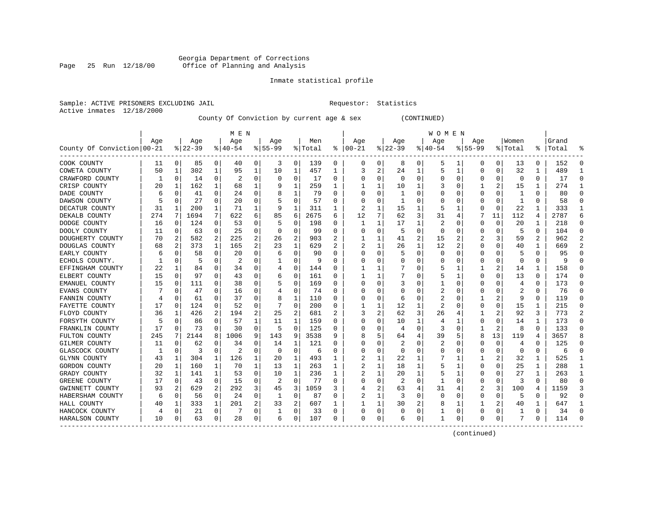# Georgia Department of Corrections<br>Page 25 Run 12/18/00 Office of Planning and Analysis Page 25 Run 12/18/00 Office of Planning and Analysis

# Inmate statistical profile

|                |            | Sample: ACTIVE PRISONERS EXCLUDING JAI |  |
|----------------|------------|----------------------------------------|--|
| Active inmates | 12/18/2000 |                                        |  |

IL Requestor: Statistics

County Of Conviction by current age & sex (CONTINUED)

|                            |     |             |          |          | M E N     |          |                |          |         |   |          |          |              |                | W O M E N |                |             |                |              |                |           |               |
|----------------------------|-----|-------------|----------|----------|-----------|----------|----------------|----------|---------|---|----------|----------|--------------|----------------|-----------|----------------|-------------|----------------|--------------|----------------|-----------|---------------|
|                            | Age |             | Age      |          | Age       |          | Age            |          | Men     |   | Age      |          | Age          |                | Age       |                | Age         |                | Women        |                | Grand     |               |
| County Of Conviction 00-21 |     |             | $ 22-39$ |          | $8 40-54$ |          | $8 55-99$      |          | % Total | ႜ | $ 00-21$ |          | $ 22-39$     |                | $ 40-54$  |                | $8155 - 99$ |                | % Total      |                | %   Total |               |
| COOK COUNTY                | 11  | 0           | 85       | 0        | 40        | 0        | 3              | 0        | 139     | 0 | 0        | 0        | 8            | 0              | 5         | 1              | 0           | 0              | 13           | 0              | 152       | $\Omega$      |
| COWETA COUNTY              | 50  | 1           | 302      | 1        | 95        | 1        | 10             | 1        | 457     | 1 | 3        | 2        | 24           | 1              | 5         | 1              | 0           | 0              | 32           | 1              | 489       | -1            |
| CRAWFORD COUNTY            | 1   | $\Omega$    | 14       | 0        | 2         | 0        | $\Omega$       | $\Omega$ | 17      | 0 | C        | $\Omega$ | $\Omega$     | $\Omega$       | U         | 0              | O           | $\Omega$       | $\Omega$     | $\Omega$       | 17        | ∩             |
| CRISP COUNTY               | 20  | 1           | 162      | 1        | 68        | 1        |                | 1        | 259     | 1 |          | 1        | 10           | 1              |           | 0              | 1           | 2              | 15           | $\mathbf{1}$   | 274       |               |
| DADE COUNTY                | 6   | $\Omega$    | 41       | $\Omega$ | 24        | 0        |                | 1        | 79      | U |          | $\Omega$ | -1           | $\Omega$       |           | 0              | $\Omega$    | $\Omega$       | 1            | 0              | 80        |               |
| DAWSON COUNTY              |     | 0           | 27       | 0        | 20        | 0        |                | 0        | 57      | 0 |          | 0        | $\mathbf{1}$ | $\Omega$       |           | $\mathbf 0$    | 0           | $\Omega$       | $\mathbf{1}$ | $\Omega$       | 58        |               |
| DECATUR COUNTY             | 31  | 1           | 200      | 1        | 71        | 1        | 9              | 1        | 311     | 1 |          | 1        | 15           | 1              | 5         | 1              | $\Omega$    | $\Omega$       | 22           | 1              | 333       | $\mathbf{1}$  |
| DEKALB COUNTY              | 274 | 7           | 1694     | 7        | 622       | 6        | 85             | 6        | 2675    | 6 | 12       | 7        | 62           | 3              | 31        | 4              |             | 11             | 112          | 4              | 2787      | 6             |
| DODGE COUNTY               | 16  | 0           | 124      | 0        | 53        | 0        | 5              | 0        | 198     | 0 | -1       | 1        | 17           | 1              | 2         | 0              | 0           | 0              | 20           | 1              | 218       | ∩             |
| DOOLY COUNTY               | 11  | 0           | 63       | 0        | 25        | 0        | O              | 0        | 99      | 0 |          | 0        | -5           | $\Omega$       | 0         | 0              | 0           | 0              | 5            | O              | 104       | $\Omega$      |
| DOUGHERTY COUNTY           | 70  | 2           | 582      | 2        | 225       | 2        | 26             | 2        | 903     | 2 |          | 1        | 41           | $\overline{2}$ | 15        | 2              |             | 3              | 59           | $\overline{2}$ | 962       |               |
| DOUGLAS COUNTY             | 68  | 2           | 373      | 1        | 165       | 2        | 23             | 1        | 629     | 2 |          | 1        | 26           | 1              | 12        | $\overline{2}$ | O           | O              | 40           | 1              | 669       | $\mathcal{D}$ |
| EARLY COUNTY               | 6   | $\Omega$    | 58       | 0        | 20        | 0        | 6              | $\Omega$ | 90      | U | O        | $\Omega$ | 5            | $\Omega$       | $\Omega$  | $\Omega$       | 0           | O              | 5            | 0              | 95        | ∩             |
| ECHOLS COUNTY.             |     | $\Omega$    | 5        | 0        | 2         | 0        |                | $\Omega$ | 9       | U |          | $\Omega$ | 0            | $\Omega$       | 0         | 0              | 0           | $\Omega$       | $\Omega$     | 0              | 9         |               |
| EFFINGHAM COUNTY           | 22  | 1           | 84       | 0        | 34        | 0        |                | 0        | 144     | 0 |          | 1        |              | 0              | 5         | 1              |             | 2              | 14           |                | 158       |               |
| ELBERT COUNTY              | 15  | $\Omega$    | 97       | $\Omega$ | 43        | O        | 6              | 0        | 161     | U |          | 1        |              | O              | 5         | 1              | $\Omega$    | $\Omega$       | 13           | $\Omega$       | 174       | ∩             |
| EMANUEL COUNTY             | 15  | $\Omega$    | 111      | 0        | 38        | 0        |                | 0        | 169     | U | C        | 0        | 3            | O              | 1         | 0              | O           | O              | 4            | $\Omega$       | 173       | $\Omega$      |
| EVANS COUNTY               |     | $\Omega$    | 47       | 0        | 16        | 0        |                | 0        | 74      | U | O        | $\Omega$ | $\Omega$     | $\Omega$       | 2         | 0              | O           | O              | 2            | 0              | 76        | ∩             |
| FANNIN COUNTY              |     | $\Omega$    | 61       | O        | 37        | 0        | 8              | 1        | 110     | U |          | 0        | 6            | $\Omega$       | 2         | 0              |             | 2              | 9            | $\Omega$       | 119       |               |
| FAYETTE COUNTY             | 17  | $\Omega$    | 124      | $\Omega$ | 52        | O        |                | $\Omega$ | 200     | 0 |          | 1        | 12           | 1              | 2         | 0              | $\Omega$    | $\Omega$       | 15           |                | 215       |               |
| FLOYD COUNTY               | 36  | -1          | 426      | 2        | 194       | 2        | 25             | 2        | 681     | 2 | 3        | 2        | 62           | 3              | 26        | 4              |             | $\overline{c}$ | 92           | 3              | 773       | $\mathcal{D}$ |
| FORSYTH COUNTY             | 5   | $\Omega$    | 86       | 0        | 57        | 1        | 11             | 1        | 159     | 0 | O        | 0        | 10           | 1              | 4         | 1              | 0           | O              | 14           | 1              | 173       | $\cap$        |
| FRANKLIN COUNTY            | 17  | 0           | 73       | 0        | 30        | 0        | 5              | 0        | 125     | 0 |          | 0        | 4            | $\Omega$       | 3         | 0              | 1           | $\overline{a}$ | 8            | $\Omega$       | 133       |               |
| FULTON COUNTY              | 245 | 7           | 2144     | 8        | 1006      | 9        | 143            | 9        | 3538    | 9 |          | 5        | 64           | 4              | 39        | 5              | 8           | 13             | 119          | 4              | 3657      |               |
| GILMER COUNTY              | 11  | $\Omega$    | 62       | O        | 34        | O        | 14             | 1        | 121     | U |          | 0        | 2            | 0              |           | 0              | O           | 0              | 4            | 0              | 125       | $\cap$        |
| GLASCOCK COUNTY            |     | 0           | 3        | 0        | 2         | 0        | O              | 0        | 6       | U | O        | 0        | $\Omega$     | 0              | 0         | 0              | 0           | 0              | 0            | 0              | 6         | $\Omega$      |
| GLYNN COUNTY               | 43  | 1           | 304      | 1        | 126       | 1        | 20             | 1        | 493     | 1 | 2        | 1        | 22           | 1              |           | 1              |             | 2              | 32           | 1              | 525       | -1            |
| GORDON COUNTY              | 20  | 1           | 160      | 1        | 70        | 1        | 13             | 1        | 263     | 1 | 2        | 1        | 18           | 1              | 5         | 1              | O           | O              | 25           | 1              | 288       | -1            |
| GRADY COUNTY               | 32  | 1           | 141      | 1        | 53        | O        | 10             | 1        | 236     | 1 |          | 1        | 20           | $\mathbf{1}$   |           | 1              | $\Omega$    | O              | 27           |                | 263       | $\mathbf{1}$  |
| GREENE COUNTY              | 17  | $\Omega$    | 43       | 0        | 15        | $\Omega$ | $\overline{2}$ | $\Omega$ | 77      | U | C        | $\Omega$ | 2            | $\Omega$       | -1        | $\Omega$       | $\Omega$    | $\Omega$       | 3            | $\Omega$       | 80        | $\cap$        |
| GWINNETT COUNTY            | 93  | 2           | 629      | 2        | 292       | 3        | 45             | 3        | 1059    | 3 |          | 2        | 63           | 4              | 31        | 4              | 2           | 3              | 100          | 4              | 1159      | 3             |
| HABERSHAM COUNTY           | 6   | $\mathbf 0$ | 56       | 0        | 24        | 0        | 1              | 0        | 87      | 0 | 2        | 1        | 3            | $\Omega$       | $\Omega$  | $\mathbf 0$    | $\Omega$    | $\Omega$       | 5            | $\Omega$       | 92        |               |
| HALL COUNTY                | 40  | 1           | 333      | 1        | 201       | 2        | 33             | 2        | 607     |   |          | 1        | 30           | 2              | 8         | 1              |             | 2              | 40           |                | 647       |               |
| HANCOCK COUNTY             |     | $\mathbf 0$ | 21       | 0        |           | 0        |                | 0        | 33      | 0 | O        | 0        | 0            | 0              |           | 0              | $\Omega$    | $\Omega$       |              | 0              | 34        | $\cap$        |
| HARALSON COUNTY            | 10  | 0           | 63       | 0        | 28        | 0        | 6              | 0        | 107     | 0 | $\Omega$ | 0        | 6            | 0              | 1         | 0              | O           | 0              | 7            | 0              | 114       | ∩             |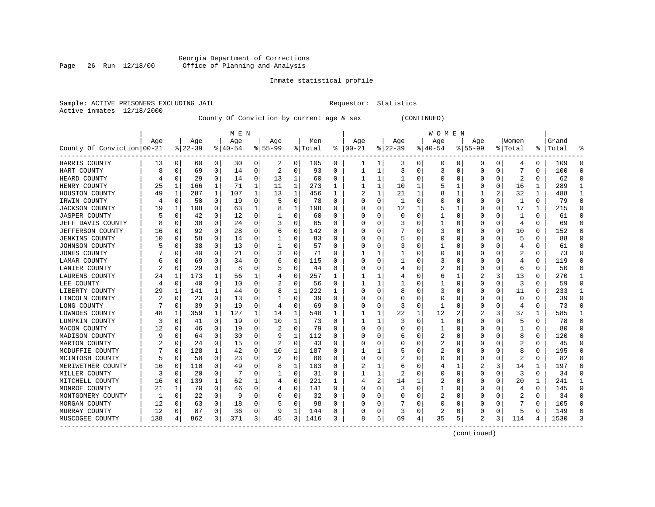# Georgia Department of Corrections<br>Page 26 Run 12/18/00 Office of Planning and Analysis Page 26 Run 12/18/00 Office of Planning and Analysis

# Inmate statistical profile

|                |            | Sample: ACTIVE PRISONERS EXCLUDING JAI |  |
|----------------|------------|----------------------------------------|--|
| Active inmates | 12/18/2000 |                                        |  |

IL Requestor: Statistics

County Of Conviction by current age & sex (CONTINUED)

|                            |     |              |          |              | M E N     |              |          |             |         |              |          |              |              |          | <b>WOMEN</b> |              |                |              |                |               |       |          |
|----------------------------|-----|--------------|----------|--------------|-----------|--------------|----------|-------------|---------|--------------|----------|--------------|--------------|----------|--------------|--------------|----------------|--------------|----------------|---------------|-------|----------|
|                            | Age |              | Age      |              | Age       |              | Age      |             | Men     |              | Age      |              | Age          |          | Age          |              | Age            |              | Women          |               | Grand |          |
| County Of Conviction 00-21 |     |              | $ 22-39$ |              | $8 40-54$ |              | $ 55-99$ |             | % Total | ႜ            | $ 00-21$ |              | $ 22-39$     |          | $ 40-54$     |              | $8155 - 99$    |              | % Total        | $\frac{8}{6}$ | Total |          |
| HARRIS COUNTY              | 13  | 0            | 60       | 0            | 30        | 0            | 2        | 0           | 105     | 0            |          | 1            | 3            | 0        | 0            | 0            | 0              | 0            | 4              | 0             | 109   | 0        |
| HART COUNTY                |     | $\Omega$     | 69       | 0            | 14        | 0            | 2        | 0           | 93      | 0            |          | 1            | 3            | 0        | 3            | 0            | 0              | 0            |                | 0             | 100   | $\cap$   |
| HEARD COUNTY               |     | $\Omega$     | 29       | $\Omega$     | 14        | $\mathbf 0$  | 13       | 1           | 60      | O            |          | $\mathbf{1}$ | $\mathbf{1}$ | O        | Ω            | $\Omega$     | O              | 0            | 2              | 0             | 62    |          |
| HENRY COUNTY               | 25  | 1            | 166      | $\mathbf{1}$ | 71        | $\mathbf{1}$ | 11       | 1           | 273     | 1            |          | 1            | 10           | 1        |              | -1           | O              | $\Omega$     | 16             | $\mathbf{1}$  | 289   | -1       |
| HOUSTON COUNTY             | 49  | 1            | 287      | $\mathbf{1}$ | 107       | 1            | 13       | 1           | 456     | 1            | 2        | 1            | 21           | 1        | 8            | 1            |                | 2            | 32             | 1             | 488   |          |
| IRWIN COUNTY               |     | 0            | 50       | 0            | 19        | 0            |          | $\mathbf 0$ | 78      | 0            |          | 0            | $\mathbf{1}$ | $\Omega$ |              | 0            | 0              | 0            | 1              | 0             | 79    | $\Omega$ |
| <b>JACKSON COUNTY</b>      | 19  | 1            | 108      | 0            | 63        | 1            | 8        | 1           | 198     | 0            | 0        | $\Omega$     | 12           | 1        | 5            | 1            | U              | 0            | 17             | 1             | 215   | $\cap$   |
| <b>JASPER COUNTY</b>       |     | $\Omega$     | 42       | 0            | 12        | 0            |          | 0           | 60      | $\Omega$     |          | $\Omega$     | $\Omega$     | $\Omega$ |              | $\mathbf 0$  | U              | 0            |                | 0             | 61    | $\Omega$ |
| JEFF DAVIS COUNTY          |     | $\Omega$     | 30       | $\Omega$     | 24        | $\mathbf 0$  |          | 0           | 65      | 0            | ∩        | $\Omega$     |              | 0        |              | 0            | O              | 0            | 4              | U             | 69    | $\Omega$ |
| <b>JEFFERSON COUNTY</b>    | 16  | $\Omega$     | 92       | 0            | 28        | 0            | 6        | 0           | 142     | O            |          | $\Omega$     |              | O        | 3            | 0            | U              | 0            | 10             | 0             | 152   | $\Omega$ |
| <b>JENKINS COUNTY</b>      | 10  |              | 58       | 0            | 14        | 0            |          | 0           | 83      | O            |          |              | 5            | 0        | 0            | C            | O              |              | 5              | U             | 88    |          |
| JOHNSON COUNTY             |     | U            | 38       | $\Omega$     | 13        | 0            |          | $\Omega$    | 57      | $\Omega$     |          | $\Omega$     | 3            | O        |              | $\mathsf{C}$ | O              |              | 4              | U             | 61    | $\cap$   |
| <b>JONES COUNTY</b>        |     | <sup>0</sup> | 40       | 0            | 21        | 0            |          | 0           | 71      | O            |          | 1            |              | 0        | 0            | $\Omega$     | O              |              | 2              | 0             | 73    | $\cap$   |
| LAMAR COUNTY               |     | O            | 69       | 0            | 34        | 0            | 6        | 0           | 115     | 0            |          | $\Omega$     | 1            | 0        | 3            | $\Omega$     | 0              | 0            | 4              | 0             | 119   | C        |
| LANIER COUNTY              |     | $\Omega$     | 29       | 0            | 8         | 0            |          | 0           | 44      | 0            |          | 0            | 4            | 0        | 2            | 0            | 0              | 0            | 6              | 0             | 50    | $\cap$   |
| LAURENS COUNTY             | 24  | 1            | 173      | $\mathbf 1$  | 56        | 1            |          | 0           | 257     | $\mathbf{1}$ |          | 1            |              | O        | 6            | 1            |                | 3            | 13             | 0             | 270   | -1       |
| LEE COUNTY                 |     | $\Omega$     | 40       | $\Omega$     | 10        | $\mathbf 0$  |          | 0           | 56      | $\Omega$     |          | 1            | 1            | O        |              | 0            | U              | $\Omega$     | 3              | 0             | 59    | $\Omega$ |
| LIBERTY COUNTY             | 29  | 1            | 141      | 1            | 44        | 0            | 8        | 1           | 222     | ı            |          | $\Omega$     | 8            | O        | 3            | $\Omega$     | U              | $\Omega$     | 11             | 0             | 233   | -1       |
| LINCOLN COUNTY             | 2   | 0            | 23       | 0            | 13        | 0            |          | 0           | 39      | O            |          | 0            |              | O        | 0            | 0            | O              |              | $\Omega$       | U             | 39    | $\cap$   |
| LONG COUNTY                |     | $\Omega$     | 39       | $\Omega$     | 19        | 0            | 4        | 0           | 69      | O            |          | $\Omega$     | 3            | O        |              | $\mathsf{C}$ | U              | O            | 4              | U             | 73    |          |
| LOWNDES COUNTY             | 48  | 1            | 359      | 1            | 127       | 1            | 14       | 1           | 548     | 1            |          | 1            | 22           | 1        | 12           | 2            |                | 3            | 37             | 1             | 585   |          |
| LUMPKIN COUNTY             |     | $\Omega$     | 41       | $\Omega$     | 19        | 0            | 10       | 1           | 73      | $\Omega$     |          | 1            |              | O        | 1            | $\Omega$     | U              | O            | 5              | U             | 78    | $\cap$   |
| MACON COUNTY               | 12  | $\Omega$     | 46       | $\Omega$     | 19        | 0            | 2        | $\mathbf 0$ | 79      | O            |          | $\Omega$     | U            | $\Omega$ | 1            | $\Omega$     | O              | 0            | 1              | U             | 80    | C        |
| MADISON COUNTY             |     | $\Omega$     | 64       | 0            | 30        | 0            | 9        | 1           | 112     | O            |          | 0            | 6            | 0        | 2            | 0            | O              |              | 8              | O             | 120   |          |
| MARION COUNTY              |     | $\Omega$     | 24       | $\Omega$     | 15        | 0            | 2        | 0           | 43      | $\Omega$     |          | $\Omega$     |              | $\Omega$ | 2            | $\Omega$     | O              | O            | 2              | U             | 45    | $\Omega$ |
| MCDUFFIE COUNTY            |     | $\Omega$     | 128      | $\mathbf{1}$ | 42        | $\mathbf 0$  | 10       | 1           | 187     | 0            |          | 1            |              | 0        |              | 0            | U              | O            | 8              | 0             | 195   | $\Omega$ |
| MCINTOSH COUNTY            |     | 0            | 50       | $\Omega$     | 23        | 0            |          | 0           | 80      | O            |          | 0            |              | 0        | 0            | 0            | U              | 0            | 2              | 0             | 82    | $\Omega$ |
| MERIWETHER COUNTY          | 16  | 0            | 110      | 0            | 49        | 0            | 8        | 1           | 183     | O            |          |              | 6            | 0        |              |              |                | 3            | 14             | 1             | 197   | $\Omega$ |
| MILLER COUNTY              | 3   | $\Omega$     | 20       | 0            |           | 0            |          | 0           | 31      | O            |          | 1            |              | O        | O            | $\mathsf{C}$ | U              | O            | 3              | 0             | 34    | $\cap$   |
| MITCHELL COUNTY            | 16  | $\Omega$     | 139      | $\mathbf{1}$ | 62        | 1            |          | 0           | 221     | 1            |          | 2            | 14           | 1        | 2            | $\mathsf{C}$ | O              | 0            | 20             | 1             | 241   | -1       |
| MONROE COUNTY              | 21  | 1            | 70       | $\Omega$     | 46        | $\mathbf 0$  |          | 0           | 141     | O            |          | $\Omega$     | 3            | O        | 1            | $\Omega$     | O              | <sup>0</sup> | 4              | 0             | 145   | $\Omega$ |
| MONTGOMERY COUNTY          |     | $\Omega$     | 22       | $\Omega$     | q         | 0            |          | 0           | 32      | U            |          | $\Omega$     |              | 0        | 2            | 0            | O              | 0            | $\overline{2}$ | 0             | 34    | $\cap$   |
| MORGAN COUNTY              | 12  | 0            | 63       | 0            | 18        | 0            |          | 0           | 98      | $\Omega$     |          | 0            |              | 0        |              | 0            |                |              |                | 0             | 105   | C        |
| MURRAY COUNTY              | 12  | 0            | 87       | 0            | 36        | 0            | 9        | $\mathbf 1$ | 144     | 0            |          | 0            | 3            | 0        | 2            | 0            | U              | 0            | 5              | U             | 149   | $\cap$   |
| MUSCOGEE COUNTY            | 138 | 4            | 862      | 3            | 371       | 3            | 45       | 3           | 1416    | 3            | 8        | 5            | 69           | 4        | 35           | 5            | $\mathfrak{D}$ | 3            | 114            | 4             | 1530  |          |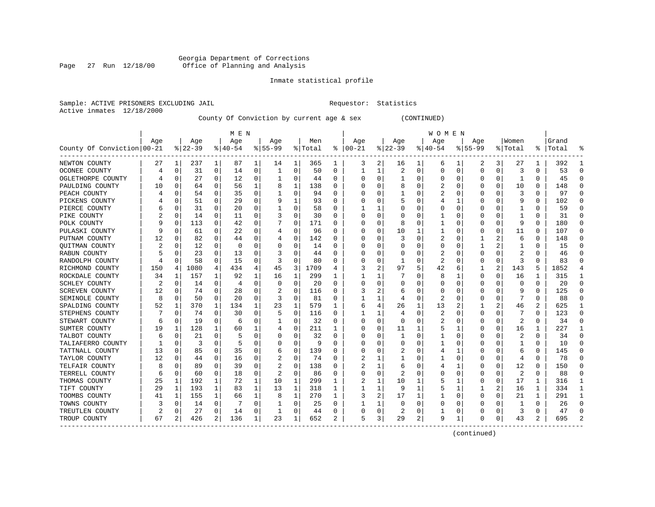# Georgia Department of Corrections<br>Page 27 Run 12/18/00 Office of Planning and Analysis Page 27 Run 12/18/00 Office of Planning and Analysis

# Inmate statistical profile

|                |            | Sample: ACTIVE PRISONERS EXCLUDING JAI |  |
|----------------|------------|----------------------------------------|--|
| Active inmates | 12/18/2000 |                                        |  |

IL Requestor: Statistics

County Of Conviction by current age & sex (CONTINUED)

|                            |     |          |          |          | M E N     |   |           |          |         |   |            |          |                |          | W O M E N |          |             |          |                         |          |           |               |
|----------------------------|-----|----------|----------|----------|-----------|---|-----------|----------|---------|---|------------|----------|----------------|----------|-----------|----------|-------------|----------|-------------------------|----------|-----------|---------------|
|                            | Age |          | Age      |          | Age       |   | Age       |          | Men     |   | Age        |          | Age            |          | Age       |          | Aqe         |          | Women                   |          | Grand     |               |
| County Of Conviction 00-21 |     |          | $ 22-39$ |          | $ 40-54 $ |   | $8 55-99$ |          | % Total | ႜ | $ 00 - 21$ |          | $ 22-39$       |          | $ 40-54$  |          | $8155 - 99$ |          | % Total                 |          | %   Total |               |
| NEWTON COUNTY              | 27  | 1        | 237      | 1        | 87        | 1 | 14        | 1        | 365     | 1 | 3          | 2        | 16             | 1        | 6         | 1        | 2           | 3        | 27                      | 1        | 392       |               |
| OCONEE COUNTY              | 4   | 0        | 31       | 0        | 14        | 0 | 1         | 0        | 50      | 0 | 1          | 1        | $\overline{2}$ | $\Omega$ | 0         | 0        | $\Omega$    | $\Omega$ | 3                       | 0        | 53        | ∩             |
| OGLETHORPE COUNTY          |     | 0        | 27       | 0        | 12        | 0 |           | 0        | 44      | U | C          | $\Omega$ | 1              | 0        | O         | 0        | O           | O        | -1                      | 0        | 45        | ∩             |
| PAULDING COUNTY            | 10  | $\Omega$ | 64       | 0        | 56        | 1 | 8         | 1        | 138     | 0 |            | $\Omega$ | 8              | 0        |           | $\Omega$ | O           | $\Omega$ | 10                      | 0        | 148       |               |
| PEACH COUNTY               |     | 0        | 54       | 0        | 35        | 0 |           | 0        | 94      | U |            | 0        |                | 0        | 2         | 0        | 0           | O        | 3                       | $\Omega$ | 97        |               |
| PICKENS COUNTY             |     | 0        | 51       | $\Omega$ | 29        | 0 | 9         | 1        | 93      | U |            | 0        | 5              | 0        |           | 1        | 0           | O        | g                       | $\Omega$ | 102       |               |
| PIERCE COUNTY              |     | 0        | 31       | 0        | 20        | 0 |           | 0        | 58      | U |            | 1        |                | 0        | U         | 0        | 0           | O        | 1                       | 0        | 59        | ∩             |
| PIKE COUNTY                |     | 0        | 14       | 0        | 11        | 0 |           | 0        | 30      | 0 | O          | 0        | C              | 0        |           | 0        | 0           | O        |                         | 0        | 31        | ∩             |
| POLK COUNTY                | q   | 0        | 113      | 0        | 42        | 0 |           | 0        | 171     | 0 |            | $\Omega$ | 8              | 0        |           | 0        | 0           | 0        | 9                       | 0        | 180       | $\Omega$      |
| PULASKI COUNTY             | 9   | 0        | 61       | 0        | 22        | 0 |           | 0        | 96      | 0 |            | 0        | 10             | 1        |           | 0        | 0           | 0        | 11                      | 0        | 107       | $\Omega$      |
| PUTNAM COUNTY              | 12  | 0        | 82       | 0        | 44        | 0 |           | 0        | 142     | 0 |            | 0        | 3              | O        |           | C        |             |          | 6                       | 0        | 148       |               |
| QUITMAN COUNTY             |     | $\Omega$ | 12       | 0        | $\Omega$  | 0 |           | 0        | 14      | 0 |            | $\Omega$ | $\Omega$       | 0        | 0         | $\Omega$ | 1           |          |                         | 0        | 15        |               |
| RABUN COUNTY               | 5   | n        | 23       | $\Omega$ | 13        | O | 3         | $\Omega$ | 44      | U |            | $\Omega$ | O              | $\Omega$ | 2         | $\Omega$ | $\Omega$    | $\Omega$ | 2                       | O        | 46        |               |
| RANDOLPH COUNTY            |     | $\Omega$ | 58       | 0        | 15        | O | 3         | 0        | 80      | U |            | 0        | -1             | $\Omega$ | 2         | 0        | 0           | $\Omega$ | 3                       | O        | 83        |               |
| RICHMOND COUNTY            | 150 | 4        | 1080     | 4        | 434       | 4 | 45        | 3        | 1709    | 4 |            | 2        | 97             | 5        | 42        | 6        | 1           | 2        | 143                     | 5        | 1852      |               |
| ROCKDALE COUNTY            | 34  | 1        | 157      | 1        | 92        | 1 | 16        | 1        | 299     | 1 |            | 1        |                | O        | 8         | 1        | 0           | 0        | 16                      | 1        | 315       | -1            |
| SCHLEY COUNTY              | 2   | 0        | 14       | 0        | 4         | 0 | O         | 0        | 20      | 0 |            | 0        | O              | 0        | 0         | 0        | 0           | O        | 0                       | 0        | 20        | $\cap$        |
| SCREVEN COUNTY             | 12  | 0        | 74       | 0        | 28        | 0 |           | 0        | 116     | 0 | 3          | 2        | 6              | 0        | 0         | 0        | 0           | O        | 9                       | 0        | 125       | ∩             |
| SEMINOLE COUNTY            | 8   | 0        | 50       | 0        | 20        | 0 | 3         | 0        | 81      | 0 |            |          | 4              | 0        | 2         | 0        | 0           | 0        |                         | 0        | 88        |               |
| SPALDING COUNTY            | 52  | 1        | 370      | 1        | 134       | 1 | 23        | 1        | 579     | 1 | 6          | 4        | 26             | 1        | 13        |          |             |          | 46                      | 2        | 625       | -1            |
| STEPHENS COUNTY            |     | 0        | 74       | 0        | 30        | 0 | 5         | $\Omega$ | 116     | 0 |            | 1        |                | 0        | 2         | $\Omega$ | 0           | O        |                         | 0        | 123       | ∩             |
| STEWART COUNTY             | 6   | $\Omega$ | 19       | 0        | 6         | 0 |           | 0        | 32      | U | O          | 0        | $\Omega$       | O        | 2         | $\Omega$ | O           | $\Omega$ | $\overline{\mathbf{c}}$ | 0        | 34        |               |
| SUMTER COUNTY              | 19  | 1        | 128      | 1        | 60        | 1 | 4         | 0        | 211     | 1 |            | 0        | 11             | 1        | 5         | 1        | 0           | $\Omega$ | 16                      | 1        | 227       |               |
| TALBOT COUNTY              | 6   | $\Omega$ | 21       | $\Omega$ |           | 0 |           | 0        | 32      | U |            | 0        | $\mathbf{1}$   | $\Omega$ |           | 0        | 0           | O        | 2                       | 0        | 34        | $\Omega$      |
| TALIAFERRO COUNTY          |     | $\Omega$ | 3        | $\Omega$ | 5         | U |           | 0        | 9       | U |            | $\Omega$ | C              | O        |           | 0        | O           | O        |                         | $\Omega$ | 10        | $\Omega$      |
| TATTNALL COUNTY            | 13  | 0        | 85       | 0        | 35        | 0 | 6         | 0        | 139     | U |            | 0        | 2              | 0        | 4         | 1        | 0           | O        | 6                       | 0        | 145       | ∩             |
| TAYLOR COUNTY              | 12  | 0        | 44       | 0        | 16        | 0 | 2         | 0        | 74      | 0 |            |          |                | 0        |           | 0        | 0           | O        | 4                       | 0        | 78        | ∩             |
| TELFAIR COUNTY             | 8   | 0        | 89       | 0        | 39        | 0 | 2         | 0        | 138     | 0 |            | 1        | 6              | 0        | 4         | 1        | 0           | O        | 12                      | 0        | 150       | ∩             |
| TERRELL COUNTY             | 6   | $\Omega$ | 60       | 0        | 18        | 0 |           | $\Omega$ | 86      | 0 |            | 0        |                | 0        |           | C        | 0           | 0        | $\overline{\mathbf{c}}$ | 0        | 88        |               |
| THOMAS COUNTY              | 25  | 1        | 192      | 1        | 72        | 1 | 10        | 1        | 299     | 1 |            | 1        | 10             | 1        |           | 1        | 0           | O        | 17                      | 1        | 316       | -1            |
| TIFT COUNTY                | 29  | 1        | 193      | 1        | 83        | 1 | 13        | 1        | 318     | 1 |            | 1        | 9              | 1        |           | 1        | 1           | 2        | 16                      | 1        | 334       | -1            |
| TOOMBS COUNTY              | 41  | 1        | 155      | 1        | 66        | 1 | 8         | 1        | 270     | 1 | 3          | 2        | 17             | 1        | 1         | 0        | O           | $\Omega$ | 21                      | 1        | 291       | -1            |
| TOWNS COUNTY               |     | 0        | 14       | 0        |           | 0 |           | 0        | 25      | U |            | 1        | $\Omega$       | 0        | 0         | 0        | 0           | O        | 1                       | 0        | 26        | $\Omega$      |
| TREUTLEN COUNTY            | 2   | 0        | 27       | 0        | 14        | 0 |           | 0        | 44      | 0 |            | 0        | 2              | 0        |           | 0        | O           | 0        | 3                       | $\Omega$ | 47        | $\Omega$      |
| TROUP COUNTY               | 67  | 2        | 426      | 2        | 136       | 1 | 23        | 1        | 652     | 2 | 5          | 3        | 29             | 2        | 9         | 1        | O           | 0        | 43                      | 2        | 695       | $\mathcal{D}$ |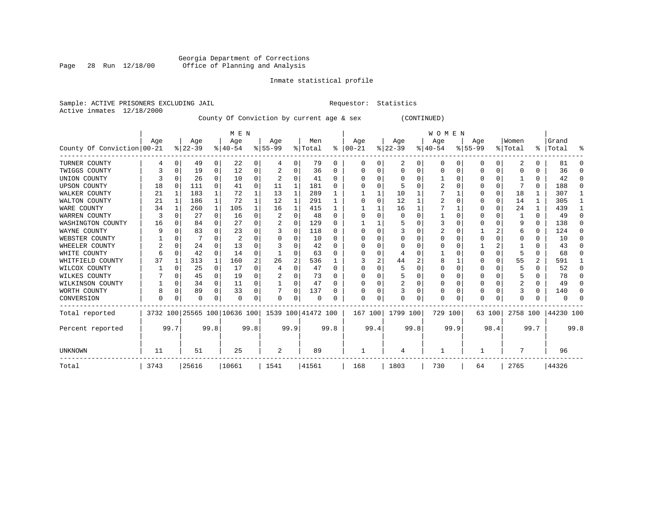# Georgia Department of Corrections<br>Page 28 Run 12/18/00 Office of Planning and Analysis Page 28 Run 12/18/00 Office of Planning and Analysis

# Inmate statistical profile

Active inmates 12/18/2000

Sample: ACTIVE PRISONERS EXCLUDING JAIL **Requestor:** Statistics

County Of Conviction by current age & sex (CONTINUED)

|                            |      |          |          |              | M E N                        |          |           |          |                    |              |          |      |          |      | <b>WOMEN</b> |      |           |          |          |               |           |          |
|----------------------------|------|----------|----------|--------------|------------------------------|----------|-----------|----------|--------------------|--------------|----------|------|----------|------|--------------|------|-----------|----------|----------|---------------|-----------|----------|
|                            | Age  |          | Age      |              | Age                          |          | Age       |          | Men                |              | Age      |      | Age      |      | Age          |      | Age       |          | Women    |               | Grand     |          |
| County Of Conviction 00-21 |      |          | $ 22-39$ |              | $8140 - 54$                  |          | $8 55-99$ |          | % Total            | ႜ            | $ 00-21$ |      | $ 22-39$ |      | $ 40-54$     |      | $8 55-99$ |          | % Total  | $\frac{1}{6}$ | Total     | ႜ        |
| TURNER COUNTY              |      | 0        | 49       | 0            | 22                           | 0        | 4         | 0        | 79                 | 0            | O        |      | 2        | 0    | $\Omega$     | 0    | 0         | 0        | 2        |               | 81        | O        |
| TWIGGS COUNTY              |      | 0        | 19       | 0            | 12                           | 0        |           | 0        | 36                 | 0            |          |      | $\Omega$ | U    |              | O    |           | $\Omega$ |          |               | 36        | $\Omega$ |
| UNION COUNTY               |      | O        | 26       | $\Omega$     | 10                           | 0        |           | U        | 41                 | $\Omega$     |          |      | n        |      |              |      |           | 0        |          |               | 42        | $\Omega$ |
| <b>UPSON COUNTY</b>        | 18   | $\Omega$ | 111      | 0            | 41                           | 0        | 11        | 1        | 181                | <sup>0</sup> |          |      | 5        |      |              |      |           | U        |          | 0             | 188       | $\Omega$ |
| WALKER COUNTY              | 21   |          | 183      | 1            | 72                           | 1        | 13        | 1        | 289                |              |          |      | 10       |      |              |      |           | 0        | 18       |               | 307       |          |
| WALTON COUNTY              | 21   | 1        | 186      | $\mathbf{1}$ | 72                           |          | 12        | 1        | 291                |              |          |      | 12       |      |              |      |           | 0        | 14       |               | 305       |          |
| WARE COUNTY                | 34   |          | 260      | 1            | 105                          |          | 16        | 1        | 415                |              |          |      | 16       |      |              |      |           | 0        | 24       |               | 439       |          |
| WARREN COUNTY              |      |          | 27       | $\Omega$     | 16                           | $\Omega$ |           | $\Omega$ | 48                 | $\Omega$     |          |      | 0        |      |              |      |           |          |          | 0             | 49        | $\Omega$ |
| WASHINGTON COUNTY          | 16   |          | 84       | $\Omega$     | 27                           | $\Omega$ |           | O        | 129                | <sup>0</sup> |          |      |          |      |              |      |           | U        | 9        | 0             | 138       | $\Omega$ |
| WAYNE COUNTY               | q    |          | 83       | 0            | 23                           |          |           | $\Omega$ | 118                | <sup>0</sup> |          |      |          |      |              |      |           |          | 6        |               | 124       | $\Omega$ |
| WEBSTER COUNTY             |      |          |          | 0            | 2                            | 0        |           | 0        | 10                 | $\Omega$     |          |      | 0        | U    |              |      |           | U        |          |               | 10        | $\Omega$ |
| WHEELER COUNTY             | 2    | O        | 24       | 0            | 13                           | U        |           | U        | 42                 | $\Omega$     |          |      | O        |      |              |      |           |          |          |               | 43        | $\Omega$ |
| WHITE COUNTY               |      | $\Omega$ | 42       | 0            | 14                           | 0        |           | 0        | 63                 | O            |          |      |          |      |              |      |           | U        |          | U             | 68        | O        |
| WHITFIELD COUNTY           | 37   |          | 313      | 1            | 160                          | 2        | 26        | 2        | 536                |              |          |      | 44       | 2    |              |      |           | 0        | 55       | 2             | 591       |          |
| WILCOX COUNTY              |      |          | 25       | $\Omega$     | 17                           | 0        |           | O        | 47                 | $\Omega$     |          |      | 5        |      |              |      |           | U        |          |               | 52        | $\Omega$ |
| WILKES COUNTY              |      |          | 45       | 0            | 19                           | 0        |           | 0        | 73                 | 0            |          |      | 5        |      |              |      |           | U        |          |               | 78        | $\Omega$ |
| WILKINSON COUNTY           |      | 0        | 34       | 0            | 11                           | 0        |           | 0        | 47                 | 0            |          |      | 2        | 0    |              |      |           | 0        | 2        | 0             | 49        | $\Omega$ |
| WORTH COUNTY               |      | 0        | 89       | 0            | 33                           | 0        |           | $\Omega$ | 137                | U            |          |      |          | U    |              |      |           | U        |          | 0             | 140       | ∩        |
| CONVERSION                 | U    |          | 0        | 0            | $\Omega$                     | 0        | 0         | 0        | 0                  |              | O        | 0    | U        | 0    | U            |      | U         | 0        |          |               |           |          |
| Total reported             |      |          |          |              | 3732 100 25565 100 10636 100 |          |           |          | 1539 100 41472 100 |              | 167 100  |      | 1799 100 |      | 729 100      |      |           | 63 100   | 2758 100 |               | 44230 100 |          |
| Percent reported           |      | 99.7     |          | 99.8         |                              | 99.8     |           | 99.9     |                    | 99.8         |          | 99.4 |          | 99.8 |              | 99.9 |           | 98.4     |          | 99.7          |           | 99.8     |
| <b>UNKNOWN</b>             | 11   |          | 51       |              | 25                           |          | 2         |          | 89                 |              |          |      |          |      |              |      |           |          |          |               | 96        |          |
| Total                      | 3743 |          | 25616    |              | 10661                        |          | 1541      |          | 41561              |              | 168      |      | 1803     |      | 730          |      | 64        |          | 2765     |               | 44326     |          |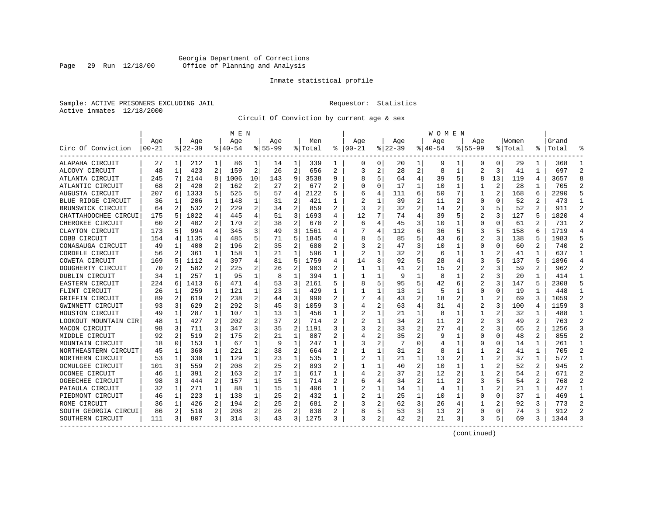# Georgia Department of Corrections<br>Page 29 Run 12/18/00 Office of Planning and Analysis Page 29 Run 12/18/00 Office of Planning and Analysis

# Inmate statistical profile

Sample: ACTIVE PRISONERS EXCLUDING JAIL **Requestor:** Statistics Active inmates 12/18/2000

Circuit Of Conviction by current age & sex

|                      |           |   |           |              | M E N     |    |             |                |         |   |          |          |             |              | W O M E N |   |                |    |         |                |           |                |
|----------------------|-----------|---|-----------|--------------|-----------|----|-------------|----------------|---------|---|----------|----------|-------------|--------------|-----------|---|----------------|----|---------|----------------|-----------|----------------|
|                      | Age       |   | Aqe       |              | Age       |    | Aqe         |                | Men     |   | Age      |          | Aqe         |              | Aqe       |   | Aqe            |    | Women   |                | Grand     |                |
| Circ Of Conviction   | $00 - 21$ |   | $8 22-39$ |              | $8 40-54$ |    | $8155 - 99$ |                | % Total | ៖ | $ 00-21$ |          | $8$   22-39 |              | $ 40-54$  |   | $8155 - 99$    |    | % Total |                | %   Total |                |
| ALAPAHA CIRCUIT      | 27        | 1 | 212       | 1            | 86        | 1  | 14          | 1              | 339     | 1 | 0        | 0        | 20          | 1            | 9         | 1 | 0              | 0  | 29      | 1              | 368       | -1             |
| ALCOVY CIRCUIT       | 48        | 1 | 423       | 2            | 159       | 2  | 26          | $\overline{2}$ | 656     | 2 | 3        | 2        | 28          | 2            | 8         | 1 | $\overline{a}$ | 3  | 41      | 1              | 697       | $\mathfrak{D}$ |
| ATLANTA CIRCUIT      | 245       | 7 | 2144      | 8            | 1006      | 10 | 143         | 9              | 3538    | 9 |          | 5        | 64          | 4            | 39        | 5 | 8              | 13 | 119     | 4              | 3657      | 8              |
| ATLANTIC CIRCUIT     | 68        | 2 | 420       | 2            | 162       | 2  | 27          | 2              | 677     | 2 |          | $\Omega$ | 17          | 1            | 10        | 1 |                | 2  | 28      |                | 705       |                |
| AUGUSTA CIRCUIT      | 207       | 6 | 1333      | 5            | 525       | 5  | 57          | 4              | 2122    | 5 |          | 4        | 111         | 6            | 50        | 7 | 1              | 2  | 168     | 6              | 2290      |                |
| BLUE RIDGE CIRCUIT   | 36        | 1 | 206       | 1            | 148       | 1  | 31          | 2              | 421     | 1 |          | 1        | 39          | 2            | 11        | 2 | 0              | O  | 52      | 2              | 473       | -1             |
| BRUNSWICK CIRCUIT    | 64        | 2 | 532       | 2            | 229       | 2  | 34          | 2              | 859     | 2 | 3        | 2        | 32          | 2            | 14        | 2 | 3              | 5  | 52      | 2              | 911       | $\mathcal{D}$  |
| CHATTAHOOCHEE CIRCUI | 175       | 5 | 1022      | 4            | 445       | 4  | 51          | 3              | 1693    | 4 | 12       | 7        | 74          | 4            | 39        | 5 | 2              | 3  | 127     | 5              | 1820      | $\overline{4}$ |
| CHEROKEE CIRCUIT     | 60        | 2 | 402       | 2            | 170       | 2  | 38          | 2              | 670     | 2 | 6        |          | 45          | 3            | 10        | 1 | 0              | 0  | 61      | 2              | 731       | 2              |
| CLAYTON CIRCUIT      | 173       | 5 | 994       | 4            | 345       | 3  | 49          | 3              | 1561    | 4 |          | 4        | 112         | 6            | 36        | 5 | 3              |    | 158     | 6              | 1719      | $\overline{4}$ |
| COBB CIRCUIT         | 154       | 4 | 1135      | 4            | 485       | 5  | 71          | 5              | 1845    | 4 |          | 5        | 85          | 5            | 43        | 6 | 2              | 3  | 138     |                | 1983      |                |
| CONASAUGA CIRCUIT    | 49        | 1 | 400       | 2            | 196       | 2  | 35          | 2              | 680     | 2 | 3        | 2        | 47          | 3            | 10        | 1 | 0              | O  | 60      | 2              | 740       | 2              |
| CORDELE CIRCUIT      | 56        | 2 | 361       | 1            | 158       | 1  | 21          | 1              | 596     | 1 | 2        |          | 32          | 2            | 6         | 1 | 1              |    | 41      |                | 637       |                |
| COWETA CIRCUIT       | 169       | 5 | 1112      | 4            | 397       | 4  | 81          | 5              | 1759    | 4 | 14       | 8        | 92          | 5            | 28        | 4 | 3              | 5  | 137     | 5              | 1896      |                |
| DOUGHERTY CIRCUIT    | 70        | 2 | 582       | 2            | 225       | 2  | 26          | 2              | 903     | 2 | 1        | 1        | 41          | 2            | 15        | 2 | $\overline{a}$ | 3  | 59      | $\overline{2}$ | 962       | 2              |
| DUBLIN CIRCUIT       | 34        | 1 | 257       | 1            | 95        | 1  | 8           | 1              | 394     | 1 |          | 1        | 9           | $\mathbf{1}$ | 8         | 1 | 2              | 3  | 20      | 1              | 414       | $\mathbf{1}$   |
| EASTERN CIRCUIT      | 224       | 6 | 1413      | 6            | 471       | 4  | 53          | 3              | 2161    | 5 |          | 5        | 95          | 5            | 42        | 6 |                | 3  | 147     | 5              | 2308      | 5              |
| FLINT CIRCUIT        | 26        | 1 | 259       | 1            | 121       | 1  | 23          | 1              | 429     | 1 |          |          | 13          | 1            | 5         | 1 | 0              | O  | 19      |                | 448       |                |
| GRIFFIN CIRCUIT      | 89        | 2 | 619       | 2            | 238       | 2  | 44          | 3              | 990     |   |          | 4        | 43          | 2            | 18        |   | 1              |    | 69      | 3              | 1059      | 2              |
| GWINNETT CIRCUIT     | 93        | 3 | 629       | 2            | 292       | 3  | 45          | 3              | 1059    | ٦ |          | 2        | 63          | 4            | 31        |   | 2              | 3  | 100     | 4              | 1159      | 3              |
| HOUSTON CIRCUIT      | 49        | 1 | 287       | 1            | 107       | 1  | 13          | 1              | 456     | 1 | 2        | 1        | 21          | $\mathbf{1}$ | 8         | 1 | 1              |    | 32      | 1              | 488       |                |
| LOOKOUT MOUNTAIN CIR | 48        | 1 | 427       | 2            | 202       | 2  | 37          | 2              | 714     | 2 | 2        | 1        | 34          | 2            | 11        | 2 | 2              | 3  | 49      | 2              | 763       | 2              |
| MACON CIRCUIT        | 98        | 3 | 711       | 3            | 347       | 3  | 35          | $\overline{2}$ | 1191    | 3 |          | 2        | 33          | 2            | 27        | 4 | $\overline{2}$ | 3  | 65      | 2              | 1256      | 3              |
| MIDDLE CIRCUIT       | 92        | 2 | 519       | 2            | 175       | 2  | 21          | 1              | 807     | 2 |          | 2        | 35          | 2            |           | 1 | $\Omega$       | O  | 48      | 2              | 855       | $\mathcal{D}$  |
| MOUNTAIN CIRCUIT     | 18        | 0 | 153       | 1            | 67        | 1  | 9           | 1              | 247     | 1 |          | 2        | 7           | U            |           | 1 | 0              | O  | 14      | 1              | 261       | -1             |
| NORTHEASTERN CIRCUIT | 45        | 1 | 360       | 1            | 221       | 2  | 38          | 2              | 664     | 2 |          |          | 31          | 2            | 8         | 1 |                |    | 41      | 1              | 705       | 2              |
| NORTHERN CIRCUIT     | 53        | 1 | 330       | 1            | 129       | 1  | 23          | 1              | 535     |   |          |          | 21          | 1            | 13        | 2 |                |    | 37      | 1              | 572       | -1             |
| OCMULGEE CIRCUIT     | 101       | 3 | 559       | 2            | 208       | 2  | 25          | 2              | 893     |   |          |          | 40          | 2            | 10        | 1 |                |    | 52      | 2              | 945       | 2              |
| OCONEE CIRCUIT       | 46        | 1 | 391       | 2            | 163       | 2  | 17          | 1              | 617     | 1 |          | 2        | 37          | 2            | 12        | 2 | 1              | 2  | 54      | 2              | 671       | $\mathcal{D}$  |
| OGEECHEE CIRCUIT     | 98        | 3 | 444       | 2            | 157       | 1  | 15          | 1              | 714     | 2 | 6        | 4        | 34          | 2            | 11        | 2 | 3              |    | 54      | 2              | 768       | 2              |
| PATAULA CIRCUIT      | 32        | 1 | 271       | $\mathbf{1}$ | 88        | 1  | 15          | $\mathbf{1}$   | 406     | 1 | 2        | 1        | 14          | $\mathbf{1}$ | 4         | 1 | 1              | 2  | 21      | 1              | 427       |                |
| PIEDMONT CIRCUIT     | 46        | 1 | 223       | $\mathbf{1}$ | 138       | 1  | 25          | 2              | 432     |   |          | 1        | 25          | 1            | 10        | 1 | 0              | 0  | 37      | 1              | 469       | 1              |
| ROME CIRCUIT         | 36        | 1 | 426       | 2            | 194       | 2  | 25          | 2              | 681     |   |          | 2        | 62          | 3            | 26        | 4 | 1              | 2  | 92      | 3              | 773       | 2              |
| SOUTH GEORGIA CIRCUI | 86        | 2 | 518       | 2            | 208       | 2  | 26          | 2              | 838     | 2 |          | 5.       | 53          | 3            | 13        | 2 | 0              | 0  | 74      | 3              | 912       | $\mathcal{D}$  |
| SOUTHERN CIRCUIT     | 111       | 3 | 807       | 3            | 314       | 3  | 43          | 3              | 1275    | 3 | 3        | 2        | 42          | 2            | 21        | 3 | 3              | 5  | 69      | 3.             | 1344      |                |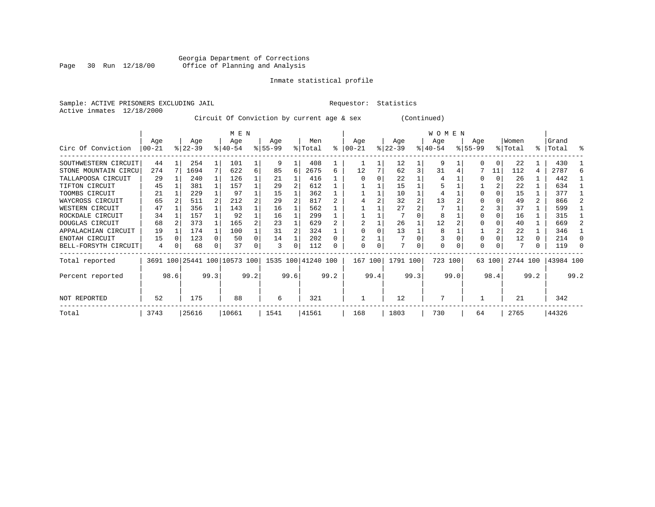# Georgia Department of Corrections<br>Page 30 Run 12/18/00 Office of Planning and Analysis Page 30 Run 12/18/00 Office of Planning and Analysis

# Inmate statistical profile

Sample: ACTIVE PRISONERS EXCLUDING JAIL **Requestor:** Statistics Active inmates 12/18/2000

Circuit Of Conviction by current age & sex (Continued)

|                      |          |      |           |      | M E N                        |      |          |          |                    |      |          |      |           |          | <b>WOMEN</b> |          |           |        |          |      |           |              |
|----------------------|----------|------|-----------|------|------------------------------|------|----------|----------|--------------------|------|----------|------|-----------|----------|--------------|----------|-----------|--------|----------|------|-----------|--------------|
|                      | Age      |      | Age       |      | Age                          |      | Age      |          | Men                |      | Age      |      | Age       |          | Age          |          | Age       |        | Women    |      | Grand     |              |
| Circ Of Conviction   | $ 00-21$ |      | $ 22-39 $ |      | $ 40-54 $                    |      | $ 55-99$ |          | % Total            | ႜ    | $ 00-21$ |      | $ 22-39 $ |          | $ 40-54 $    |          | $8 55-99$ |        | % Total  |      | %   Total | ႜ            |
| SOUTHWESTERN CIRCUIT | 44       |      | 254       |      | 101                          |      | 9        |          | 408                |      |          |      | 12        |          | 9            |          | O         | 0      | 22       |      | 430       |              |
| STONE MOUNTAIN CIRCU | 274      |      | 1694      | 7    | 622                          | 6    | 85       | 6        | 2675               | 6    | 12       |      | 62        | 3        | 31           |          |           | 11     | 112      | 4    | 2787      | 6            |
| TALLAPOOSA CIRCUIT   | 29       |      | 240       |      | 126                          |      | 21       |          | 416                |      |          |      | 22        |          |              |          |           |        | 26       |      | 442       |              |
| TIFTON CIRCUIT       | 45       |      | 381       |      | 157                          |      | 29       |          | 612                |      |          |      | 15        |          |              |          |           |        | 22       |      | 634       |              |
| TOOMBS CIRCUIT       | 21       |      | 229       |      | 97                           |      | 15       |          | 362                |      |          |      | 10        |          |              |          |           |        | 15       |      | 377       |              |
| WAYCROSS CIRCUIT     | 65       |      | 511       |      | 212                          | 2    | 29       |          | 817                |      |          |      | 32        |          | 13           |          |           |        | 49       | 2    | 866       |              |
| WESTERN CIRCUIT      | 47       |      | 356       |      | 143                          |      | 16       |          | 562                |      |          |      | 27        |          |              |          |           |        | 37       |      | 599       |              |
| ROCKDALE CIRCUIT     | 34       |      | 157       |      | 92                           |      | 16       |          | 299                |      |          |      |           |          | 8            |          |           |        | 16       |      | 315       |              |
| DOUGLAS CIRCUIT      | 68       |      | 373       |      | 165                          |      | 23       |          | 629                |      |          |      | 26        |          | 12           |          |           |        | 40       |      | 669       |              |
| APPALACHIAN CIRCUIT  | 19       |      | 174       |      | 100                          |      | 31       |          | 324                |      |          |      | 13        |          | 8            |          |           |        | 22       |      | 346       |              |
| ENOTAH CIRCUIT       | 15       |      | 123       |      | 50                           | 0    | 14       |          | 202                |      |          |      |           |          |              |          | $\Omega$  |        | 12       | 0    | 214       | <sup>0</sup> |
| BELL-FORSYTH CIRCUIT | 4        | 0    | 68        | 0    | 37                           |      | 3        | $\Omega$ | 112                | 0    | $\Omega$ | 0    | 7         | $\Omega$ | $\Omega$     | $\Omega$ | $\Omega$  |        |          | 0    | 119       | C            |
| Total reported       |          |      |           |      | 3691 100 25441 100 10573 100 |      |          |          | 1535 100 41240 100 |      | 167 100  |      | 1791 100  |          | 723 100      |          |           | 63 100 | 2744 100 |      | 43984 100 |              |
| Percent reported     |          | 98.6 |           | 99.3 |                              | 99.2 |          | 99.6     |                    | 99.2 |          | 99.4 |           | 99.3     |              | 99.0     |           | 98.4   |          | 99.2 |           | 99.2         |
| NOT REPORTED         | 52       |      | 175       |      | 88                           |      | 6        |          | 321                |      |          |      | 12        |          |              |          |           |        | 21       |      | 342       |              |
| Total                | 3743     |      | 25616     |      | 10661                        |      | 1541     |          | 41561              |      | 168      |      | 1803      |          | 730          |          | 64        |        | 2765     |      | 44326     |              |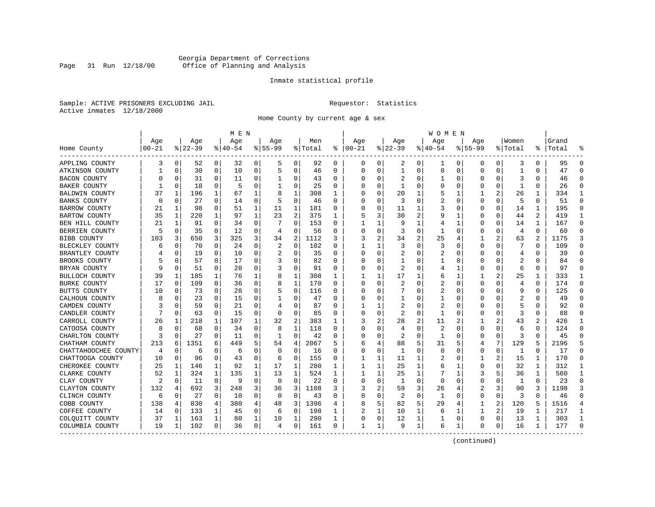# Georgia Department of Corrections<br>Page 31 Run 12/18/00 Office of Planning and Analysis Page 31 Run 12/18/00 Office of Planning and Analysis

# Inmate statistical profile

Sample: ACTIVE PRISONERS EXCLUDING JAIL **Requestor:** Statistics Active inmates 12/18/2000

Home County by current age & sex

| Age<br>Age<br>Age<br>Men<br>Age<br>Age<br>Women<br>Grand<br>Age<br>Age<br>Aqe<br>$8 22-39$<br>% Total<br>$ 00-21$<br>$ 22-39$<br>$ 40-54$<br>$8 55-99$<br>$00 - 21$<br>$8140 - 54$<br>$8155 - 99$<br>နွ<br>% Total<br>%   Total<br>Home County<br>$\Omega$<br>3<br>0<br>52<br>0<br>32<br>0<br>0<br>92<br>0<br>0<br>2<br>0<br>0<br>0<br>0<br>3<br>0<br>95<br>APPLING COUNTY<br>5<br>0<br>ı<br>$\mathbf 0$<br>$\mathbf{1}$<br>0<br>30<br>10<br>0<br>5<br>0<br>46<br>0<br>$\Omega$<br>0<br>0<br>$\Omega$<br>0<br>$\Omega$<br>0<br>$\mathbf{1}$<br>$\Omega$<br>47<br>$\Omega$<br>ATKINSON COUNTY<br>43<br>2<br><b>BACON COUNTY</b><br>0<br>31<br>$\Omega$<br>11<br>0<br>0<br>0<br>0<br>0<br>$\Omega$<br>46<br>∩<br>U<br>0<br>∩<br>0<br>3<br>0<br>-5<br>0<br>0<br>18<br>0<br>0<br>25<br>U<br>0<br>0<br>0<br>O<br>O<br>26<br>$\Omega$<br>BAKER COUNTY<br>0<br>-1<br>C<br>-1<br>1<br>2<br><b>BALDWIN COUNTY</b><br>37<br>1<br>196<br>67<br>1<br>8<br>1<br>308<br>O<br>20<br>1<br>1<br>26<br>1<br>334<br>$\mathbf{1}$<br>1<br>5<br>27<br>0<br>46<br>2<br>5<br>51<br>BANKS COUNTY<br>$\Omega$<br>0<br>$\Omega$<br>3<br>0<br>$\mathbf 0$<br>$\Omega$<br>$\Omega$<br>0<br>$\Omega$<br>0<br>0<br>14<br>5<br>$\Omega$<br>98<br>$\mathbf 0$<br>$\mathbf 1$<br>181<br>195<br>$\Omega$<br>1<br>51<br>1<br>11<br>0<br>11<br>1<br>3<br>$\mathbf 0$<br>0<br><b>BARROW COUNTY</b><br>21<br>0<br>0<br>14<br>2<br>2<br>$\overline{a}$<br>35<br>220<br>$\mathbf 1$<br>97<br>1<br>23<br>375<br>1<br>3<br>30<br>$\Omega$<br>44<br>419<br>$\mathbf{1}$<br>BARTOW COUNTY<br>1<br>9<br>1<br>0<br>5<br>21<br>$\Omega$<br>0<br>153<br>9<br>$\mathbf{1}$<br>167<br>$\Omega$<br>BEN HILL COUNTY<br>1<br>91<br>34<br>0<br>O<br>1<br>0<br>$\Omega$<br>14<br>1<br>1<br>4<br>12<br>0<br>0<br>0<br>BERRIEN COUNTY<br>0<br>35<br>$\Omega$<br>56<br>0<br>0<br>0<br>0<br>4<br>$\Omega$<br>60<br>$\Omega$<br>5<br>4<br>0<br>3<br>1<br>3<br>650<br>3<br>325<br>3<br>2<br>1112<br>2<br>2<br>2<br>1175<br>3<br>BIBB COUNTY<br>103<br>34<br>3<br>2<br>34<br>25<br>1<br>63<br>3<br>4<br>0<br>102<br>109<br>$\mathbf 0$<br>70<br>$\Omega$<br>24<br>0<br>2<br>3<br>0<br>3<br>$\Omega$<br>7<br>$\Omega$<br>BLECKLEY COUNTY<br>0<br>0<br>0<br>0<br>6<br>1<br>0<br>0<br>35<br>0<br>$\Omega$<br>$\mathbf 0$<br>19<br>0<br>10<br>2<br>0<br>2<br>$\mathbf 0$<br>$\Omega$<br>$\Omega$<br>39<br>BRANTLEY COUNTY<br>2<br>0<br>0<br>4<br>0<br>$\mathbf 0$<br>57<br>$\Omega$<br>17<br>$\Omega$<br>$\Omega$<br>82<br>$\Omega$<br>$\mathbf{1}$<br>2<br>84<br>$\Omega$<br>BROOKS COUNTY<br>$\Omega$<br>0<br>0<br>0<br>O<br>$\Omega$<br>51<br>$\Omega$<br>28<br>0<br>91<br>$\Omega$<br>2<br>$\Omega$<br>97<br>$\Omega$<br>BRYAN COUNTY<br>0<br>0<br>$\Omega$<br><sup>0</sup><br>U<br>1<br>0<br>6<br>0<br>4<br>17<br>333<br>BULLOCH COUNTY<br>39<br>1<br>185<br>1<br>76<br>1<br>1<br>308<br>1<br>2<br>25<br>8<br>1<br>1<br>1<br>1<br>-1<br>6<br>109<br>1<br>170<br>2<br>174<br>$\Omega$<br><b>BURKE COUNTY</b><br>17<br>0<br>$\Omega$<br>36<br>0<br>8<br>U<br>∩<br>0<br>U<br>2<br>0<br>O<br>O<br>4<br>0<br>73<br>28<br>0<br>116<br>2<br>125<br>10<br>0<br>0<br>$\Omega$<br>0<br>$\Omega$<br>$\Omega$<br>9<br>0<br>$\Omega$<br>BUTTS COUNTY<br>0<br>0<br><sup>0</sup><br>0<br>15<br>0<br>47<br>2<br>$\Omega$<br>$\mathbf 0$<br>23<br>0<br>0<br>0<br>0<br>$\mathbf 0$<br>0<br>49<br>CALHOUN COUNTY<br>0<br>-1<br>0<br>0<br>$\overline{2}$<br>5<br>$\Omega$<br>59<br>$\Omega$<br>21<br>$\Omega$<br>0<br>87<br>2<br>$\Omega$<br>$\Omega$<br>92<br>$\Omega$<br>CAMDEN COUNTY<br>4<br>$\Omega$<br>1<br>0<br>0<br>0<br>63<br>$\Omega$<br>15<br>$\Omega$<br>0<br>85<br>$\Omega$<br>2<br>0<br>3<br>88<br>CANDLER COUNTY<br>0<br>$\Omega$<br><sup>0</sup><br>0<br>0<br>0<br>0<br>$\Omega$<br>0<br>2<br>2<br>2<br>2<br>CARROLL COUNTY<br>26<br>218<br>1<br>107<br>1<br>32<br>383<br>3<br>2<br>28<br>11<br>43<br>2<br>426<br>1<br>1<br>1<br>-1<br>1<br>2<br>124<br>CATOOSA COUNTY<br>8<br>68<br>$\Omega$<br>34<br>$\Omega$<br>8<br>118<br>O<br>U<br>U<br>$\Omega$<br>U<br>O<br>0<br>∩<br>$\Omega$<br>6<br>4<br>27<br>$\Omega$<br>0<br>42<br>2<br>$\Omega$<br>3<br>45<br>CHARLTON COUNTY<br>3<br>$\Omega$<br>11<br>0<br>0<br>0<br>0<br>0<br>$\Omega$<br>1<br>O<br>1<br>7<br>6<br>1351<br>5<br>4<br>2067<br>88<br>5<br>5<br>129<br>2196<br>213<br>6<br>449<br>54<br>5<br>4<br>CHATHAM COUNTY<br>31<br>4<br>0<br>0<br>CHATTAHOOCHEE COUNTY<br>$\mathbf 0$<br>0<br>0<br>0<br>16<br>$\Omega$<br>0<br>$\mathbf{1}$<br>0<br>0<br>$\mathbf{1}$<br>$\Omega$<br>17<br>$\Omega$<br>4<br>6<br>6<br>O<br>$\Omega$<br>0<br>155<br>170<br>CHATTOOGA COUNTY<br>10<br>$\mathbf 0$<br>96<br>$\Omega$<br>43<br>0<br>0<br>11<br>1<br>2<br>15<br>$\Omega$<br>0<br>1<br>2<br>0<br>1<br>1<br>6<br>1<br>280<br>32<br>312<br>CHEROKEE COUNTY<br>25<br>146<br>92<br>1<br>17<br>1<br>25<br>1<br>0<br>O<br>1<br>-1<br>1<br>1<br>1<br>6<br>52<br>324<br>1<br>135<br>13<br>524<br>25<br>1<br>1<br>560<br>$\mathbf{1}$<br>CLARKE COUNTY<br>1<br>1<br>1<br>1<br>1<br>1<br>3<br>5<br>36<br>0<br>9<br>0<br>0<br>22<br>0<br>$\Omega$<br>23<br>$\Omega$<br>CLAY COUNTY<br>2<br>0<br>11<br>$\Omega$<br>O<br>0<br>-1<br>0<br>0<br>$\Omega$<br><sup>0</sup><br>$\Omega$<br>1<br>132<br>692<br>3<br>3<br>3<br>1108<br>2<br>59<br>3<br>2<br>3<br>1198<br>3<br>248<br>26<br>4<br>90<br>3<br>CLAYTON COUNTY<br>4<br>36<br>3<br>27<br>0<br>0<br>2<br>0<br>3<br>$\Omega$<br>$\mathbf 0$<br>10<br>0<br>$\Omega$<br>43<br>$\Omega$<br>$\Omega$<br>0<br>0<br>$\mathbf{1}$<br>$\mathbf 0$<br>0<br>$\Omega$<br>46<br>CLINCH COUNTY<br>6<br>830<br>82<br>$\overline{a}$<br>138<br>4<br>380<br>4<br>3<br>1396<br>5<br>5<br>29<br>120<br>1516<br>COBB COUNTY<br>4<br>48<br>1<br>5<br>$\overline{4}$<br>4<br>4<br>0<br>0<br>1<br>2<br>217<br>COFFEE COUNTY<br>14<br>0<br>133<br>1<br>45<br>198<br>10<br>1<br>1<br>19<br>1<br>6<br>1<br>6<br>1<br>COLQUITT COUNTY<br>1<br>1<br>1<br>290<br>12<br>13<br>1<br>303<br>$\mathbf{1}$<br>37<br>1<br>163<br>80<br>10<br>1<br>0<br>1<br>0<br>U<br>O<br>1<br>19<br>102<br>0<br>0<br>161<br>9<br>1<br>177<br>$\Omega$<br>COLUMBIA COUNTY<br>0<br>36<br>0<br>6<br>O<br>0<br>16<br>1<br>1<br>1<br>1<br>4<br>1 |  |  | M E N |  |  |  |  | W O M E N |  |  |  |  |
|----------------------------------------------------------------------------------------------------------------------------------------------------------------------------------------------------------------------------------------------------------------------------------------------------------------------------------------------------------------------------------------------------------------------------------------------------------------------------------------------------------------------------------------------------------------------------------------------------------------------------------------------------------------------------------------------------------------------------------------------------------------------------------------------------------------------------------------------------------------------------------------------------------------------------------------------------------------------------------------------------------------------------------------------------------------------------------------------------------------------------------------------------------------------------------------------------------------------------------------------------------------------------------------------------------------------------------------------------------------------------------------------------------------------------------------------------------------------------------------------------------------------------------------------------------------------------------------------------------------------------------------------------------------------------------------------------------------------------------------------------------------------------------------------------------------------------------------------------------------------------------------------------------------------------------------------------------------------------------------------------------------------------------------------------------------------------------------------------------------------------------------------------------------------------------------------------------------------------------------------------------------------------------------------------------------------------------------------------------------------------------------------------------------------------------------------------------------------------------------------------------------------------------------------------------------------------------------------------------------------------------------------------------------------------------------------------------------------------------------------------------------------------------------------------------------------------------------------------------------------------------------------------------------------------------------------------------------------------------------------------------------------------------------------------------------------------------------------------------------------------------------------------------------------------------------------------------------------------------------------------------------------------------------------------------------------------------------------------------------------------------------------------------------------------------------------------------------------------------------------------------------------------------------------------------------------------------------------------------------------------------------------------------------------------------------------------------------------------------------------------------------------------------------------------------------------------------------------------------------------------------------------------------------------------------------------------------------------------------------------------------------------------------------------------------------------------------------------------------------------------------------------------------------------------------------------------------------------------------------------------------------------------------------------------------------------------------------------------------------------------------------------------------------------------------------------------------------------------------------------------------------------------------------------------------------------------------------------------------------------------------------------------------------------------------------------------------------------------------------------------------------------------------------------------------------------------------------------------------------------------------------------------------------------------------------------------------------------------------------------------------------------------------------------------------------------------------------------------------------------------------------------------------------------------------------------------------------------------------------------------------------------------------------------------------------------------------------------------------------------------------------------------------------------------------------------------------------------------------------------------------------------------------------------------------------------------------------------------------------------------------------------------------------------------------------------------------------------------------------------------------------------------------------------------------------------------------------------------------------------------------------------------------------------------------------------------------------------------------------------------------------------------------------------------------------------------------------------------------------|--|--|-------|--|--|--|--|-----------|--|--|--|--|
|                                                                                                                                                                                                                                                                                                                                                                                                                                                                                                                                                                                                                                                                                                                                                                                                                                                                                                                                                                                                                                                                                                                                                                                                                                                                                                                                                                                                                                                                                                                                                                                                                                                                                                                                                                                                                                                                                                                                                                                                                                                                                                                                                                                                                                                                                                                                                                                                                                                                                                                                                                                                                                                                                                                                                                                                                                                                                                                                                                                                                                                                                                                                                                                                                                                                                                                                                                                                                                                                                                                                                                                                                                                                                                                                                                                                                                                                                                                                                                                                                                                                                                                                                                                                                                                                                                                                                                                                                                                                                                                                                                                                                                                                                                                                                                                                                                                                                                                                                                                                                                                                                                                                                                                                                                                                                                                                                                                                                                                                                                                                                                                                                                                                                                                                                                                                                                                                                                                                                                                                                                                                                                                |  |  |       |  |  |  |  |           |  |  |  |  |
|                                                                                                                                                                                                                                                                                                                                                                                                                                                                                                                                                                                                                                                                                                                                                                                                                                                                                                                                                                                                                                                                                                                                                                                                                                                                                                                                                                                                                                                                                                                                                                                                                                                                                                                                                                                                                                                                                                                                                                                                                                                                                                                                                                                                                                                                                                                                                                                                                                                                                                                                                                                                                                                                                                                                                                                                                                                                                                                                                                                                                                                                                                                                                                                                                                                                                                                                                                                                                                                                                                                                                                                                                                                                                                                                                                                                                                                                                                                                                                                                                                                                                                                                                                                                                                                                                                                                                                                                                                                                                                                                                                                                                                                                                                                                                                                                                                                                                                                                                                                                                                                                                                                                                                                                                                                                                                                                                                                                                                                                                                                                                                                                                                                                                                                                                                                                                                                                                                                                                                                                                                                                                                                |  |  |       |  |  |  |  |           |  |  |  |  |
|                                                                                                                                                                                                                                                                                                                                                                                                                                                                                                                                                                                                                                                                                                                                                                                                                                                                                                                                                                                                                                                                                                                                                                                                                                                                                                                                                                                                                                                                                                                                                                                                                                                                                                                                                                                                                                                                                                                                                                                                                                                                                                                                                                                                                                                                                                                                                                                                                                                                                                                                                                                                                                                                                                                                                                                                                                                                                                                                                                                                                                                                                                                                                                                                                                                                                                                                                                                                                                                                                                                                                                                                                                                                                                                                                                                                                                                                                                                                                                                                                                                                                                                                                                                                                                                                                                                                                                                                                                                                                                                                                                                                                                                                                                                                                                                                                                                                                                                                                                                                                                                                                                                                                                                                                                                                                                                                                                                                                                                                                                                                                                                                                                                                                                                                                                                                                                                                                                                                                                                                                                                                                                                |  |  |       |  |  |  |  |           |  |  |  |  |
|                                                                                                                                                                                                                                                                                                                                                                                                                                                                                                                                                                                                                                                                                                                                                                                                                                                                                                                                                                                                                                                                                                                                                                                                                                                                                                                                                                                                                                                                                                                                                                                                                                                                                                                                                                                                                                                                                                                                                                                                                                                                                                                                                                                                                                                                                                                                                                                                                                                                                                                                                                                                                                                                                                                                                                                                                                                                                                                                                                                                                                                                                                                                                                                                                                                                                                                                                                                                                                                                                                                                                                                                                                                                                                                                                                                                                                                                                                                                                                                                                                                                                                                                                                                                                                                                                                                                                                                                                                                                                                                                                                                                                                                                                                                                                                                                                                                                                                                                                                                                                                                                                                                                                                                                                                                                                                                                                                                                                                                                                                                                                                                                                                                                                                                                                                                                                                                                                                                                                                                                                                                                                                                |  |  |       |  |  |  |  |           |  |  |  |  |
|                                                                                                                                                                                                                                                                                                                                                                                                                                                                                                                                                                                                                                                                                                                                                                                                                                                                                                                                                                                                                                                                                                                                                                                                                                                                                                                                                                                                                                                                                                                                                                                                                                                                                                                                                                                                                                                                                                                                                                                                                                                                                                                                                                                                                                                                                                                                                                                                                                                                                                                                                                                                                                                                                                                                                                                                                                                                                                                                                                                                                                                                                                                                                                                                                                                                                                                                                                                                                                                                                                                                                                                                                                                                                                                                                                                                                                                                                                                                                                                                                                                                                                                                                                                                                                                                                                                                                                                                                                                                                                                                                                                                                                                                                                                                                                                                                                                                                                                                                                                                                                                                                                                                                                                                                                                                                                                                                                                                                                                                                                                                                                                                                                                                                                                                                                                                                                                                                                                                                                                                                                                                                                                |  |  |       |  |  |  |  |           |  |  |  |  |
|                                                                                                                                                                                                                                                                                                                                                                                                                                                                                                                                                                                                                                                                                                                                                                                                                                                                                                                                                                                                                                                                                                                                                                                                                                                                                                                                                                                                                                                                                                                                                                                                                                                                                                                                                                                                                                                                                                                                                                                                                                                                                                                                                                                                                                                                                                                                                                                                                                                                                                                                                                                                                                                                                                                                                                                                                                                                                                                                                                                                                                                                                                                                                                                                                                                                                                                                                                                                                                                                                                                                                                                                                                                                                                                                                                                                                                                                                                                                                                                                                                                                                                                                                                                                                                                                                                                                                                                                                                                                                                                                                                                                                                                                                                                                                                                                                                                                                                                                                                                                                                                                                                                                                                                                                                                                                                                                                                                                                                                                                                                                                                                                                                                                                                                                                                                                                                                                                                                                                                                                                                                                                                                |  |  |       |  |  |  |  |           |  |  |  |  |
|                                                                                                                                                                                                                                                                                                                                                                                                                                                                                                                                                                                                                                                                                                                                                                                                                                                                                                                                                                                                                                                                                                                                                                                                                                                                                                                                                                                                                                                                                                                                                                                                                                                                                                                                                                                                                                                                                                                                                                                                                                                                                                                                                                                                                                                                                                                                                                                                                                                                                                                                                                                                                                                                                                                                                                                                                                                                                                                                                                                                                                                                                                                                                                                                                                                                                                                                                                                                                                                                                                                                                                                                                                                                                                                                                                                                                                                                                                                                                                                                                                                                                                                                                                                                                                                                                                                                                                                                                                                                                                                                                                                                                                                                                                                                                                                                                                                                                                                                                                                                                                                                                                                                                                                                                                                                                                                                                                                                                                                                                                                                                                                                                                                                                                                                                                                                                                                                                                                                                                                                                                                                                                                |  |  |       |  |  |  |  |           |  |  |  |  |
|                                                                                                                                                                                                                                                                                                                                                                                                                                                                                                                                                                                                                                                                                                                                                                                                                                                                                                                                                                                                                                                                                                                                                                                                                                                                                                                                                                                                                                                                                                                                                                                                                                                                                                                                                                                                                                                                                                                                                                                                                                                                                                                                                                                                                                                                                                                                                                                                                                                                                                                                                                                                                                                                                                                                                                                                                                                                                                                                                                                                                                                                                                                                                                                                                                                                                                                                                                                                                                                                                                                                                                                                                                                                                                                                                                                                                                                                                                                                                                                                                                                                                                                                                                                                                                                                                                                                                                                                                                                                                                                                                                                                                                                                                                                                                                                                                                                                                                                                                                                                                                                                                                                                                                                                                                                                                                                                                                                                                                                                                                                                                                                                                                                                                                                                                                                                                                                                                                                                                                                                                                                                                                                |  |  |       |  |  |  |  |           |  |  |  |  |
|                                                                                                                                                                                                                                                                                                                                                                                                                                                                                                                                                                                                                                                                                                                                                                                                                                                                                                                                                                                                                                                                                                                                                                                                                                                                                                                                                                                                                                                                                                                                                                                                                                                                                                                                                                                                                                                                                                                                                                                                                                                                                                                                                                                                                                                                                                                                                                                                                                                                                                                                                                                                                                                                                                                                                                                                                                                                                                                                                                                                                                                                                                                                                                                                                                                                                                                                                                                                                                                                                                                                                                                                                                                                                                                                                                                                                                                                                                                                                                                                                                                                                                                                                                                                                                                                                                                                                                                                                                                                                                                                                                                                                                                                                                                                                                                                                                                                                                                                                                                                                                                                                                                                                                                                                                                                                                                                                                                                                                                                                                                                                                                                                                                                                                                                                                                                                                                                                                                                                                                                                                                                                                                |  |  |       |  |  |  |  |           |  |  |  |  |
|                                                                                                                                                                                                                                                                                                                                                                                                                                                                                                                                                                                                                                                                                                                                                                                                                                                                                                                                                                                                                                                                                                                                                                                                                                                                                                                                                                                                                                                                                                                                                                                                                                                                                                                                                                                                                                                                                                                                                                                                                                                                                                                                                                                                                                                                                                                                                                                                                                                                                                                                                                                                                                                                                                                                                                                                                                                                                                                                                                                                                                                                                                                                                                                                                                                                                                                                                                                                                                                                                                                                                                                                                                                                                                                                                                                                                                                                                                                                                                                                                                                                                                                                                                                                                                                                                                                                                                                                                                                                                                                                                                                                                                                                                                                                                                                                                                                                                                                                                                                                                                                                                                                                                                                                                                                                                                                                                                                                                                                                                                                                                                                                                                                                                                                                                                                                                                                                                                                                                                                                                                                                                                                |  |  |       |  |  |  |  |           |  |  |  |  |
|                                                                                                                                                                                                                                                                                                                                                                                                                                                                                                                                                                                                                                                                                                                                                                                                                                                                                                                                                                                                                                                                                                                                                                                                                                                                                                                                                                                                                                                                                                                                                                                                                                                                                                                                                                                                                                                                                                                                                                                                                                                                                                                                                                                                                                                                                                                                                                                                                                                                                                                                                                                                                                                                                                                                                                                                                                                                                                                                                                                                                                                                                                                                                                                                                                                                                                                                                                                                                                                                                                                                                                                                                                                                                                                                                                                                                                                                                                                                                                                                                                                                                                                                                                                                                                                                                                                                                                                                                                                                                                                                                                                                                                                                                                                                                                                                                                                                                                                                                                                                                                                                                                                                                                                                                                                                                                                                                                                                                                                                                                                                                                                                                                                                                                                                                                                                                                                                                                                                                                                                                                                                                                                |  |  |       |  |  |  |  |           |  |  |  |  |
|                                                                                                                                                                                                                                                                                                                                                                                                                                                                                                                                                                                                                                                                                                                                                                                                                                                                                                                                                                                                                                                                                                                                                                                                                                                                                                                                                                                                                                                                                                                                                                                                                                                                                                                                                                                                                                                                                                                                                                                                                                                                                                                                                                                                                                                                                                                                                                                                                                                                                                                                                                                                                                                                                                                                                                                                                                                                                                                                                                                                                                                                                                                                                                                                                                                                                                                                                                                                                                                                                                                                                                                                                                                                                                                                                                                                                                                                                                                                                                                                                                                                                                                                                                                                                                                                                                                                                                                                                                                                                                                                                                                                                                                                                                                                                                                                                                                                                                                                                                                                                                                                                                                                                                                                                                                                                                                                                                                                                                                                                                                                                                                                                                                                                                                                                                                                                                                                                                                                                                                                                                                                                                                |  |  |       |  |  |  |  |           |  |  |  |  |
|                                                                                                                                                                                                                                                                                                                                                                                                                                                                                                                                                                                                                                                                                                                                                                                                                                                                                                                                                                                                                                                                                                                                                                                                                                                                                                                                                                                                                                                                                                                                                                                                                                                                                                                                                                                                                                                                                                                                                                                                                                                                                                                                                                                                                                                                                                                                                                                                                                                                                                                                                                                                                                                                                                                                                                                                                                                                                                                                                                                                                                                                                                                                                                                                                                                                                                                                                                                                                                                                                                                                                                                                                                                                                                                                                                                                                                                                                                                                                                                                                                                                                                                                                                                                                                                                                                                                                                                                                                                                                                                                                                                                                                                                                                                                                                                                                                                                                                                                                                                                                                                                                                                                                                                                                                                                                                                                                                                                                                                                                                                                                                                                                                                                                                                                                                                                                                                                                                                                                                                                                                                                                                                |  |  |       |  |  |  |  |           |  |  |  |  |
|                                                                                                                                                                                                                                                                                                                                                                                                                                                                                                                                                                                                                                                                                                                                                                                                                                                                                                                                                                                                                                                                                                                                                                                                                                                                                                                                                                                                                                                                                                                                                                                                                                                                                                                                                                                                                                                                                                                                                                                                                                                                                                                                                                                                                                                                                                                                                                                                                                                                                                                                                                                                                                                                                                                                                                                                                                                                                                                                                                                                                                                                                                                                                                                                                                                                                                                                                                                                                                                                                                                                                                                                                                                                                                                                                                                                                                                                                                                                                                                                                                                                                                                                                                                                                                                                                                                                                                                                                                                                                                                                                                                                                                                                                                                                                                                                                                                                                                                                                                                                                                                                                                                                                                                                                                                                                                                                                                                                                                                                                                                                                                                                                                                                                                                                                                                                                                                                                                                                                                                                                                                                                                                |  |  |       |  |  |  |  |           |  |  |  |  |
|                                                                                                                                                                                                                                                                                                                                                                                                                                                                                                                                                                                                                                                                                                                                                                                                                                                                                                                                                                                                                                                                                                                                                                                                                                                                                                                                                                                                                                                                                                                                                                                                                                                                                                                                                                                                                                                                                                                                                                                                                                                                                                                                                                                                                                                                                                                                                                                                                                                                                                                                                                                                                                                                                                                                                                                                                                                                                                                                                                                                                                                                                                                                                                                                                                                                                                                                                                                                                                                                                                                                                                                                                                                                                                                                                                                                                                                                                                                                                                                                                                                                                                                                                                                                                                                                                                                                                                                                                                                                                                                                                                                                                                                                                                                                                                                                                                                                                                                                                                                                                                                                                                                                                                                                                                                                                                                                                                                                                                                                                                                                                                                                                                                                                                                                                                                                                                                                                                                                                                                                                                                                                                                |  |  |       |  |  |  |  |           |  |  |  |  |
|                                                                                                                                                                                                                                                                                                                                                                                                                                                                                                                                                                                                                                                                                                                                                                                                                                                                                                                                                                                                                                                                                                                                                                                                                                                                                                                                                                                                                                                                                                                                                                                                                                                                                                                                                                                                                                                                                                                                                                                                                                                                                                                                                                                                                                                                                                                                                                                                                                                                                                                                                                                                                                                                                                                                                                                                                                                                                                                                                                                                                                                                                                                                                                                                                                                                                                                                                                                                                                                                                                                                                                                                                                                                                                                                                                                                                                                                                                                                                                                                                                                                                                                                                                                                                                                                                                                                                                                                                                                                                                                                                                                                                                                                                                                                                                                                                                                                                                                                                                                                                                                                                                                                                                                                                                                                                                                                                                                                                                                                                                                                                                                                                                                                                                                                                                                                                                                                                                                                                                                                                                                                                                                |  |  |       |  |  |  |  |           |  |  |  |  |
|                                                                                                                                                                                                                                                                                                                                                                                                                                                                                                                                                                                                                                                                                                                                                                                                                                                                                                                                                                                                                                                                                                                                                                                                                                                                                                                                                                                                                                                                                                                                                                                                                                                                                                                                                                                                                                                                                                                                                                                                                                                                                                                                                                                                                                                                                                                                                                                                                                                                                                                                                                                                                                                                                                                                                                                                                                                                                                                                                                                                                                                                                                                                                                                                                                                                                                                                                                                                                                                                                                                                                                                                                                                                                                                                                                                                                                                                                                                                                                                                                                                                                                                                                                                                                                                                                                                                                                                                                                                                                                                                                                                                                                                                                                                                                                                                                                                                                                                                                                                                                                                                                                                                                                                                                                                                                                                                                                                                                                                                                                                                                                                                                                                                                                                                                                                                                                                                                                                                                                                                                                                                                                                |  |  |       |  |  |  |  |           |  |  |  |  |
|                                                                                                                                                                                                                                                                                                                                                                                                                                                                                                                                                                                                                                                                                                                                                                                                                                                                                                                                                                                                                                                                                                                                                                                                                                                                                                                                                                                                                                                                                                                                                                                                                                                                                                                                                                                                                                                                                                                                                                                                                                                                                                                                                                                                                                                                                                                                                                                                                                                                                                                                                                                                                                                                                                                                                                                                                                                                                                                                                                                                                                                                                                                                                                                                                                                                                                                                                                                                                                                                                                                                                                                                                                                                                                                                                                                                                                                                                                                                                                                                                                                                                                                                                                                                                                                                                                                                                                                                                                                                                                                                                                                                                                                                                                                                                                                                                                                                                                                                                                                                                                                                                                                                                                                                                                                                                                                                                                                                                                                                                                                                                                                                                                                                                                                                                                                                                                                                                                                                                                                                                                                                                                                |  |  |       |  |  |  |  |           |  |  |  |  |
|                                                                                                                                                                                                                                                                                                                                                                                                                                                                                                                                                                                                                                                                                                                                                                                                                                                                                                                                                                                                                                                                                                                                                                                                                                                                                                                                                                                                                                                                                                                                                                                                                                                                                                                                                                                                                                                                                                                                                                                                                                                                                                                                                                                                                                                                                                                                                                                                                                                                                                                                                                                                                                                                                                                                                                                                                                                                                                                                                                                                                                                                                                                                                                                                                                                                                                                                                                                                                                                                                                                                                                                                                                                                                                                                                                                                                                                                                                                                                                                                                                                                                                                                                                                                                                                                                                                                                                                                                                                                                                                                                                                                                                                                                                                                                                                                                                                                                                                                                                                                                                                                                                                                                                                                                                                                                                                                                                                                                                                                                                                                                                                                                                                                                                                                                                                                                                                                                                                                                                                                                                                                                                                |  |  |       |  |  |  |  |           |  |  |  |  |
|                                                                                                                                                                                                                                                                                                                                                                                                                                                                                                                                                                                                                                                                                                                                                                                                                                                                                                                                                                                                                                                                                                                                                                                                                                                                                                                                                                                                                                                                                                                                                                                                                                                                                                                                                                                                                                                                                                                                                                                                                                                                                                                                                                                                                                                                                                                                                                                                                                                                                                                                                                                                                                                                                                                                                                                                                                                                                                                                                                                                                                                                                                                                                                                                                                                                                                                                                                                                                                                                                                                                                                                                                                                                                                                                                                                                                                                                                                                                                                                                                                                                                                                                                                                                                                                                                                                                                                                                                                                                                                                                                                                                                                                                                                                                                                                                                                                                                                                                                                                                                                                                                                                                                                                                                                                                                                                                                                                                                                                                                                                                                                                                                                                                                                                                                                                                                                                                                                                                                                                                                                                                                                                |  |  |       |  |  |  |  |           |  |  |  |  |
|                                                                                                                                                                                                                                                                                                                                                                                                                                                                                                                                                                                                                                                                                                                                                                                                                                                                                                                                                                                                                                                                                                                                                                                                                                                                                                                                                                                                                                                                                                                                                                                                                                                                                                                                                                                                                                                                                                                                                                                                                                                                                                                                                                                                                                                                                                                                                                                                                                                                                                                                                                                                                                                                                                                                                                                                                                                                                                                                                                                                                                                                                                                                                                                                                                                                                                                                                                                                                                                                                                                                                                                                                                                                                                                                                                                                                                                                                                                                                                                                                                                                                                                                                                                                                                                                                                                                                                                                                                                                                                                                                                                                                                                                                                                                                                                                                                                                                                                                                                                                                                                                                                                                                                                                                                                                                                                                                                                                                                                                                                                                                                                                                                                                                                                                                                                                                                                                                                                                                                                                                                                                                                                |  |  |       |  |  |  |  |           |  |  |  |  |
|                                                                                                                                                                                                                                                                                                                                                                                                                                                                                                                                                                                                                                                                                                                                                                                                                                                                                                                                                                                                                                                                                                                                                                                                                                                                                                                                                                                                                                                                                                                                                                                                                                                                                                                                                                                                                                                                                                                                                                                                                                                                                                                                                                                                                                                                                                                                                                                                                                                                                                                                                                                                                                                                                                                                                                                                                                                                                                                                                                                                                                                                                                                                                                                                                                                                                                                                                                                                                                                                                                                                                                                                                                                                                                                                                                                                                                                                                                                                                                                                                                                                                                                                                                                                                                                                                                                                                                                                                                                                                                                                                                                                                                                                                                                                                                                                                                                                                                                                                                                                                                                                                                                                                                                                                                                                                                                                                                                                                                                                                                                                                                                                                                                                                                                                                                                                                                                                                                                                                                                                                                                                                                                |  |  |       |  |  |  |  |           |  |  |  |  |
|                                                                                                                                                                                                                                                                                                                                                                                                                                                                                                                                                                                                                                                                                                                                                                                                                                                                                                                                                                                                                                                                                                                                                                                                                                                                                                                                                                                                                                                                                                                                                                                                                                                                                                                                                                                                                                                                                                                                                                                                                                                                                                                                                                                                                                                                                                                                                                                                                                                                                                                                                                                                                                                                                                                                                                                                                                                                                                                                                                                                                                                                                                                                                                                                                                                                                                                                                                                                                                                                                                                                                                                                                                                                                                                                                                                                                                                                                                                                                                                                                                                                                                                                                                                                                                                                                                                                                                                                                                                                                                                                                                                                                                                                                                                                                                                                                                                                                                                                                                                                                                                                                                                                                                                                                                                                                                                                                                                                                                                                                                                                                                                                                                                                                                                                                                                                                                                                                                                                                                                                                                                                                                                |  |  |       |  |  |  |  |           |  |  |  |  |
|                                                                                                                                                                                                                                                                                                                                                                                                                                                                                                                                                                                                                                                                                                                                                                                                                                                                                                                                                                                                                                                                                                                                                                                                                                                                                                                                                                                                                                                                                                                                                                                                                                                                                                                                                                                                                                                                                                                                                                                                                                                                                                                                                                                                                                                                                                                                                                                                                                                                                                                                                                                                                                                                                                                                                                                                                                                                                                                                                                                                                                                                                                                                                                                                                                                                                                                                                                                                                                                                                                                                                                                                                                                                                                                                                                                                                                                                                                                                                                                                                                                                                                                                                                                                                                                                                                                                                                                                                                                                                                                                                                                                                                                                                                                                                                                                                                                                                                                                                                                                                                                                                                                                                                                                                                                                                                                                                                                                                                                                                                                                                                                                                                                                                                                                                                                                                                                                                                                                                                                                                                                                                                                |  |  |       |  |  |  |  |           |  |  |  |  |
|                                                                                                                                                                                                                                                                                                                                                                                                                                                                                                                                                                                                                                                                                                                                                                                                                                                                                                                                                                                                                                                                                                                                                                                                                                                                                                                                                                                                                                                                                                                                                                                                                                                                                                                                                                                                                                                                                                                                                                                                                                                                                                                                                                                                                                                                                                                                                                                                                                                                                                                                                                                                                                                                                                                                                                                                                                                                                                                                                                                                                                                                                                                                                                                                                                                                                                                                                                                                                                                                                                                                                                                                                                                                                                                                                                                                                                                                                                                                                                                                                                                                                                                                                                                                                                                                                                                                                                                                                                                                                                                                                                                                                                                                                                                                                                                                                                                                                                                                                                                                                                                                                                                                                                                                                                                                                                                                                                                                                                                                                                                                                                                                                                                                                                                                                                                                                                                                                                                                                                                                                                                                                                                |  |  |       |  |  |  |  |           |  |  |  |  |
|                                                                                                                                                                                                                                                                                                                                                                                                                                                                                                                                                                                                                                                                                                                                                                                                                                                                                                                                                                                                                                                                                                                                                                                                                                                                                                                                                                                                                                                                                                                                                                                                                                                                                                                                                                                                                                                                                                                                                                                                                                                                                                                                                                                                                                                                                                                                                                                                                                                                                                                                                                                                                                                                                                                                                                                                                                                                                                                                                                                                                                                                                                                                                                                                                                                                                                                                                                                                                                                                                                                                                                                                                                                                                                                                                                                                                                                                                                                                                                                                                                                                                                                                                                                                                                                                                                                                                                                                                                                                                                                                                                                                                                                                                                                                                                                                                                                                                                                                                                                                                                                                                                                                                                                                                                                                                                                                                                                                                                                                                                                                                                                                                                                                                                                                                                                                                                                                                                                                                                                                                                                                                                                |  |  |       |  |  |  |  |           |  |  |  |  |
|                                                                                                                                                                                                                                                                                                                                                                                                                                                                                                                                                                                                                                                                                                                                                                                                                                                                                                                                                                                                                                                                                                                                                                                                                                                                                                                                                                                                                                                                                                                                                                                                                                                                                                                                                                                                                                                                                                                                                                                                                                                                                                                                                                                                                                                                                                                                                                                                                                                                                                                                                                                                                                                                                                                                                                                                                                                                                                                                                                                                                                                                                                                                                                                                                                                                                                                                                                                                                                                                                                                                                                                                                                                                                                                                                                                                                                                                                                                                                                                                                                                                                                                                                                                                                                                                                                                                                                                                                                                                                                                                                                                                                                                                                                                                                                                                                                                                                                                                                                                                                                                                                                                                                                                                                                                                                                                                                                                                                                                                                                                                                                                                                                                                                                                                                                                                                                                                                                                                                                                                                                                                                                                |  |  |       |  |  |  |  |           |  |  |  |  |
|                                                                                                                                                                                                                                                                                                                                                                                                                                                                                                                                                                                                                                                                                                                                                                                                                                                                                                                                                                                                                                                                                                                                                                                                                                                                                                                                                                                                                                                                                                                                                                                                                                                                                                                                                                                                                                                                                                                                                                                                                                                                                                                                                                                                                                                                                                                                                                                                                                                                                                                                                                                                                                                                                                                                                                                                                                                                                                                                                                                                                                                                                                                                                                                                                                                                                                                                                                                                                                                                                                                                                                                                                                                                                                                                                                                                                                                                                                                                                                                                                                                                                                                                                                                                                                                                                                                                                                                                                                                                                                                                                                                                                                                                                                                                                                                                                                                                                                                                                                                                                                                                                                                                                                                                                                                                                                                                                                                                                                                                                                                                                                                                                                                                                                                                                                                                                                                                                                                                                                                                                                                                                                                |  |  |       |  |  |  |  |           |  |  |  |  |
|                                                                                                                                                                                                                                                                                                                                                                                                                                                                                                                                                                                                                                                                                                                                                                                                                                                                                                                                                                                                                                                                                                                                                                                                                                                                                                                                                                                                                                                                                                                                                                                                                                                                                                                                                                                                                                                                                                                                                                                                                                                                                                                                                                                                                                                                                                                                                                                                                                                                                                                                                                                                                                                                                                                                                                                                                                                                                                                                                                                                                                                                                                                                                                                                                                                                                                                                                                                                                                                                                                                                                                                                                                                                                                                                                                                                                                                                                                                                                                                                                                                                                                                                                                                                                                                                                                                                                                                                                                                                                                                                                                                                                                                                                                                                                                                                                                                                                                                                                                                                                                                                                                                                                                                                                                                                                                                                                                                                                                                                                                                                                                                                                                                                                                                                                                                                                                                                                                                                                                                                                                                                                                                |  |  |       |  |  |  |  |           |  |  |  |  |
|                                                                                                                                                                                                                                                                                                                                                                                                                                                                                                                                                                                                                                                                                                                                                                                                                                                                                                                                                                                                                                                                                                                                                                                                                                                                                                                                                                                                                                                                                                                                                                                                                                                                                                                                                                                                                                                                                                                                                                                                                                                                                                                                                                                                                                                                                                                                                                                                                                                                                                                                                                                                                                                                                                                                                                                                                                                                                                                                                                                                                                                                                                                                                                                                                                                                                                                                                                                                                                                                                                                                                                                                                                                                                                                                                                                                                                                                                                                                                                                                                                                                                                                                                                                                                                                                                                                                                                                                                                                                                                                                                                                                                                                                                                                                                                                                                                                                                                                                                                                                                                                                                                                                                                                                                                                                                                                                                                                                                                                                                                                                                                                                                                                                                                                                                                                                                                                                                                                                                                                                                                                                                                                |  |  |       |  |  |  |  |           |  |  |  |  |
|                                                                                                                                                                                                                                                                                                                                                                                                                                                                                                                                                                                                                                                                                                                                                                                                                                                                                                                                                                                                                                                                                                                                                                                                                                                                                                                                                                                                                                                                                                                                                                                                                                                                                                                                                                                                                                                                                                                                                                                                                                                                                                                                                                                                                                                                                                                                                                                                                                                                                                                                                                                                                                                                                                                                                                                                                                                                                                                                                                                                                                                                                                                                                                                                                                                                                                                                                                                                                                                                                                                                                                                                                                                                                                                                                                                                                                                                                                                                                                                                                                                                                                                                                                                                                                                                                                                                                                                                                                                                                                                                                                                                                                                                                                                                                                                                                                                                                                                                                                                                                                                                                                                                                                                                                                                                                                                                                                                                                                                                                                                                                                                                                                                                                                                                                                                                                                                                                                                                                                                                                                                                                                                |  |  |       |  |  |  |  |           |  |  |  |  |
|                                                                                                                                                                                                                                                                                                                                                                                                                                                                                                                                                                                                                                                                                                                                                                                                                                                                                                                                                                                                                                                                                                                                                                                                                                                                                                                                                                                                                                                                                                                                                                                                                                                                                                                                                                                                                                                                                                                                                                                                                                                                                                                                                                                                                                                                                                                                                                                                                                                                                                                                                                                                                                                                                                                                                                                                                                                                                                                                                                                                                                                                                                                                                                                                                                                                                                                                                                                                                                                                                                                                                                                                                                                                                                                                                                                                                                                                                                                                                                                                                                                                                                                                                                                                                                                                                                                                                                                                                                                                                                                                                                                                                                                                                                                                                                                                                                                                                                                                                                                                                                                                                                                                                                                                                                                                                                                                                                                                                                                                                                                                                                                                                                                                                                                                                                                                                                                                                                                                                                                                                                                                                                                |  |  |       |  |  |  |  |           |  |  |  |  |
|                                                                                                                                                                                                                                                                                                                                                                                                                                                                                                                                                                                                                                                                                                                                                                                                                                                                                                                                                                                                                                                                                                                                                                                                                                                                                                                                                                                                                                                                                                                                                                                                                                                                                                                                                                                                                                                                                                                                                                                                                                                                                                                                                                                                                                                                                                                                                                                                                                                                                                                                                                                                                                                                                                                                                                                                                                                                                                                                                                                                                                                                                                                                                                                                                                                                                                                                                                                                                                                                                                                                                                                                                                                                                                                                                                                                                                                                                                                                                                                                                                                                                                                                                                                                                                                                                                                                                                                                                                                                                                                                                                                                                                                                                                                                                                                                                                                                                                                                                                                                                                                                                                                                                                                                                                                                                                                                                                                                                                                                                                                                                                                                                                                                                                                                                                                                                                                                                                                                                                                                                                                                                                                |  |  |       |  |  |  |  |           |  |  |  |  |
|                                                                                                                                                                                                                                                                                                                                                                                                                                                                                                                                                                                                                                                                                                                                                                                                                                                                                                                                                                                                                                                                                                                                                                                                                                                                                                                                                                                                                                                                                                                                                                                                                                                                                                                                                                                                                                                                                                                                                                                                                                                                                                                                                                                                                                                                                                                                                                                                                                                                                                                                                                                                                                                                                                                                                                                                                                                                                                                                                                                                                                                                                                                                                                                                                                                                                                                                                                                                                                                                                                                                                                                                                                                                                                                                                                                                                                                                                                                                                                                                                                                                                                                                                                                                                                                                                                                                                                                                                                                                                                                                                                                                                                                                                                                                                                                                                                                                                                                                                                                                                                                                                                                                                                                                                                                                                                                                                                                                                                                                                                                                                                                                                                                                                                                                                                                                                                                                                                                                                                                                                                                                                                                |  |  |       |  |  |  |  |           |  |  |  |  |
|                                                                                                                                                                                                                                                                                                                                                                                                                                                                                                                                                                                                                                                                                                                                                                                                                                                                                                                                                                                                                                                                                                                                                                                                                                                                                                                                                                                                                                                                                                                                                                                                                                                                                                                                                                                                                                                                                                                                                                                                                                                                                                                                                                                                                                                                                                                                                                                                                                                                                                                                                                                                                                                                                                                                                                                                                                                                                                                                                                                                                                                                                                                                                                                                                                                                                                                                                                                                                                                                                                                                                                                                                                                                                                                                                                                                                                                                                                                                                                                                                                                                                                                                                                                                                                                                                                                                                                                                                                                                                                                                                                                                                                                                                                                                                                                                                                                                                                                                                                                                                                                                                                                                                                                                                                                                                                                                                                                                                                                                                                                                                                                                                                                                                                                                                                                                                                                                                                                                                                                                                                                                                                                |  |  |       |  |  |  |  |           |  |  |  |  |
|                                                                                                                                                                                                                                                                                                                                                                                                                                                                                                                                                                                                                                                                                                                                                                                                                                                                                                                                                                                                                                                                                                                                                                                                                                                                                                                                                                                                                                                                                                                                                                                                                                                                                                                                                                                                                                                                                                                                                                                                                                                                                                                                                                                                                                                                                                                                                                                                                                                                                                                                                                                                                                                                                                                                                                                                                                                                                                                                                                                                                                                                                                                                                                                                                                                                                                                                                                                                                                                                                                                                                                                                                                                                                                                                                                                                                                                                                                                                                                                                                                                                                                                                                                                                                                                                                                                                                                                                                                                                                                                                                                                                                                                                                                                                                                                                                                                                                                                                                                                                                                                                                                                                                                                                                                                                                                                                                                                                                                                                                                                                                                                                                                                                                                                                                                                                                                                                                                                                                                                                                                                                                                                |  |  |       |  |  |  |  |           |  |  |  |  |
|                                                                                                                                                                                                                                                                                                                                                                                                                                                                                                                                                                                                                                                                                                                                                                                                                                                                                                                                                                                                                                                                                                                                                                                                                                                                                                                                                                                                                                                                                                                                                                                                                                                                                                                                                                                                                                                                                                                                                                                                                                                                                                                                                                                                                                                                                                                                                                                                                                                                                                                                                                                                                                                                                                                                                                                                                                                                                                                                                                                                                                                                                                                                                                                                                                                                                                                                                                                                                                                                                                                                                                                                                                                                                                                                                                                                                                                                                                                                                                                                                                                                                                                                                                                                                                                                                                                                                                                                                                                                                                                                                                                                                                                                                                                                                                                                                                                                                                                                                                                                                                                                                                                                                                                                                                                                                                                                                                                                                                                                                                                                                                                                                                                                                                                                                                                                                                                                                                                                                                                                                                                                                                                |  |  |       |  |  |  |  |           |  |  |  |  |
|                                                                                                                                                                                                                                                                                                                                                                                                                                                                                                                                                                                                                                                                                                                                                                                                                                                                                                                                                                                                                                                                                                                                                                                                                                                                                                                                                                                                                                                                                                                                                                                                                                                                                                                                                                                                                                                                                                                                                                                                                                                                                                                                                                                                                                                                                                                                                                                                                                                                                                                                                                                                                                                                                                                                                                                                                                                                                                                                                                                                                                                                                                                                                                                                                                                                                                                                                                                                                                                                                                                                                                                                                                                                                                                                                                                                                                                                                                                                                                                                                                                                                                                                                                                                                                                                                                                                                                                                                                                                                                                                                                                                                                                                                                                                                                                                                                                                                                                                                                                                                                                                                                                                                                                                                                                                                                                                                                                                                                                                                                                                                                                                                                                                                                                                                                                                                                                                                                                                                                                                                                                                                                                |  |  |       |  |  |  |  |           |  |  |  |  |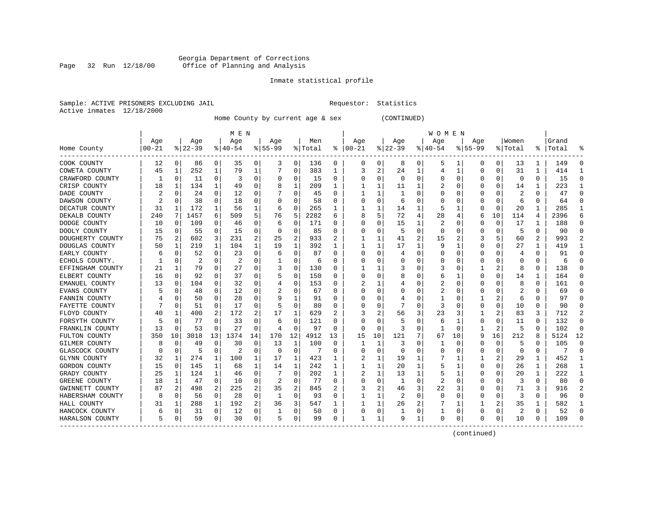#### Georgia Department of Corrections Page 32 Run 12/18/00 Office of Planning and Analysis

# Inmate statistical profile

|  | Sample: ACTIVE PRISONERS EXCLUDING JAIL |  |
|--|-----------------------------------------|--|
|  | Active inmates 12/18/2000               |  |

L Bample: Active Prequestor: Statistics

Home County by current age & sex (CONTINUED)

|                  |           |             |           |    | M E N    |          |             |              |         |                  |          |    |          |                | <b>WOMEN</b> |          |              |          |          |              |       |              |
|------------------|-----------|-------------|-----------|----|----------|----------|-------------|--------------|---------|------------------|----------|----|----------|----------------|--------------|----------|--------------|----------|----------|--------------|-------|--------------|
|                  | Age       |             | Age       |    | Age      |          | Aqe         |              | Men     |                  | Age      |    | Aqe      |                | Age          |          | Aqe          |          | Women    |              | Grand |              |
| Home County      | $00 - 21$ |             | $ 22-39 $ |    | $ 40-54$ |          | $8155 - 99$ |              | % Total | ႜ                | $ 00-21$ |    | $ 22-39$ |                | $ 40-54$     |          | $8155 - 99$  |          | % Total  | ႜႜ           | Total |              |
| COOK COUNTY      | 12        | 0           | 86        | 0  | 35       | 0        | 3           | 0            | 136     | 0                | 0        | 0  | 8        | 0              | 5            |          | 0            | 0        | 13       | 1            | 149   | C            |
| COWETA COUNTY    | 45        | 1           | 252       | 1  | 79       | 1        |             | 0            | 383     | 1                | 3        | 2  | 24       | 1              | 4            | -1       | <sup>0</sup> | 0        | 31       | 1            | 414   |              |
| CRAWFORD COUNTY  |           | 0           | 11        | 0  | 3        | 0        | 0           | $\Omega$     | 15      | 0                | C        | 0  | $\Omega$ | $\Omega$       | 0            | C        |              | $\Omega$ | $\Omega$ | 0            | 15    | ſ            |
| CRISP COUNTY     | 18        | 1           | 134       | 1  | 49       | 0        |             | 1            | 209     | 1                |          | 1  | 11       |                | 2            | C        |              | $\Omega$ | 14       | 1            | 223   |              |
| DADE COUNTY      |           | 0           | 24        | 0  | 12       | 0        |             | 0            | 45      | O                |          | 1  |          | $\Omega$       | Ω            | C        |              | O        | 2        | O            | 47    | ∩            |
| DAWSON COUNTY    |           | 0           | 38        | 0  | 18       | 0        |             | $\Omega$     | 58      | O                | C        | O  | 6        | $\Omega$       | C            | C        |              | $\Omega$ | 6        | $\Omega$     | 64    | ∩            |
| DECATUR COUNTY   | 31        | 1           | 172       | 1  | 56       | 1        | 6           | $\Omega$     | 265     | 1                |          | 1  | 14       | 1              | 5            | -1       | <sup>0</sup> | $\Omega$ | 20       | 1            | 285   | -1           |
| DEKALB COUNTY    | 240       | 7           | 1457      | 6  | 509      | 5        | 76          | 5            | 2282    | 6                | 8        | 5  | 72       | $\overline{4}$ | 28           |          | 6            | 10       | 114      | 4            | 2396  | б            |
| DODGE COUNTY     | 10        | 0           | 109       | 0  | 46       | 0        | 6           | 0            | 171     | O                | 0        | 0  | 15       |                | 2            | C        | 0            | 0        | 17       | 1            | 188   | O            |
| DOOLY COUNTY     | 15        | 0           | 55        | 0  | 15       | 0        | 0           | $\Omega$     | 85      | 0                |          | 0  | 5        | $\Omega$       | 0            | C        |              | 0        | 5        | 0            | 90    | <sup>0</sup> |
| DOUGHERTY COUNTY | 75        | 2           | 602       | 3  | 231      | 2        | 25          | 2            | 933     |                  |          |    | 41       | 2              | 15           |          | 3            | 5        | 60       | 2            | 993   |              |
| DOUGLAS COUNTY   | 50        | 1           | 219       | 1  | 104      | 1        | 19          | 1            | 392     | 1                |          | 1  | 17       |                | 9            |          | <sup>0</sup> | O        | 27       | $\mathbf{1}$ | 419   |              |
| EARLY COUNTY     | 6         | 0           | 52        | 0  | 23       | 0        | 6           | 0            | 87      | O                | C        | 0  | 4        | $\Omega$       | 0            | C        |              | O        | 4        | 0            | 91    | n            |
| ECHOLS COUNTY.   |           | $\Omega$    | 2         | 0  | 2        | 0        |             | $\Omega$     | 6       | O                |          | 0  | 0        | $\Omega$       | C            | C        |              | 0        | C        | 0            | 6     | ſ            |
| EFFINGHAM COUNTY | 21        | 1           | 79        | 0  | 27       | 0        | 3           | 0            | 130     | O                |          |    |          | $\Omega$       | 3            | C        |              | 2        | 8        | 0            | 138   | ſ            |
| ELBERT COUNTY    | 16        | $\mathbf 0$ | 92        | 0  | 37       | 0        |             | 0            | 150     | O                |          | 0  |          | 0              | 6            |          | 0            | $\Omega$ | 14       | 1            | 164   | C            |
| EMANUEL COUNTY   | 13        | 0           | 104       | 0  | 32       | 0        |             | 0            | 153     | O                |          | 1  |          | $\Omega$       | 2            | C        | <sup>0</sup> | O        | 8        | 0            | 161   | <sup>0</sup> |
| EVANS COUNTY     |           | 0           | 48        | 0  | 12       | 0        |             | 0            | 67      | O                | C        | 0  | O        | O              | 2            | C        | O            | O        |          | 0            | 69    | $\Omega$     |
| FANNIN COUNTY    |           | 0           | 50        | 0  | 28       | 0        |             | 1            | 91      | $\left( \right)$ | O        | 0  |          | O              |              | C        |              | 2        | 6        | 0            | 97    | n            |
| FAYETTE COUNTY   |           | 0           | 51        | 0  | 17       | 0        |             | $\Omega$     | 80      | 0                |          | 0  |          | $\Omega$       | 3            | C        | O            | 0        | 10       | 0            | 90    | O            |
| FLOYD COUNTY     | 40        | 1           | 400       | 2  | 172      | 2        | 17          | 1            | 629     |                  |          | 2  | 56       | 3              | 23           | 3        |              | 2        | 83       | 3            | 712   |              |
| FORSYTH COUNTY   |           | 0           | 77        | O  | 33       | 0        | 6           | $\Omega$     | 121     | U                |          | U  | 5        | $\Omega$       | 6            |          | <sup>0</sup> | O        | 11       | O            | 132   | ſ            |
| FRANKLIN COUNTY  | 13        | 0           | 53        | 0  | 27       | $\Omega$ | 4           | $\Omega$     | 97      | O                | 0        | 0  | 3        | $\Omega$       | 1            | C        |              | 2        | 5        | 0            | 102   | $\Omega$     |
| FULTON COUNTY    | 350       | 10          | 3018      | 13 | 1374     | 14       | 170         | 12           | 4912    | 13               | 15       | 10 | 121      | 7              | 67           | 10       | 9            | 16       | 212      | 8            | 5124  | 12           |
| GILMER COUNTY    | 8         | 0           | 49        | 0  | 30       | $\Omega$ | 13          | 1            | 100     | $\Omega$         | ı        | 1  | 3        | $\Omega$       |              | $\Omega$ |              | 0        | 5        | 0            | 105   | $\Omega$     |
| GLASCOCK COUNTY  |           | $\mathbf 0$ | 5         | 0  | 2        | 0        | $\Omega$    | 0            | 7       | O                |          | 0  | $\Omega$ | $\Omega$       | C            | C        |              | 0        | 0        | 0            |       | $\sqrt{ }$   |
| GLYNN COUNTY     | 32        | 1           | 274       | 1  | 100      | 1        | 17          | 1            | 423     | 1                |          | 1  | 19       |                | 7            |          |              | 2        | 29       | 1            | 452   |              |
| GORDON COUNTY    | 15        | 0           | 145       | 1  | 68       | 1        | 14          | $\mathbf{1}$ | 242     | 1                |          | 1  | 20       | 1              | 5            |          | <sup>0</sup> | $\Omega$ | 26       | $\mathbf{1}$ | 268   | -1           |
| GRADY COUNTY     | 25        | 1           | 124       | 1  | 46       | 0        |             | 0            | 202     | 1                |          | 1  | 13       |                | 5            |          | 0            | O        | 20       | 1            | 222   |              |
| GREENE COUNTY    | 18        | 1           | 47        | 0  | 10       | 0        | 2           | $\Omega$     | 77      | 0                | C        | 0  |          | $\Omega$       | 2            | C        |              |          | 3        | 0            | 80    | $\Omega$     |
| GWINNETT COUNTY  | 87        | 2           | 498       | 2  | 225      | 2        | 35          | 2            | 845     |                  |          | 2  | 46       | 3              | 22           |          |              | O        | 71       | ς            | 916   |              |
| HABERSHAM COUNTY | 8         | 0           | 56        | 0  | 28       | 0        | 1           | $\Omega$     | 93      | O                |          |    |          | $\Omega$       | $\Omega$     | ſ        | <sup>0</sup> | O        | 3        | O            | 96    | ∩            |
| HALL COUNTY      | 31        | 1           | 288       | 1  | 192      | 2        | 36          | 3            | 547     |                  |          |    | 26       |                |              |          |              | 2        | 35       | 1            | 582   |              |
| HANCOCK COUNTY   | 6         | 0           | 31        | 0  | 12       | 0        |             | 0            | 50      | 0                | 0        | 0  |          | $\Omega$       |              | C        | <sup>0</sup> | 0        | 2        | 0            | 52    | ſ            |
| HARALSON COUNTY  | 5         | 0           | 59        | 0  | 30       | 0        | 5           | 0            | 99      | 0                |          | 1  | 9        | 1              | $\Omega$     | $\Omega$ | ∩            | 0        | 10       | U            | 109   |              |

------------------------------------------------------------------------------------------------------------------------------------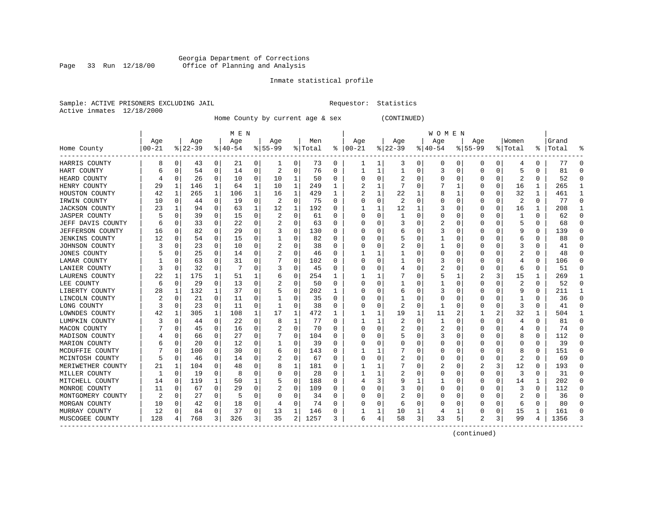#### Georgia Department of Corrections Page 33 Run 12/18/00 Office of Planning and Analysis

# Inmate statistical profile

|                | Sample: ACTIVE PRISONERS EXCLUDING JAII |  |
|----------------|-----------------------------------------|--|
| Active inmates | 12/18/2000                              |  |

L Bample: Active Prequestor: Statistics

Home County by current age & sex (CONTINUED)

|                       |          |              |               |          | M E N    |              |             |              |         |              |          |             |             |   | <b>WOMEN</b> |              |                |          |         |              |       |              |
|-----------------------|----------|--------------|---------------|----------|----------|--------------|-------------|--------------|---------|--------------|----------|-------------|-------------|---|--------------|--------------|----------------|----------|---------|--------------|-------|--------------|
|                       | Age      |              | Age           |          | Age      |              | Age         |              | Men     |              | Age      |             | Age         |   | Age          |              | Age            |          | Women   |              | Grand |              |
| Home County           | $ 00-21$ |              | $8   22 - 39$ |          | $ 40-54$ |              | $8155 - 99$ |              | % Total | ႜ            | $ 00-21$ |             | $8$   22-39 |   | $ 40-54$     |              | $8155 - 99$    |          | % Total | ႜ            | Total |              |
| HARRIS COUNTY         | 8        | 0            | 43            | 0        | 21       | 0            | 1           | 0            | 73      | 0            | 1        | 1           | 3           | 0 | 0            | 0            | 0              | 0        | 4       | 0            | 77    | -C           |
| HART COUNTY           | 6        | 0            | 54            | 0        | 14       | 0            | 2           | 0            | 76      | 0            |          | 1           |             | 0 | 3            | 0            | $\Omega$       | 0        | 5       | 0            | 81    | -C           |
| HEARD COUNTY          |          | $\Omega$     | 26            | $\Omega$ | 10       | 0            | 10          | 1            | 50      | 0            | C        | $\Omega$    |             | O | 0            | 0            | O              | $\Omega$ | 2       | 0            | 52    | $\cap$       |
| HENRY COUNTY          | 29       | 1            | 146           | 1        | 64       | 1            | 10          | 1            | 249     | 1            | 2        | 1           |             | O |              | 1            | O              | 0        | 16      | 1            | 265   | -1           |
| HOUSTON COUNTY        | 42       | $\mathbf{1}$ | 265           | 1        | 106      | $\mathbf{1}$ | 16          | $\mathbf{1}$ | 429     | $\mathbf{1}$ |          | $\mathbf 1$ | 22          |   | 8            |              | $\Omega$       | $\Omega$ | 32      | $\mathbf{1}$ | 461   | $\mathbf{1}$ |
| IRWIN COUNTY          | 10       | 0            | 44            | 0        | 19       | 0            | 2           | 0            | 75      | 0            | C        | 0           | 2           | O | 0            | 0            | $\Omega$       | $\Omega$ | 2       | $\Omega$     | 77    | $\Omega$     |
| <b>JACKSON COUNTY</b> | 23       |              | 94            | 0        | 63       | 1            | 12          | 1            | 192     | 0            |          | 1           | 12          | 1 | 3            | 0            | 0              | 0        | 16      | 1            | 208   | -1           |
| <b>JASPER COUNTY</b>  |          | $\Omega$     | 39            | 0        | 15       | 0            | 2           | 0            | 61      | 0            | 0        | 0           |             | 0 | 0            | 0            | 0              | $\Omega$ | 1       | 0            | 62    | $\Omega$     |
| JEFF DAVIS COUNTY     | 6        | $\Omega$     | 33            | 0        | 22       | 0            | 2           | $\Omega$     | 63      | O            |          | U           |             | O | 2            | 0            | O              | $\Omega$ | 5       | 0            | 68    | $\Omega$     |
| JEFFERSON COUNTY      | 16       | $\Omega$     | 82            | 0        | 29       | 0            | 3           | $\Omega$     | 130     | O            |          | U           | h           | O | 3            | O            | O              |          | q       | 0            | 139   | $\cap$       |
| <b>JENKINS COUNTY</b> | 12       | $\Omega$     | 54            | 0        | 15       | 0            |             | $\Omega$     | 82      | O            |          | U           |             | O |              | O            | O              | O        | 6       | 0            | 88    | $\Omega$     |
| JOHNSON COUNTY        | 3        | $\Omega$     | 23            | 0        | 10       | 0            | 2           | 0            | 38      | 0            |          | U           |             | O |              | O            |                | O        | 3       | 0            | 41    | -C           |
| JONES COUNTY          | 5        | 0            | 25            | 0        | 14       | 0            | 2           | 0            | 46      | 0            |          | 1           |             | 0 | 0            | 0            | 0              | $\Omega$ | 2       | 0            | 48    | n            |
| LAMAR COUNTY          |          | 0            | 63            | 0        | 31       | 0            |             | 0            | 102     | 0            |          | 0           |             | O | 3            | 0            | 0              | $\Omega$ | 4       | 0            | 106   | C            |
| LANIER COUNTY         | 3        | $\Omega$     | 32            | 0        | 7        | 0            | 3           | $\Omega$     | 45      | O            | O        | 0           |             | 0 | 2            | $\Omega$     | $\Omega$       | $\Omega$ | 6       | 0            | 51    | $\Omega$     |
| LAURENS COUNTY        | 22       | 1            | 175           | 1        | 51       | 1            | 6           | 0            | 254     | 1            |          | 1           |             | O | 5            | 1            | $\overline{2}$ | 3        | 15      | 1            | 269   | -1           |
| LEE COUNTY            | 6        | $\mathbf 0$  | 29            | 0        | 13       | 0            |             | 0            | 50      | 0            | n        | 0           |             | O |              | $\Omega$     | $\Omega$       | $\Omega$ | 2       | 0            | 52    | $\Omega$     |
| LIBERTY COUNTY        | 28       | 1            | 132           |          | 37       | 0            |             | $\Omega$     | 202     |              | C        | U           | 6           | 0 | 3            | 0            | O              | O        | q       | 0            | 211   | -1           |
| LINCOLN COUNTY        |          | $\Omega$     | 21            | 0        | 11       | 0            |             | $\Omega$     | 35      | 0            |          | 0           |             | 0 | 0            | 0            | O              |          |         | N            | 36    | $\cap$       |
| LONG COUNTY           | 3        | 0            | 23            | 0        | 11       | 0            |             | $\Omega$     | 38      | 0            |          | 0           |             | 0 |              | 0            | O              | O        | 3       | 0            | 41    | n            |
| LOWNDES COUNTY        | 42       |              | 305           | 1        | 108      | 1            | 17          | 1            | 472     | 1            |          |             | 19          |   | 11           | 2            |                | 2        | 32      | 1            | 504   |              |
| LUMPKIN COUNTY        | 3        | $\Omega$     | 44            | 0        | 22       | 0            | 8           | 1            | 77      | 0            |          | 1           |             | O | 1            | O            | O              | $\Omega$ | 4       | 0            | 81    | $\cap$       |
| MACON COUNTY          |          | $\Omega$     | 45            | 0        | 16       | 0            | 2           | $\mathbf 0$  | 70      | 0            | C        | $\Omega$    | 2           | O | 2            | 0            | O              | 0        | 4       | 0            | 74    | $\cap$       |
| MADISON COUNTY        |          | $\Omega$     | 66            | 0        | 27       | 0            |             | 0            | 104     | O            |          | O           |             | O | 3            | 0            | $\Omega$       | $\Omega$ | 8       | 0            | 112   | $\cap$       |
| MARION COUNTY         |          | $\Omega$     | 20            | 0        | 12       | 0            |             | 0            | 39      | O            |          | U           | O           | O | Ω            | 0            | $\Omega$       | O        | C       | 0            | 39    | $\Omega$     |
| MCDUFFIE COUNTY       |          | $\Omega$     | 100           | 0        | 30       | 0            | 6           | 0            | 143     | 0            |          |             |             | O | 0            | 0            | 0              | O        | 8       | 0            | 151   | $\Omega$     |
| MCINTOSH COUNTY       |          | $\Omega$     | 46            | 0        | 14       | 0            | 2           | 0            | 67      | 0            | O        | 0           | 2           | 0 | 0            | 0            | $\Omega$       | $\Omega$ | 2       | 0            | 69    | $\Omega$     |
| MERIWETHER COUNTY     | 21       | 1            | 104           | 0        | 48       | 0            | 8           | 1            | 181     | O            |          |             |             | O | 2            | 0            | 2              | 3        | 12      | 0            | 193   | $\Omega$     |
| MILLER COUNTY         |          | $\Omega$     | 19            | 0        | 8        | 0            |             | $\Omega$     | 28      | U            |          |             |             | O | 0            | 0            | $\Omega$       | 0        | 3       | 0            | 31    | $\cap$       |
| MITCHELL COUNTY       | 14       | $\Omega$     | 119           | 1        | 50       | 1            |             | $\Omega$     | 188     | O            |          | 3           |             |   |              | <sup>0</sup> | O              | $\Omega$ | 14      | 1            | 202   | $\Omega$     |
| MONROE COUNTY         | 11       | $\Omega$     | 67            | 0        | 29       | 0            |             | 0            | 109     | 0            |          | U           |             | O | 0            | O            | O              | $\Omega$ | 3       | 0            | 112   | $\Omega$     |
| MONTGOMERY COUNTY     | 2        | $\Omega$     | 27            | 0        | 5        | 0            |             | 0            | 34      | 0            |          | 0           | 2           | 0 | 0            | 0            | 0              | $\Omega$ | 2       | 0            | 36    | $\Omega$     |
| MORGAN COUNTY         | 10       | 0            | 42            | 0        | 18       | 0            |             | 0            | 74      | 0            |          | $\Omega$    | 6           | 0 |              | 0            | O              | 0        | 6       | 0            | 80    | C            |
| MURRAY COUNTY         | 12       | $\Omega$     | 84            | 0        | 37       | 0            | 13          | 1            | 146     | O            |          | 1           | 10          |   | 4            |              | $\Omega$       | 0        | 15      | 1            | 161   |              |
| MUSCOGEE COUNTY       | 128      | 4            | 768           | 3        | 326      | 3            | 35          | 2            | 1257    | 3            | 6        | 4           | 58          | 3 | 33           | 5            | $\mathfrak{D}$ | 3        | 99      | 4            | 1356  |              |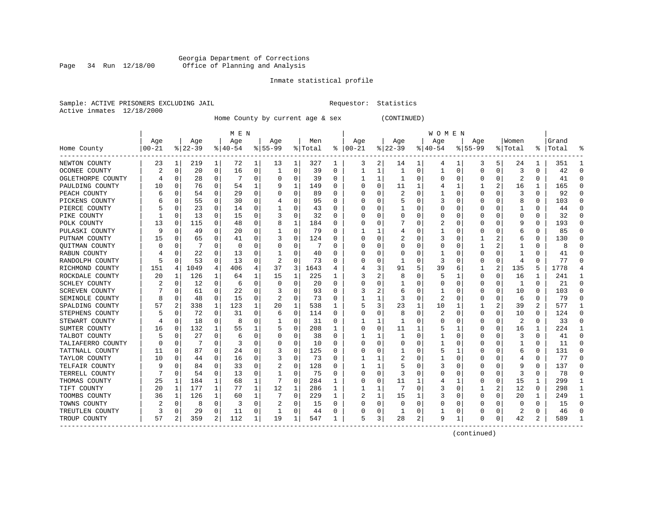#### Georgia Department of Corrections Page 34 Run 12/18/00 Office of Planning and Analysis

# Inmate statistical profile

|                | Sample: ACTIVE PRISONERS EXCLUDING JAII |  |
|----------------|-----------------------------------------|--|
| Active inmates | 12/18/2000                              |  |

L Requestor: Statistics

Home County by current age & sex (CONTINUED)

|                   |             |             |          |          | M E N    |          |                |              |         |              |               |   |             |          | W O M E N   |          |              |             |          |          |       |        |
|-------------------|-------------|-------------|----------|----------|----------|----------|----------------|--------------|---------|--------------|---------------|---|-------------|----------|-------------|----------|--------------|-------------|----------|----------|-------|--------|
|                   | Age         |             | Age      |          | Age      |          | Age            |              | Men     |              | Age           |   | Age         |          | Age         |          | Age          |             | Women    |          | Grand |        |
| Home County       | $ 00 - 21 $ |             | $ 22-39$ |          | $ 40-54$ |          | $8155 - 99$    |              | % Total |              | $8   00 - 21$ |   | $8$   22-39 |          | $8140 - 54$ |          | $8155 - 99$  |             | % Total  | ႜ        | Total |        |
| NEWTON COUNTY     | 23          | 1           | 219      | 1        | 72       | 1        | 13             | 1            | 327     | 1            | 3             | 2 | 14          | 1        | 4           | 1        | 3            | 5           | 24       | 1        | 351   |        |
| OCONEE COUNTY     | 2           | $\mathbf 0$ | 20       | 0        | 16       | 0        | 1              | 0            | 39      | $\Omega$     |               | 1 |             | $\Omega$ | 1           | $\Omega$ | $\Omega$     | $\mathbf 0$ | 3        | 0        | 42    | U      |
| OGLETHORPE COUNTY |             | $\Omega$    | 28       | $\Omega$ |          | 0        |                | $\Omega$     | 39      | 0            |               | 1 |             | O        | 0           | 0        |              | 0           | 2        | $\Omega$ | 41    |        |
| PAULDING COUNTY   | 10          | 0           | 76       | $\Omega$ | 54       | 1        |                | 1            | 149     | U            |               | 0 | 11          |          |             |          |              | 2           | 16       | 1        | 165   |        |
| PEACH COUNTY      |             | 0           | 54       | 0        | 29       | 0        |                | 0            | 89      | O            |               | 0 |             | $\Omega$ |             |          | 0            | 0           | 3        | 0        | 92    |        |
| PICKENS COUNTY    |             | 0           | 55       | 0        | 30       | $\Omega$ |                | 0            | 95      | 0            |               | 0 |             |          | 3           |          | <sup>0</sup> | $\Omega$    | 8        | $\Omega$ | 103   |        |
| PIERCE COUNTY     |             | $\Omega$    | 23       | 0        | 14       | 0        |                | $\Omega$     | 43      | 0            | C             | 0 |             |          | U           |          | <sup>0</sup> | 0           |          | 0        | 44    | U      |
| PIKE COUNTY       |             | 0           | 13       | 0        | 15       | 0        |                | 0            | 32      | 0            | O             | 0 |             |          | 0           |          | O            | $\Omega$    | 0        | 0        | 32    | $\cup$ |
| POLK COUNTY       | 13          | 0           | 115      | 0        | 48       | 0        |                | 1            | 184     | U            | C             | 0 |             |          | 2           |          |              | $\Omega$    | 9        | $\Omega$ | 193   |        |
| PULASKI COUNTY    | q           | C           | 49       | O        | 20       | 0        |                | 0            | 79      | U            |               |   |             |          |             |          |              | 0           | 6        | 0        | 85    |        |
| PUTNAM COUNTY     | 15          | 0           | 65       | O        | 41       | 0        | 3              | $\Omega$     | 124     | U            |               | U |             |          | 3           |          |              | 2           | 6        | 0        | 130   |        |
| QUITMAN COUNTY    | O           | C           |          | 0        | 0        | 0        |                | O            | 7       | U            |               | 0 |             |          | U           |          |              | 2           |          | 0        | 8     |        |
| RABUN COUNTY      |             | $\Omega$    | 22       | 0        | 13       | 0        |                | $\Omega$     | 40      | U            |               | 0 |             |          |             |          |              | $\Omega$    |          | 0        | 41    |        |
| RANDOLPH COUNTY   |             | 0           | 53       | 0        | 13       | 0        | $\overline{c}$ | 0            | 73      | U            |               | 0 |             |          | 3           |          |              | 0           | 4        | $\Omega$ | 77    |        |
| RICHMOND COUNTY   | 151         | 4           | 1049     | 4        | 406      | 4        | 37             | 3            | 1643    | 4            |               | 3 | 91          |          | 39          | 6        |              | 2           | 135      | 5        | 1778  |        |
| ROCKDALE COUNTY   | 20          | 1           | 126      | 1        | 64       | 1        | 15             | 1            | 225     | 1            |               | 2 |             |          | 5           |          | 0            | 0           | 16       | 1        | 241   |        |
| SCHLEY COUNTY     |             | 0           | 12       | $\Omega$ | 6        | 0        |                | 0            | 20      | <sup>0</sup> |               | 0 |             |          | U           |          | <sup>0</sup> | 0           | 1        | $\Omega$ | 21    | ∩      |
| SCREVEN COUNTY    |             | 0           | 61       | 0        | 22       | 0        |                | 0            | 93      | U            |               | 2 | 6           |          |             |          | O            | 0           | 10       | 0        | 103   | U      |
| SEMINOLE COUNTY   | 8           | 0           | 48       | 0        | 15       | 0        | 2              | $\Omega$     | 73      | 0            |               |   | 3           |          | 2           |          | <sup>0</sup> | $\Omega$    | 6        | $\Omega$ | 79    |        |
| SPALDING COUNTY   | 57          | 2           | 338      | 1        | 123      | 1        | 20             | $\mathbf{1}$ | 538     | 1            |               | 3 | 23          |          | 10          |          |              | 2           | 39       | 2        | 577   |        |
| STEPHENS COUNTY   |             | 0           | 72       | 0        | 31       | 0        | 6              | 0            | 114     | U            |               | 0 |             | O        | 2           |          | <sup>0</sup> | 0           | 10       | $\Omega$ | 124   |        |
| STEWART COUNTY    |             | $\Omega$    | 18       | 0        | 8        | U        |                | $\Omega$     | 31      | U            |               |   |             |          | U           |          |              | $\Omega$    | 2        | $\Omega$ | 33    |        |
| SUMTER COUNTY     | 16          | 0           | 132      | 1        | 55       | 1        |                | 0            | 208     | 1.           |               | 0 | 11          |          |             |          |              | 0           | 16       | 1        | 224   |        |
| TALBOT COUNTY     |             | 0           | 27       | 0        | 6        | 0        |                | 0            | 38      | U            |               |   |             | O        |             |          |              | $\Omega$    | 3        | 0        | 41    |        |
| TALIAFERRO COUNTY |             | 0           |          | 0        | 3        | 0        |                | 0            | 10      | 0            |               | 0 |             |          |             |          |              | $\Omega$    |          | 0        | 11    |        |
| TATTNALL COUNTY   | 11          | $\Omega$    | 87       | O        | 24       | 0        |                | 0            | 125     | O            |               | 0 |             |          | 5           |          |              | $\Omega$    | 6        | 0        | 131   |        |
| TAYLOR COUNTY     | 10          | 0           | 44       | 0        | 16       | 0        | 3              | 0            | 73      | U            |               |   |             |          |             |          | ∩            | 0           | 4        | 0        | 77    | ∩      |
| TELFAIR COUNTY    | Q           | $\Omega$    | 84       | 0        | 33       | 0        |                | $\Omega$     | 128     | U            |               | 1 |             |          | 3           |          | <sup>0</sup> | $\Omega$    | 9        | $\Omega$ | 137   | ∩      |
| TERRELL COUNTY    |             | 0           | 54       | $\Omega$ | 13       | 0        |                | 0            | 75      | U            | C             | 0 |             | O        | U           |          | O            | 0           | 3        | 0        | 78    | U      |
| THOMAS COUNTY     | 25          | 1           | 184      |          | 68       | 1        |                | 0            | 284     |              | C             | 0 | 11          |          | 4           |          |              | 0           | 15       | 1        | 299   |        |
| TIFT COUNTY       | 20          | 1           | 177      |          | 77       | 1        | 12             | 1            | 286     | 1            |               |   |             | $\Omega$ | 3           |          |              | 2           | 12       | 0        | 298   |        |
| TOOMBS COUNTY     | 36          | 1           | 126      |          | 60       | 1        |                | $\Omega$     | 229     | 1            |               |   | 15          |          | 3           |          | <sup>0</sup> | 0           | 20       | 1        | 249   |        |
| TOWNS COUNTY      |             | 0           | 8        | 0        | 3        | 0        | 2              | 0            | 15      | U            |               | O |             |          | U           |          |              |             | $\Omega$ | $\Omega$ | 15    |        |
| TREUTLEN COUNTY   |             | 0           | 29       | 0        | 11       | 0        |                | $\Omega$     | 44      | U            |               | 0 |             | O        |             | O        |              | 0           | 2        | 0        | 46    |        |
| TROUP COUNTY      | 57          | 2           | 359      | 2        | 112      | 1        | 19             | 1            | 547     | 1            | 5             | 3 | 28          | 2        | 9           |          |              | 0           | 42       | 2        | 589   |        |

------------------------------------------------------------------------------------------------------------------------------------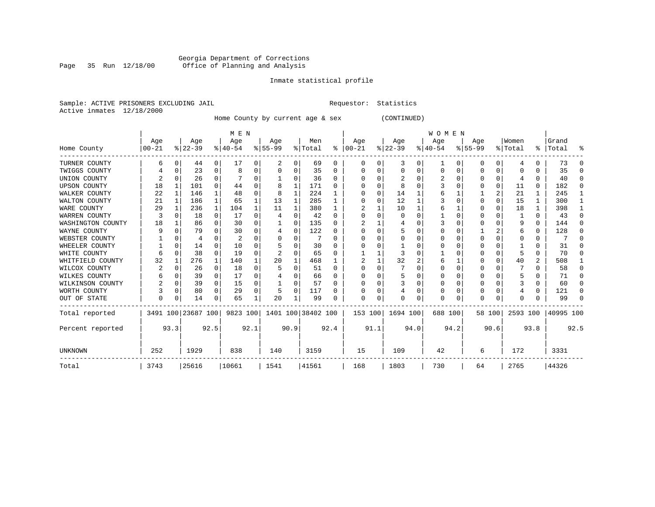#### Georgia Department of Corrections Page 35 Run 12/18/00 Office of Planning and Analysis

# Inmate statistical profile

|  |                           | Sample: ACTIVE PRISONERS EXCLUDING JAIL |  | Requestor: Statistics |  |
|--|---------------------------|-----------------------------------------|--|-----------------------|--|
|  | Active inmates 12/18/2000 |                                         |  |                       |  |

Home County by current age & sex (CONTINUED)

|                     |          |          |                    |              | M E N     |          |           |              |                    |              |          |          |              |      | <b>WOMEN</b> |          |           |             |          |          |           |        |
|---------------------|----------|----------|--------------------|--------------|-----------|----------|-----------|--------------|--------------------|--------------|----------|----------|--------------|------|--------------|----------|-----------|-------------|----------|----------|-----------|--------|
|                     | Age      |          | Age                |              | Age       |          | Age       |              | Men                |              | Age      |          | Age          |      | Age          |          | Age       |             | Women    |          | Grand     |        |
| Home County         | $ 00-21$ |          | $ 22-39 $          |              | $8 40-54$ |          | $8 55-99$ |              | % Total            | ႜၟ           | $ 00-21$ |          | $ 22-39 $    |      | $ 40-54 $    |          | $8 55-99$ |             | % Total  |          | %   Total | ႜ      |
| TURNER COUNTY       | 6        |          | 44                 | 0            | 17        | 0        | 2         | 0            | 69                 | 0            | $\Omega$ |          | 3            | 0    |              | 0        | 0         | 0           | 4        | 0        | 73        | ∩      |
| TWIGGS COUNTY       |          | U        | 23                 | 0            | 8         | 0        | U         | 0            | 35                 | 0            |          |          | $\Omega$     | U    | 0            | $\Omega$ | 0         | 0           | 0        | U        | 35        | ∩      |
| UNION COUNTY        |          |          | 26                 | 0            |           | U        |           | O            | 36                 | $\Omega$     |          |          |              | U    |              | $\Omega$ |           | 0           |          | 0        | 40        |        |
| <b>UPSON COUNTY</b> | 18       | 1        | 101                | $\Omega$     | 44        | $\Omega$ | 8         | $\mathbf{1}$ | 171                | $\Omega$     |          |          | 8            | U    |              | $\Omega$ |           | $\mathbf 0$ | 11       | $\Omega$ | 182       | ∩      |
| WALKER COUNTY       | 22       | 1        | 146                | $\mathbf{1}$ | 48        | 0        | 8         | $\mathbf{1}$ | 224                |              |          | $\Omega$ | 14           |      |              |          |           | 2           | 21       |          | 245       |        |
| WALTON COUNTY       | 21       |          | 186                | $\mathbf{1}$ | 65        |          | 13        | 1            | 285                |              |          |          | 12           |      |              |          | 0         | 0           | 15       | 1        | 300       |        |
| WARE COUNTY         | 29       |          | 236                | $\mathbf{1}$ | 104       |          | 11        | $\mathbf{1}$ | 380                | 1            |          |          | 10           |      |              |          | U         | 0           | 18       | 1        | 398       |        |
| WARREN COUNTY       | 3        |          | 18                 | $\Omega$     | 17        | U        |           | O            | 42                 | $\Omega$     |          |          | <sup>0</sup> |      |              |          |           |             |          | 0        | 43        |        |
| WASHINGTON COUNTY   | 18       |          | 86                 | $\Omega$     | 30        | 0        |           | 0            | 135                | $\Omega$     |          |          |              |      |              |          | 0         | 0           | 9        | $\Omega$ | 144       |        |
| WAYNE COUNTY        |          |          | 79                 | 0            | 30        | $\Omega$ |           | $\Omega$     | 122                | <sup>0</sup> |          |          | 5            | U    |              | ∩        |           |             | 6        | 0        | 128       |        |
| WEBSTER COUNTY      |          |          | 4                  | 0            | 2         |          |           | 0            |                    | $\Omega$     |          |          |              |      |              | ∩        | U         | U           | $\Omega$ | 0        |           |        |
| WHEELER COUNTY      |          | $\Omega$ | 14                 | 0            | 10        |          |           | O            | 30                 | $\Omega$     |          |          |              |      |              |          | U         |             |          | 0        | 31        |        |
| WHITE COUNTY        |          |          | 38                 | 0            | 19        | U        | 2         | 0            | 65                 | $\Omega$     |          |          |              |      |              |          |           | 0           |          | 0        | 70        | n      |
| WHITFIELD COUNTY    | 32       |          | 276                | $\mathbf 1$  | 140       |          | 20        | 1            | 468                |              | 2        |          | 32           |      | 6            |          |           | 0           | 40       | 2        | 508       |        |
| WILCOX COUNTY       |          |          | 26                 | 0            | 18        | 0        |           | O            | 51                 | $\Omega$     | U        |          |              | U    | $\Omega$     | ∩        | O         | U           |          | 0        | 58        | n      |
| WILKES COUNTY       |          |          | 39                 | 0            | 17        | 0        |           | 0            | 66                 | $\Omega$     |          |          | 5            |      |              | $\Omega$ | U         | O           | 5        | 0        | 71        | n      |
| WILKINSON COUNTY    |          | $\Omega$ | 39                 | $\Omega$     | 15        | $\Omega$ |           | O            | 57                 | $\Omega$     |          |          | 3            | 0    |              | $\Omega$ | $\Omega$  | 0           |          | $\Omega$ | 60        | ∩      |
| WORTH COUNTY        |          | $\Omega$ | 80                 | 0            | 29        | 0        | 5         | O            | 117                | $\Omega$     |          |          |              | U    |              | $\Omega$ | O         | U           |          | 0        | 121       | $\cap$ |
| OUT OF STATE        | O        | 0        | 14                 |              | 65        |          | 20        |              | 99                 | 0            | O        | 0        |              | 0    |              | $\Omega$ |           | 0           |          |          | 99        |        |
| Total reported      |          |          | 3491 100 23687 100 |              | 9823 100  |          |           |              | 1401 100 38402 100 |              | 153 100  |          | 1694 100     |      | 688 100      |          |           | 58 100      | 2593 100 |          | 40995 100 |        |
| Percent reported    |          | 93.3     |                    | 92.5         |           | 92.1     |           | 90.9         |                    | 92.4         |          | 91.1     |              | 94.0 |              | 94.2     |           | 90.6        |          | 93.8     |           | 92.5   |
| <b>UNKNOWN</b>      | 252      |          | 1929               |              | 838       |          | 140       |              | 3159               |              | 15       |          | 109          |      | 42           |          | 6         |             | 172      |          | 3331      |        |
| Total               | 3743     |          | 25616              |              | 10661     |          | 1541      |              | 41561              |              | 168      |          | 1803         |      | 730          |          | 64        |             | 2765     |          | 44326     |        |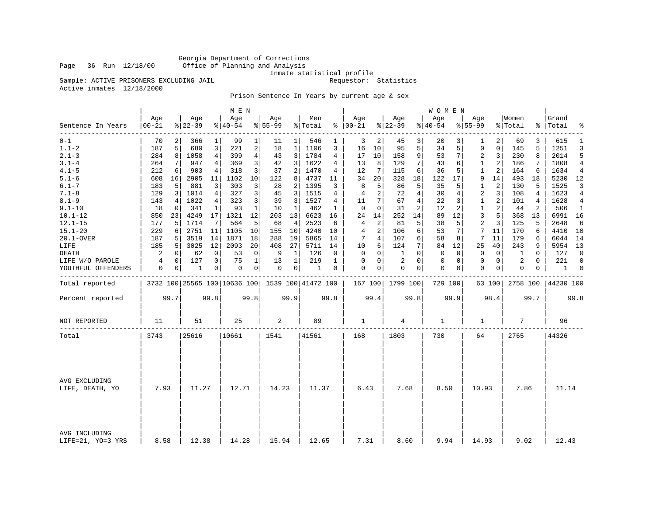Georgia Department of Corrections Office of Planning and Analysis

Inmate statistical profile<br>Requestor: Statistics

Sample: ACTIVE PRISONERS EXCLUDING JAIL Active inmates 12/18/2000

Prison Sentence In Years by current age & sex

|                                    |                  |             |                  |                | M E N            |                |                  |          |                                                 |      |                      |                |                  |          | <b>WOMEN</b>       |          |                    |                |                  |                |                |             |
|------------------------------------|------------------|-------------|------------------|----------------|------------------|----------------|------------------|----------|-------------------------------------------------|------|----------------------|----------------|------------------|----------|--------------------|----------|--------------------|----------------|------------------|----------------|----------------|-------------|
| Sentence In Years                  | Age<br>$00 - 21$ |             | Age<br>$8 22-39$ |                | Age<br>$8 40-54$ |                | Age<br>$8 55-99$ |          | Men<br>% Total                                  |      | Age<br>$8   00 - 21$ |                | Age<br>$8 22-39$ |          | Age<br>$8140 - 54$ |          | Age<br>$8155 - 99$ |                | Women<br>% Total | ႜ              | Grand<br>Total | ٩,          |
| --------<br>$0 - 1$                | 70               |             | 366              |                | 99               | 1              | 11               | $1\vert$ | 546                                             |      | 3                    | 2              | 45               | 3        | 20                 |          | 1                  | 2              | 69               | 3              | 615            | 1           |
| $1.1 - 2$                          | 187              | 5           | 680              | 3              | 221              | 2              | 18               | 1        | 1106                                            | 3    | 16                   | 10             | 95               | 5        | 34                 | 5        | 0                  | 0              | 145              | 5              | 1251           | 3           |
| $2.1 - 3$                          | 284              | 8           | 1058             | $\overline{4}$ | 399              | $\overline{4}$ | 43               | 3        | 1784                                            | 4    | 17                   | 10             | 158              | 9        | 53                 | 7        | 2                  | 3              | 230              | 8              | 2014           | 5           |
| $3.1 - 4$                          | 264              | 7           | 947              | 4              | 369              | 3              | 42               | 3        | 1622                                            | 4    | 13                   | 8              | 129              | 7        | 43                 | 6        | $\mathbf{1}$       | 2              | 186              | 7              | 1808           | 4           |
| $4.1 - 5$                          | 212              | 6           | 903              | 4              | 318              | 3              | 37               | 2        | 1470                                            | 4    | 12                   | 7              | 115              | 6        | 36                 | 5        | 1                  | $\overline{c}$ | 164              | 6              | 1634           | 4           |
| $5.1 - 6$                          | 608              | 16          | 2905             | 11             | 1102             | 10             | 122              | 8        | 4737                                            | 11   | 34                   | 20             | 328              | 18       | 122                | 17       | 9                  | 14             | 493              | 18             | 5230           | 12          |
| $6.1 - 7$                          | 183              | 5           | 881              | 3              | 303              | 3              | 28               | 2        | 1395                                            | 3    | 8                    | 5              | 86               | 5        | 35                 | 5        | $\mathbf{1}$       | 2              | 130              | 5              | 1525           | 3           |
| $7.1 - 8$                          | 129              | 3           | 1014             | 4              | 327              | 3              | 45               | 3        | 1515                                            | 4    | 4                    | 2              | 72               | 4        | 30                 | 4        | 2                  | 3              | 108              | 4              | 1623           | 4           |
| $8.1 - 9$                          | 143              | 4           | 1022             | 4              | 323              | 3              | 39               | 3        | 1527                                            | 4    | 11                   | 7              | 67               | 4        | 22                 | 3        | $\mathbf{1}$       | 2              | 101              | 4              | 1628           | 4           |
| $9.1 - 10$                         | 18               | 0           | 341              | 1              | 93               | $\mathbf{1}$   | 10               | 1        | 462                                             | 1    | $\mathbf 0$          | $\mathbf 0$    | 31               | 2        | 12                 | 2        | $\mathbf{1}$       | 2              | 44               | $\overline{2}$ | 506            | 1           |
| $10.1 - 12$                        | 850              | 23          | 4249             | 17             | 1321             | 12             | 203              | 13       | 6623                                            | 16   | 24                   | 14             | 252              | 14       | 89                 | 12       | 3                  | 5              | 368              | 13             | 6991 16        |             |
| $12.1 - 15$                        | 177              | 5           | 1714             | 7              | 564              | 5              | 68               | 4        | 2523                                            | 6    | 4                    | $\overline{2}$ | 81               | 5        | 38                 | 5        | $\overline{c}$     | 3              | 125              | 5              | 2648           | 6           |
| $15.1 - 20$                        | 229              | 6           | 2751             | 11             | 1105             | 10             | 155              | 10       | 4240                                            | 10   | 4                    | 2              | 106              | 6        | 53                 | 7        | 7                  | 11             | 170              | 6              | 4410           | 10          |
| 20.1-OVER                          | 187              | 5           | 3519             | 14             | 1871             | 18             | 288              | 19       | 5865                                            | 14   | 7                    | $\overline{4}$ | 107              | 6        | 58                 | 8        | 7                  | 11             | 179              | 6              | 6044           | 14          |
| LIFE                               | 185              | 5           | 3025             | 12             | 2093             | 20             | 408              | 27       | 5711                                            | 14   | 10                   | 6              | 124              | 7        | 84                 | 12       | 25                 | 40             | 243              | 9              | 5954 13        |             |
| DEATH                              | $\sqrt{2}$       | 0           | 62               | 0              | 53               | $\mathbf 0$    | 9                | 1        | 126                                             | 0    | $\mathbf 0$          | $\mathbf 0$    | 1                | $\Omega$ | $\mathbf 0$        | 0        | 0                  | $\mathbf 0$    | 1                | $\Omega$       | 127            | $\mathbf 0$ |
| LIFE W/O PAROLE                    | 4                | $\mathbf 0$ | 127              | 0              | 75               | 1              | 13               | 1        | 219                                             | 1    | 0                    | $\mathbf 0$    | 2                | $\Omega$ | 0                  | $\Omega$ | $\Omega$           | $\mathbf 0$    | 2                | $\Omega$       | 221            | $\Omega$    |
| YOUTHFUL OFFENDERS                 | 0                | 0           | 1                | 0              | 0                | 0              | 0                | 0        | 1                                               | 0    | $\Omega$             | 0              | 0                | 0        | $\mathbf 0$        | 0        | 0                  | 0              | 0                | 0              | 1              | 0           |
| Total reported                     |                  |             |                  |                |                  |                |                  |          | 3732 100 25565 100 10636 100 1539 100 41472 100 |      |                      |                | 167 100 1799 100 |          | 729 100            |          |                    | 63 100         | 2758 100         |                | 44230 100      |             |
| Percent reported                   |                  | 99.7        |                  | 99.8           |                  | 99.8           |                  | 99.9     |                                                 | 99.8 |                      | 99.4           |                  | 99.8     |                    | 99.9     |                    | 98.4           |                  | 99.7           |                | 99.8        |
| NOT REPORTED                       | 11               |             | 51               |                | 25               |                | 2                |          | 89                                              |      | 1                    |                | 4                |          | 1                  |          | 1                  |                | 7                |                | 96             |             |
| Total                              | 3743             |             | 25616            |                | 10661            |                | 1541             |          | 41561                                           |      | 168                  |                | 1803             |          | 730                |          | 64                 |                | 2765             |                | 44326          |             |
|                                    |                  |             |                  |                |                  |                |                  |          |                                                 |      |                      |                |                  |          |                    |          |                    |                |                  |                |                |             |
| AVG EXCLUDING<br>LIFE, DEATH, YO   | 7.93             |             | 11.27            |                | 12.71            |                | 14.23            |          | 11.37                                           |      | 6.43                 |                | 7.68             |          | 8.50               |          | 10.93              |                | 7.86             |                | 11.14          |             |
| AVG INCLUDING<br>LIFE=21, YO=3 YRS | 8.58             |             | 12.38            |                | 14.28            |                | 15.94            |          | 12.65                                           |      | 7.31                 |                | 8.60             |          | 9.94               |          | 14.93              |                | 9.02             |                | 12.43          |             |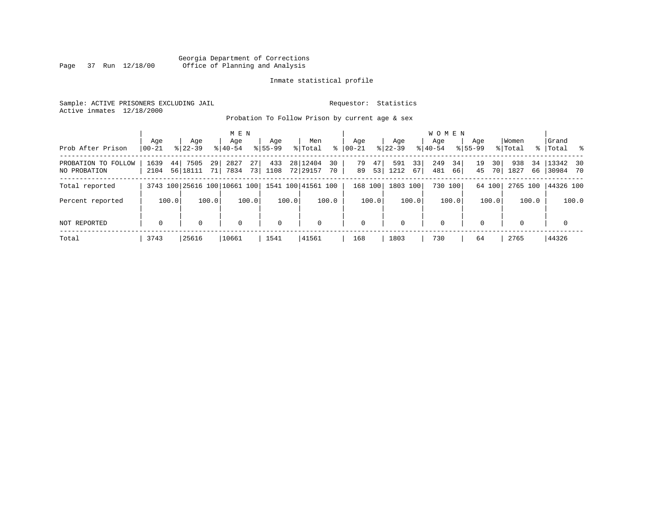# Georgia Department of Corrections<br>Page 37 Run 12/18/00 Office of Planning and Analysis Page 37 Run 12/18/00 Office of Planning and Analysis

# Inmate statistical profile

Sample: ACTIVE PRISONERS EXCLUDING JAIL **Requestor:** Statistics Active inmates 12/18/2000

Probation To Follow Prison by current age & sex

|                                     |                    |                           | M E N                                           |                    |                                    |                      |                         | W O M E N              |                      |                         |                           |
|-------------------------------------|--------------------|---------------------------|-------------------------------------------------|--------------------|------------------------------------|----------------------|-------------------------|------------------------|----------------------|-------------------------|---------------------------|
| Prob After Prison                   | Age<br>$ 00 - 21 $ | Age<br>$8122 - 39$        | Age<br>$8140 - 54$                              | Age<br>$8155 - 99$ | Men<br>% Total<br>ႜ                | Age<br>  00-21       | Aqe<br>$8122 - 39$      | Aqe<br>$8140 - 54$     | Age<br>$8155 - 99$   | Women<br>% Total        | Grand<br>%   Total<br>- 왕 |
| PROBATION TO FOLLOW<br>NO PROBATION | 1639<br>44<br>2104 | 7505<br>29<br>56 18111 71 | 27 <sup>1</sup><br>2827<br>7834<br>73           | 433<br>1108        | 28   12404<br>30<br>72 29157<br>70 | 79<br>47<br>89<br>53 | 33<br>591<br>1212<br>67 | 249<br>34<br>481<br>66 | 19<br>30<br>45<br>70 | 938<br>34<br>1827<br>66 | 13342 30<br>30984 70      |
| Total reported                      |                    |                           | 3743 100 25616 100 10661 100 1541 100 41561 100 |                    |                                    | 168 100              | 1803 100                | 730 100                | 64 100               | 2765 100                | 44326 100                 |
| Percent reported                    | 100.0              | 100.0                     | 100.0                                           | 100.0              | 100.0                              | 100.0                | 100.0                   | 100.0                  | 100.0                | 100.0                   | 100.0                     |
| NOT REPORTED                        | $\mathbf 0$        | $\Omega$                  | $\Omega$                                        | $\mathbf 0$        | $\mathbf 0$                        | $\Omega$             | $\Omega$                | $\mathbf 0$            | $\Omega$             | $\Omega$                | $\mathbf{0}$              |
| Total                               | 3743               | 25616                     | 10661                                           | 1541               | 41561                              | 168                  | 1803                    | 730                    | 64                   | 2765                    | 44326                     |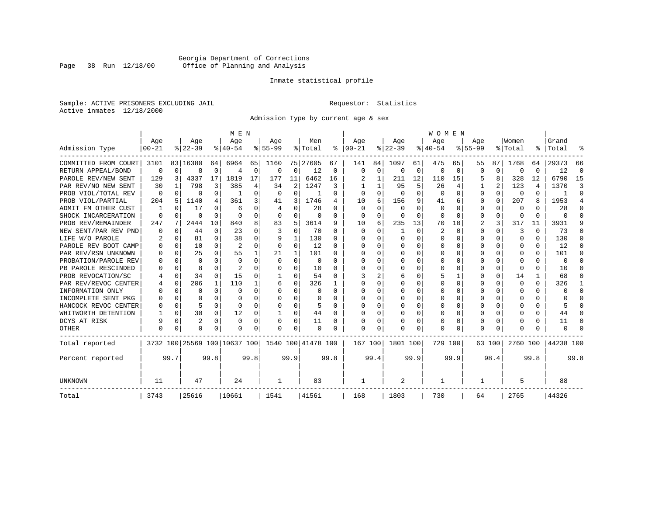# Georgia Department of Corrections<br>Page 38 Run 12/18/00 Office of Planning and Analysis Page 38 Run 12/18/00 Office of Planning and Analysis

# Inmate statistical profile

Sample: ACTIVE PRISONERS EXCLUDING JAIL **Requestor:** Statistics Active inmates 12/18/2000

Admission Type by current age & sex

|                                            |                  |          |                  |          | M E N                        |                |                  |              |                    |          |                 |              |                  |                | <b>WOMEN</b>    |                |                    |              |                  |                |                  |          |
|--------------------------------------------|------------------|----------|------------------|----------|------------------------------|----------------|------------------|--------------|--------------------|----------|-----------------|--------------|------------------|----------------|-----------------|----------------|--------------------|--------------|------------------|----------------|------------------|----------|
| Admission Type                             | Age<br>$00 - 21$ |          | Age<br>$8 22-39$ |          | Age<br>$ 40-54$              |                | Age<br>$8 55-99$ |              | Men<br>% Total     | ៖        | Age<br>$ 00-21$ |              | Age<br>$ 22-39$  |                | Age<br>$ 40-54$ |                | Age<br>$8155 - 99$ |              | Women<br>% Total | ွေ             | Grand<br>Total   | ႜ        |
| COMMITTED FROM COURT                       |                  |          |                  |          |                              |                |                  |              |                    |          |                 | 84           |                  |                |                 |                |                    | 87           |                  |                |                  | 66       |
| RETURN APPEAL/BOND                         | 3101<br>$\Omega$ | $\Omega$ | 83 16380<br>8    | 64<br>0  | 6964                         | 65<br>$\Omega$ | 1160<br>0        | $\mathbf 0$  | 75 27605<br>12     | 67<br>0  | 141<br>$\Omega$ | $\Omega$     | 1097<br>$\Omega$ | 61<br>$\Omega$ | 475<br>$\Omega$ | 65<br>$\Omega$ | 55<br>$\Omega$     | $\Omega$     | 1768<br>$\Omega$ | 64<br>0        | 29373<br>12      | $\Omega$ |
| PAROLE REV/NEW SENT                        | 129              |          | 4337             | 17       | 1819                         | 17             | 177              | 11           | 6462               |          |                 |              | 211              | 12             |                 | 15             |                    | 8            | 328              | 12             | 6790             | 15       |
| PAR REV/NO NEW SENT                        | 30               | 3        | 798              | 3        | 385                          | 4              | 34               | 2            | 1247               | 16<br>3  |                 |              | 95               | 5              | 110<br>26       | 4              | 5                  | 2            | 123              | 4              | 1370             | ₹        |
| PROB VIOL/TOTAL REV                        | $\Omega$         | 0        | 0                | 0        | -1                           | O              | $\Omega$         | 0            |                    | $\Omega$ | O               | <sup>0</sup> | $\Omega$         | O              | 0               | $\Omega$       | 0                  | $\Omega$     | 0                | 0              |                  | $\Omega$ |
| PROB VIOL/PARTIAL                          | 204              | 5        | 1140             | 4        | 361                          | 3              | 41               | 3            | 1746               | 4        | 10              | 6            | 156              | 9              | 41              | 6              | 0                  | $\Omega$     | 207              | 8              | 1953             | 4        |
| ADMIT FM OTHER CUST                        |                  | $\Omega$ | 17               | $\Omega$ | 6                            | 0              | 4                | 0            | 28                 | $\Omega$ | ∩               | <sup>0</sup> | $\Omega$         | U              | 0               | $\Omega$       | 0                  | 0            | $\Omega$         | U              | 28               | $\Omega$ |
|                                            | $\Omega$         | $\Omega$ | O                | $\Omega$ | $\cap$                       | $\Omega$       | $\Omega$         | $\Omega$     |                    | $\Omega$ | $\Omega$        | $\Omega$     |                  | $\Omega$       | $\Omega$        |                | $\Omega$           | $\Omega$     | $\Omega$         |                |                  | $\cap$   |
| SHOCK INCARCERATION                        | 247              | 7        | 2444             | 10       | 840                          | 8              | 83               | 5            | $\Omega$<br>3614   | 9        | 10              | 6            | $\Omega$<br>235  | 13             | 70              | $\Omega$<br>10 | 2                  | 3            | 317              | $\Omega$<br>11 | $\Omega$<br>3931 | 9        |
| PROB REV/REMAINDER<br>NEW SENT/PAR REV PND | 0                | $\Omega$ | 44               | $\Omega$ | 23                           | $\Omega$       | 3                | $\Omega$     | 70                 | $\Omega$ | $\Omega$        | $\Omega$     | $\mathbf{1}$     | 0              | 2               | $\Omega$       | $\Omega$           | $\Omega$     | 3                | O              | 73               | $\Omega$ |
| LIFE W/O PAROLE                            | 2                | $\Omega$ | 81               | $\Omega$ | 38                           | $\Omega$       | 9                | $\mathbf{1}$ | 130                | $\Omega$ |                 | $\cap$       | $\Omega$         | $\Omega$       | $\Omega$        | $\Omega$       | $\Omega$           | $\Omega$     | $\Omega$         | 0              | 130              | $\Omega$ |
| PAROLE REV BOOT CAMP                       |                  | $\Omega$ | 10               | 0        | 2                            | $\Omega$       | $\Omega$         | $\Omega$     | 12                 | $\Omega$ |                 | $\Omega$     | $\Omega$         | 0              | 0               | $\Omega$       | O                  | $\Omega$     | 0                | 0              | 12               | $\Omega$ |
| PAR REV/RSN UNKNOWN                        |                  | $\Omega$ | 25               | $\Omega$ | 55                           |                | 21               | $\mathbf{1}$ | 101                | $\Omega$ | n               | $\Omega$     | $\Omega$         | O              | 0               | $\Omega$       | O                  | $\Omega$     | n                | 0              | 101              | ∩        |
| PROBATION/PAROLE REV                       |                  | $\Omega$ | O                | 0        | $\Omega$                     | $\Omega$       | $\Omega$         | $\Omega$     | $\Omega$           | $\Omega$ |                 | $\cap$       | $\Omega$         | O              | O               | $\Omega$       | O                  | <sup>n</sup> | n                | 0              | $\Omega$         | n        |
| PB PAROLE RESCINDED                        |                  | $\Omega$ | 8                | U        | 2                            | U              | O                | O            | 10                 | $\Omega$ | n               | U            | $\Omega$         | O              | <sup>0</sup>    | $\Omega$       | O                  | 0            | $\Omega$         | 0              | 10               |          |
| PROB REVOCATION/SC                         |                  | $\Omega$ | 34               | 0        | 15                           | 0              | -1               | O            | 54                 | ∩        |                 |              | 6                | U              |                 | 1              | O                  | 0            | 14               |                | 68               |          |
| PAR REV/REVOC CENTER                       |                  | $\Omega$ | 206              | 1        | 110                          |                | 6                | U            | 326                |          |                 |              |                  | U              |                 | 0              | O                  | 0            | $\Omega$         | 0              | 326              | 1        |
| INFORMATION ONLY                           |                  | $\Omega$ | O                | 0        | $\cap$                       | U              | U                | U            | $\Omega$           | $\Omega$ |                 |              | $\Omega$         | U              | $\Omega$        | 0              | O                  | 0            | $\Omega$         | U              | <sup>0</sup>     | $\Omega$ |
| INCOMPLETE SENT PKG                        |                  | $\Omega$ | O                | 0        | $\cap$                       | O              | U                | U            | 0                  | 0        | U               | U            | $\Omega$         | U              | O               | 0              | O                  | 0            | n                | 0              |                  | $\Omega$ |
| HANCOCK REVOC CENTER                       | ∩                | $\Omega$ | 5                | $\Omega$ | $\cap$                       | $\Omega$       | U                | $\Omega$     |                    | $\Omega$ | U               | $\Omega$     | $\Omega$         | O              | $\Omega$        | $\Omega$       | O                  | $\Omega$     | $\Omega$         | 0              |                  | $\cap$   |
| WHITWORTH DETENTION                        |                  | $\Omega$ | 30               | $\Omega$ | 12                           | 0              | $\mathbf{1}$     | 0            | 44                 | $\Omega$ | U               | $\Omega$     | $\Omega$         | O              | $\Omega$        | $\Omega$       | O                  | $\Omega$     | $\Omega$         | 0              | 44               | $\Omega$ |
| DCYS AT RISK                               | 9                | $\Omega$ | 2                | $\Omega$ | $\Omega$                     | $\Omega$       | 0                | 0            | 11                 | $\Omega$ | O               | $\Omega$     | 0                | 0              | $\Omega$        | 0              | $\Omega$           | $\Omega$     | 0                | 0              | 11               | $\cap$   |
| <b>OTHER</b>                               | $\Omega$         | $\Omega$ | O                | 0        | $\cap$                       | 0              | U                | 0            | $\Omega$           | 0        | $\cap$          | $\Omega$     |                  | 0              | $\Omega$        | 0              | $\Omega$           | 0            | <sup>0</sup>     | 0              | $\Omega$         |          |
|                                            |                  |          |                  |          |                              |                |                  |              |                    |          |                 |              |                  |                |                 |                |                    |              |                  |                |                  |          |
| Total reported                             |                  |          |                  |          | 3732 100 25569 100 10637 100 |                |                  |              | 1540 100 41478 100 |          | 167 100         |              | 1801 100         |                | 729 100         |                |                    | 63 100       | 2760 100         |                | 44238 100        |          |
| Percent reported                           |                  | 99.7     |                  | 99.8     |                              | 99.8           |                  | 99.9         |                    | 99.8     |                 | 99.4         |                  | 99.9           |                 | 99.9           |                    | 98.4         |                  | 99.8           |                  | 99.8     |
| UNKNOWN                                    | 11               |          | 47               |          | 24                           |                | 1                |              | 83                 |          |                 |              | 2                |                | 1               |                | 1                  |              | 5                |                | 88               |          |
| Total                                      | 3743             |          | 25616            |          | 10661                        |                | 1541             |              | 41561              |          | 168             |              | 1803             |                | 730             |                | 64                 |              | 2765             |                | 44326            |          |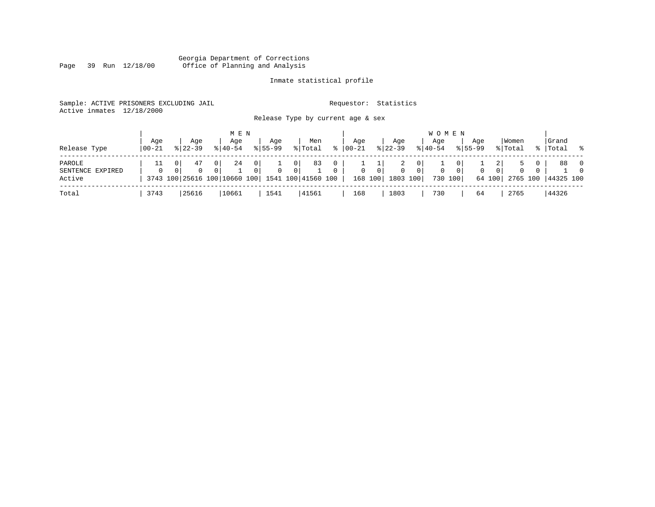#### Georgia Department of Corrections Page 39 Run 12/18/00 Office of Planning and Analysis

# Inmate statistical profile

|                           | Sample: ACTIVE PRISONERS EXCLUDING JAIL | Requestor: Statistics             |  |
|---------------------------|-----------------------------------------|-----------------------------------|--|
| Active inmates 12/18/2000 |                                         |                                   |  |
|                           |                                         | Release Type by current age & sex |  |
|                           |                                         |                                   |  |

|                                      |                   |                    | M E N              |                    |                                                                         |               |                |                           |                                      | <b>WOMEN</b>       |                |                    |                        |                  |    |                 |                            |
|--------------------------------------|-------------------|--------------------|--------------------|--------------------|-------------------------------------------------------------------------|---------------|----------------|---------------------------|--------------------------------------|--------------------|----------------|--------------------|------------------------|------------------|----|-----------------|----------------------------|
| Release Type                         | Aqe<br>$100 - 21$ | Aqe<br>$8122 - 39$ | Age<br>$8140 - 54$ | Aqe<br>$8155 - 99$ | Men<br>% Total                                                          | °≈            | Aqe<br>  00-21 | Aqe<br>$8 22-39$          |                                      | Age<br>$8140 - 54$ |                | Aqe<br>$8155 - 99$ |                        | Women<br>% Total | °≈ | Grand<br> Total | .  응                       |
| PAROLE<br>SENTENCE EXPIRED<br>Active |                   | 47<br>0            | 24<br>0            | 0<br>$\Omega$      | 83<br>0 <sup>1</sup><br>3743 100 25616 100 10660 100 1541 100 41560 100 | 0<br>$\Omega$ | $\overline{0}$ | $\overline{0}$<br>168 100 | 2<br>0<br>$\overline{0}$<br>1803 100 | 0<br>730 100       | 0 <sup>1</sup> | 0                  | $\mathbf{0}$<br>64 100 | 0<br>2765 100    |    | 88<br>44325 100 | $\overline{0}$<br>$\Omega$ |
| Total                                | 3743              | 25616              | 10661              | 1541               | 41561                                                                   |               | 168            | 1803                      |                                      | 730                |                | 64                 |                        | 2765             |    | 44326           |                            |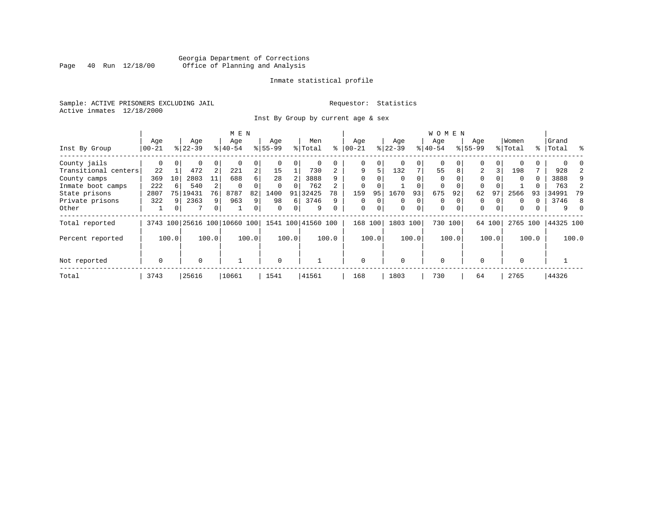# Georgia Department of Corrections<br>Page 40 Run 12/18/00 Office of Planning and Analysis Page 40 Run 12/18/00 Office of Planning and Analysis

# Inmate statistical profile

Sample: ACTIVE PRISONERS EXCLUDING JAIL **Requestor:** Statistics Active inmates 12/18/2000

Inst By Group by current age & sex

|                      |             | M E N |           |                |                              |                |             |          |                    |          |             |          |          |          | <b>WOMEN</b> |          |             |          |          |       |           |       |
|----------------------|-------------|-------|-----------|----------------|------------------------------|----------------|-------------|----------|--------------------|----------|-------------|----------|----------|----------|--------------|----------|-------------|----------|----------|-------|-----------|-------|
|                      | Age         |       | Age       |                | Age                          |                | Age         |          | Men                |          | Age         |          | Age      |          | Age          |          | Age         |          | Women    |       | Grand     |       |
| Inst By Group        | $00 - 21$   |       | $8 22-39$ |                | $8 40-54$                    |                | $8155 - 99$ |          | % Total            | ႜ        | $ 00 - 21$  |          | $ 22-39$ |          | $8 40-54$    |          | $8155 - 99$ |          | % Total  |       | %   Total | ႜ     |
| County jails         | 0           |       | 0         | 0              |                              | 0              |             |          | 0                  |          | 0           | 0        |          | $\Omega$ | $\Omega$     |          | $\Omega$    | $\Omega$ |          |       |           |       |
| Transitional centers | 22          |       | 472       | 2              | 221                          | $\overline{a}$ | 15          |          | 730                |          | 9           | 5        | 132      | 7        | 55           | 8        | 2           | 3        | 198      |       | 928       |       |
| County camps         | 369         | 10    | 2803      | 11             | 688                          | б.             | 28          |          | 3888               | q        | $\Omega$    | O        |          |          | $\Omega$     |          | $\Omega$    |          | $\Omega$ | 0     | 3888      | 9     |
| Inmate boot camps    | 222         | 6     | 540       |                | 0                            |                | $\Omega$    |          | 762                |          | $\mathbf 0$ |          |          |          | 0            |          | $\Omega$    |          |          |       | 763       |       |
| State prisons        | 2807        | 75    | 19431     | 76             | 8787                         | 82             | 1400        | 91       | 32425              | 78       | 159         | 95       | 1670     | 93       | 675          | 92       | 62          | 97       | 2566     | 93    | 34991     | 79    |
| Private prisons      | 322         | q     | 2363      | 9              | 963                          | 9              | 98          | 6        | 3746               | 9        | $\Omega$    | $\Omega$ | $\Omega$ | $\Omega$ | $\Omega$     |          | $\Omega$    | $\Omega$ | $\Omega$ | 0     | 3746      | -8    |
| Other                | Ŧ           | 0     | 7         | $\overline{0}$ |                              | 0              | $\Omega$    | $\Omega$ | 9                  | $\Omega$ | $\mathbf 0$ | 0        | $\Omega$ | $\Omega$ | $\mathbf 0$  | $\Omega$ | $\mathbf 0$ | $\Omega$ | $\Omega$ |       | 9         |       |
| Total reported       |             |       |           |                | 3743 100 25616 100 10660 100 |                |             |          | 1541 100 41560 100 |          | 168 100     |          | 1803     | 100      | 730 100      |          |             | 64 100   | 2765 100 |       | 44325 100 |       |
| Percent reported     |             | 100.0 |           | 100.0          |                              | 100.0          |             | 100.0    |                    | 100.0    |             | 100.0    |          | 100.0    |              | 100.0    |             | 100.0    |          | 100.0 |           | 100.0 |
| Not reported         | $\mathbf 0$ |       | $\Omega$  |                |                              |                | $\Omega$    |          |                    |          | $\Omega$    |          | $\Omega$ |          | $\Omega$     |          | $\Omega$    |          | $\Omega$ |       |           |       |
|                      |             |       |           |                |                              |                |             |          |                    |          |             |          |          |          |              |          |             |          |          |       |           |       |
| Total                | 3743        |       | 25616     |                | 10661                        |                | 1541        |          | 41561              |          | 168         |          | 1803     |          | 730          |          | 64          |          | 2765     |       | 44326     |       |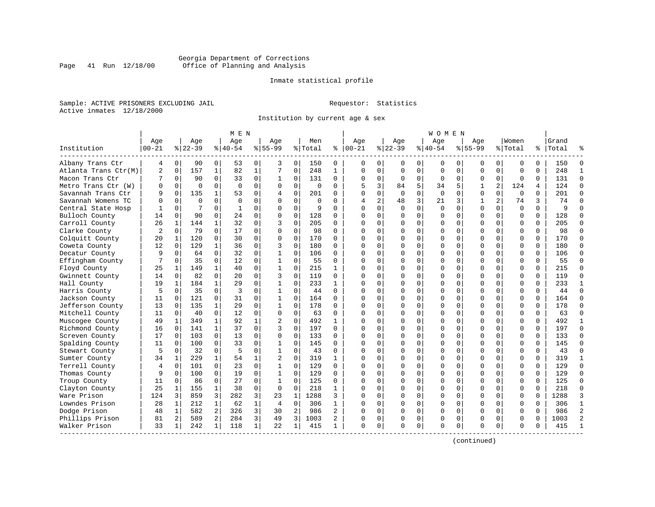# Georgia Department of Corrections<br>Page 41 Run 12/18/00 Office of Planning and Analysis Page 41 Run 12/18/00 Office of Planning and Analysis

# Inmate statistical profile

Sample: ACTIVE PRISONERS EXCLUDING JAIL **Requestor:** Statistics Active inmates 12/18/2000

Institution by current age & sex

| Institution          | Age<br>$00 - 21$<br>4 |              | Age<br>$8 22-39$ |              | Age<br>$8 40-54$ |              | Aqe            |              | Men      |              | Age          |                | Aqe         |             | Aqe         |             | Aqe          |                | Women       |          | Grand     |                |
|----------------------|-----------------------|--------------|------------------|--------------|------------------|--------------|----------------|--------------|----------|--------------|--------------|----------------|-------------|-------------|-------------|-------------|--------------|----------------|-------------|----------|-----------|----------------|
|                      |                       |              |                  |              |                  |              |                |              |          |              |              |                |             |             |             |             |              |                |             |          |           |                |
|                      |                       |              |                  |              |                  |              | $8155 - 99$    |              | % Total  | နွ           | $ 00-21$     |                | $ 22-39$    |             | $ 40-54$    |             | $8155 - 99$  |                | % Total     |          | %   Total |                |
| Albany Trans Ctr     |                       | 0            | 90               | 0            | 53               | 0            | 3              | 0            | 150      | 0            | $\Omega$     | $\mathbf{0}$   | 0           | 0           | 0           | 0           | 0            | 0              | $\mathbf 0$ | 0        | 150       | $\Omega$       |
| Atlanta Trans Ctr(M) | 2                     | $\mathbf 0$  | 157              | $\mathbf{1}$ | 82               | $\mathbf{1}$ | 7              | $\mathbf 0$  | 248      | $\mathbf{1}$ | $\Omega$     | $\Omega$       | $\mathbf 0$ | $\Omega$    | $\Omega$    | $\mathbf 0$ | $\mathbf 0$  | $\Omega$       | $\mathbf 0$ | $\Omega$ | 248       | $\mathbf{1}$   |
| Macon Trans Ctr      | 7                     | 0            | 90               | $\Omega$     | 33               | 0            | 1              | $\mathbf 0$  | 131      | $\Omega$     | $\Omega$     | $\mathbf{0}$   | $\Omega$    | $\mathbf 0$ | $\Omega$    | $\mathbf 0$ | 0            | $\Omega$       | $\Omega$    | $\Omega$ | 131       | $\Omega$       |
| Metro Trans Ctr (W)  | $\Omega$              | 0            | $\Omega$         | $\Omega$     | $\Omega$         | $\mathbf 0$  | $\Omega$       | $\mathbf 0$  | $\cap$   | $\Omega$     | 5            | 3              | 84          | 5           | 34          | 5           | 1            | $\overline{2}$ | 124         | 4        | 124       | $\Omega$       |
| Savannah Trans Ctr   | 9                     | $\Omega$     | 135              | $\mathbf{1}$ | 53               | $\Omega$     | 4              | $\Omega$     | 201      | 0            | $\cap$       | 0              | $\Omega$    | $\Omega$    | $\Omega$    | $\Omega$    | $\Omega$     | $\Omega$       | $\Omega$    | $\Omega$ | 201       | $\Omega$       |
| Savannah Womens TC   | $\Omega$              | $\Omega$     | $\Omega$         | $\Omega$     | $\Omega$         | $\Omega$     | $\Omega$       | $\Omega$     | $\Omega$ | 0            | 4            | $\overline{a}$ | 48          | 3           | 21          | 3           | $\mathbf{1}$ | $\overline{a}$ | 74          | 3        | 74        | $\Omega$       |
| Central State Hosp   |                       | 0            | 7                | $\mathbf 0$  | 1                | 0            | 0              | 0            | 9        | $\Omega$     | $\cap$       | $\Omega$       | $\Omega$    | $\mathbf 0$ | $\mathbf 0$ | $\mathbf 0$ | $\mathbf 0$  | $\mathbf 0$    | $\mathbf 0$ | $\Omega$ | 9         | $\cap$         |
| Bulloch County       | 14                    | $\Omega$     | 90               | 0            | 24               | $\Omega$     | $\Omega$       | $\mathbf 0$  | 128      | $\Omega$     | $\cap$       | $\Omega$       | $\Omega$    | 0           | $\Omega$    | $\Omega$    | $\Omega$     | $\Omega$       | $\Omega$    | $\Omega$ | 128       | $\Omega$       |
| Carroll County       | 26                    | 1            | 144              | $\mathbf{1}$ | 32               | $\Omega$     | 3              | $\Omega$     | 205      | $\Omega$     | $\cap$       | $\Omega$       | $\Omega$    | $\Omega$    | $\Omega$    | 0           | $\Omega$     | $\Omega$       | $\Omega$    | $\Omega$ | 205       | $\Omega$       |
| Clarke County        | $\overline{2}$        | 0            | 79               | 0            | 17               | $\Omega$     | $\Omega$       | $\mathbf 0$  | 98       | $\Omega$     | $\cap$       | $\Omega$       | $\Omega$    | 0           | C           | 0           | $\Omega$     | $\Omega$       | $\Omega$    | $\Omega$ | 98        | $\Omega$       |
| Colquitt County      | 20                    | 1            | 120              | $\Omega$     | 30               | $\Omega$     | $\Omega$       | $\Omega$     | 170      | $\Omega$     | ∩            | 0              | $\Omega$    | $\Omega$    | $\Omega$    | $\Omega$    | $\Omega$     | $\Omega$       | $\Omega$    | $\Omega$ | 170       | $\Omega$       |
| Coweta County        | 12                    | $\Omega$     | 129              | $\mathbf{1}$ | 36               | $\Omega$     | 3              | $\mathbf 0$  | 180      | $\Omega$     | <sup>0</sup> | $\Omega$       | $\Omega$    | $\Omega$    | $\Omega$    | $\Omega$    | $\Omega$     | $\Omega$       | $\mathbf 0$ | $\Omega$ | 180       | $\Omega$       |
| Decatur County       | 9                     | $\mathbf 0$  | 64               | $\mathbf 0$  | 32               | $\mathbf 0$  | $\mathbf 1$    | $\mathbf 0$  | 106      | $\Omega$     | $\Omega$     | $\Omega$       | 0           | 0           |             | $\mathbf 0$ | $\Omega$     | 0              | $\mathbf 0$ | $\Omega$ | 106       | $\Omega$       |
| Effingham County     |                       | $\Omega$     | 35               | $\Omega$     | 12               | 0            | $\mathbf 1$    | $\mathbf 0$  | 55       | $\Omega$     | $\Omega$     | $\Omega$       | O           | $\Omega$    | U           | 0           | $\Omega$     | $\Omega$       | $\Omega$    | $\Omega$ | 55        | $\Omega$       |
| Floyd County         | 25                    | 1            | 149              | $\mathbf 1$  | 40               | 0            | 1              | 0            | 215      | 1            | ∩            | $\Omega$       | $\Omega$    | 0           | $\Omega$    | 0           | $\Omega$     | $\Omega$       | 0           | 0        | 215       | $\Omega$       |
| Gwinnett County      | 14                    | 0            | 82               | 0            | 20               | 0            | 3              | 0            | 119      | $\Omega$     |              | $\Omega$       | $\Omega$    | 0           | $\Omega$    | 0           | $\Omega$     | $\Omega$       | $\mathbf 0$ | $\Omega$ | 119       | $\Omega$       |
| Hall County          | 19                    | $\mathbf{1}$ | 184              | $\mathbf{1}$ | 29               | $\Omega$     | $\mathbf{1}$   | $\Omega$     | 233      | $\mathbf{1}$ | ∩            | $\Omega$       | $\Omega$    | 0           | $\Omega$    | $\Omega$    | $\Omega$     | $\Omega$       | $\Omega$    | $\Omega$ | 233       | $\mathbf{1}$   |
| Harris County        | 5                     | $\Omega$     | 35               | $\Omega$     | 3                | $\Omega$     | $\mathbf{1}$   | $\Omega$     | 44       | $\Omega$     | ∩            | $\Omega$       | $\Omega$    | 0           | $\Omega$    | $\Omega$    | $\Omega$     | $\Omega$       | $\Omega$    | $\Omega$ | 44        | $\Omega$       |
| Jackson County       | 11                    | $\mathbf 0$  | 121              | $\Omega$     | 31               | 0            | $\mathbf 1$    | $\mathbf 0$  | 164      | $\Omega$     |              | $\Omega$       | O           | 0           |             | $\mathbf 0$ | $\Omega$     | $\Omega$       | $\mathbf 0$ | $\Omega$ | 164       | $\Omega$       |
| Jefferson County     | 13                    | $\Omega$     | 135              | $\mathbf{1}$ | 29               | $\Omega$     | $\mathbf{1}$   | $\Omega$     | 178      | $\Omega$     | $\Omega$     | $\Omega$       | $\Omega$    | $\Omega$    | $\Omega$    | 0           | $\Omega$     | $\Omega$       | $\Omega$    | $\Omega$ | 178       | $\Omega$       |
| Mitchell County      | 11                    | 0            | 40               | $\Omega$     | 12               | 0            | $\Omega$       | $\mathbf 0$  | 63       | 0            | <sup>0</sup> | $\Omega$       | $\Omega$    | 0           | $\Omega$    | 0           | $\Omega$     | $\Omega$       | $\Omega$    | $\Omega$ | 63        | $\Omega$       |
| Muscogee County      | 49                    | 1            | 349              | $\mathbf{1}$ | 92               | 1            | 2              | $\mathbf 0$  | 492      | 1            |              | $\Omega$       | $\Omega$    | 0           | O           | 0           | $\Omega$     | $\Omega$       | $\mathbf 0$ | $\Omega$ | 492       | -1             |
| Richmond County      | 16                    | $\mathbf 0$  | 141              | $\mathbf{1}$ | 37               | $\Omega$     | 3              | $\mathbf 0$  | 197      | $\Omega$     | $\cap$       | 0              | $\Omega$    | 0           | $\Omega$    | 0           | $\Omega$     | $\Omega$       | $\Omega$    | $\Omega$ | 197       | $\Omega$       |
| Screven County       | 17                    | $\mathbf 0$  | 103              | 0            | 13               | 0            | 0              | $\mathbf 0$  | 133      | 0            | $\Omega$     | $\Omega$       | $\Omega$    | $\mathbf 0$ | $\Omega$    | 0           | $\Omega$     | $\Omega$       | $\mathbf 0$ | $\Omega$ | 133       | $\Omega$       |
| Spalding County      | 11                    | $\mathbf 0$  | 100              | $\mathbf 0$  | 33               | $\mathbf 0$  | $\mathbf 1$    | $\mathbf 0$  | 145      | $\Omega$     | $\Omega$     | $\Omega$       | $\Omega$    | 0           |             | $\mathbf 0$ | $\Omega$     | 0              | $\mathbf 0$ | $\Omega$ | 145       | $\Omega$       |
| Stewart County       | 5                     | $\Omega$     | 32               | $\Omega$     | .5               | $\Omega$     | $\mathbf{1}$   | $\Omega$     | 43       | $\Omega$     | $\Omega$     | $\Omega$       | $\Omega$    | $\Omega$    | $\Omega$    | 0           | $\Omega$     | $\Omega$       | $\Omega$    | $\Omega$ | 43        | $\Omega$       |
| Sumter County        | 34                    | 1            | 229              | $\mathbf{1}$ | 54               | 1            | $\overline{c}$ | $\Omega$     | 319      | 1            | $\cap$       | 0              | $\Omega$    | 0           | $\Omega$    | 0           | $\Omega$     | $\Omega$       | $\Omega$    | $\Omega$ | 319       | $\mathbf{1}$   |
| Terrell County       | 4                     | 0            | 101              | $\Omega$     | 23               | 0            | 1              | $\mathbf 0$  | 129      | $\Omega$     |              | $\Omega$       | $\Omega$    | O           | $\Omega$    | $\mathbf 0$ | $\Omega$     | $\Omega$       | $\Omega$    | $\Omega$ | 129       | $\Omega$       |
| Thomas County        | q                     | $\Omega$     | 100              | $\Omega$     | 19               | $\Omega$     | 1              | $\Omega$     | 129      | 0            | ∩            | $\cap$         | $\Omega$    | 0           | $\Omega$    | $\Omega$    | $\Omega$     | $\Omega$       | $\Omega$    | $\Omega$ | 129       | $\Omega$       |
| Troup County         | 11                    | 0            | 86               | $\mathbf 0$  | 27               | $\Omega$     | 1              | $\mathbf 0$  | 125      | 0            |              | $\Omega$       | $\Omega$    | 0           | $\Omega$    | 0           | $\Omega$     | $\Omega$       | $\mathbf 0$ | $\Omega$ | 125       | $\Omega$       |
| Clayton County       | 25                    | $\mathbf 1$  | 155              | $\mathbf{1}$ | 38               | 0            | $\Omega$       | $\mathbf 0$  | 218      | 1            |              | 0              | 0           | 0           | C           | 0           | $\Omega$     | $\Omega$       | $\mathbf 0$ | $\Omega$ | 218       | $\Omega$       |
| Ware Prison          | 124                   | 3            | 859              | 3            | 282              | 3            | 23             | $\mathbf{1}$ | 1288     | 3            | $\cap$       | 0              | $\Omega$    | 0           | $\Omega$    | 0           | $\Omega$     | $\Omega$       | $\mathbf 0$ | $\Omega$ | 1288      | 3              |
| Lowndes Prison       | 28                    | $\mathbf 1$  | 212              | $\mathbf{1}$ | 62               | $\mathbf 1$  | 4              | $\mathbf 0$  | 306      | 1            | $\cap$       | 0              | $\Omega$    | $\Omega$    | $\Omega$    | 0           | $\Omega$     | $\Omega$       | $\mathbf 0$ | $\Omega$ | 306       | $\mathbf{1}$   |
| Dodge Prison         | 48                    | $\mathbf 1$  | 582              | 2            | 326              | 3            | 30             | 2            | 986      | 2            | ∩            | $\Omega$       | $\Omega$    | $\Omega$    | $\Omega$    | 0           | $\Omega$     | $\Omega$       | $\mathbf 0$ | $\Omega$ | 986       | $\overline{2}$ |
| Phillips Prison      | 81                    | 2            | 589              | 2            | 284              | 3            | 49             | 3            | 1003     | 2            | <sup>0</sup> | 0              | 0           | 0           | $\Omega$    | $\mathbf 0$ | $\Omega$     | $\Omega$       | $\Omega$    | $\Omega$ | 1003      | $\mathfrak{D}$ |
| Walker Prison        | 33                    | 1            | 242              | $\mathbf 1$  | 118              | 1            | 22             | 1            | 415      | 1            | $\Omega$     | 0              | $\Omega$    | 0           | $\Omega$    | $\mathbf 0$ | $\Omega$     | 0              | $\Omega$    | 0        | 415       | $\mathbf{1}$   |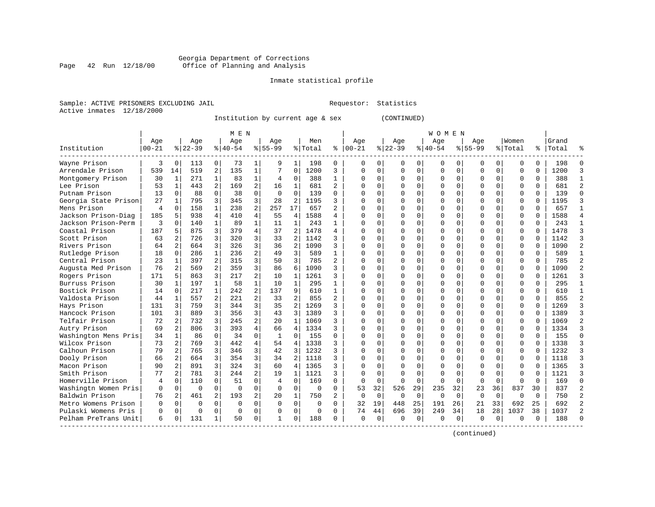#### Georgia Department of Corrections Page 42 Run 12/18/00 Office of Planning and Analysis

# Inmate statistical profile

|  | Sample: ACTIVE PRISONERS EXCLUDING JAIL |  |
|--|-----------------------------------------|--|
|  | Active inmates 12/18/2000               |  |

L Bample: Active Prequestor: Statistics

Institution by current age & sex (CONTINUED)

|                      |           |                |          |                | M E N     |                |              |                |          |                |          |             |             |          | W O M E N |          |             |          |          |          |       |        |
|----------------------|-----------|----------------|----------|----------------|-----------|----------------|--------------|----------------|----------|----------------|----------|-------------|-------------|----------|-----------|----------|-------------|----------|----------|----------|-------|--------|
|                      | Age       |                | Age      |                | Age       |                | Aqe          |                | Men      |                | Age      |             | Age         |          | Age       |          | Aqe         |          | Women    |          | Grand |        |
| Institution          | $00 - 21$ |                | $ 22-39$ |                | $8 40-54$ |                | $8155 - 99$  |                | % Total  | ి              | $ 00-21$ |             | $8$   22-39 |          | $ 40-54$  |          | $8155 - 99$ |          | % Total  | ႜ        | Total |        |
| Wayne Prison         | 3         | 0              | 113      | 0              | 73        | 1              | 9            | 1              | 198      | 0              | 0        | 0           | O           | 0        | 0         | O        | n           | 0        | U        | 0        | 198   |        |
| Arrendale Prison     | 539       | 14             | 519      | 2              | 135       | $\mathbf{1}$   | 7            | $\Omega$       | 1200     | 3              | $\Omega$ | 0           | ∩           | $\Omega$ | 0         | 0        | $\Omega$    | $\Omega$ | U        | $\Omega$ | 1200  |        |
| Montgomery Prison    | 30        | $\mathbf{1}$   | 271      | $\mathbf{1}$   | 83        | $\mathbf{1}$   | 4            | $\Omega$       | 388      | $\mathbf{1}$   | O        | 0           | $\Omega$    | $\Omega$ | $\Omega$  | $\Omega$ | $\Omega$    | $\Omega$ | $\Omega$ | $\Omega$ | 388   |        |
| Lee Prison           | 53        | $\mathbf{1}$   | 443      | 2              | 169       | $\overline{a}$ | 16           | $\mathbf{1}$   | 681      | $\overline{2}$ | Ω        | 0           |             | $\Omega$ | O         | $\Omega$ |             | $\Omega$ | $\Omega$ | O        | 681   |        |
| Putnam Prison        | 13        | $\Omega$       | 88       | $\Omega$       | 38        | $\Omega$       | $\Omega$     | $\Omega$       | 139      | $\cap$         |          | 0           |             | $\Omega$ | ი         | $\Omega$ |             | $\Omega$ | $\Omega$ | $\Omega$ | 139   |        |
| Georgia State Prison | 27        | 1              | 795      | 3              | 345       | 3              | 28           | 2              | 1195     | 3              | $\cap$   | 0           |             | $\Omega$ | N         | O        | $\Omega$    | 0        | $\Omega$ | $\Omega$ | 1195  |        |
| Mens Prison          | 4         | $\Omega$       | 158      | 1              | 238       | $\overline{a}$ | 257          | 17             | 657      | 2              | ∩        | 0           |             | $\Omega$ | O         | O        | ∩           | 0        | U        | $\Omega$ | 657   | -1     |
| Jackson Prison-Diag  | 185       | 5              | 938      | 4              | 410       | 4              | 55           | 4              | 1588     | 4              | ∩        | 0           |             | $\Omega$ | 0         | O        | $\Omega$    | 0        | 0        | 0        | 1588  |        |
| Jackson Prison-Perm  | 3         | O              | 140      |                | 89        | 1              | 11           | 1              | 243      | 1              | Λ        | 0           |             | $\Omega$ | 0         | O        |             | U        | 0        | O        | 243   |        |
| Coastal Prison       | 187       | 5              | 875      | 3              | 379       | 4              | 37           | 2              | 1478     | 4              | Λ        | 0           |             | $\Omega$ | U         |          |             | 0        | $\Omega$ | O        | 1478  |        |
| Scott Prison         | 63        |                | 726      | 3              | 320       | 3              | 33           | $\mathcal{D}$  | 1142     | ς              | O        | 0           |             | $\Omega$ | O         | U        | $\Omega$    | $\Omega$ | $\Omega$ | $\Omega$ | 1142  |        |
| Rivers Prison        | 64        | $\overline{2}$ | 664      | 3              | 326       | 3              | 36           | 2              | 1090     | ς              | Ω        | 0           |             | $\Omega$ | O         | O        | $\Omega$    | $\Omega$ | $\Omega$ | $\Omega$ | 1090  |        |
| Rutledge Prison      | 18        | $\Omega$       | 286      |                | 236       | 2              | 49           | 3              | 589      | 1              | Ω        | 0           |             | $\Omega$ | O         | O        |             | $\Omega$ | $\Omega$ | $\Omega$ | 589   |        |
| Central Prison       | 23        | 1              | 397      | 2              | 315       | 3              | 50           | 3              | 785      | $\overline{2}$ |          | 0           |             | $\Omega$ | ი         | O        |             | $\Omega$ | $\Omega$ | $\Omega$ | 785   |        |
| Augusta Med Prison   | 76        | 2              | 569      | 2              | 359       | 3              | 86           | 6              | 1090     | ς              | Λ        | 0           |             | $\Omega$ | O         | O        | ∩           | $\Omega$ | $\Omega$ | $\Omega$ | 1090  |        |
| Rogers Prison        | 171       | 5              | 863      | 3              | 217       | $\overline{a}$ | 10           | $\mathbf{1}$   | 1261     | 3              | ∩        | 0           |             | $\Omega$ | O         | O        | ∩           | 0        | U        | $\Omega$ | 1261  |        |
| Burruss Prison       | 30        | -1             | 197      | 1              | 58        | $\mathbf{1}$   | 10           | $\mathbf{1}$   | 295      | 1              | Λ        | 0           |             | $\Omega$ | 0         | O        | ∩           | 0        | U        | $\Omega$ | 295   |        |
| Bostick Prison       | 14        | $\Omega$       | 217      |                | 242       | $\overline{a}$ | 137          | 9              | 610      | 1              | O        | 0           |             | $\Omega$ | O         | O        |             | $\Omega$ | $\Omega$ | O        | 610   |        |
| Valdosta Prison      | 44        | $\mathbf{1}$   | 557      |                | 221       | $\overline{a}$ | 33           | 2              | 855      | 2              | ∩        | 0           |             | $\Omega$ | $\Omega$  | U        |             | $\Omega$ | $\Omega$ | O        | 855   |        |
| Hays Prison          | 131       | ς              | 759      | 3              | 344       | 3              | 35           | 2              | 1269     | ς              | $\Omega$ | 0           |             | $\Omega$ | O         | U        | $\Omega$    | $\Omega$ | $\Omega$ | $\Omega$ | 1269  |        |
| Hancock Prison       | 101       | ς              | 889      | 3              | 356       | 3              | 43           | 3              | 1389     | ς              | ∩        | 0           |             | $\Omega$ | O         | U        | ∩           | $\Omega$ | $\Omega$ | $\Omega$ | 1389  |        |
| Telfair Prison       | 72        | 2              | 732      | 3              | 245       | $\overline{a}$ | 20           | 1              | 1069     | ς              | Ω        | 0           |             | $\Omega$ | O         | U        |             | $\Omega$ | 0        | $\Omega$ | 1069  |        |
| Autry Prison         | 69        | $\overline{a}$ | 806      | 3              | 393       | $\overline{4}$ | 66           | $\overline{4}$ | 1334     | 3              | Ω        | 0           |             | $\Omega$ | N         | O        |             | $\Omega$ | $\Omega$ | $\Omega$ | 1334  |        |
| Washington Mens Pris | 34        | $\mathbf{1}$   | 86       | $\Omega$       | 34        | $\Omega$       | $\mathbf{1}$ | $\Omega$       | 155      | U              | Λ        | 0           |             | $\Omega$ | ი         | O        |             | $\Omega$ | $\Omega$ | $\Omega$ | 155   | ſ      |
| Wilcox Prison        | 73        | 2              | 769      | 3              | 442       | 4              | 54           | 4              | 1338     | 3              | U        | 0           |             | $\Omega$ | O         | O        | ∩           | 0        | $\Omega$ | 0        | 1338  |        |
| Calhoun Prison       | 79        | 2              | 765      | 3              | 346       | 3              | 42           | 3              | 1232     | ς              | U        | 0           |             | $\Omega$ | O         | O        | $\Omega$    | $\Omega$ | $\Omega$ | $\Omega$ | 1232  |        |
| Dooly Prison         | 66        | 2              | 664      | 3              | 354       | 3              | 34           | 2              | 1118     | ς              | Ω        | 0           |             | $\Omega$ | O         | O        |             | $\Omega$ | $\Omega$ | O        | 1118  |        |
| Macon Prison         | 90        | 2              | 891      | 3              | 324       | 3              | 60           | 4              | 1365     | ς              | Λ        | 0           |             | $\Omega$ | O         | U        |             | 0        | U        | U        | 1365  |        |
| Smith Prison         | 77        | 2              | 781      | 3              | 244       | $\overline{2}$ | 19           | 1              | 1121     | ς              | ∩        | 0           |             | $\Omega$ | U         | U        | $\Omega$    | $\Omega$ | $\Omega$ | U        | 1121  |        |
| Homerville Prison    | 4         | $\Omega$       | 110      | $\Omega$       | 51        | $\Omega$       | 4            | $\Omega$       | 169      | 0              | $\Omega$ | 0           | $\Omega$    | $\Omega$ | O         | ∩        | $\Omega$    | $\Omega$ | ∩        | $\Omega$ | 169   | $\cap$ |
| Washingtn Women Pris | $\Omega$  | $\Omega$       | $\Omega$ | $\Omega$       | $\Omega$  | $\Omega$       | $\Omega$     | $\Omega$       | $\Omega$ | 0              | 53       | 32          | 526         | 29       | 235       | 32       | 23          | 36       | 837      | 30       | 837   |        |
| Baldwin Prison       | 76        | 2              | 461      | $\overline{2}$ | 193       | $\overline{a}$ | 20           | $\mathbf{1}$   | 750      | $\overline{2}$ | $\Omega$ | $\Omega$    | $\Omega$    | $\Omega$ | $\Omega$  | $\Omega$ | $\Omega$    | $\Omega$ | 0        | $\Omega$ | 750   |        |
| Metro Womens Prison  | U         | $\Omega$       | $\Omega$ | $\Omega$       | $\Omega$  | $\Omega$       | $\Omega$     | $\Omega$       | $\Omega$ | 0              | 32       | 19          | 448         | 25       | 191       | 26       | 21          | 33       | 692      | 25       | 692   |        |
| Pulaski Womens Pris  | O         | $\mathbf 0$    | $\Omega$ | $\Omega$       | $\Omega$  | 0              |              | $\Omega$       | $\Omega$ | $\Omega$       | 74       | 44          | 696         | 39       | 249       | 34       | 18          | 28       | 1037     | 38       | 1037  |        |
| Pelham PreTrans Unit | 6         | 0              | 131      |                | 50        | 0              | 1            | $\Omega$       | 188      | 0              | $\Omega$ | $\mathbf 0$ | $\Omega$    | 0        | $\Omega$  | $\Omega$ | $\Omega$    | 0        | $\Omega$ | 0        | 188   |        |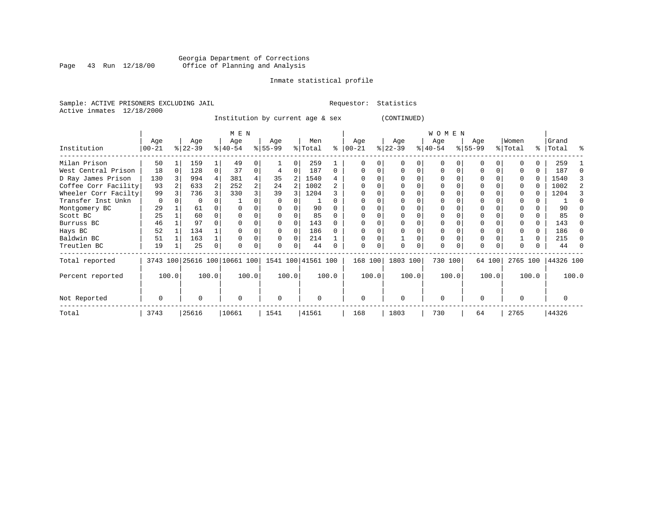# Georgia Department of Corrections<br>Page 43 Run 12/18/00 Office of Planning and Analysis Page 43 Run 12/18/00 Office of Planning and Analysis

# Inmate statistical profile

Sample: ACTIVE PRISONERS EXCLUDING JAIL **Requestor:** Statistics Active inmates 12/18/2000

Institution by current age & sex (CONTINUED)

|                      |                 | M E N |                  |       |                                                 |       |                 |       |                |          |                 |       |                  |          | W O M E N        |       |                 |        |                  |       |                    |       |
|----------------------|-----------------|-------|------------------|-------|-------------------------------------------------|-------|-----------------|-------|----------------|----------|-----------------|-------|------------------|----------|------------------|-------|-----------------|--------|------------------|-------|--------------------|-------|
| Institution          | Age<br>$ 00-21$ |       | Age<br>$ 22-39 $ |       | Age<br>$8 40-54$                                |       | Age<br>$ 55-99$ |       | Men<br>% Total | ႜ        | Age<br>$ 00-21$ |       | Age<br>$ 22-39 $ |          | Age<br>$ 40-54 $ |       | Age<br>$ 55-99$ |        | Women<br>% Total |       | Grand<br>%   Total | ႜ     |
|                      |                 |       |                  |       |                                                 |       |                 |       |                |          |                 |       |                  |          |                  |       |                 |        |                  |       |                    |       |
| Milan Prison         | 50              |       | 159              |       | 49                                              |       |                 | 0     | 259            |          |                 |       |                  |          | $\Omega$         |       | 0               |        |                  | 0.    | 259                |       |
| West Central Prison  | 18              | 0     | 128              | 0     | 37                                              |       |                 | 0     | 187            | $\Omega$ |                 |       |                  | 0        | $\Omega$         |       |                 |        |                  | 0     | 187                |       |
| D Ray James Prison   | 130             |       | 994              |       | 381                                             |       | 35              | 2     | 1540           |          |                 |       |                  |          | $\Omega$         |       |                 |        |                  | U     | 1540               |       |
| Coffee Corr Facility | 93              |       | 633              | 2     | 252                                             |       | 24              |       | 1002           |          |                 |       |                  |          |                  |       |                 |        |                  | U     | 1002               |       |
| Wheeler Corr Facilty | 99              |       | 736              |       | 330                                             |       | 39              |       | 1204           |          |                 |       |                  |          |                  |       |                 |        |                  | U     | 1204               |       |
| Transfer Inst Unkn   | $\Omega$        |       | $\Omega$         |       |                                                 |       |                 |       |                |          |                 |       |                  |          |                  |       |                 |        |                  |       |                    |       |
| Montgomery BC        | 29              |       | 61               |       |                                                 |       |                 |       | 90             |          |                 |       |                  |          |                  |       | $\Omega$        |        |                  |       | 90                 |       |
| Scott BC             | 25              |       | 60               |       |                                                 |       |                 |       | 85             |          |                 |       |                  |          |                  |       |                 |        |                  |       | 85                 |       |
| Burruss BC           | 46              |       | 97               |       |                                                 |       |                 |       | 143            |          |                 |       |                  |          |                  |       |                 |        |                  | 0     | 143                |       |
| Hays BC              | 52              |       | 134              |       |                                                 |       |                 |       | 186            |          |                 |       |                  |          |                  |       |                 |        |                  | U     | 186                | ∩     |
| Baldwin BC           | 51              |       | 163              |       |                                                 |       |                 |       | 214            |          |                 |       |                  |          |                  |       | $\Omega$        |        |                  | 0     | 215                |       |
| Treutlen BC          | 19              |       | 25               | 0     |                                                 |       | <sup>0</sup>    | 0     | 44             |          | $\cap$          | 0     | $\Omega$         | $\Omega$ | 0                | 0     | $\Omega$        |        |                  |       | 44                 |       |
| Total reported       |                 |       |                  |       | 3743 100 25616 100 10661 100 1541 100 41561 100 |       |                 |       |                |          | 168 100         |       | 1803 100         |          | 730 100          |       |                 | 64 100 | 2765 100         |       | 44326 100          |       |
| Percent reported     |                 | 100.0 |                  | 100.0 |                                                 | 100.0 |                 | 100.0 |                | 100.0    |                 | 100.0 |                  | 100.0    |                  | 100.0 |                 | 100.0  |                  | 100.0 |                    | 100.0 |
| Not Reported         | 0               |       | 0                |       | $\Omega$                                        |       | 0               |       | $\Omega$       |          | $\Omega$        |       | $\Omega$         |          | $\mathbf 0$      |       | $\Omega$        |        | $\Omega$         |       | 0                  |       |
| Total                | 3743            |       | 25616            |       | 10661                                           |       | 1541            |       | 41561          |          | 168             |       | 1803             |          | 730              |       | 64              |        | 2765             |       | 44326              |       |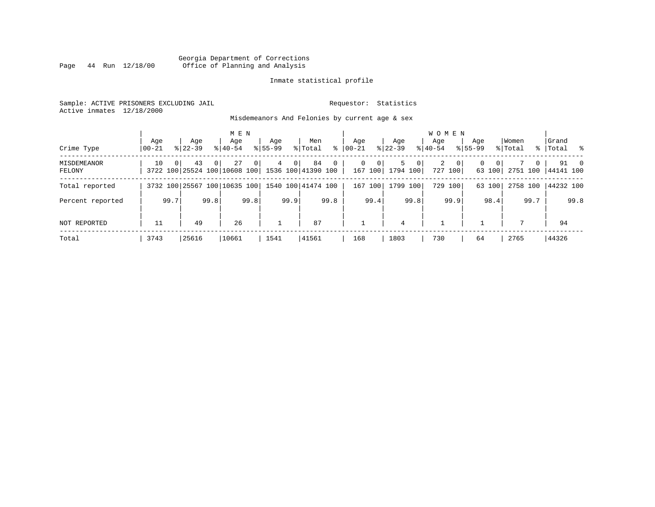# Georgia Department of Corrections<br>Page 44 Run 12/18/00 Office of Planning and Analysis Page 44 Run 12/18/00 Office of Planning and Analysis

# Inmate statistical profile

Sample: ACTIVE PRISONERS EXCLUDING JAIL **Requestor:** Statistics Active inmates 12/18/2000

Misdemeanors And Felonies by current age & sex

| Crime Type                   | Aqe<br>$ 00 - 21$ |      | Aqe<br>$8122 - 39$                                    |          | M E N<br>Aqe<br>$8140 - 54$ |                | Age<br>$8155 - 99$ |                | Men<br>% Total | ∻              | Aqe<br>00-21 |                                       | Aqe<br>$ 22-39 $ |                | <b>WOMEN</b><br>Aqe<br>$8 40-54$ |                           | Aqe<br>$8155 - 99$ |                        | Women<br>% Total |          | Grand<br>%   Total % |      |
|------------------------------|-------------------|------|-------------------------------------------------------|----------|-----------------------------|----------------|--------------------|----------------|----------------|----------------|--------------|---------------------------------------|------------------|----------------|----------------------------------|---------------------------|--------------------|------------------------|------------------|----------|----------------------|------|
| <b>MISDEMEANOR</b><br>FELONY | 10                | 0    | 43<br>3722 100 25524 100 10608 100 1536 100 41390 100 | $\Omega$ | 27                          | 0 <sup>1</sup> | $4^{\circ}$        | 0 <sup>1</sup> | 84             | $\overline{0}$ |              | $\overline{0}$<br>$\Omega$<br>167 100 | 5<br>1794 100    | 0 <sup>1</sup> | 2                                | 0 <sup>1</sup><br>727 100 | 0                  | $\mathbf{0}$<br>63 100 | 2751 100         | $\Omega$ | 44141 100            | 91 0 |
| Total reported               |                   |      | 3732 100 25567 100 10635 100 1540 100 41474 100       |          |                             |                |                    |                |                |                | 167          | 100                                   |                  | 1799 100       |                                  | 729 100                   |                    | 63 100                 | 2758 100         |          | 44232 100            |      |
| Percent reported             |                   | 99.7 |                                                       | 99.8     |                             | 99.8           |                    | 99.9           |                | 99.8           |              | 99.4                                  |                  | 99.8           |                                  | 99.9                      |                    | 98.4                   |                  | 99.7     |                      | 99.8 |
| NOT REPORTED                 |                   |      | 49                                                    |          | 26                          |                |                    |                | 87             |                |              |                                       | 4                |                |                                  |                           |                    |                        | 7                |          | 94                   |      |
| Total                        | 3743              |      | 25616                                                 |          | 10661                       |                | 1541               |                | 41561          |                | 168          |                                       | 1803             |                | 730                              |                           | 64                 |                        | 2765             |          | 44326                |      |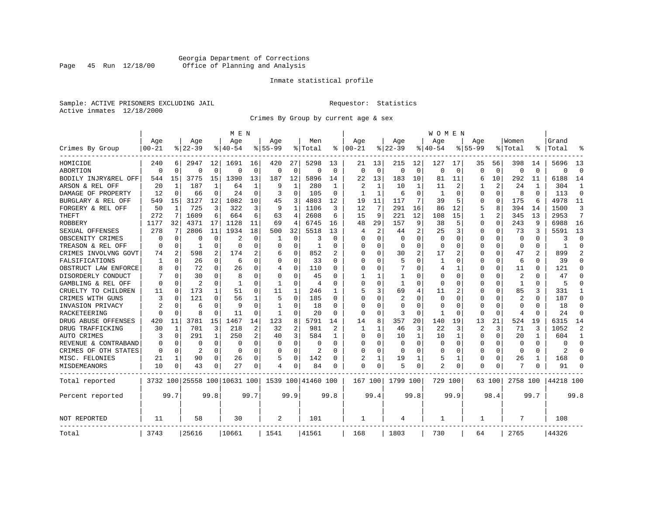# Georgia Department of Corrections<br>Page 45 Run 12/18/00 Office of Planning and Analysis Page 45 Run 12/18/00 Office of Planning and Analysis

# Inmate statistical profile

Sample: ACTIVE PRISONERS EXCLUDING JAIL **Requestor:** Statistics Active inmates 12/18/2000

Crimes By Group by current age & sex

|                      |           |             |                |              | M E N                        |             |             |             |                    |             |                          |              |                |                | W O M E N   |             |             |                |                          |          |           |                |
|----------------------|-----------|-------------|----------------|--------------|------------------------------|-------------|-------------|-------------|--------------------|-------------|--------------------------|--------------|----------------|----------------|-------------|-------------|-------------|----------------|--------------------------|----------|-----------|----------------|
|                      | Age       |             | Age            |              | Age                          |             | Age         |             | Men                |             | Age                      |              | Age            |                | Age         |             | Aqe         |                | Women                    |          | Grand     |                |
| Crimes By Group      | $00 - 21$ |             | $ 22-39$       |              | $8140 - 54$                  |             | $8155 - 99$ |             | % Total            | နွ          | $ 00 - 21$               |              | $8$   22-39    |                | $8140 - 54$ |             | $8155 - 99$ |                | % Total                  | ⊱        | Total     |                |
| HOMICIDE             | 240       | 6           | 2947           | 12           | 1691                         | 16          | 420         | 27          | 5298               | 13          | 21                       | 13           | 215            | 12             | 127         | 17          | 35          | 56             | 398                      | 14       | 5696      | 13             |
| ABORTION             | $\Omega$  | $\mathbf 0$ | $\Omega$       | $\mathbf 0$  | $\Omega$                     | $\mathbf 0$ | $\Omega$    | $\mathbf 0$ | $\Omega$           | $\mathbf 0$ | $\Omega$                 | $\Omega$     | $\mathbf 0$    | $\mathbf 0$    | $\Omega$    | $\mathbf 0$ | $\Omega$    | $\mathbf 0$    | $\mathbf 0$              | $\Omega$ | $\Omega$  | $\Omega$       |
| BODILY INJRY&REL OFF | 544       | 15          | 3775           | 15           | 1390                         | 13          | 187         | 12          | 5896               | 14          | 22                       | 13           | 183            | 10             | 81          | 11          | 6           | 10             | 292                      | 11       | 6188      | 14             |
| ARSON & REL OFF      | 20        | 1           | 187            | $\mathbf{1}$ | 64                           | 1           | 9           | 1           | 280                | 1           | $\overline{\mathcal{L}}$ | $\mathbf{1}$ | 10             | $\mathbf{1}$   | 11          | 2           | 1           | $\overline{c}$ | 24                       | 1        | 304       | 1              |
| DAMAGE OF PROPERTY   | 12        | $\Omega$    | 66             | $\Omega$     | 24                           | $\Omega$    | 3           | $\Omega$    | 105                | $\Omega$    | -1                       | $\mathbf{1}$ | 6              | O              | 1           | $\Omega$    | O           | $\Omega$       | 8                        | $\Omega$ | 113       | $\Omega$       |
| BURGLARY & REL OFF   | 549       | 15          | 3127           | 12           | 1082                         | 10          | 45          | 3           | 4803               | 12          | 19                       | 11           | 117            | 7              | 39          | .5          | 0           | $\Omega$       | 175                      | 6        | 4978      | 11             |
| FORGERY & REL OFF    | 50        | 1           | 725            | 3            | 322                          | 3           | 9           | $\mathbf 1$ | 1106               | 3           | 12                       | 7            | 291            | 16             | 86          | 12          | 5           | 8              | 394                      | 14       | 1500      | 3              |
| THEFT                | 272       | 7           | 1609           | 6            | 664                          | 6           | 63          | 4           | 2608               | 6           | 15                       | 9            | 221            | 12             | 108         | 15          | 1           | $\overline{a}$ | 345                      | 13       | 2953      | 7              |
| <b>ROBBERY</b>       | 1177      | 32          | 4371           | 17           | 1128                         | 11          | 69          | 4           | 6745               | 16          | 48                       | 29           | 157            | 9              | 38          | 5           | $\Omega$    | $\Omega$       | 243                      | 9        | 6988      | 16             |
| SEXUAL OFFENSES      | 278       | 7           | 2806           | 11           | 1934                         | 18          | 500         | 32          | 5518               | 13          | 4                        | 2            | 44             | $\overline{2}$ | 25          | 3           | 0           | 0              | 73                       | 3        | 5591      | 13             |
| OBSCENITY CRIMES     | $\Omega$  | $\Omega$    | $\Omega$       | $\Omega$     | 2                            | $\Omega$    | 1           | $\Omega$    | 3                  | n           | <sup>0</sup>             | $\Omega$     | $\Omega$       | O              | $\Omega$    | $\Omega$    | $\Omega$    | O              | $\Omega$                 | $\Omega$ | 3         | $\Omega$       |
| TREASON & REL OFF    | $\Omega$  | 0           | 1              | $\Omega$     | $\Omega$                     | O           | O           | 0           | 1                  | O           | <sup>0</sup>             | $\Omega$     | $\Omega$       | $\Omega$       | $\Omega$    | $\Omega$    | $\Omega$    | $\Omega$       | $\Omega$                 | 0        | -1        | $\Omega$       |
| CRIMES INVOLVNG GOVT | 74        | 2           | 598            | 2            | 174                          | 2           | 6           | $\mathbf 0$ | 852                |             | <sup>0</sup>             | $\Omega$     | 30             | 2              | 17          | 2           | 0           | $\Omega$       | 47                       |          | 899       | $\mathfrak{D}$ |
| FALSIFICATIONS       | 1         | $\mathbf 0$ | 26             | $\Omega$     | 6                            | 0           | O           | 0           | 33                 | O           | ∩                        | 0            | 5              | O              | 1           | 0           | 0           | $\Omega$       | 6                        | 0        | 39        | $\Omega$       |
| OBSTRUCT LAW ENFORCE | 8         | 0           | 72             | 0            | 26                           | 0           | 4           | 0           | 110                | O           | <sup>0</sup>             | 0            |                | U              | 4           | 1           | 0           | 0              | 11                       | 0        | 121       | $\Omega$       |
| DISORDERLY CONDUCT   |           | $\mathbf 0$ | 30             | U            | 8                            | 0           | O           | 0           | 45                 | O           |                          |              | -1             | O              | O           | 0           | 0           | O              | 2                        | N        | 47        | ∩              |
| GAMBLING & REL OFF   | $\Omega$  | $\Omega$    | $\overline{2}$ | U            | $\mathbf{1}$                 | $\Omega$    | 1           | $\Omega$    | $\overline{4}$     | n           | $\cap$                   | $\Omega$     | $\mathbf{1}$   | O              | $\Omega$    | $\Omega$    | $\Omega$    | $\Omega$       | $\mathbf{1}$             | $\Omega$ | 5         |                |
| CRUELTY TO CHILDREN  | 11        | $\Omega$    | 173            | $\mathbf{1}$ | 51                           | $\Omega$    | 11          | 1           | 246                | 1           | 5                        | 3            | 69             | 4              | 11          | 2           | $\Omega$    | $\Omega$       | 85                       | 3        | 331       | -1             |
| CRIMES WITH GUNS     | 3         | $\mathbf 0$ | 121            | $\Omega$     | 56                           | 1           | 5           | $\Omega$    | 185                | O           | $\Omega$                 | $\Omega$     | $\overline{2}$ | O              | $\Omega$    | $\mathbf 0$ | $\Omega$    | $\Omega$       | $\overline{\mathcal{L}}$ | $\Omega$ | 187       | $\Omega$       |
| INVASION PRIVACY     | 2         | 0           | 6              | O            | 9                            | $\Omega$    | 1           | 0           | 18                 | $\Omega$    | $\Omega$                 | $\Omega$     | $\Omega$       | U              | $\Omega$    | 0           | $\Omega$    | $\Omega$       | $\Omega$                 | 0        | 18        | $\Omega$       |
| RACKETEERING         | $\Omega$  | 0           | 8              | 0            | 11                           | $\Omega$    | 1           | 0           | 20                 | 0           | $\Omega$                 | $\Omega$     | 3              | O              |             | 0           | U           | $\Omega$       | 4                        | O        | 24        | $\Omega$       |
| DRUG ABUSE OFFENSES  | 420       | 11          | 3781           | 15           | 1467                         | 14          | 123         | 8           | 5791               | 14          | 14                       | 8            | 357            | 20             | 140         | 19          | 13          | 21             | 524                      | 19       | 6315      | 14             |
| DRUG TRAFFICKING     | 30        | 1           | 701            | 3            | 218                          | 2           | 32          | 2           | 981                | 2           | 1                        | $\mathbf{1}$ | 46             | 3              | 22          | 3           | 2           | 3              | 71                       | 3        | 1052      | 2              |
| <b>AUTO CRIMES</b>   | 3         | $\mathbf 0$ | 291            | 1            | 250                          | 2           | 40          | 3           | 584                | 1           | 0                        | $\Omega$     | 10             | 1              | 10          | 1           | $\Omega$    | $\Omega$       | 20                       | 1        | 604       | $\mathbf{1}$   |
| REVENUE & CONTRABAND | 0         | $\mathbf 0$ | 0              | $\mathbf 0$  | $\mathbf 0$                  | $\mathbf 0$ | 0           | $\mathbf 0$ | 0                  | $\Omega$    | $\Omega$                 | $\Omega$     | $\Omega$       | $\mathbf 0$    | O           | $\mathbf 0$ | $\Omega$    | 0              | $\mathbf 0$              | $\Omega$ | $\Omega$  | $\Omega$       |
| CRIMES OF OTH STATES | $\Omega$  | 0           | $\overline{2}$ | $\Omega$     | $\Omega$                     | $\Omega$    | O           | $\Omega$    | 2                  | $\Omega$    | $\Omega$                 | $\Omega$     | $\Omega$       | $\Omega$       | $\Omega$    | $\Omega$    | 0           | $\Omega$       | $\Omega$                 | 0        | 2         | $\Omega$       |
| MISC. FELONIES       | 21        | 1           | 90             | 0            | 26                           | $\Omega$    | 5           | $\mathbf 0$ | 142                | 0           | 2                        | 1            | 19             | 1              | 5           | 1           | $\Omega$    | $\Omega$       | 26                       |          | 168       | ∩              |
| MISDEMEANORS         | 10        | 0           | 43             | 0            | 27                           | 0           | 4           | 0           | 84                 | 0           | $\Omega$                 | 0            | 5              | 0              | 2           | 0           | 0           | 0              |                          | N        | 91        |                |
| Total reported       |           |             |                |              | 3732 100 25558 100 10631 100 |             |             |             | 1539 100 41460 100 |             | 167 100                  |              | 1799 100       |                | 729 100     |             |             | 63 100         | 2758 100                 |          | 44218 100 |                |
| Percent reported     |           | 99.7        |                | 99.8         |                              | 99.7        |             | 99.9        |                    | 99.8        |                          | 99.4         |                | 99.8           |             | 99.9        |             | 98.4           |                          | 99.7     |           | 99.8           |
| NOT REPORTED         | 11        |             | 58             |              | 30                           |             | 2           |             | 101                |             | 1                        |              | 4              |                | 1           |             | 1           |                | 7                        |          | 108       |                |
| Total                | 3743      |             | 25616          |              | 10661                        |             | 1541        |             | 41561              |             | 168                      |              | 1803           |                | 730         |             | 64          |                | 2765                     |          | 44326     |                |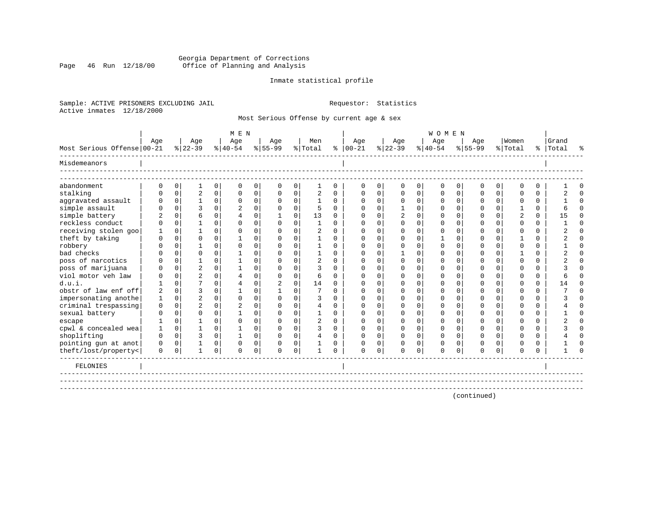# Georgia Department of Corrections<br>Page 46 Run 12/18/00 Office of Planning and Analysis Page 46 Run 12/18/00 Office of Planning and Analysis

# Inmate statistical profile

Sample: ACTIVE PRISONERS EXCLUDING JAIL **Requestor:** Statistics Active inmates 12/18/2000

Most Serious Offense by current age & sex

|                              |          |             |                         |             | M E N            |             |                    |          |                |          |                   |             |                  |          | WOMEN            |             |                    |             |                  |          |                    |          |
|------------------------------|----------|-------------|-------------------------|-------------|------------------|-------------|--------------------|----------|----------------|----------|-------------------|-------------|------------------|----------|------------------|-------------|--------------------|-------------|------------------|----------|--------------------|----------|
| Most Serious Offense   00-21 | Aqe      |             | Age<br>$ 22-39 $        |             | Aqe<br>$8 40-54$ |             | Age<br>$8155 - 99$ |          | Men<br>% Total |          | Age<br>$% 100-21$ |             | Age<br>$ 22-39 $ |          | Age<br>$8 40-54$ |             | Aqe<br>$8155 - 99$ |             | Women<br>% Total |          | Grand<br>%   Total |          |
| Misdemeanors                 |          |             |                         |             |                  |             |                    |          |                |          |                   |             |                  |          |                  |             |                    |             |                  |          |                    |          |
| abandonment                  |          | 0           |                         | 0           | $\Omega$         | 0           | $\Omega$           | 0        |                | 0        | 0                 | 0           | 0                | 0        | 0                | 0           | U                  | 0           | $\Omega$         | $\Omega$ |                    |          |
| stalking                     | ∩        | $\mathbf 0$ | $\overline{\mathbf{c}}$ | $\mathbf 0$ | $\Omega$         | 0           | $\Omega$           | 0        | $\overline{2}$ | $\Omega$ | $\Omega$          | $\mathbf 0$ | $\mathbf 0$      | 0        | 0                | $\mathbf 0$ | $\Omega$           | $\mathbf 0$ | $\Omega$         | $\Omega$ |                    | $\Omega$ |
| aggravated assault           |          | $\mathbf 0$ |                         | $\mathbf 0$ | $\Omega$         | 0           | $\Omega$           | 0        | 1              | $\Omega$ | $\mathbf{0}$      | $\mathbf 0$ | $\mathbf 0$      | 0        | 0                | $\mathbf 0$ | 0                  | $\mathbf 0$ | $\Omega$         | $\Omega$ |                    | $\Omega$ |
| simple assault               |          | $\Omega$    | 3                       | $\Omega$    | $\overline{2}$   | $\mathbf 0$ | $\Omega$           | 0        | 5              | $\Omega$ | $\Omega$          | 0           | 1                | $\Omega$ | $\Omega$         | 0           | $\Omega$           | $\Omega$    |                  | $\Omega$ |                    | $\Omega$ |
| simple battery               |          | $\Omega$    | 6                       | $\Omega$    | $\overline{4}$   | $\Omega$    | $\mathbf{1}$       | $\Omega$ | 13             | $\Omega$ | $\Omega$          | $\Omega$    | $\overline{2}$   | 0        | $\Omega$         | $\Omega$    | O                  | $\Omega$    | $\overline{2}$   | $\Omega$ | 1.5                | $\Omega$ |
| reckless conduct             |          | $\Omega$    |                         | $\Omega$    | $\Omega$         | $\Omega$    | $\Omega$           | $\Omega$ | $\mathbf{1}$   | $\Omega$ | $\Omega$          | $\Omega$    | $\Omega$         | $\Omega$ | $\Omega$         | $\Omega$    | O                  | $\Omega$    | $\Omega$         | $\Omega$ |                    | $\Omega$ |
| receiving stolen goo         |          | $\Omega$    |                         | $\Omega$    | $\Omega$         | $\Omega$    | O                  | $\Omega$ | $\overline{c}$ | $\Omega$ | $\Omega$          | $\Omega$    | $\Omega$         | 0        | $\Omega$         | $\Omega$    | Ω                  | $\Omega$    | $\Omega$         | $\Omega$ |                    | $\Omega$ |
| theft by taking              |          | $\Omega$    | $\Omega$                | $\Omega$    |                  | $\Omega$    |                    | $\Omega$ |                | $\Omega$ | $\Omega$          | $\cap$      | $\Omega$         | 0        |                  | $\Omega$    | Ω                  | $\Omega$    |                  | $\Omega$ |                    | $\Omega$ |
| robbery                      |          | $\Omega$    |                         | $\Omega$    | $\Omega$         | $\Omega$    | U                  | $\Omega$ |                | $\cap$   | $\Omega$          |             | $\Omega$         | 0        | $\Omega$         | $\Omega$    | Λ                  | $\Omega$    | $\Omega$         | $\Omega$ |                    | $\Omega$ |
| bad checks                   |          | $\Omega$    | $\Omega$                | $\cap$      |                  | $\Omega$    | U                  | $\cap$   |                | $\cap$   | ∩                 |             | -1               | 0        | $\Omega$         | $\Omega$    | U                  | $\Omega$    |                  | $\Omega$ |                    | $\cap$   |
| poss of narcotics            |          | $\Omega$    |                         | $\cap$      |                  | $\Omega$    |                    | $\Omega$ | $\overline{2}$ | $\cap$   | ∩                 |             | $\Omega$         | 0        | $\Omega$         | $\Omega$    | U                  | $\Omega$    | $\Omega$         | $\Omega$ |                    | $\cap$   |
| poss of marijuana            |          | $\Omega$    | $\overline{c}$          | $\cap$      |                  | $\Omega$    | U                  | $\Omega$ | 3              | $\cap$   | $\cap$            |             | $\Omega$         | 0        | $\Omega$         | $\Omega$    | Λ                  | $\Omega$    | $\Omega$         | $\Omega$ |                    | $\Omega$ |
| viol motor yeh law           |          | $\Omega$    | $\mathfrak{D}$          | $\Omega$    |                  | $\Omega$    | O                  | $\Omega$ | $\sqrt{2}$     | $\Omega$ | U                 |             | $\Omega$         | O        | $\Omega$         | $\Omega$    |                    | $\Omega$    | ∩                | $\Omega$ |                    | $\Omega$ |
| d.u.i.                       |          | $\Omega$    |                         | $\Omega$    |                  | $\Omega$    | $\overline{c}$     | $\Omega$ | 14             | $\Omega$ | U                 |             | $\Omega$         | O        | $\Omega$         | $\Omega$    |                    | $\Omega$    | ∩                | $\Omega$ | 14                 | $\Omega$ |
| obstr of law enf off         |          | $\Omega$    | ζ                       | $\Omega$    |                  | $\Omega$    |                    | 0        |                | 0        | $\Omega$          | $\Omega$    | $\Omega$         | O        | $\Omega$         | $\Omega$    | Ω                  | $\Omega$    | ∩                | $\Omega$ |                    | $\Omega$ |
| impersonating anothe         |          | $\Omega$    | $\overline{a}$          | $\Omega$    | $\Omega$         | $\Omega$    | U                  | $\Omega$ | ζ              | $\Omega$ | $\Omega$          | $\Omega$    | $\Omega$         | O        | $\Omega$         | $\Omega$    | U                  | $\Omega$    | ∩                | $\Omega$ |                    | $\Omega$ |
| criminal trespassing         | $\Omega$ | $\Omega$    | $\overline{a}$          | $\Omega$    | $\overline{2}$   | $\Omega$    | ∩                  | $\Omega$ | 4              | $\Omega$ | $\Omega$          |             | $\Omega$         | O        | $\Omega$         | $\Omega$    | U                  | $\Omega$    | ∩                | $\Omega$ |                    | $\Omega$ |
| sexual battery               |          | $\Omega$    | $\Omega$                | $\Omega$    |                  | $\Omega$    | U                  | 0        | $\mathbf{1}$   | $\Omega$ | $\Omega$          | $\Omega$    | $\mathbf 0$      | O        | $\Omega$         | $\Omega$    | U                  | $\Omega$    | ∩                | $\Omega$ |                    | $\Omega$ |
| escape                       |          | 0           |                         | $\Omega$    |                  | $\Omega$    | O                  | $\Omega$ | $\overline{2}$ | $\Omega$ | 0                 | $\Omega$    | $\Omega$         | 0        | $\Omega$         | $\Omega$    | Ω                  | $\Omega$    | ∩                | $\Omega$ |                    | $\Omega$ |
| cpwl & concealed wea         |          | $\mathbf 0$ |                         | $\Omega$    |                  | $\Omega$    | O                  | $\Omega$ | 3              | $\Omega$ | 0                 | 0           | $\mathbf 0$      | $\Omega$ | $\Omega$         | $\mathbf 0$ | Ω                  | $\Omega$    |                  | $\Omega$ |                    | $\Omega$ |
| shoplifting                  | $\Omega$ | $\Omega$    | 3                       | $\Omega$    |                  | $\Omega$    | O                  | $\Omega$ | 4              | $\Omega$ | U                 | $\Omega$    | $\mathbf 0$      | $\Omega$ | $\Omega$         | $\Omega$    | O                  | $\Omega$    | ∩                | $\Omega$ |                    | $\Omega$ |
| pointing gun at anot         | $\Omega$ | $\mathbf 0$ |                         | $\Omega$    | ∩                | $\mathbf 0$ |                    | 0        |                | 0        | U                 | $\Omega$    | $\Omega$         | 0        | $\Omega$         | $\Omega$    | U                  | $\Omega$    | $\Omega$         | $\Omega$ |                    | U        |
| theft/lost/property<         | 0        | 0           |                         | 0           | ∩                | 0           | U                  | 0        |                | ∩        | U                 | 0           | $\Omega$         | 0        | 0                | 0           | U                  | $\mathbf 0$ | ∩                | $\Omega$ |                    |          |
| FELONIES                     |          |             |                         |             |                  |             |                    |          |                |          |                   |             |                  |          |                  |             |                    |             |                  |          |                    |          |
|                              |          |             |                         |             |                  |             |                    |          |                |          |                   |             |                  |          |                  |             | (continued)        |             |                  |          |                    |          |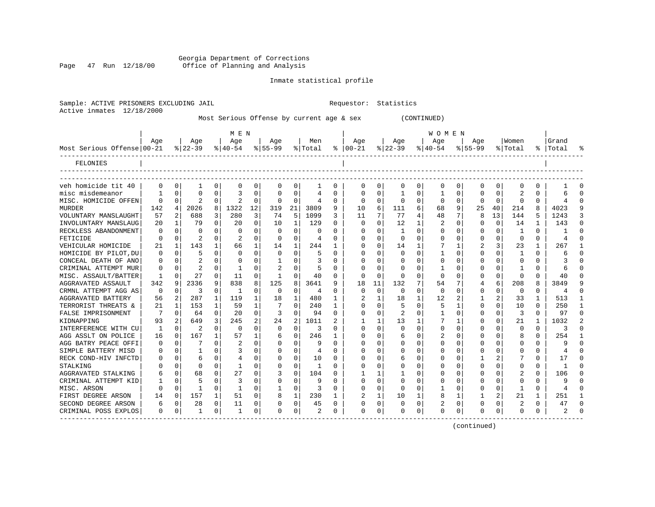Georgia Department of Corrections<br>Page 47 Run 12/18/00 Office of Planning and Analysis Office of Planning and Analysis

Inmate statistical profile

|                            |          |              |                |              |                |              |              |          | Most Serious Offense by current age & sex |          |             |              |             |             | (CONTINUED)  |          |           |             |              |              |           |  |
|----------------------------|----------|--------------|----------------|--------------|----------------|--------------|--------------|----------|-------------------------------------------|----------|-------------|--------------|-------------|-------------|--------------|----------|-----------|-------------|--------------|--------------|-----------|--|
|                            |          |              |                |              | M E N          |              |              |          |                                           |          |             |              |             |             | W O M E N    |          |           |             |              |              |           |  |
|                            | Age      |              | Age            |              | Age            |              | Age          |          | Men                                       |          | Age         |              | Age         |             | Age          |          | Age       |             | Women        |              | Grand     |  |
| Most Serious Offense 00-21 |          |              | $ 22-39$       |              | $8 40-54$      |              | $8 55-99$    |          | % Total                                   |          | $% 100-21$  |              | $ 22-39$    |             | $ 40-54$     |          | $8 55-99$ |             | % Total      |              | %   Total |  |
| FELONIES                   |          |              |                |              |                |              |              |          |                                           |          |             |              |             |             |              |          |           |             |              |              |           |  |
|                            |          |              |                |              |                |              |              |          |                                           |          |             |              |             |             |              |          |           |             |              |              |           |  |
| veh homicide tit 40        | $\Omega$ | 0            | 1              | 0            | 0              | 0            | $\Omega$     | $\Omega$ | 1                                         | 0        | 0           | 0            | 0           | 0           | 0            | 0        | 0         | $\Omega$    |              | O            |           |  |
| misc misdemeanor           |          | 0            | 0              | 0            | 3              | 0            | $\Omega$     | 0        | 4                                         | 0        | 0           | 0            | 1           | 0           | 1            | 0        | 0         | 0           | 2            | 0            | 6         |  |
| MISC. HOMICIDE OFFEN       | $\Omega$ | $\Omega$     | $\overline{c}$ | 0            | $\overline{a}$ | $\mathbf 0$  | $\Omega$     | $\Omega$ | 4                                         | $\Omega$ | $\Omega$    | $\Omega$     | $\Omega$    | $\Omega$    | $\Omega$     | $\Omega$ | $\Omega$  | $\Omega$    | $\Omega$     | $\Omega$     |           |  |
| <b>MURDER</b>              | 142      | 4            | 2026           | 8            | 1322           | 12           | 319          | 21       | 3809                                      | 9        | 10          | 6            | 111         | 6           | 68           | 9        | 25        | 40          | 214          | 8            | 4023      |  |
| VOLUNTARY MANSLAUGHT       | 57       | 2            | 688            | 3            | 280            | 3            | 74           | 5        | 1099                                      | 3        | 11          | 7            | 77          | 4           | 48           | 7        | 8         | 13          | 144          | 5            | 1243      |  |
| INVOLUNTARY MANSLAUG       | 20       | -1           | 79             | $\Omega$     | 20             | $\Omega$     | 10           | 1        | 129                                       | $\Omega$ | $\Omega$    | 0            | 12          | 1           | 2            | $\Omega$ | 0         | $\mathbf 0$ | 14           | 1            | 143       |  |
| RECKLESS ABANDONMENT       | 0        | $\Omega$     | 0              | 0            | $\Omega$       | 0            | $\Omega$     | $\Omega$ | O                                         | U        | O           | O            |             | 0           | 0            | 0        | 0         | 0           |              | 0            |           |  |
| FETICIDE                   | $\Omega$ | $\Omega$     | $\overline{2}$ | $\Omega$     |                | $\Omega$     | $\Omega$     | $\Omega$ | 4                                         | $\Omega$ | $\Omega$    | $\Omega$     | $\Omega$    | $\Omega$    | $\Omega$     | $\Omega$ | 0         | $\Omega$    | $\Omega$     | $\Omega$     | 4         |  |
| VEHICULAR HOMICIDE         | 21       | 1            | 143            | 1            | 66             | 1            | 14           |          | 244                                       | 1        | 0           | 0            | 14          | 1           |              | 1        | 2         | 3           | 23           | $\mathbf{1}$ | 267       |  |
| HOMICIDE BY PILOT, DU      | $\Omega$ | 0            | 5              | $\mathbf 0$  | $\Omega$       | $\mathbf 0$  | $\mathbf 0$  | 0        | 5                                         | 0        | $\Omega$    | 0            | $\Omega$    | $\mathbf 0$ | 1            | 0        | 0         | 0           |              | 0            | 6         |  |
| CONCEAL DEATH OF ANO       | $\Omega$ | $\Omega$     |                | $\Omega$     | $\Omega$       | $\Omega$     | $\mathbf{1}$ | $\Omega$ | 3                                         | $\Omega$ | O           | $\Omega$     | $\Omega$    | $\Omega$    | $\Omega$     | $\Omega$ | U         | $\Omega$    | <sup>0</sup> | $\Omega$     |           |  |
| CRIMINAL ATTEMPT MUR       | $\Omega$ | $\Omega$     | 2              | 0            | 1              | $\Omega$     | 2            | 0        | 5                                         | 0        | O           | O            | $\Omega$    | 0           | -1           | 0        | 0         | 0           |              | 0            |           |  |
| MISC. ASSAULT/BATTER       | 1        | $\Omega$     | 27             | 0            | 11             | $\mathbf 0$  | 1            | $\Omega$ | 40                                        | 0        | $\Omega$    | $\Omega$     | $\Omega$    | 0           | $\Omega$     | $\Omega$ | 0         | 0           | 0            | 0            | 40        |  |
| AGGRAVATED ASSAULT         | 342      | 9            | 2336           | 9            | 838            | 8            | 125          | 8        | 3641                                      | 9        | 18          | 11           | 132         |             | 54           | 7        | 4         | 6           | 208          | 8            | 3849      |  |
| CRMNL ATTEMPT AGG AS       | 0        | $\Omega$     | 3              | 0            | 1              | 0            | $\mathbf 0$  | $\Omega$ | 4                                         | 0        | $\mathbf 0$ | $\Omega$     | $\mathbf 0$ | 0           | $\mathbf 0$  | 0        | 0         | $\mathbf 0$ | 0            | 0            | 4         |  |
| AGGRAVATED BATTERY         | 56       | 2            | 287            | 1            | 119            | 1            | 18           |          | 480                                       | 1        | 2           | $\mathbf{1}$ | 18          | 1           | 12           | 2        | 1         | 2           | 33           | 1            | 513       |  |
| TERRORIST THREATS &        | 21       | $\mathbf{1}$ | 153            | 1            | 59             | $\mathbf{1}$ |              | $\Omega$ | 240                                       | 1        | O           | $\Omega$     | 5           | 0           | 5            | 1        | 0         | $\Omega$    | 10           | $\Omega$     | 250       |  |
| FALSE IMPRISONMENT         | 7        | $\Omega$     | 64             | 0            | 20             | 0            | 3            | $\Omega$ | 94                                        | 0        | $\Omega$    | 0            | 2           | 0           | $\mathbf{1}$ | $\Omega$ | 0         | 0           | 3            | $\Omega$     | 97        |  |
| KIDNAPPING                 | 93       | 2            | 649            | 3            | 245            | 2            | 24           | 2        | 1011                                      | 2        |             | 1            | 13          | 1           |              | 1        | 0         | 0           | 21           | 1            | 1032      |  |
| INTERFERENCE WITH CU       | 1        | $\Omega$     | 2              | 0            | $\mathbf 0$    | 0            | $\mathbf 0$  | $\Omega$ | 3                                         | 0        | $\Omega$    | $\Omega$     | $\Omega$    | 0           | 0            | $\Omega$ | 0         | $\Omega$    | $\Omega$     | 0            | 3         |  |
| AGG ASSLT ON POLICE        | 16       | $\Omega$     | 167            | $\mathbf{1}$ | 57             | $\mathbf{1}$ | 6            | $\Omega$ | 246                                       | 1        | U           | O            | 6           | $\Omega$    | 2            | $\Omega$ | U         | $\Omega$    |              | $\Omega$     | 254       |  |
| AGG BATRY PEACE OFFI       | O        | $\Omega$     | 7              | $\Omega$     | 2              | $\Omega$     | $\Omega$     | $\Omega$ | 9                                         | 0        | 0           | 0            | O           | $\Omega$    | 0            | $\Omega$ | Ω         | $\Omega$    | <sup>0</sup> | 0            | 9         |  |
| SIMPLE BATTERY MISD        | $\Omega$ | $\Omega$     | -1             | $\Omega$     | 3              | $\Omega$     | $\Omega$     | $\Omega$ | 4                                         | O        | $\Omega$    | $\Omega$     | 0           | $\Omega$    | 0            | $\Omega$ | 0         | $\Omega$    | $\Omega$     | $\Omega$     |           |  |
| RECK COND-HIV INFCTD       | $\Omega$ | $\Omega$     | 6              | $\Omega$     | 4              | $\Omega$     | $\Omega$     | $\Omega$ | 10                                        | $\Omega$ | $\Omega$    | O            | 6           | $\Omega$    | 0            | $\Omega$ |           | 2           |              | $\Omega$     | 17        |  |
| STALKING                   | $\Omega$ | $\Omega$     | 0              | 0            | 1              | $\Omega$     | $\Omega$     | $\Omega$ | -1                                        | $\Omega$ | $\Omega$    | 0            | $\Omega$    | 0           | 0            | 0        | 0         | 0           | <sup>0</sup> | 0            | 1         |  |
| AGGRAVATED STALKING        | 6        | $\Omega$     | 68             | $\Omega$     | 27             | $\Omega$     | 3            | 0        | 104                                       | U        |             | -1           |             | $\Omega$    | <sup>0</sup> | $\Omega$ | 0         | 0           | 2            | 0            | 106       |  |
| CRIMINAL ATTEMPT KID       |          | $\Omega$     | 5              | 0            | 3              | $\Omega$     | $\Omega$     | $\Omega$ | 9                                         | 0        | O           | O            | $\Omega$    | 0           | 0            | O        | 0         | $\Omega$    | <sup>0</sup> | 0            | 9         |  |
| MISC. ARSON                | $\Omega$ | $\Omega$     | $\mathbf{1}$   | $\Omega$     | 1              | $\Omega$     | 1            | $\Omega$ | 3                                         | 0        | 0           | $\Omega$     | $\Omega$    | $\Omega$    | -1           | 0        | 0         | $\Omega$    | 1            | $\Omega$     | 4         |  |
| FIRST DEGREE ARSON         | 14       | $\Omega$     | 157            | $\mathbf 1$  | 51             | $\Omega$     | 8            |          | 230                                       | 1        | 2           | 1            | 10          | 1           | 8            | 1        | 1         | 2           | 21           | 1            | 251       |  |
| SECOND DEGREE ARSON        | 6        | 0            | 28             | 0            | 11             | 0            | 0            | 0        | 45                                        | 0        | $\Omega$    | 0            | $\Omega$    | $\mathbf 0$ | 2            | 0        | 0         | 0           | 2            | 0            | 47        |  |
| CRIMINAL POSS EXPLOS       | $\Omega$ | $\Omega$     | $\mathbf{1}$   | $\Omega$     | $\mathbf{1}$   | $\Omega$     | $\Omega$     | $\Omega$ | $\mathfrak{D}$                            | $\Omega$ | $\Omega$    | 0            | $\cap$      | $\Omega$    | $\Omega$     | $\Omega$ | U         | $\Omega$    | $\Omega$     | 0            |           |  |
| ---------------            |          |              |                |              |                |              |              |          |                                           |          |             |              |             |             |              |          |           |             |              |              |           |  |

(continued)

Sample: ACTIVE PRISONERS EXCLUDING JAIL **Requestor:** Statistics Active inmates 12/18/2000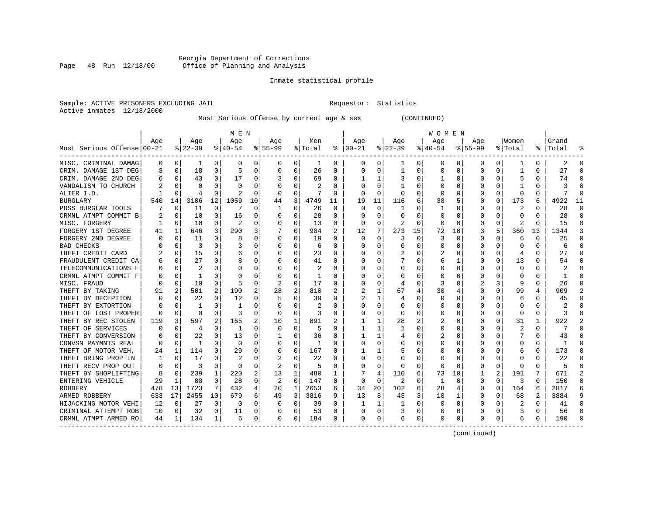# Georgia Department of Corrections<br>Page 48 Run 12/18/00 Office of Planning and Analysis Page 48 Run 12/18/00 Office of Planning and Analysis

# Inmate statistical profile

|                           | Sample: ACTIVE PRISONERS EXCLUDING JAIL | Requestor: Statistics |  |
|---------------------------|-----------------------------------------|-----------------------|--|
| Active inmates 12/18/2000 |                                         |                       |  |

Most Serious Offense by current age & sex (CONTINUED)

|                            |     |                |           |             | M E N        |    |                |             |         |    |               |              |          |          | W O M E N |             |             |          |                         |          |           |          |
|----------------------------|-----|----------------|-----------|-------------|--------------|----|----------------|-------------|---------|----|---------------|--------------|----------|----------|-----------|-------------|-------------|----------|-------------------------|----------|-----------|----------|
|                            | Age |                | Age       |             | Age          |    | Age            |             | Men     |    | Aqe           |              | Age      |          | Age       |             | Aqe         |          | Women                   |          | Grand     |          |
| Most Serious Offense 00-21 |     |                | $8 22-39$ |             | $8 40-54$    |    | $8 55-99$      |             | % Total |    | $8   00 - 21$ |              | $ 22-39$ |          | $ 40-54$  |             | $8155 - 99$ |          | % Total                 |          | %   Total |          |
| MISC. CRIMINAL DAMAG       | 0   | 0              | 1         | $\Omega$    | $\Omega$     | 0  | 0              | 0           | 1       | 0  | 0             | 0            | -1       | 0        | 0         | 0           | 0           | $\Omega$ |                         | 0        | 2         | ∩        |
| CRIM. DAMAGE 1ST DEG       | 3   | $\Omega$       | 18        | 0           | 5            | 0  | $\Omega$       | 0           | 26      | 0  | $\Omega$      | $\Omega$     | -1       | 0        | $\Omega$  | $\Omega$    | 0           | 0        | -1                      | 0        | 27        | $\cap$   |
| CRIM. DAMAGE 2ND DEG       | 6   | $\Omega$       | 43        | 0           | 17           | 0  |                | O           | 69      | 0  |               | 1            |          | O        |           | $\Omega$    | O           | 0        | 5                       | 0        | 74        |          |
| VANDALISM TO CHURCH        |     | $\Omega$       | O         | O           | <sup>0</sup> | U  |                | $\Omega$    | 2       | U  |               | $\Omega$     |          | $\Omega$ | O         | $\Omega$    | O           | 0        |                         | 0        | 3         |          |
| ALTER I.D.                 |     | $\Omega$       |           | O           |              | 0  | O              | $\mathbf 0$ |         | U  | C             | $\mathbf 0$  | $\Omega$ | 0        | $\Omega$  | 0           | O           | $\Omega$ | $\Omega$                | O        |           |          |
| <b>BURGLARY</b>            | 540 | 14             | 3106      | 12          | 1059         | 10 | 44             | 3           | 4749    | 11 | 19            | 11           | 116      | 6        | 38        | 5           | O           | $\Omega$ | 173                     | б        | 4922      | 11       |
| POSS BURGLAR TOOLS         |     | 0              | 11        | $\mathbf 0$ | 7            | U  | -1             | 0           | 26      | 0  | $\Omega$      | $\mathbf 0$  | 1        | 0        | 1         | 0           | 0           | $\Omega$ | $\overline{\mathbf{c}}$ | 0        | 28        | $\Omega$ |
| CRMNL ATMPT COMMIT B       |     | $\Omega$       | 10        | 0           | 16           | 0  | O              | 0           | 28      | 0  | O             | 0            | 0        | 0        | 0         | 0           | 0           | $\Omega$ | 0                       | 0        | 28        | ∩        |
| MISC. FORGERY              |     | $\Omega$       | 10        | 0           | 2            | 0  | O              | 0           | 13      | 0  | $\Omega$      | $\Omega$     |          | $\Omega$ | $\Omega$  | $\Omega$    | 0           | $\Omega$ | 2                       | O        | 15        | $\Omega$ |
| FORGERY 1ST DEGREE         |     |                | 646       | 3           | 290          | 3  |                | 0           | 984     | 2  | 12            | 7            | 273      | 15       | 72        | 10          | 3           | 5        | 360                     | 13       | 1344      | 3        |
| FORGERY 2ND DEGREE         |     | $\Omega$       | 11        | 0           | 8            | 0  |                | 0           | 19      | U  | $\cap$        | $\Omega$     | 3        | 0        | 3         | C           | O           | O        | 6                       | O        | 25        |          |
| <b>BAD CHECKS</b>          |     | n              | 3         | 0           |              | 0  |                | 0           | 6       | 0  | C             | $\Omega$     | $\Omega$ | 0        | U         | $\Omega$    | 0           | O        | $\Omega$                | O        | б         |          |
| THEFT CREDIT CARD          |     | $\Omega$       | 15        | $\Omega$    | 6            | O  |                | $\Omega$    | 23      | 0  |               | $\Omega$     |          | $\Omega$ | 2         | $\Omega$    | O           | $\Omega$ | 4                       | 0        | 27        |          |
| FRAUDULENT CREDIT CA       |     | $\mathbf 0$    | 27        | $\Omega$    | 8            | O  |                | $\Omega$    | 41      | U  |               | 0            |          | $\Omega$ | 6         | 1           | O           | $\Omega$ | 13                      | N        | 54        |          |
| TELECOMMUNICATIONS F       | O   | $\mathbf 0$    |           | 0           | 0            | U  |                | $\Omega$    | 2       | U  |               | 0            | 0        | $\Omega$ |           | $\mathbf 0$ | $\Omega$    | $\Omega$ | $\Omega$                | $\Omega$ |           |          |
| CRMNL ATMPT COMMIT F       |     | 0              | 1         | 0           | 0            | 0  |                | 0           | 1       | U  |               | $\Omega$     | U        | 0        | O         | 0           | O           | U        | <sup>0</sup>            | 0        |           |          |
| MISC. FRAUD                |     | n              | 10        | 0           | 5            | 0  | 2              | 0           | 17      | U  | n             | 0            | 4        | 0        | 3         | 0           | 2           | 3        | 9                       | 0        | 26        | n        |
| THEFT BY TAKING            |     | 2              | 501       | 2           | 190          | 2  | 28             | 2           | 810     | 2  | 2             | 1            | 67       | 4        | 30        | 4           | O           | 0        | 99                      | 4        | 909       |          |
| THEFT BY DECEPTION         |     | 0              | 22        |             | 12           | 0  |                | 0           | 39      | U  |               | 1            | 4        | 0        | 0         | 0           | 0           |          | 6                       | U        | 45        |          |
| THEFT BY EXTORTION         |     | n              |           | U           |              | U  |                | O           |         | U  | C             | 0            | O        | 0        | O         | 0           | O           | U        | $\cap$                  | U        |           |          |
| THEFT OF LOST PROPER       | O   | $\Omega$       | $\Omega$  | O           | 3            | 0  | $\Omega$       | 0           | 3       | 0  | C             | $\Omega$     | $\Omega$ | 0        | 0         | $\Omega$    | O           | 0        | $\Omega$                | 0        | κ         |          |
| THEFT BY REC STOLEN        | 119 | 3              | 597       | 2           | 165          | 2  | 10             | 1           | 891     | 2  |               | $\mathbf{1}$ | 28       | 2        |           | $\Omega$    | O           | 0        | 31                      | 1        | 922       |          |
| THEFT OF SERVICES          |     | $\Omega$       | 4         | 0           | -1           | O  | O              | $\Omega$    | 5       | U  |               | 1            | ำ        | $\Omega$ |           | 0           | O           | 0        | $\overline{\mathbf{c}}$ | 0        |           |          |
| THEFT BY CONVERSION        |     | $\Omega$       | 22        | O           | 13           | 0  |                | 0           | 36      | U  |               | 1            |          | 0        |           | $\mathbf 0$ | O           | O        |                         | O        | 43        |          |
| CONVSN PAYMNTS REAL        | U   | $\Omega$       | -1        | U           | $\Omega$     | U  |                | $\Omega$    | 1       | U  |               | $\Omega$     |          | O        | U         | 0           | O           | U        | $\Omega$                | 0        | -1        |          |
| THEFT OF MOTOR VEH,        | 24  | 1              | 114       | 0           | 29           | 0  | ∩              | 0           | 167     | U  |               | 1            |          | 0        | O         | 0           | 0           | 0        | 6                       | 0        | 173       | ∩        |
| THEFT BRING PROP IN        | -1  | 0              | 17        | 0           | 2            | 0  |                | 0           | 22      | U  | O             | 0            | O        | 0        | O         | 0           | 0           | 0        | 0                       | O        | 22        |          |
| THEFT RECV PROP OUT        | 0   | $\Omega$       | 3         | 0           | 0            | 0  | 2              | 0           | 5       | 0  | O             | $\Omega$     | 0        | 0        | 0         | 0           | 0           | 0        | 0                       | U        |           |          |
| THEFT BY SHOPLIFTING       | 8   | $\Omega$       | 239       | 1           | 220          | 2  | 13             | 1           | 480     |    |               | 4            | 110      | 6        | 73        | 10          |             |          | 191                     |          | 671       |          |
| ENTERING VEHICLE           | 29  | 1              | 88        | 0           | 28           | 0  | $\overline{2}$ | O           | 147     | U  | $\Omega$      | $\Omega$     | 2        | O        | 1         | $\Omega$    | O           | $\Omega$ | 3                       | 0        | 150       |          |
| ROBBERY                    | 478 | 13             | 1723      | 7           | 432          | 4  | 20             | 1           | 2653    | 6  | 34            | 20           | 102      | 6        | 28        | 4           | 0           | $\Omega$ | 164                     | 6        | 2817      |          |
| ARMED ROBBERY              | 633 | 17             | 2455      | 10          | 679          | б. | 49             | 3           | 3816    | 9  | 13            | 8            | 45       | 3        | 10        | 1           | 0           | $\Omega$ | 68                      | 2        | 3884      |          |
| HIJACKING MOTOR VEHI       | 12  | $\mathbf 0$    | 27        | $\mathbf 0$ | 0            | 0  | 0              | 0           | 39      | 0  |               | 1            | -1       | 0        | 0         | 0           | 0           | 0        | 2                       | $\Omega$ | 41        |          |
| CRIMINAL ATTEMPT ROB       | 10  | 0              | 32        | 0           | 11           | 0  |                | 0           | 53      | U  |               | 0            |          | $\Omega$ | 0         | 0           | O           | $\Omega$ | 3                       | 0        | 56        |          |
| CRMNL ATMPT ARMED RO       | 44  | 1 <sup>1</sup> | 134       | 1           | 6            | 0  | $\Omega$       | 0           | 184     | 0  | $\Omega$      | 0            | 6        | 0        | $\Omega$  | 0           | O           | 0        | 6                       | 0        | 190       |          |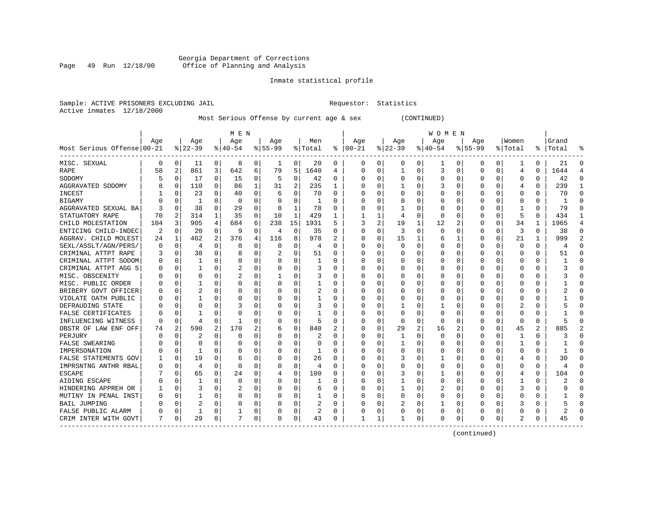#### Georgia Department of Corrections Page 49 Run 12/18/00 Office of Planning and Analysis

# Inmate statistical profile

| Sample: ACTIVE PRISONERS EXCLUDING JAIL | Requestor: Statistics |  |
|-----------------------------------------|-----------------------|--|
| Active inmates 12/18/2000               |                       |  |

Most Serious Offense by current age & sex (CONTINUED)

|                            |          |                |              |             | M E N        |          |          |             |         |          |              |          |              |   | W O M E N |                |             |          |               |          |           |                |
|----------------------------|----------|----------------|--------------|-------------|--------------|----------|----------|-------------|---------|----------|--------------|----------|--------------|---|-----------|----------------|-------------|----------|---------------|----------|-----------|----------------|
|                            | Age      |                | Age          |             | Age          |          | Age      |             | Men     |          | Age          |          | Age          |   | Age       |                | Age         |          | Women         |          | Grand     |                |
| Most Serious Offense 00-21 |          |                | $8 22-39$    |             | $8 40-54$    |          | $ 55-99$ |             | % Total | ႜ        | $ 00-21$     |          | $ 22-39$     |   | $ 40-54$  |                | $8155 - 99$ |          | % Total       |          | %   Total |                |
| MISC. SEXUAL               | 0        | 0              | 11           | 0           | 8            | 0        | 1        | 0           | 20      | 0        | 0            | 0        | 0            | 0 | 1         | 0              | 0           | 0        |               | 0        | 21        | $\Omega$       |
| RAPE                       | 58       | 2              | 861          | 3           | 642          | 6        | 79       | 5           | 1640    | 4        | <sup>0</sup> | 0        | $\mathbf{1}$ | 0 | 3         | $\mathbf 0$    | $\Omega$    | 0        | 4             | 0        | 1644      | Δ              |
| SODOMY                     |          | 0              | 17           | 0           | 15           | $\Omega$ | 5        | 0           | 42      | 0        |              | 0        | $\Omega$     | 0 | 0         | 0              | 0           | O        | $\Omega$      | $\Omega$ | 42        | ∩              |
| AGGRAVATED SODOMY          |          | 0              | 110          | $\Omega$    | 86           | 1        | 31       | 2           | 235     | 1        |              | $\Omega$ | 1            | 0 | 3         | $\mathbf 0$    | 0           | 0        | 4             | $\Omega$ | 239       | -1             |
| INCEST                     |          | $\Omega$       | 23           | 0           | 40           | $\Omega$ | 6        | $\Omega$    | 70      | 0        |              | $\Omega$ | $\Omega$     | 0 |           | $\mathbf 0$    | 0           | $\Omega$ | $\Omega$      | 0        | 70        | $\Omega$       |
| <b>BIGAMY</b>              |          | $\mathbf 0$    | $\mathbf{1}$ | 0           | $\Omega$     | 0        |          | 0           |         | 0        |              | $\Omega$ |              | 0 |           | $\mathbf 0$    | 0           | 0        | $\Omega$      | $\Omega$ | -1        | $\Omega$       |
| AGGRAVATED SEXUAL BA       |          | $\Omega$       | 38           | $\Omega$    | 29           | $\Omega$ | 8        | 1           | 78      | 0        |              | 0        | 1            | 0 | O         | 0              | 0           | 0        | -1            | $\Omega$ | 79        | $\Omega$       |
| STATUATORY RAPE            | 70       | 2              | 314          | $\mathbf 1$ | 35           | 0        | 10       | 1           | 429     | 1        |              | 1        | 4            | 0 | $\Omega$  | 0              | 0           | $\Omega$ | .5            | $\Omega$ | 434       | -1             |
| CHILD MOLESTATION          | 104      | 3              | 905          | 4           | 684          | 6        | 238      | 15          | 1931    | 5        | 3            | 2        | 19           | 1 | 12        | 2              | 0           | $\Omega$ | 34            | 1        | 1965      | $\overline{4}$ |
| ENTICING CHILD-INDEC       | 2        | 0              | 20           | 0           | 9            | 0        | 4        | 0           | 35      | 0        |              | 0        | 3            | 0 | $\Omega$  | 0              | 0           | O        | 3             | 0        | 38        | $\Omega$       |
| AGGRAV. CHILD MOLEST       | 24       | 1              | 462          | 2           | 376          | 4        | 116      | 8           | 978     |          | $\Omega$     | $\Omega$ | 15           | 1 | 6         | 1              | $\Omega$    | $\Omega$ | 21            | 1        | 999       | $\overline{2}$ |
| SEXL/ASSLT/AGN/PERS/       | $\Omega$ | 0              | 4            | U           | $\Omega$     | $\Omega$ | $\Omega$ | 0           | 4       | O        | <sup>0</sup> | $\Omega$ | $\Omega$     | O | C         | $\Omega$       | $\Omega$    | $\Omega$ | $\Omega$      | 0        |           | $\Omega$       |
| CRIMINAL ATTPT RAPE        | 3        | $\mathbf 0$    | 38           | $\Omega$    | 8            | $\Omega$ | 2        | 0           | 51      | O        |              | $\Omega$ | $\Omega$     | 0 | C         | $\mathbf 0$    | $\Omega$    | $\Omega$ | $\Omega$      | $\Omega$ | 51        | $\Omega$       |
| CRIMINAL ATTPT SODOM       |          | 0              | $\mathbf{1}$ | $\Omega$    | $\Omega$     | 0        | O        | 0           | 1       | O        |              | $\Omega$ | 0            | 0 |           | 0              | U           | $\Omega$ | $\mathbf 0$   | $\Omega$ |           |                |
| CRIMINAL ATTPT AGG S       |          | $\mathbf 0$    | $\mathbf{1}$ | 0           | 2            | $\Omega$ | O        | 0           | 3       | O        |              | $\Omega$ | 0            | 0 |           | 0              | U           | $\Omega$ | $\Omega$      | $\Omega$ |           | $\Omega$       |
| MISC. OBSCENITY            |          | $\mathbf 0$    | O            | U           | 2            | 0        |          | 0           | 3       | O        |              | 0        | 0            | 0 | C         | 0              | U           | 0        | <sup>0</sup>  | 0        |           | ∩              |
| MISC. PUBLIC ORDER         |          | $\mathbf 0$    | 1            | 0           | $\Omega$     | 0        | U        | 0           | 1       | O        | ∩            | 0        | $\Omega$     | 0 | O         | 0              | 0           | $\Omega$ | <sup>0</sup>  | 0        |           | ∩              |
| BRIBERY GOVT OFFICER       |          | 0              | 2            | 0           | $\Omega$     | 0        | n        | 0           | 2       | 0        |              | 0        | $\Omega$     | 0 | C         | 0              | 0           | 0        | 0             | 0        |           |                |
| VIOLATE OATH PUBLIC        |          | 0              | 1            | U           | C            | 0        |          | $\Omega$    |         | 0        |              | 0        | 0            | 0 |           | 0              | 0           | O        | O             | O        |           |                |
| DEFRAUDING STATE           |          | $\Omega$       | O            | U           | 3            | 0        | O        | $\Omega$    | 3       | O        | ∩            | 0        | 1            | 0 |           | 0              | U           | U        | 2             | 0        |           |                |
| FALSE CERTIFICATES         |          | $\Omega$       |              | O           | $\mathsf{C}$ | 0        | O        | $\Omega$    | 1       | O        |              | $\Omega$ | $\Omega$     | 0 | O         | 0              | 0           | O        | 0             | 0        |           | ∩              |
| INFLUENCING WITNESS        | 0        | 0              | 4            | U           | -1           | 0        | 0        | 0           | 5       | 0        |              | 0        | 0            | 0 | O         | 0              | 0           | $\Omega$ | 0             | 0        |           |                |
| OBSTR OF LAW ENF OFF       | 74       | $\overline{c}$ | 590          | 2           | 170          | 2        | 6        | $\mathbf 0$ | 840     | 2        |              | 0        | 29           | 2 | 16        | $\overline{2}$ | 0           | 0        | 45            | 2        | 885       |                |
| PERJURY                    |          | $\mathbf 0$    | 2            | 0           | 0            | $\Omega$ |          | 0           | 2       | 0        |              | 0        | 1            | 0 |           | $\mathbf 0$    | 0           | 0        | $\mathbf{1}$  | $\Omega$ |           | $\Omega$       |
| <b>FALSE SWEARING</b>      |          | $\mathbf 0$    | 0            | U           | $\Omega$     | 0        | n        | 0           | 0       | O        | ∩            | 0        | 1            | 0 | C         | 0              | 0           | 0        | -1            | 0        |           | ∩              |
| IMPERSONATION              |          | $\mathbf 0$    | 1            | U           | 0            | 0        | O        | 0           | 1       | 0        | ∩            | 0        | 0            | 0 | 0         | 0              | 0           | 0        | 0             | 0        |           | ∩              |
| FALSE STATEMENTS GOV       |          | $\mathbf 0$    | 19           | 0           | 6            | 0        | O        | 0           | 26      | 0        |              | 0        | 3            | 0 |           | 0              | 0           | 0        | 4             | N        | 30        |                |
| IMPRSNTNG ANTHR RBAL       |          | 0              | 4            | 0           | $\Omega$     | 0        | 0        | 0           | 4       | 0        |              | 0        | 0            | 0 |           | 0              | 0           | O        | O             | 0        |           |                |
| <b>ESCAPE</b>              |          | 0              | 65           | U           | 24           | 0        | 4        | $\Omega$    | 100     | 0        | ∩            | U        | 3            | 0 |           | $\Omega$       | 0           | U        | 4             | 0        | 104       | ∩              |
| AIDING ESCAPE              |          | $\Omega$       | 1            | U           | $\Omega$     | $\Omega$ |          | $\Omega$    |         | O        | <sup>0</sup> | 0        | 1            | 0 | $\Omega$  | $\Omega$       | 0           | U        |               | 0        |           |                |
| HINDERING APPREH OR        |          | $\Omega$       | 3            | 0           | 2            | 0        | O        | $\Omega$    | 6       | $\Omega$ |              | $\Omega$ | 1            | 0 | 2         | 0              | 0           | 0        | 3             | 0        |           |                |
| MUTINY IN PENAL INST       |          | $\mathbf 0$    | 1            | 0           | $\Omega$     | 0        |          | 0           | 1       | 0        |              | $\Omega$ | 0            | 0 | C         | 0              | 0           | 0        | 0             | 0        |           |                |
| <b>BAIL JUMPING</b>        |          | $\mathbf 0$    | 2            | 0           | C            | 0        |          | 0           | 2       | 0        |              | 0        | 2            | 0 |           | 0              | 0           | $\Omega$ |               | O        |           |                |
| FALSE PUBLIC ALARM         |          | $\mathbf 0$    | $\mathbf{1}$ | O           |              | $\Omega$ |          | 0           | 2       | 0        |              | 0        |              | 0 | $\Omega$  | 0              | U           | $\Omega$ | C             | 0        |           |                |
| CRIM INTER WITH GOVT       | 7        | 0              | 29           | 0           | 7            | 0        | O        | 0           | 43      | 0        |              | 1        | -1           | 0 | $\Omega$  | 0              | O           | 0        | $\mathcal{D}$ | 0        | 45        |                |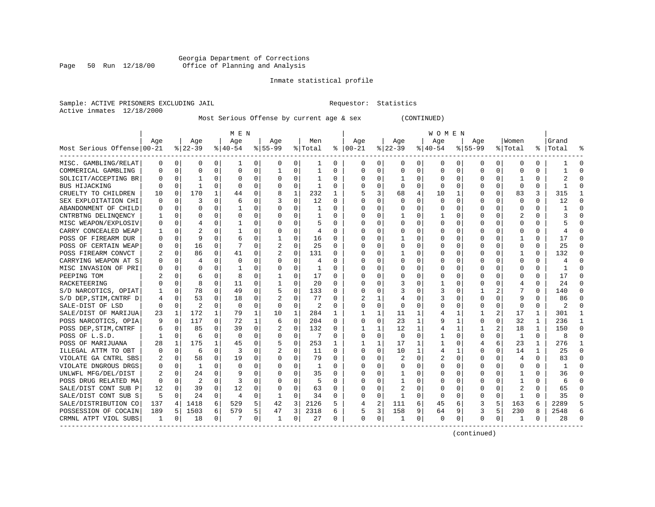#### Georgia Department of Corrections Page 50 Run 12/18/00 Office of Planning and Analysis

# Inmate statistical profile

| Sample: ACTIVE PRISONERS EXCLUDING JAIL | Requestor: Statistics |  |
|-----------------------------------------|-----------------------|--|
| Active inmates 12/18/2000               |                       |  |

Most Serious Offense by current age & sex (CONTINUED)

|                            | M E N        |             |                |              |              |          |              |             |                |              | <b>WOMEN</b>  |              |              |                |           |             |             |                |                         |              |            |          |  |  |
|----------------------------|--------------|-------------|----------------|--------------|--------------|----------|--------------|-------------|----------------|--------------|---------------|--------------|--------------|----------------|-----------|-------------|-------------|----------------|-------------------------|--------------|------------|----------|--|--|
|                            | Aqe          |             | Age            |              | Aqe          |          | Aqe          |             | Men            |              | Aqe           |              | Aqe          |                | Aqe       |             | Aqe         |                | Women                   |              | Grand      |          |  |  |
| Most Serious Offense 00-21 |              |             | $8 22-39$      |              | $8 40-54$    |          | $ 55-99$     |             | % Total        |              | $8   00 - 21$ |              | $ 22-39$     |                | $ 40-54 $ |             | $8155 - 99$ |                | % Total                 |              | %   Total  | ႜ        |  |  |
| MISC. GAMBLING/RELAT       | 0            | 0           | 0              | 0            | 1            | 0        | 0            | 0           | ı              | 0            | 0             | $\mathbf{0}$ | 0            | 0              | 0         | 0           | 0           | 0              | 0                       | 0            |            | $\Omega$ |  |  |
| COMMERICAL GAMBLING        | $\Omega$     | $\mathbf 0$ | 0              | O            | $\mathbf 0$  | 0        | 1            | 0           | 1              | O            | $\Omega$      | 0            | 0            | 0              | $\Omega$  | 0           | $\Omega$    | $\Omega$       | $\mathbf 0$             | $\Omega$     |            | $\cap$   |  |  |
| SOLICIT/ACCEPTING BR       |              | $\Omega$    | $\mathbf{1}$   | U            | $\Omega$     | $\Omega$ | $\Omega$     | $\Omega$    | $\mathbf{1}$   | $\Omega$     | $\Omega$      | 0            | $\mathbf{1}$ | 0              | $\Omega$  | $\mathbf 0$ | U           | $\Omega$       | -1                      | $\Omega$     |            |          |  |  |
| BUS HIJACKING              | O            | $\Omega$    | $\mathbf{1}$   | $\Omega$     | $\Omega$     | 0        | O            | $\mathbf 0$ | $\mathbf{1}$   | $\Omega$     | <sup>0</sup>  | $\Omega$     | $\Omega$     | $\Omega$       | $\Omega$  | 0           | O           | $\Omega$       | $\Omega$                | $\Omega$     |            |          |  |  |
| CRUELTY TO CHILDREN        | 10           | 0           | 170            | $\mathbf{1}$ | 44           | 0        | 8            | $\mathbf 1$ | 232            | $\mathbf{1}$ | 5             | 3            | 68           | $\overline{4}$ | 10        | 1           | $\Omega$    | $\Omega$       | 83                      | 3            | 315        |          |  |  |
| SEX EXPLOITATION CHI       |              | $\mathbf 0$ | 3              | 0            | 6            | 0        |              | $\mathbf 0$ | 12             | $\Omega$     | $\Omega$      | 0            | $\Omega$     | 0              | $\cap$    | 0           | $\Omega$    | $\Omega$       | $\mathbf 0$             | $\Omega$     | 12         | $\Omega$ |  |  |
| ABANDONMENT OF CHILD       | $\Omega$     | 0           | 0              | 0            | -1           | $\Omega$ | O            | $\Omega$    | 1              | $\Omega$     | <sup>0</sup>  | 0            | $\Omega$     | $\Omega$       | $\Omega$  | $\Omega$    | 0           | 0              | $\Omega$                | $\Omega$     |            | ∩        |  |  |
| CNTRBTNG DELINOENCY        |              | $\mathbf 0$ | O              | 0            | $\Omega$     | $\Omega$ | O            | $\Omega$    | 1              | $\Omega$     | <sup>0</sup>  | 0            | 1            | 0              |           | 0           | U           | 0              | $\overline{\mathbf{c}}$ | $\Omega$     |            | $\Omega$ |  |  |
| MISC WEAPON/EXPLOSIV       | O            | 0           | 4              | 0            | -1           | $\Omega$ | O            | $\Omega$    | 5              | $\Omega$     | <sup>0</sup>  | 0            | $\Omega$     | 0              | $\Omega$  | 0           | 0           | 0              | 0                       | $\Omega$     |            |          |  |  |
| CARRY CONCEALED WEAP       |              | $\mathbf 0$ |                |              |              | 0        | 0            | $\Omega$    | $\overline{4}$ | 0            |               | 0            | $\Omega$     | 0              |           | 0           | 0           | O              | O                       | O            |            |          |  |  |
| POSS OF FIREARM DUR        |              | $\Omega$    | 9              | U            | 6            | $\Omega$ |              | $\Omega$    | 16             | $\Omega$     | <sup>0</sup>  | $\Omega$     | 1            | U              | O         | 0           | U           | U              |                         | 0            | 17         |          |  |  |
| POSS OF CERTAIN WEAP       | O            | 0           | 16             | 0            | 7            | 0        | 2            | 0           | 25             | $\Omega$     | <sup>0</sup>  | 0            | $\Omega$     | 0              | O         | 0           | O           | 0              | $\Omega$                | 0            | 25         | $\cap$   |  |  |
| POSS FIREARM CONVCT        | 2            | 0           | 86             | $\Omega$     | 41           | 0        | 2            | $\mathbf 0$ | 131            | $\Omega$     | <sup>0</sup>  | $\Omega$     | -1           | 0              | O         | 0           | O           | $\Omega$       | -1                      | $\Omega$     | 132        |          |  |  |
| CARRYING WEAPON AT S       |              | $\mathbf 0$ | 4              | 0            | $\mathbf 0$  | $\Omega$ | 0            | $\mathbf 0$ | 4              | O            |               | $\Omega$     | $\Omega$     | 0              |           | 0           | 0           | $\Omega$       | $\mathbf 0$             | 0            |            |          |  |  |
| MISC INVASION OF PRI       | $\Omega$     | 0           | $\Omega$       | 0            | $\mathbf{1}$ | $\Omega$ | $\Omega$     | 0           | 1              | $\Omega$     | $\Omega$      | 0            | $\Omega$     | O              | $\Omega$  | 0           | U           | $\Omega$       | $\Omega$                | $\Omega$     |            | $\cap$   |  |  |
| PEEPING TOM                |              | 0           | 6              | 0            | 8            | $\Omega$ | 1            | $\Omega$    | 17             | $\Omega$     | ∩             | 0            | $\Omega$     | U              | $\Omega$  | 0           | U           | 0              | <sup>0</sup>            | $\Omega$     | 17         | $\Omega$ |  |  |
| RACKETEERING               |              | 0           | 8              | 0            | 11           | $\Omega$ | 1            | 0           | 20             | $\Omega$     | <sup>0</sup>  | 0            | 3            | O              | ı         | 0           | U           | $\Omega$       | 4                       | 0            | 24         | $\Omega$ |  |  |
| S/D NARCOTICS, OPIAT       |              | $\mathbf 0$ | 78             | U            | 49           | $\Omega$ | 5            | 0           | 133            | O            | <sup>0</sup>  | $\Omega$     |              | O              | 3         | $\mathbf 0$ |             |                |                         |              | 140        |          |  |  |
| S/D DEP, STIM, CNTRF D     | 4            | $\Omega$    | 53             | U            | 18           | $\Omega$ |              | $\Omega$    | 77             | $\Omega$     |               | 1            | 4            | 0              | 3         | $\Omega$    | U           | U              | q                       | 0            | 86         |          |  |  |
| SALE-DIST OF LSD           | $\Omega$     | $\Omega$    | $\mathfrak{D}$ | U            | $\Omega$     | $\Omega$ | $\Omega$     | $\Omega$    | 2              | $\Omega$     | <sup>0</sup>  | $\Omega$     | $\Omega$     | 0              | $\Omega$  | $\Omega$    | 0           | 0              | $\Omega$                | 0            | 2          |          |  |  |
| SALE/DIST OF MARIJUA       | 23           | 1           | 172            | $\mathbf 1$  | 79           | 1        | 10           | 1           | 284            | 1            | 1             | 1            | 11           | 1              | 4         | 1           |             | $\overline{a}$ | 17                      | 1            | 301        |          |  |  |
| POSS NARCOTICS, OPIA       |              | 0           | 117            | $\Omega$     | 72           | 1        | 6            | $\Omega$    | 204            | $\Omega$     | $\Omega$      | $\Omega$     | 23           | $\mathbf{1}$   | 9         | 1           | 0           | $\Omega$       | 32                      | 1            | 236        | -1       |  |  |
| POSS DEP, STIM, CNTRF      | 6            | $\mathbf 0$ | 85             | 0            | 39           | $\Omega$ |              | $\mathbf 0$ | 132            | 0            | -1            | $\mathbf{1}$ | 12           | $\mathbf 1$    | 4         | 1           | 1           | $\overline{a}$ | 18                      | $\mathbf{1}$ | 150        | $\cap$   |  |  |
| POSS OF L.S.D.             | -1           | 0           | 6              | $\Omega$     | $\Omega$     | $\Omega$ | O            | 0           | 7              | $\Omega$     | $\Omega$      | $\Omega$     | $\Omega$     | $\Omega$       | 1         | 0           | 0           | $\Omega$       | $\mathbf{1}$            | $\Omega$     | 8          | $\cap$   |  |  |
| POSS OF MARIJUANA          | 28           | 1           | 175            | $\mathbf{1}$ | 45           | 0        | 5            | 0           | 253            | 1            | -1            | 1            | 17           | 1              |           | 0           | 4           | 6              | 23                      | 1            | 276        | -1       |  |  |
| ILLEGAL ATTM TO OBT        | 0            | 0           | 6              | 0            | २            | 0        | 2            | $\Omega$    | 11             | 0            | <sup>0</sup>  | $\Omega$     | 10           | 1              | 4         | 1           | 0           | 0              | 14                      |              | 25         |          |  |  |
| VIOLATE GA CNTRL SBS       |              | $\mathbf 0$ | 58             | 0            | 19           | $\Omega$ | $\Omega$     | $\Omega$    | 79             | $\Omega$     | $\Omega$      | $\Omega$     |              | O              |           | $\Omega$    | $\Omega$    | O              | 4                       | $\Omega$     | 83         | $\Omega$ |  |  |
| VIOLATE DNGROUS DRGS       | <sup>0</sup> | $\Omega$    | 1              | U            | $\Omega$     | $\Omega$ | O            | $\Omega$    | 1              | $\Omega$     | <sup>0</sup>  | 0            | $\Omega$     | O              | $\Omega$  | $\Omega$    | U           | U              | $\Omega$                | 0            | -1         |          |  |  |
| UNLWFL MFG/DEL/DIST        |              | $\Omega$    | 24             | $\Omega$     | 9            | 0        | O            | $\Omega$    | 35             | $\Omega$     | <sup>0</sup>  | $\Omega$     | -1           | 0              | O         | $\Omega$    | U           | 0              | -1                      | 0            | 36         | ∩        |  |  |
| POSS DRUG RELATED MA       | $\Omega$     | $\Omega$    | 2              | $\Omega$     | 3            | $\Omega$ | O            | $\Omega$    | 5              | $\Omega$     | <sup>0</sup>  | $\Omega$     | 1            | 0              |           | 0           | $\Omega$    | $\Omega$       | $\mathbf{1}$            | $\Omega$     | $\sqrt{2}$ |          |  |  |
| SALE/DIST CONT SUB P       | 12           | 0           | 39             | $\Omega$     | 12           | $\Omega$ | 0            | $\Omega$    | 63             | O            | 0             | $\Omega$     | 2            | 0              |           | 0           | 0           | $\Omega$       | $\overline{c}$          | 0            | 65         |          |  |  |
| SALE/DIST CONT SUB S       | .5           | $\Omega$    | 24             | $\Omega$     | 4            | $\Omega$ | $\mathbf{1}$ | $\Omega$    | 34             | $\Omega$     | $\Omega$      | $\Omega$     | -1           | $\Omega$       | $\Omega$  | $\Omega$    | 0           | $\Omega$       | 1                       | $\Omega$     | 35         | ∩        |  |  |
| SALE/DISTRIBUTION CO       | 137          | 4           | 1418           | 6            | 529          | 5        | 42           | 3           | 2126           | 5            |               | 2            | 111          | 6              | 45        | 6           | 3           | 5              | 163                     | 6            | 2289       |          |  |  |
| POSSESSION OF COCAIN       | 189          | 5           | 1503           | 6            | 579          | 5        | 47           | 3           | 2318           | 6            | 5             | 3            | 158          | 9              | 64        | 9           | 3           | 5              | 230                     | 8            | 2548       | 6        |  |  |
| CRMNL ATPT VIOL SUBS       | 1            | 0           | 18             | 0            | -7           | 0        | 1            | 0           | 27             | 0            | $\Omega$      | 0            | -1           | 0              | 0         | 0           | 0           | 0              | 1                       | 0            | 28         |          |  |  |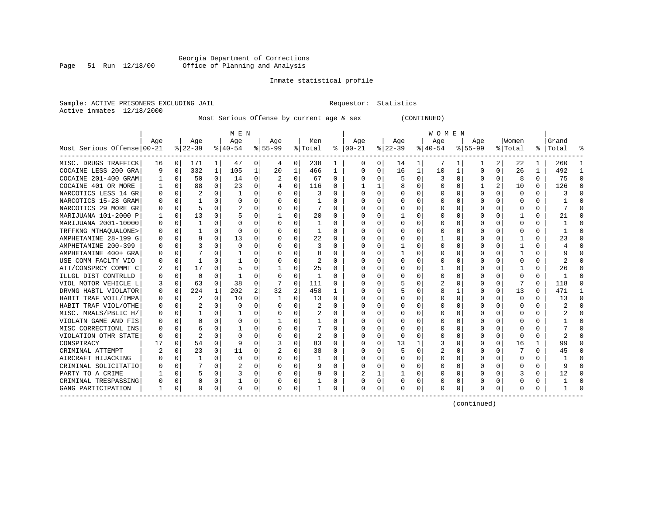#### Georgia Department of Corrections Page 51 Run 12/18/00 Office of Planning and Analysis

# Inmate statistical profile

| Sample: ACTIVE PRISONERS EXCLUDING JAIL | Requestor: Statistics |  |
|-----------------------------------------|-----------------------|--|
| Active inmates 12/18/2000               |                       |  |

Most Serious Offense by current age & sex (CONTINUED)

|                            |     |          |           |              | M E N          |          |           |          |         |              | W O M E N     |              |          |          |          |              |           |                |          |              |           |          |  |
|----------------------------|-----|----------|-----------|--------------|----------------|----------|-----------|----------|---------|--------------|---------------|--------------|----------|----------|----------|--------------|-----------|----------------|----------|--------------|-----------|----------|--|
|                            | Age |          | Age       |              | Age            |          | Age       |          | Men     |              | Age           |              | Age      |          | Age      |              | Age       |                | Women    |              | Grand     |          |  |
| Most Serious Offense 00-21 |     |          | $ 22-39 $ |              | $ 40-54 $      |          | $8 55-99$ |          | % Total |              | $8   00 - 21$ |              | $ 22-39$ |          | $ 40-54$ |              | $8 55-99$ |                | % Total  |              | %   Total |          |  |
| MISC. DRUGS TRAFFICK       | 16  | 0 I      | 171       | $\mathbf{1}$ | 47             | 0        | 4         | 0        | 238     |              |               | 0            | 14       | 1        | 7        |              |           | 2              | 22       | 1            | 260       |          |  |
| COCAINE LESS 200 GRA       | q   | 0        | 332       | $\mathbf 1$  | 105            | 1        | 20        | 1        | 466     | 1            | $\Omega$      | 0            | 16       | 1        | 10       | 1            | 0         | 0              | 26       | 1            | 492       |          |  |
| COCAINE 201-400 GRAM       |     | $\Omega$ | 50        | $\Omega$     | 14             | 0        | 2         | 0        | 67      | $\Omega$     | ∩             | $\Omega$     | 5        | $\Omega$ | 3        | 0            | 0         | $\Omega$       | 8        | $\Omega$     | 75        | $\Omega$ |  |
| COCAINE 401 OR MORE        |     | $\Omega$ | 88        | 0            | 23             | 0        |           | $\Omega$ | 116     | $\Omega$     |               | $\mathbf{1}$ |          | 0        | ∩        | $\Omega$     | 1         | $\overline{a}$ | 10       | $\Omega$     | 126       | ∩        |  |
| NARCOTICS LESS 14 GR       |     | $\Omega$ | 2         | 0            | 1              | $\Omega$ | U         | $\Omega$ | 3       | $\Omega$     |               | $\Omega$     |          | U        |          | $\Omega$     | O         | $\Omega$       | $\Omega$ | $\Omega$     |           | $\cap$   |  |
| NARCOTICS 15-28 GRAM       |     | $\Omega$ |           | 0            | $\Omega$       | 0        | 0         | 0        |         | $\Omega$     |               | 0            |          | 0        |          | $\Omega$     | 0         | 0              | 0        | $\Omega$     |           |          |  |
| NARCOTICS 29 MORE GR       |     | $\Omega$ | 5         | 0            | $\overline{c}$ | 0        | 0         | 0        |         | 0            |               | 0            |          | 0        |          | $\Omega$     |           | 0              | O        | 0            |           |          |  |
| MARIJUANA 101-2000 P       |     | $\Omega$ | 13        | 0            |                | 0        |           | 0        | 20      | 0            |               | 0            |          | U        |          | $\Omega$     | O         | 0              |          | 0            | 21        |          |  |
| MARIJUANA 2001-10000       |     | $\Omega$ | 1         | U            | O              | 0        | U         | O        |         | <sup>0</sup> |               | $\cap$       | U        | U        |          | $\Omega$     | O         | 0              | $\Omega$ | 0            |           |          |  |
| TRFFKNG MTHAQUALONE>       |     | $\Omega$ |           | U            | $\cap$         | $\Omega$ | U         | $\Omega$ | 1       | <sup>0</sup> |               | $\cap$       | U        | U        |          | ∩            |           | <sup>n</sup>   | $\Omega$ | 0            |           |          |  |
| AMPHETAMINE 28-199 G       |     | $\Omega$ | 9         | 0            | 13             | 0        | U         | O        | 22      | $\Omega$     |               |              |          | U        |          | $\Omega$     |           |                |          | 0            | 23        |          |  |
| AMPHETAMINE 200-399        |     | $\Omega$ |           |              | $\Omega$       | 0        | U         | 0        |         | $\Omega$     |               |              |          |          |          | $\Omega$     | O         | U              |          | 0            |           |          |  |
| AMPHETAMINE 400+ GRA       |     | $\Omega$ |           |              |                | 0        | U         | 0        |         |              |               |              |          | U        |          | $\Omega$     | 0         | U              |          | 0            |           |          |  |
| USE COMM FACLTY VIO        |     | $\Omega$ |           |              |                | 0        |           | U        | 2       |              |               |              |          | U        |          | $\Omega$     |           | 0              | C        | 0            |           |          |  |
| ATT/CONSPRCY COMMT C       |     | $\Omega$ | 17        | 0            |                | 0        |           | 0        | 25      | $\Omega$     |               |              |          | U        |          | $\Omega$     | U         | 0              |          | 0            | 26        |          |  |
| ILLGL DIST CONTRLLD        |     | $\Omega$ | O         | $\Omega$     | -1             | $\Omega$ | $\Omega$  | $\Omega$ | 1       | $\Omega$     |               | $\Omega$     |          | U        |          | $\Omega$     | O         | $\Omega$       | O        | 0            |           | $\cap$   |  |
| VIOL MOTOR VEHICLE L       |     | $\Omega$ | 63        | $\Omega$     | 38             | $\Omega$ | 7         | $\Omega$ | 111     | $\Omega$     |               | 0            |          | U        |          | $\Omega$     | U         | 0              |          | $\Omega$     | 118       |          |  |
| DRVNG HABTL VIOLATOR       |     | $\Omega$ | 224       | 1            | 202            | 2        | 32        | 2        | 458     | 1            |               | 0            |          | U        |          | 1            | 0         | 0              | 13       | $\Omega$     | 471       | -1       |  |
| HABIT TRAF VOIL/IMPA       |     | $\Omega$ | 2         | $\Omega$     | 10             | $\Omega$ | -1        | 0        | 13      | $\Omega$     |               | $\Omega$     |          | O        |          | $\Omega$     | 0         | 0              | $\Omega$ | $\Omega$     | 13        | $\Omega$ |  |
| HABIT TRAF VIOL/OTHE       |     | $\Omega$ | 2         | 0            | <sup>0</sup>   | 0        |           | 0        | 2       | $\Omega$     |               | $\Omega$     |          | U        |          | $\Omega$     |           | 0              | $\Omega$ | 0            | ৴.        |          |  |
| MISC. MRALS/PBLIC H/       |     | $\Omega$ |           | 0            |                | 0        |           | O        | 2       | $\Omega$     |               | 0            |          | U        |          | $\Omega$     |           | 0              | $\Omega$ | $\Omega$     |           |          |  |
| VIOLATN GAME AND FIS       |     | $\Omega$ |           |              | $\Omega$       | $\Omega$ |           | O        |         | <sup>0</sup> |               |              |          | U        |          | <sup>0</sup> |           |                | O        | 0            |           |          |  |
| MISC CORRECTIONL INS       |     | $\Omega$ | 6         |              |                | 0        |           | O        |         | $\Omega$     |               | <sup>n</sup> | U        | U        |          | $\Omega$     |           |                | $\Omega$ | <sup>n</sup> |           |          |  |
| VIOLATION OTHR STATE       |     | $\Omega$ |           |              | $\cap$         | 0        | U         | 0        |         | $\Omega$     | ∩             | $\Omega$     | $\Omega$ | U        |          | $\Omega$     | 0         | 0              | $\Omega$ | 0            |           |          |  |
| CONSPIRACY                 |     | $\Omega$ | 54        | $\Omega$     | q              | $\Omega$ |           | 0        | 83      | $\Omega$     |               |              | 13       |          |          | $\Omega$     | 0         | 0              | 16       |              | 99        |          |  |
| CRIMINAL ATTEMPT           |     | 0        | 23        | 0            | 11             | 0        |           | U        | 38      | 0            |               |              | 5        | U        | 2        | 0            |           | 0              |          | 0            | 45        |          |  |
| AIRCRAFT HIJACKING         |     | $\Omega$ | 1         | 0            | $\Omega$       | 0        | U         | 0        | 1       | $\Omega$     | O             | 0            | O        | U        |          | 0            | U         | 0              | 0        | 0            |           | $\Omega$ |  |
| CRIMINAL SOLICITATIO       |     | $\Omega$ |           | 0            | 2              | 0        | U         | $\Omega$ | 9       | $\Omega$     | $\Omega$      | $\Omega$     |          | U        |          | $\Omega$     | 0         | $\Omega$       | 0        | 0            |           | ∩        |  |
| PARTY TO A CRIME           |     | $\Omega$ | 5         | 0            | 3              | 0        | U         | $\Omega$ | 9       | $\Omega$     |               | 1            |          | 0        |          | $\Omega$     | 0         | $\Omega$       | 3        | $\Omega$     | 12        | $\cap$   |  |
| CRIMINAL TRESPASSING       |     | $\Omega$ | 0         | 0            |                | 0        | 0         | 0        |         | 0            |               | $\Omega$     |          | 0        |          | 0            | 0         | 0              | $\Omega$ | $\Omega$     |           | ∩        |  |
| GANG PARTICIPATION         |     | 0        | 0         | 0            | $\Omega$       | 0        | 0         | 0        |         |              | $\Omega$      | 0            | 0        | 0        |          | 0            | 0         | 0              | O        | 0            |           |          |  |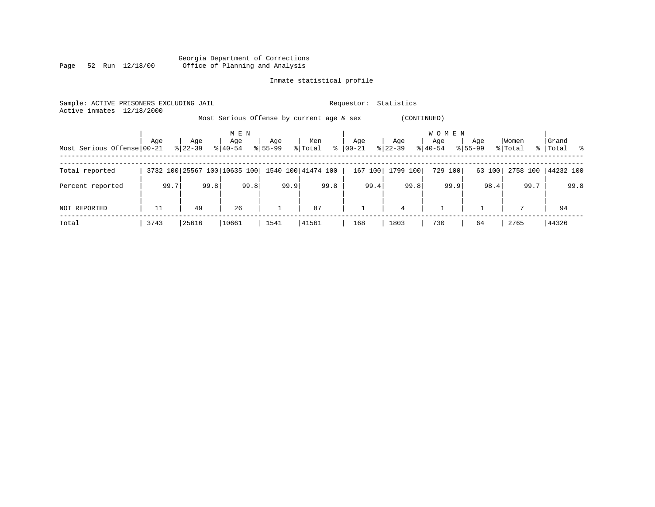Georgia Department of Corrections Page 52 Run 12/18/00 Office of Planning and Analysis

# Inmate statistical profile

| Sample: ACTIVE PRISONERS EXCLUDING JAIL<br>Active inmates | 12/18/2000 |           |                              |              |                                           | Requestor:   | Statistics     |                     |             |          |             |  |
|-----------------------------------------------------------|------------|-----------|------------------------------|--------------|-------------------------------------------|--------------|----------------|---------------------|-------------|----------|-------------|--|
|                                                           |            |           |                              |              | Most Serious Offense by current age & sex |              | (CONTINUED)    |                     |             |          |             |  |
|                                                           | Age        | Age       | M E N<br>Age                 | Age          | Men                                       | Age          | Age            | <b>WOMEN</b><br>Age | Age         | Women    | Grand       |  |
| Most Serious Offense 00-21                                |            | $8 22-39$ | $8140 - 54$                  | $8155 - 99$  | $\frac{8}{6}$<br>% Total                  | 00-21        | $ 22-39 $      | $8 40-54$           | $8155 - 99$ | % Total  | %   Total % |  |
| Total reported                                            |            |           | 3732 100 25567 100 10635 100 |              | 1540 100 41474 100                        | 167 100      | 1799 100       | 729 100             | 63 100      | 2758 100 | 44232 100   |  |
| Percent reported                                          | 99.7       | 99.8      | 99.8                         | 99.9         | 99.8                                      | 99.4         | 99.8           | 99.9                | 98.4        | 99.7     | 99.8        |  |
| NOT REPORTED                                              | 11         | 49        | 26                           | $\mathbf{1}$ | 87                                        | $\mathbf{1}$ | $\overline{4}$ |                     |             |          | 94          |  |
| Total                                                     | 3743       | 25616     | 10661                        | 1541         | 41561                                     | 168          | 1803           | 730                 | 64          | 2765     | 44326       |  |